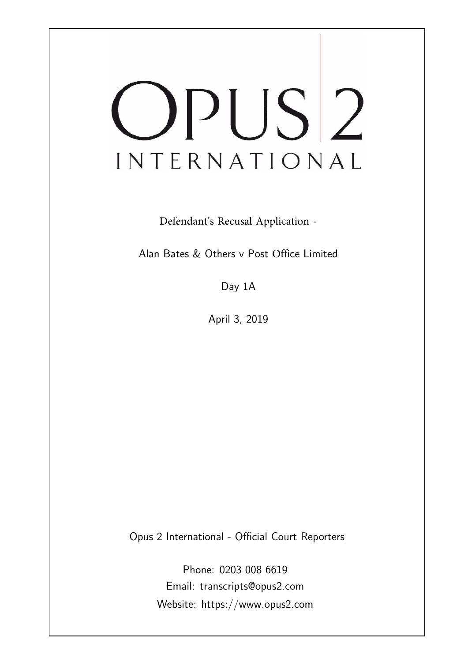# OPUS<sup>2</sup> INTERNATIONAL

Defendant's Recusal Application -

Alan Bates & Others v Post Office Limited

Day 1A

April 3, 2019

Opus 2 International - Official Court Reporters

Phone: 0203 008 6619 Email: transcripts@opus2.com Website: https://www.opus2.com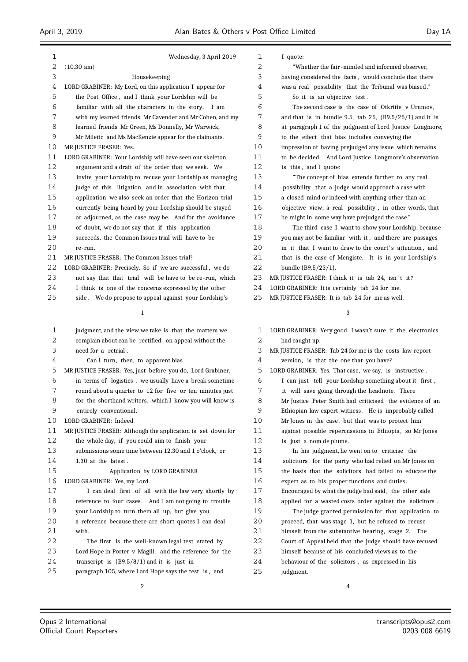| 1  | Wednesday, 3 April 2019                                     | 1  | I quote:                                                     |
|----|-------------------------------------------------------------|----|--------------------------------------------------------------|
| 2  | $(10.30 \text{ am})$                                        | 2  | "Whether the fair-minded and informed observer,              |
| 3  | Housekeeping                                                | 3  | having considered the facts, would conclude that there       |
| 4  | LORD GRABINER: My Lord, on this application I appear for    | 4  | was a real possibility that the Tribunal was biased."        |
| 5  | the Post Office, and I think your Lordship will be          | 5  | So it is an objective test.                                  |
| 6  | familiar with all the characters in the story. I am         | 6  | The second case is the case of Otkritie v Urumov,            |
| 7  | with my learned friends Mr Cavender and Mr Cohen, and my    | 7  | and that is in bundle 9.5, tab 25, $\{B9.5/25/1\}$ and it is |
| 8  | learned friends Mr Green, Ms Donnelly, Mr Warwick,          | 8  | at paragraph 1 of the judgment of Lord Justice Longmore,     |
| 9  | Mr Miletic and Ms MacKenzie appear for the claimants.       | 9  | to the effect that bias includes conveying the               |
| 10 | MR JUSTICE FRASER: Yes.                                     | 10 | impression of having prejudged any issue which remains       |
| 11 | LORD GRABINER: Your Lordship will have seen our skeleton    | 11 | to be decided. And Lord Justice Longmore's observation       |
| 12 | argument and a draft of the order that we seek. We          | 12 | is this, and I quote:                                        |
| 13 | invite your Lordship to recuse your Lordship as managing    | 13 | "The concept of bias extends further to any real             |
| 14 | judge of this litigation and in association with that       | 14 | possibility that a judge would approach a case with          |
| 15 | application we also seek an order that the Horizon trial    | 15 | a closed mind or indeed with anything other than an          |
| 16 | currently being heard by your Lordship should be stayed     | 16 | objective view; a real possibility, in other words, that     |
| 17 | or adjourned, as the case may be. And for the avoidance     | 17 | he might in some way have prejudged the case."               |
| 18 | of doubt, we do not say that if this application            | 18 | The third case I want to show your Lordship, because         |
| 19 | succeeds, the Common Issues trial will have to be           | 19 | you may not be familiar with it, and there are passages      |
| 20 | re-run.                                                     | 20 | in it that I want to draw to the court's attention, and      |
| 21 | MR JUSTICE FRASER: The Common Issues trial?                 | 21 | that is the case of Mengiste. It is in your Lordship's       |
| 22 | LORD GRABINER: Precisely. So if we are successful, we do    | 22 | bundle {B9.5/23/1}.                                          |
| 23 | not say that that trial will be have to be re-run, which    | 23 | MR JUSTICE FRASER: I think it is tab 24, isn't it?           |
| 24 | I think is one of the concerns expressed by the other       | 24 | LORD GRABINER: It is certainly tab 24 for me.                |
| 25 | side. We do propose to appeal against your Lordship's       | 25 | MR JUSTICE FRASER: It is tab 24 for me as well.              |
|    | 1                                                           |    | 3                                                            |
|    |                                                             |    |                                                              |
| 1  | judgment, and the view we take is that the matters we       | 1  | LORD GRABINER: Very good. I wasn't sure if the electronics   |
| 2  | complain about can be rectified on appeal without the       | 2  | had caught up.                                               |
| 3  | need for a retrial.                                         | 3  | MR JUSTICE FRASER: Tab 24 for me is the costs law report     |
| 4  | Can I turn, then, to apparent bias.                         | 4  | version, is that the one that you have?                      |
| 5  | MR JUSTICE FRASER: Yes, just before you do, Lord Grabiner,  | 5  | LORD GRABINER: Yes. That case, we say, is instructive.       |
| 6  | in terms of logistics, we usually have a break sometime     | 6  | I can just tell your Lordship something about it first,      |
| 7  | round about a quarter to 12 for five or ten minutes just    | 7  | it will save going through the headnote. There               |
| 8  | for the shorthand writers, which I know you will know is    | 8  | Mr Justice Peter Smith had criticised the evidence of an     |
| 9  | entirely conventional.                                      | 9  | Ethiopian law expert witness. He is improbably called        |
| 10 | LORD GRABINER: Indeed.                                      | 10 | Mr Jones in the case, but that was to protect him            |
| 11 | MR JUSTICE FRASER: Although the application is set down for | 11 | against possible repercussions in Ethiopia, so Mr Jones      |
| 12 | the whole day, if you could aim to finish your              | 12 | is just a nom de plume.                                      |
| 13 | submissions some time between 12.30 and 1 o'clock, or       | 13 | In his judgment, he went on to criticise the                 |
| 14 | 1.30 at the latest.                                         | 14 | solicitors for the party who had relied on Mr Jones on       |
| 15 | Application by LORD GRABINER                                | 15 | the basis that the solicitors had failed to educate the      |
| 16 | LORD GRABINER: Yes, my Lord.                                | 16 | expert as to his proper functions and duties.                |
| 17 | I can deal first of all with the law very shortly by        | 17 | Encouraged by what the judge had said, the other side        |
| 18 | reference to four cases. And I am not going to trouble      | 18 | applied for a wasted costs order against the solicitors.     |
| 19 | your Lordship to turn them all up, but give you             | 19 | The judge granted permission for that application to         |
| 20 | a reference because there are short quotes I can deal       | 20 | proceed, that was stage 1, but he refused to recuse          |
| 21 | with.                                                       | 21 | himself from the substantive hearing, stage 2. The           |
| 22 | The first is the well-known legal test stated by            | 22 | Court of Appeal held that the judge should have recused      |
| 23 | Lord Hope in Porter v Magill, and the reference for the     | 23 | himself because of his concluded views as to the             |
| 24 | transcript is $\{B9.5/8/1\}$ and it is just in              | 24 | behaviour of the solicitors, as expressed in his             |
| 25 | paragraph 105, where Lord Hope says the test is, and        | 25 | judgment.                                                    |
|    | 2                                                           |    | 4                                                            |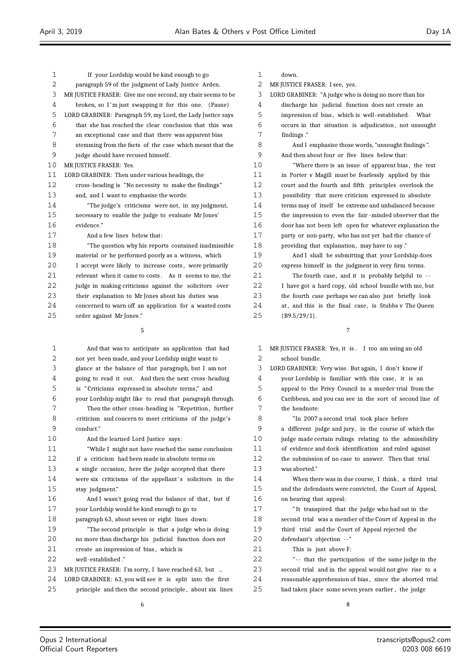| 1  | If your Lordship would be kind enough to go                 |   |
|----|-------------------------------------------------------------|---|
| 2  | paragraph 59 of the judgment of Lady Justice Arden.         |   |
| 3  | MR JUSTICE FRASER: Give me one second, my chair seems to be |   |
| 4  | broken, so I'm just swapping it for this one. (Pause)       |   |
| 5  | LORD GRABINER: Paragraph 59, my Lord, the Lady Justice says |   |
| 6  | that she has reached the clear conclusion that this was     |   |
| 7  | an exceptional case and that there was apparent bias        |   |
| 8  | stemming from the facts of the case which meant that the    |   |
| 9  | judge should have recused himself.                          |   |
| 10 | MR JUSTICE FRASER: Yes.                                     |   |
| 11 | LORD GRABINER: Then under various headings, the             |   |
| 12 | cross-heading is "No necessity to make the findings"        |   |
| 13 | and, and I want to emphasise the words:                     |   |
| 14 | "The judge's criticisms were not, in my judgment,           |   |
| 15 | necessary to enable the judge to evaluate Mr Jones'         |   |
| 16 | evidence."                                                  |   |
| 17 | And a few lines below that:                                 |   |
| 18 | "The question why his reports contained inadmissible        |   |
| 19 | material or he performed poorly as a witness, which         |   |
| 20 | I accept were likely to increase costs, were primarily      |   |
| 21 | relevant when it came to costs. As it seems to me, the      |   |
| 22 | judge in making criticisms against the solicitors over      |   |
| 23 | their explanation to Mr Jones about his duties was          |   |
| 24 | concerned to warn off an application for a wasted costs     |   |
| 25 | order against Mr Jones."                                    | í |

| $\mathbf{1}$      | And that was to anticipate an application that had         |
|-------------------|------------------------------------------------------------|
| 2                 | not yet been made, and your Lordship might want to         |
| 3                 | glance at the balance of that paragraph, but I am not      |
| 4                 | going to read it out. And then the next cross-heading      |
| 5                 | is "Criticisms expressed in absolute terms," and           |
| 6                 | your Lordship might like to read that paragraph through.   |
| 7                 | Then the other cross-heading is "Repetition, further       |
| 8                 | criticism and concern to meet criticisms of the judge's    |
| 9                 | conduct."                                                  |
| 10                | And the learned Lord Justice says:                         |
| 11                | "While I might not have reached the same conclusion        |
| $12 \overline{ }$ | if a criticism had been made in absolute terms on          |
| 13                | a single occasion, here the judge accepted that there      |
| 14                | were six criticisms of the appellant's solicitors in the   |
| 15                | stay judgment."                                            |
| 16                | And I wasn't going read the balance of that, but if        |
| 17                | your Lordship would be kind enough to go to                |
| 18                | paragraph 63, about seven or eight lines down:             |
| 19                | "The second principle is that a judge who is doing"        |
| 20                | no more than discharge his judicial function does not      |
| 21                | create an impression of bias, which is                     |
| 22                | well-established."                                         |
| 23                | MR JUSTICE FRASER: I'm sorry, I have reached 63, but       |
| 24                | LORD GRABINER: 63, you will see it is split into the first |
| 25                | principle and then the second principle, about six lines   |
|                   |                                                            |

down.

2 MR JUSTICE FRASER: I see, yes.

LORD GRABINER: "A judge who is doing no more than his

 discharge his judicial function does not create an 5 impression of bias, which is well-established. What occurs in that situation is adjudication , not unsought findings ."

 And I emphasise those words, "unsought findings ". And then about four or five lines below that:

 "Where there is an issue of apparent bias , the test in Porter v Magill must be fearlessly applied by this court and the fourth and fifth principles overlook the possibility that mere criticism expressed in absolute terms may of itself be extreme and unbalanced because the impression to even the fair -minded observer that the door has not been left open for whatever explanation the party or non-party, who has not yet had the chance of providing that explanation, may have to say ."

 And I shall be submitting that your Lordship does express himself in the judgment in very firm terms.

 The fourth case, and it is probably helpful to - - I have got a hard copy, old school bundle with me, but the fourth case perhaps we can also just briefly look at , and this is the final case, is Stubbs v The Queen  $\{B9.5/29/1\}$ .

 MR JUSTICE FRASER: Yes, it is . I too am using an old school bundle.

 LORD GRABINER: Very wise. But again, I don't know if your Lordship is familiar with this case, it is an appeal to the Privy Council in a murder trial from the Caribbean, and you can see in the sort of second line of the headnote:

 "In 2007 a second trial took place before a different judge and jury , in the course of which the judge made certain rulings relating to the admissibility of evidence and dock identification and ruled against the submission of no case to answer. Then that trial was aborted."

14 When there was in due course, I think, a third trial and the defendants were convicted, the Court of Appeal, on hearing that appeal:

 " It transpired that the judge who had sat in the second trial was a member of the Court of Appeal in the third trial and the Court of Appeal rejected the 20 defendant's objection --"

21 This is just above F:

 " - - that the participation of the same judge in the second trial and in the appeal would not give rise to a 24 reasonable apprehension of bias, since the aborted trial had taken place some seven years earlier , the judge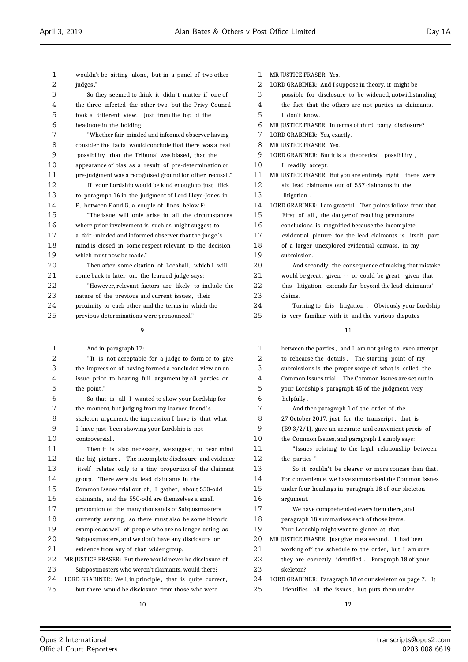| 1  | wouldn't be sitting alone, but in a panel of two other     | 1            |
|----|------------------------------------------------------------|--------------|
| 2  | judges."                                                   | $\mathbf{2}$ |
| 3  | So they seemed to think it didn't matter if one of         | 3            |
| 4  | the three infected the other two, but the Privy Council    | 4            |
| 5  | took a different view. Just from the top of the            | 5            |
| 6  | headnote in the holding:                                   | 6            |
| 7  | "Whether fair-minded and informed observer having          | 7            |
| 8  | consider the facts would conclude that there was a real    | 8            |
| 9  | possibility that the Tribunal was biased, that the         | 9            |
| 10 | appearance of bias as a result of pre-determination or     | 10           |
| 11 | pre-judgment was a recognised ground for other recusal."   | 11           |
| 12 | If your Lordship would be kind enough to just flick        | 12           |
| 13 | to paragraph 16 in the judgment of Lord Lloyd-Jones in     | 13           |
| 14 | F, between F and G, a couple of lines below F:             | 14           |
| 15 | "The issue will only arise in all the circumstances"       | 15           |
| 16 | where prior involvement is such as might suggest to        | 16           |
| 17 | a fair-minded and informed observer that the judge's       | 17           |
| 18 | mind is closed in some respect relevant to the decision    | 18           |
| 19 | which must now be made."                                   | 19           |
| 20 | Then after some citation of Locabail, which I will         | 20           |
| 21 | come back to later on, the learned judge says:             | 21           |
| 22 | "However, relevant factors are likely to include the       | 22           |
| 23 | nature of the previous and current issues, their           | 23           |
| 24 | proximity to each other and the terms in which the         | 24           |
| 25 | previous determinations were pronounced."                  | 25           |
|    | 9                                                          |              |
| 1  | And in paragraph 17:                                       | 1            |
| 2  | "It is not acceptable for a judge to form or to give       | 2            |
| 3  | the impression of having formed a concluded view on an     | 3            |
| 4  | issue prior to hearing full argument by all parties on     | 4            |
| 5  | the point."                                                | 5            |
| 6  | So that is all I wanted to show your Lordship for          | 6            |
| 7  | the moment, but judging from my learned friend's           | 7            |
| R  | skeleton argument, the impression I have is that what      | 8            |
| 9  | I have just been showing your Lordship is not              | 9            |
| 10 | controversial.                                             | 10           |
| 11 | Then it is also necessary, we suggest, to bear mind        | 11           |
| 12 | The incomplete disclosure and evidence<br>the big picture. | 12           |
| 13 | itself relates only to a tiny proportion of the claimant   | 13           |
| 14 | group. There were six lead claimants in the                | 14           |
| 15 | Common Issues trial out of, I gather, about 550-odd        | 15           |
| 16 | claimants, and the 550-odd are themselves a small          | 16           |
| 17 |                                                            | 17           |
| 18 | proportion of the many thousands of Subpostmasters         |              |
| 19 | currently serving, so there must also be some historic     | 18           |
|    | examples as well of people who are no longer acting as     | 19           |
| 20 | Subpostmasters, and we don't have any disclosure or        | 20           |
| 21 | evidence from any of that wider group.                     | 21           |
| 22 | MR JUSTICE FRASER: But there would never be disclosure of  | 22           |
| 23 | Subpostmasters who weren't claimants, would there?         | 23           |
| 24 | LORD GRABINER: Well, in principle, that is quite correct,  | 24           |
| 25 | but there would be disclosure from those who were.         | 25           |
|    |                                                            |              |

| $\mathbf{1}$ | MR JUSTICE FRASER: Yes.                                    |
|--------------|------------------------------------------------------------|
| 2            | LORD GRABINER: And I suppose in theory, it might be        |
| 3            | possible for disclosure to be widened, notwithstanding     |
| 4            | the fact that the others are not parties as claimants.     |
| 5            | I don't know.                                              |
| 6            | MR JUSTICE FRASER: In terms of third party disclosure?     |
| 7            | LORD GRABINER: Yes, exactly.                               |
| 8            | MR JUSTICE FRASER: Yes.                                    |
| 9            | LORD GRABINER: But it is a theoretical possibility,        |
| 10           | I readily accept.                                          |
| 11           | MR JUSTICE FRASER: But you are entirely right, there were  |
| 12           | six lead claimants out of 557 claimants in the             |
| 13           | litigation.                                                |
| 14           | LORD GRABINER: I am grateful. Two points follow from that. |
| 15           | First of all, the danger of reaching premature             |
| 16           | conclusions is magnified because the incomplete            |
| 17           | evidential picture for the lead claimants is itself part   |
| 18           | of a larger unexplored evidential canvass, in my           |
| 19           | submission.                                                |
| 20           | And secondly, the consequence of making that mistake       |
| 21           | would be great, given -- or could be great, given that     |
| 22           | litigation extends far beyond the lead claimants'<br>this  |
| 23           | claims.                                                    |
| 24           | Turning to this litigation. Obviously your Lordship        |
| 25           | is very familiar with it and the various disputes          |
|              | 11                                                         |
| 1            | between the parties, and I am not going to even attempt    |
| 2            | to rehearse the details. The starting point of my          |
|              |                                                            |

| 3 | submissions is the proper scope of what is called the                     |
|---|---------------------------------------------------------------------------|
| 4 | Common Issues trial. The Common Issues are set out in                     |
| 5 | your Lordship's paragraph 45 of the judgment, very                        |
| 6 | helpfully.                                                                |
| 7 | And then paragraph 1 of the order of the                                  |
| 8 | 27 October 2017, just for the transcript, that is                         |
| 9 | $\left[\frac{B9.3}{2}\right]$ , gave an accurate and convenient precis of |
|   |                                                                           |

| 10     | the Common Issues, and paragraph 1 simply says:       |
|--------|-------------------------------------------------------|
| 11     | "Issues relating to the legal relationship between    |
| 12     | the parties."                                         |
| 13     | So it couldn't be clearer or more concise than that.  |
| 14     | For convenience, we have summarised the Common Issues |
| 15     | under four headings in paragraph 18 of our skeleton   |
| 16     | argument.                                             |
| 17     | We have comprehended every item there, and            |
| 18     | paragraph 18 summarises each of those items.          |
| 19     | Your Lordship might want to glance at that.           |
| 20     | MR JUSTICE FRASER: Just give me a second. I had been  |
| 21     | working off the schedule to the order, but I am sure  |
| $\cap$ |                                                       |

they are correctly identified . Paragraph 18 of your

skeleton?

LORD GRABINER: Paragraph 18 of our skeleton on page 7. It

identifies all the issues , but puts them under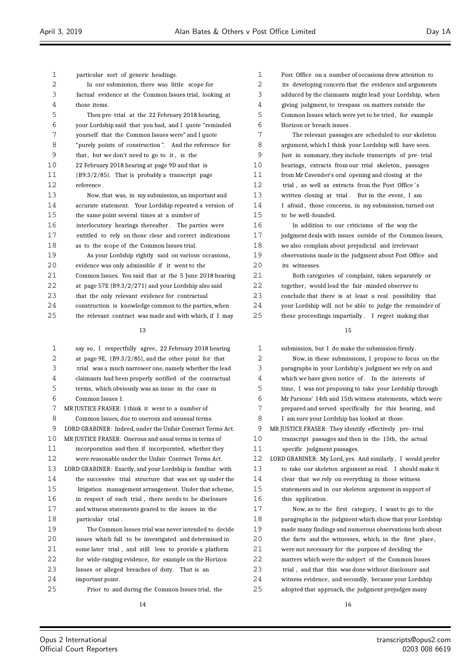| 1   | particular sort of generic headings.                                  |
|-----|-----------------------------------------------------------------------|
| 2   | In our submission, there was little scope for                         |
| 3   | factual evidence at the Common Issues trial, looking at               |
| 4   | those items.                                                          |
| 5   | Then pre-trial at the 22 February 2018 hearing,                       |
| 6   | your Lordship said that you had, and I quote "reminded                |
| 7   | yourself that the Common Issues were" and I quote                     |
| 8   | "purely points of construction". And the reference for                |
| 9   | that, but we don't need to go to it, is the                           |
| 1 O | 22 February 2018 hearing at page 9D and that is                       |
| 11  | $\left[\frac{B9.3}{2/85}\right]$ . That is probably a transcript page |
| 12  | reference.                                                            |
| 13  | Now, that was, in my submission, an important and                     |
| 14  | accurate statement. Your Lordship repeated a version of               |
| 15  | the same point several times at a number of                           |
| 16  | interlocutory hearings thereafter. The parties were                   |
| 17  | entitled to rely on those clear and correct indications               |
| 18  | as to the scope of the Common Issues trial.                           |
| 19  | As your Lordship rightly said on various occasions,                   |
| 20  | evidence was only admissible if it went to the                        |
| 21  | Common Issues. You said that at the 5 June 2018 hearing               |
| 22  | at page 57E {B9.3/2/271} and your Lordship also said                  |
| 23  | that the only relevant evidence for contractual                       |
| 24  | construction is knowledge common to the parties, when                 |
| 25  | the relevant contract was made and with which, if I may               |
|     | 13                                                                    |

| 1  | say so, I respectfully agree, 22 February 2018 hearing      |
|----|-------------------------------------------------------------|
| 2  | at page 9E, ${B9.3/2/85}$ , and the other point for that    |
| 3  | trial was a much narrower one, namely whether the lead      |
| 4  | claimants had been properly notified of the contractual     |
| 5  | terms, which obviously was an issue in the case in          |
| 6  | Common Issues 1.                                            |
| 7  | MR JUSTICE FRASER: I think it went to a number of           |
| 8  | Common Issues, due to onerous and unusual terms.            |
| 9  | LORD GRABINER: Indeed, under the Unfair Contract Terms Act. |
| 10 | MR JUSTICE FRASER: Onerous and usual terms in terms of      |
| 11 | incorporation and then if incorporated, whether they        |
| 12 | were reasonable under the Unfair Contract Terms Act.        |
| 13 | LORD GRABINER: Exactly, and your Lordship is familiar with  |
| 14 | the successive trial structure that was set up under the    |
| 15 | litigation management arrangement. Under that scheme,       |
| 16 | in respect of each trial, there needs to be disclosure      |
| 17 | and witness statements geared to the issues in the          |
| 18 | particular trial.                                           |
| 19 | The Common Issues trial was never intended to decide        |
| 20 | issues which fall to be investigated and determined in      |
| 21 | some later trial, and still less to provide a platform      |
| 22 | for wide-ranging evidence, for example on the Horizon       |
| 23 | Issues or alleged breaches of duty. That is an              |
| 24 | important point.                                            |
| 25 | Prior to and during the Common Issues trial, the            |
|    |                                                             |

 Post Office on a number of occasions drew attention to its developing concern that the evidence and arguments adduced by the claimants might lead your Lordship, when giving judgment, to trespass on matters outside the Common Issues which were yet to be tried, for example Horizon or breach issues . The relevant passages are scheduled to our skeleton argument, which I think your Lordship will have seen. Just in summary, they include transcripts of pre- trial 10 hearings, extracts from our trial skeleton, passages from Mr Cavender's oral opening and closing at the 12 trial, as well as extracts from the Post Office's written closing at trial . But in the event, I am I afraid , those concerns, in my submission, turned out to be well-founded. In addition to our criticisms of the way the judgment deals with issues outside of the Common Issues, we also complain about prejudicial and irrelevant

 observations made in the judgment about Post Office and its witnesses. Both categories of complaint, taken separately or

22 together, would lead the fair-minded observer to conclude that there is at least a real possibility that your Lordship will not be able to judge the remainder of these proceedings impartially . I regret making that

| $\mathbf{1}$ | submission, but I do make the submission firmly.           |
|--------------|------------------------------------------------------------|
| 2            | Now, in these submissions, I propose to focus on the       |
| 3            | paragraphs in your Lordship's judgment we rely on and      |
| 4            | which we have given notice of. In the interests of         |
| 5            | time, I was not proposing to take your Lordship through    |
| 6            | Mr Parsons' 14th and 15th witness statements, which were   |
| 7            | prepared and served specifically for this hearing, and     |
| 8            | I am sure your Lordship has looked at those.               |
| 9            | MR JUSTICE FRASER: They identify effectively pre-trial     |
| 10           | transcript passages and then in the 15th, the actual       |
| 11           | specific judgment passages.                                |
| 12           | LORD GRABINER: My Lord, yes. And similarly, I would prefer |
| 13           | to take our skeleton argument as read. I should make it    |
| 14           | clear that we rely on everything in those witness          |
| 15           | statements and in our skeleton argument in support of      |
| 16           | this application.                                          |
| 17           | Now, as to the first category, I want to go to the         |
| 18           | paragraphs in the judgment which show that your Lordship   |
| 19           | made many findings and numerous observations both about    |
| 20           | the facts and the witnesses, which, in the first place,    |
| 21           | were not necessary for the purpose of deciding the         |
| 22           | matters which were the subject of the Common Issues        |
| 23           | trial, and that this was done without disclosure and       |
| 24           | witness evidence, and secondly, because your Lordship      |
| 25           | adopted that approach, the judgment prejudges many         |
|              |                                                            |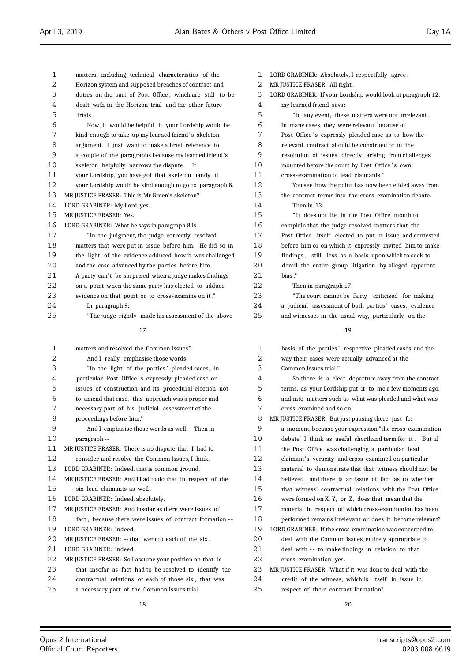$\overline{a}$ 

| $\mathbf{1}$ | matters, including technical characteristics of the       | 1  | LORD GRABINER: Absolutely, I respectfully agree.            |
|--------------|-----------------------------------------------------------|----|-------------------------------------------------------------|
| 2            | Horizon system and supposed breaches of contract and      | 2  | MR JUSTICE FRASER: All right.                               |
| 3            | duties on the part of Post Office, which are still to be  | 3  | LORD GRABINER: If your Lordship would look at paragraph 12, |
| 4            | dealt with in the Horizon trial and the other future      | 4  | my learned friend says:                                     |
| 5            | trials.                                                   | 5  | "In any event, these matters were not irrelevant.           |
| 6            | Now, it would be helpful if your Lordship would be        | 6  | In many cases, they were relevant because of                |
| 7            | kind enough to take up my learned friend's skeleton       | 7  | Post Office's expressly pleaded case as to how the          |
| 8            | argument. I just want to make a brief reference to        | 8  | relevant contract should be construed or in the             |
| 9            | a couple of the paragraphs because my learned friend's    | 9  | resolution of issues directly arising from challenges       |
| 10           | skeleton helpfully narrows the dispute. If,               | 10 | mounted before the court by Post Office's own               |
| 11           | your Lordship, you have got that skeleton handy, if       | 11 | cross-examination of lead claimants."                       |
| 12           | your Lordship would be kind enough to go to paragraph 8.  | 12 | You see how the point has now been elided away from         |
| 13           | MR JUSTICE FRASER: This is Mr Green's skeleton?           | 13 | the contract terms into the cross-examination debate.       |
| 14           | LORD GRABINER: My Lord, yes.                              | 14 | Then in 13:                                                 |
| 15           | MR JUSTICE FRASER: Yes.                                   | 15 | "It does not lie in the Post Office mouth to                |
| 16           | LORD GRABINER: What he says in paragraph 8 is:            | 16 | complain that the judge resolved matters that the           |
| 17           | "In the judgment, the judge correctly resolved            | 17 | Post Office itself elected to put in issue and contested    |
| 18           | matters that were put in issue before him. He did so in   | 18 | before him or on which it expressly invited him to make     |
| 19           | the light of the evidence adduced, how it was challenged  | 19 | findings, still less as a basis upon which to seek to       |
| 20           | and the case advanced by the parties before him.          | 20 | derail the entire group litigation by alleged apparent      |
| 21           | A party can't be surprised when a judge makes findings    | 21 | bias."                                                      |
| 22           | on a point when the same party has elected to adduce      | 22 | Then in paragraph 17:                                       |
| 23           | evidence on that point or to cross-examine on it."        | 23 | "The court cannot be fairly criticised for making           |
| 24           | In paragraph 9:                                           | 24 | a judicial assessment of both parties' cases, evidence      |
| 25           | "The judge rightly made his assessment of the above       | 25 | and witnesses in the usual way, particularly on the         |
|              | 17                                                        |    | 19                                                          |
| 1            | matters and resolved the Common Issues."                  | 1  | basis of the parties' respective pleaded cases and the      |
| 2            | And I really emphasise those words:                       | 2  | way their cases were actually advanced at the               |
| 3            | "In the light of the parties' pleaded cases, in           | 3  | Common Issues trial."                                       |
| 4            | particular Post Office's expressly pleaded case on        | 4  | So there is a clear departure away from the contract        |
| 5            | issues of construction and its procedural election not    | 5  | terms, as your Lordship put it to me a few moments ago,     |
| 6            | to amend that case, this approach was a proper and        | 6  | and into matters such as what was pleaded and what was      |
| 7            | necessary part of his judicial assessment of the          | 7  | cross-examined and so on.                                   |
| $\,8\,$      | proceedings before him."                                  | 8  | MR JUSTICE FRASER: But just pausing there just for          |
| 9            | And I emphasise those words as well. Then in              | 9  | a moment, because your expression "the cross-examination    |
| 10           | paragraph --                                              | 10 | debate" I think as useful shorthand term for it. But if     |
| 11           | MR JUSTICE FRASER: There is no dispute that I had to      | 11 | the Post Office was challenging a particular lead           |
| 12           | consider and resolve the Common Issues, I think.          | 12 | claimant's veracity and cross-examined on particular        |
| 13           | LORD GRABINER: Indeed, that is common ground.             | 13 | material to demonstrate that that witness should not be     |
| 14           | MR JUSTICE FRASER: And I had to do that in respect of the | 14 | believed, and there is an issue of fact as to whether       |
| 15           | six lead claimants as well.                               | 15 | that witness' contractual relations with the Post Office    |
| 16           | LORD GRABINER: Indeed, absolutely.                        | 16 | were formed on X, Y, or Z, does that mean that the          |
| 17           | MR JUSTICE FRASER: And insofar as there were issues of    | 17 | material in respect of which cross-examination has been     |
| 18           | fact, because there were issues of contract formation --  | 18 | performed remains irrelevant or does it become relevant?    |
| 19           | LORD GRABINER: Indeed.                                    | 19 | LORD GRABINER: If the cross-examination was concerned to    |
| 20           | MR JUSTICE FRASER: -- that went to each of the six.       | 20 | deal with the Common Issues, entirely appropriate to        |
| 21           | LORD GRABINER: Indeed.                                    | 21 | deal with -- to make findings in relation to that           |
| 22           | MR JUSTICE FRASER: So I assume your position on that is   | 22 | cross-examination, yes.                                     |
| 23           | that insofar as fact had to be resolved to identify the   | 23 | MR JUSTICE FRASER: What if it was done to deal with the     |
| 24           | contractual relations of each of those six, that was      | 24 | credit of the witness, which is itself in issue in          |
| 25           | a necessary part of the Common Issues trial.              | 25 | respect of their contract formation?                        |
|              | 10                                                        |    | $n \cap$                                                    |
|              |                                                           |    |                                                             |

 $\equiv$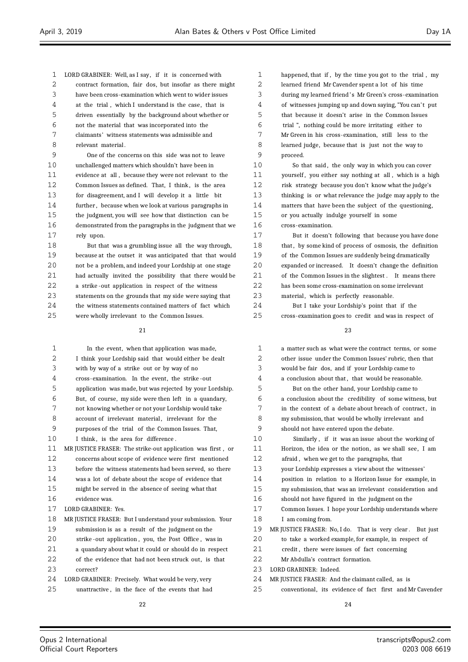LORD GRABINER: Well, as I say, if it is concerned with contract formation, fair dos, but insofar as there might have been cross-examination which went to wider issues at the trial , which I understand is the case, that is driven essentially by the background about whether or not the material that was incorporated into the claimants' witness statements was admissible and relevant material . One of the concerns on this side was not to leave

 unchallenged matters which shouldn't have been in evidence at all , because they were not relevant to the 12 Common Issues as defined. That, I think, is the area for disagreement, and I will develop it a little bit further , because when we look at various paragraphs in the judgment, you will see how that distinction can be demonstrated from the paragraphs in the judgment that we rely upon.

 But that was a grumbling issue all the way through, because at the outset it was anticipated that that would not be a problem, and indeed your Lordship at one stage had actually invited the possibility that there would be a strike -out application in respect of the witness statements on the grounds that my side were saying that the witness statements contained matters of fact which were wholly irrelevant to the Common Issues.

# 

| 1  | In the event, when that application was made,               |
|----|-------------------------------------------------------------|
| 2  | I think your Lordship said that would either be dealt       |
| 3  | with by way of a strike out or by way of no                 |
| 4  | cross-examination. In the event, the strike-out             |
| 5  | application was made, but was rejected by your Lordship.    |
| 6  | But, of course, my side were then left in a quandary,       |
| 7  | not knowing whether or not your Lordship would take         |
| 8  | account of irrelevant material, irrelevant for the          |
| 9  | purposes of the trial of the Common Issues. That,           |
| 10 | I think, is the area for difference.                        |
| 11 | MR JUSTICE FRASER: The strike-out application was first, or |
| 12 | concerns about scope of evidence were first mentioned       |
| 13 | before the witness statements had been served, so there     |
| 14 | was a lot of debate about the scope of evidence that        |
| 15 | might be served in the absence of seeing what that          |
| 16 | evidence was.                                               |
| 17 | LORD GRABINER: Yes.                                         |
| 18 | MR JUSTICE FRASER: But I understand your submission. Your   |
| 19 | submission is as a result of the judgment on the            |
| 20 | strike-out application, you, the Post Office, was in        |
| 21 | a quandary about what it could or should do in respect      |
| 22 | of the evidence that had not been struck out, is that       |
| 23 | correct?                                                    |
| 24 | LORD GRABINER: Precisely. What would be very, very          |
| 25 | unattractive, in the face of the events that had            |
|    |                                                             |

 happened, that if , by the time you got to the trial , my learned friend Mr Cavender spent a lot of his time 3 during my learned friend's Mr Green's cross-examination 4 of witnesses jumping up and down saying, "You can't put that because it doesn't arise in the Common Issues trial ", nothing could be more irritating either to Mr Green in his cross-examination, still less to the learned judge, because that is just not the way to proceed.

10 So that said, the only way in which you can cover 11 yourself, you either say nothing at all, which is a high risk strategy because you don't know what the judge's thinking is or what relevance the judge may apply to the matters that have been the subject of the questioning, or you actually indulge yourself in some cross-examination.

 But it doesn't following that because you have done 18 that, by some kind of process of osmosis, the definition of the Common Issues are suddenly being dramatically expanded or increased. It doesn't change the definition of the Common Issues in the slightest . It means there has been some cross-examination on some irrelevant 23 material, which is perfectly reasonable.

 But I take your Lordship's point that if the cross-examination goes to credit and was in respect of

| 1  | a matter such as what were the contract terms, or some       |
|----|--------------------------------------------------------------|
| 2  | other issue under the Common Issues' rubric, then that       |
| 3  | would be fair dos, and if your Lordship came to              |
| 4  | a conclusion about that, that would be reasonable.           |
| 5  | But on the other hand, your Lordship came to                 |
| 6  | a conclusion about the credibility of some witness, but      |
| 7  | in the context of a debate about breach of contract, in      |
| 8  | my submission, that would be wholly irrelevant and           |
| 9  | should not have entered upon the debate.                     |
| 10 | Similarly, if it was an issue about the working of           |
| 11 | Horizon, the idea or the notion, as we shall see, I am       |
| 12 | afraid, when we get to the paragraphs, that                  |
| 13 | your Lordship expresses a view about the witnesses'          |
| 14 | position in relation to a Horizon Issue for example, in      |
| 15 | my submission, that was an irrelevant consideration and      |
| 16 | should not have figured in the judgment on the               |
| 17 | Common Issues. I hope your Lordship understands where        |
| 18 | I am coming from.                                            |
| 19 | MR JUSTICE FRASER: No, I do. That is very clear.<br>But just |
| 20 | to take a worked example, for example, in respect of         |
| 21 | credit, there were issues of fact concerning                 |
| 22 | Mr Abdulla's contract formation.                             |
| 23 | LORD GRABINER: Indeed.                                       |
| 24 | MR JUSTICE FRASER: And the claimant called, as is            |
| 25 | conventional, its evidence of fact first and Mr Cavender     |
|    |                                                              |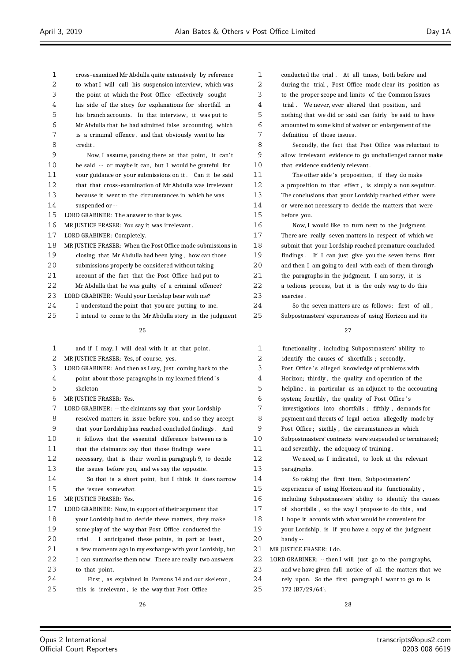| 1  | cross-examined Mr Abdulla quite extensively by reference    | $\mathbf{1}$ | conducted the trial. At all times, both before and                                               |
|----|-------------------------------------------------------------|--------------|--------------------------------------------------------------------------------------------------|
| 2  | to what I will call his suspension interview, which was     | 2            | during the trial, Post Office made clear its positio                                             |
| 3  | the point at which the Post Office effectively sought       | 3            | to the proper scope and limits of the Common Issue                                               |
| 4  | his side of the story for explanations for shortfall in     | 4            | trial. We never, ever altered that position, and                                                 |
| 5  | his branch accounts. In that interview, it was put to       | 5            | nothing that we did or said can fairly be said to ha                                             |
| 6  | Mr Abdulla that he had admitted false accounting, which     | 6            | amounted to some kind of waiver or enlargement of th                                             |
| 7  | is a criminal offence, and that obviously went to his       | 7            | definition of those issues.                                                                      |
| 8  | credit.                                                     | $\,8\,$      | Secondly, the fact that Post Office was reluctar                                                 |
| 9  | Now, I assume, pausing there at that point, it can't        | 9            | allow irrelevant evidence to go unchallenged cannot                                              |
| 10 | be said -- or maybe it can, but I would be grateful for     | 10           | that evidence suddenly relevant.                                                                 |
| 11 | your guidance or your submissions on it. Can it be said     | 11           | The other side's proposition, if they do make                                                    |
| 12 | that that cross-examination of Mr Abdulla was irrelevant    | 12           | a proposition to that effect, is simply a non sequit                                             |
| 13 | because it went to the circumstances in which he was        | 13           | The conclusions that your Lordship reached either w                                              |
| 14 | suspended or --                                             | 14           | or were not necessary to decide the matters that we                                              |
| 15 | LORD GRABINER: The answer to that is yes.                   | 15           | before you.                                                                                      |
| 16 | MR JUSTICE FRASER: You say it was irrelevant.               | 16           | Now, I would like to turn next to the judgment.                                                  |
| 17 | LORD GRABINER: Completely.                                  | 17           | There are really seven matters in respect of which                                               |
| 18 | MR JUSTICE FRASER: When the Post Office made submissions in | 18           | submit that your Lordship reached premature concluo                                              |
| 19 | closing that Mr Abdulla had been lying, how can those       | 19           | findings. If I can just give you the seven items fi                                              |
| 20 | submissions properly be considered without taking           | 20           | and then I am going to deal with each of them throu                                              |
| 21 | account of the fact that the Post Office had put to         | 21           | the paragraphs in the judgment. I am sorry, it is                                                |
| 22 | Mr Abdulla that he was guilty of a criminal offence?        | 22           | a tedious process, but it is the only way to do this                                             |
| 23 | LORD GRABINER: Would your Lordship bear with me?            | 23           | exercise.                                                                                        |
| 24 | I understand the point that you are putting to me.          | 24           | So the seven matters are as follows: first of a                                                  |
| 25 | I intend to come to the Mr Abdulla story in the judgment    | 25           | Subpostmasters' experiences of using Horizon and its                                             |
|    | 25                                                          |              | 27                                                                                               |
| 1  | and if I may, I will deal with it at that point.            | $\mathbf{1}$ | functionality, including Subpostmasters' ability to                                              |
| 2  |                                                             | 2            |                                                                                                  |
|    | MR JUSTICE FRASER: Yes, of course, yes.                     | 3            | identify the causes of shortfalls; secondly,<br>Post Office's alleged knowledge of problems with |
| 3  | LORD GRABINER: And then as I say, just coming back to the   | 4            |                                                                                                  |
| 4  | point about those paragraphs in my learned friend's         |              | Horizon; thirdly, the quality and operation of the                                               |
| 5  | skeleton --                                                 | 5            | helpline, in particular as an adjunct to the accoun                                              |
| 6  | MR JUSTICE FRASER: Yes.                                     | 6            | system; fourthly, the quality of Post Office's                                                   |
| 7  | LORD GRABINER: -- the claimants say that your Lordship      | 7            | investigations into shortfalls; fifthly, demands fo                                              |
| 8  | resolved matters in issue before you, and so they accept    | 8            | payment and threats of legal action allegedly made                                               |
| 9  | that your Lordship has reached concluded findings. And      | 9            | Post Office; sixthly, the circumstances in which                                                 |
| 10 | it follows that the essential difference between us is      | 10           | Subpostmasters' contracts were suspended or termina                                              |
| 11 | that the claimants say that those findings were             | 11           | and seventhly, the adequacy of training.                                                         |
| 12 | necessary, that is their word in paragraph 9, to decide     | 12           | We need, as I indicated, to look at the relevant                                                 |
| 13 | the issues before you, and we say the opposite.             | 13           | paragraphs.                                                                                      |
| 14 | So that is a short point, but I think it does narrow        | 14           | So taking the first item, Subpostmasters'                                                        |
| 15 | the issues somewhat.                                        | 15           | experiences of using Horizon and its functionality,                                              |
| 16 | MR JUSTICE FRASER: Yes.                                     | 16           | including Subpostmasters' ability to identify the ca                                             |
| 17 | LORD GRABINER: Now, in support of their argument that       | 17           | of shortfalls, so the way I propose to do this, and                                              |
| 18 | your Lordship had to decide these matters, they make        | 18           | I hope it accords with what would be convenient for                                              |
| 19 | some play of the way that Post Office conducted the         | 19           | your Lordship, is if you have a copy of the judgmer                                              |
| 20 | trial. I anticipated these points, in part at least,        | 20           | handy --                                                                                         |
| 21 | a few moments ago in my exchange with your Lordship, but    | 21           | MR JUSTICE FRASER: I do.                                                                         |
| 22 | I can summarise them now. There are really two answers      | 22           | LORD GRABINER: -- then I will just go to the paragraph                                           |

23 to that point.

 First , as explained in Parsons 14 and our skeleton , this is irrelevant , ie the way that Post Office

1g the trial , Post Office made clear its position as ae proper scope and limits of the Common Issues We never, ever altered that position, and ing that we did or said can fairly be said to have unted to some kind of waiver or enlargement of the nition of those issues. Secondly, the fact that Post Office was reluctant to v irrelevant evidence to go unchallenged cannot make evidence suddenly relevant.

The other side's proposition, if they do make oposition to that effect, is simply a non sequitur. conclusions that your Lordship reached either were ere not necessary to decide the matters that were re you.

Now, I would like to turn next to the judgment. e are really seven matters in respect of which we nit that your Lordship reached premature concluded ngs. If I can just give you the seven items first then I am going to deal with each of them through paragraphs in the judgment. I am sorry, it is lious process, but it is the only way to do this rise

| $\mathbf{1}$ | functionality, including Subpostmasters' ability to      |
|--------------|----------------------------------------------------------|
| 2            | identify the causes of shortfalls; secondly,             |
| 3            | Post Office's alleged knowledge of problems with         |
| 4            | Horizon; thirdly, the quality and operation of the       |
| 5            | helpline, in particular as an adjunct to the accounting  |
| 6            | system; fourthly, the quality of Post Office's           |
| 7            | investigations into shortfalls; fifthly, demands for     |
| 8            | payment and threats of legal action allegedly made by    |
| 9            | Post Office; sixthly, the circumstances in which         |
| 10           | Subpostmasters' contracts were suspended or terminated;  |
| 11           | and seventhly, the adequacy of training.                 |
| 12           | We need, as I indicated, to look at the relevant         |
| 13           | paragraphs.                                              |
| 14           | So taking the first item, Subpostmasters'                |
| 15           | experiences of using Horizon and its functionality,      |
| 16           | including Subpostmasters' ability to identify the causes |
| 17           | of shortfalls, so the way I propose to do this, and      |
| 18           | I hope it accords with what would be convenient for      |
| 19           | your Lordship, is if you have a copy of the judgment     |
| 20           | handy --                                                 |
| 21           | MR JUSTICE FRASER: I do.                                 |
| 22           | LORD GRABINER: -- then I will just go to the paragraphs, |
| 23           | and we have given full notice of all the matters that we |
| 24           | rely upon. So the first paragraph I want to go to is     |
| 25           | 172 {B7/29/64}.                                          |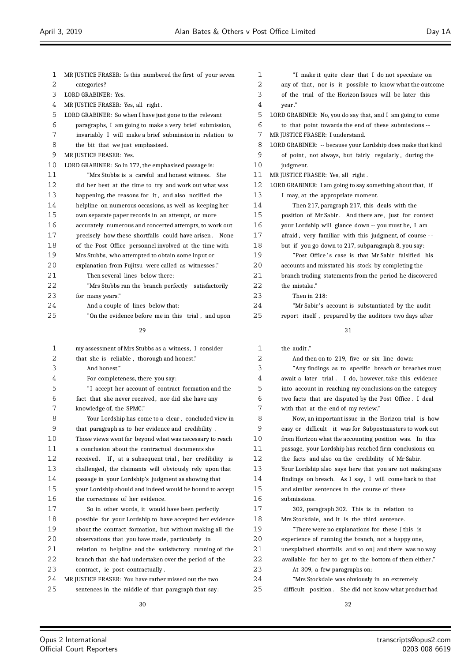$\overline{a}$ 

| 1    | MR JUSTICE FRASER: Is this numbered the first of your seven | 1  | "I make it quite clear that I do not speculate on           |
|------|-------------------------------------------------------------|----|-------------------------------------------------------------|
| 2    | categories?                                                 | 2  | any of that, nor is it possible to know what the outcome    |
| 3    | LORD GRABINER: Yes.                                         | 3  | of the trial of the Horizon Issues will be later this       |
| 4    | MR JUSTICE FRASER: Yes, all right.                          | 4  | year."                                                      |
| 5    | LORD GRABINER: So when I have just gone to the relevant     | 5  | LORD GRABINER: No, you do say that, and I am going to come  |
| 6    | paragraphs, I am going to make a very brief submission,     | 6  | to that point towards the end of these submissions --       |
| 7    | invariably I will make a brief submission in relation to    | 7  | MR JUSTICE FRASER: I understand.                            |
| 8    | the bit that we just emphasised.                            | 8  | LORD GRABINER: -- because your Lordship does make that kind |
| 9    | MR JUSTICE FRASER: Yes.                                     | 9  | of point, not always, but fairly regularly, during the      |
| 10   | LORD GRABINER: So in 172, the emphasised passage is:        | 10 | judgment.                                                   |
| 11   | "Mrs Stubbs is a careful and honest witness. She            | 11 | MR JUSTICE FRASER: Yes, all right.                          |
| 12   | did her best at the time to try and work out what was       | 12 | LORD GRABINER: I am going to say something about that, if   |
| 13   | happening, the reasons for it, and also notified the        | 13 | I may, at the appropriate moment.                           |
| 14   | helpline on numerous occasions, as well as keeping her      | 14 | Then 217, paragraph 217, this deals with the                |
| 15   | own separate paper records in an attempt, or more           | 15 | position of Mr Sabir. And there are, just for context       |
| 16   | accurately numerous and concerted attempts, to work out     | 16 | your Lordship will glance down -- you must be, I am         |
| 17   | precisely how these shortfalls could have arisen. None      | 17 | afraid, very familiar with this judgment, of course --      |
| 18   | of the Post Office personnel involved at the time with      | 18 | but if you go down to 217, subparagraph 8, you say:         |
| 19   | Mrs Stubbs, who attempted to obtain some input or           | 19 | "Post Office's case is that Mr Sabir falsified his          |
| 20   | explanation from Fujitsu were called as witnesses."         | 20 | accounts and misstated his stock by completing the          |
| 21   | Then several lines below there:                             | 21 | branch trading statements from the period he discovered     |
| 22   | "Mrs Stubbs ran the branch perfectly satisfactorily         | 22 | the mistake."                                               |
| 23   | for many years."                                            | 23 | Then in 218:                                                |
| 24   | And a couple of lines below that:                           | 24 | "Mr Sabir's account is substantiated by the audit           |
| 25   | "On the evidence before me in this trial, and upon          | 25 | report itself, prepared by the auditors two days after      |
|      |                                                             |    |                                                             |
|      | 29                                                          |    | 31                                                          |
| 1    | my assessment of Mrs Stubbs as a witness, I consider        | 1  | the audit."                                                 |
| 2    | that she is reliable, thorough and honest."                 | 2  | And then on to 219, five or six line down:                  |
| 3    | And honest."                                                | 3  | "Any findings as to specific breach or breaches must        |
| 4    | For completeness, there you say:                            | 4  | await a later trial. I do, however, take this evidence      |
| 5    | "I accept her account of contract formation and the         | 5  | into account in reaching my conclusions on the category     |
| 6    | fact that she never received, nor did she have any          | 6  | two facts that are disputed by the Post Office. I deal      |
| 7    | knowledge of, the SPMC."                                    | 7  | with that at the end of my review."                         |
| 8    | Your Lordship has come to a clear, concluded view in        | 8  | Now, an important issue in the Horizon trial is how         |
| 9    | that paragraph as to her evidence and credibility.          | 9  | easy or difficult it was for Subpostmasters to work out     |
| $10$ | Those views went far beyond what was necessary to reach     | 10 | from Horizon what the accounting position was. In this      |
| 11   | a conclusion about the contractual documents she            | 11 | passage, your Lordship has reached firm conclusions on      |
| 12   | received. If, at a subsequent trial, her credibility is     | 12 | the facts and also on the credibility of Mr Sabir.          |
| 13   | challenged, the claimants will obviously rely upon that     | 13 | Your Lordship also says here that you are not making any    |
| 14   | passage in your Lordship's judgment as showing that         | 14 | findings on breach. As I say, I will come back to that      |
| 15   | your Lordship should and indeed would be bound to accept    | 15 | and similar sentences in the course of these                |
| 16   | the correctness of her evidence.                            | 16 | submissions.                                                |
| 17   | So in other words, it would have been perfectly             | 17 | 302, paragraph 302. This is in relation to                  |
| 18   | possible for your Lordship to have accepted her evidence    | 18 | Mrs Stockdale, and it is the third sentence.                |
| 19   | about the contract formation, but without making all the    | 19 | "There were no explanations for these [this is              |
| 20   | observations that you have made, particularly in            | 20 | experience of running the branch, not a happy one,          |
| 21   | relation to helpline and the satisfactory running of the    | 21 | unexplained shortfalls and so on] and there was no way      |
| 22   | branch that she had undertaken over the period of the       | 22 | available for her to get to the bottom of them either."     |
|      |                                                             |    |                                                             |
| 23   | contract, ie post-contractually.                            | 23 | At 309, a few paragraphs on:                                |
| 24   | MR JUSTICE FRASER: You have rather missed out the two       | 24 | "Mrs Stockdale was obviously in an extremely                |
| 25   | sentences in the middle of that paragraph that say:         | 25 | difficult position. She did not know what product had       |

 $\equiv$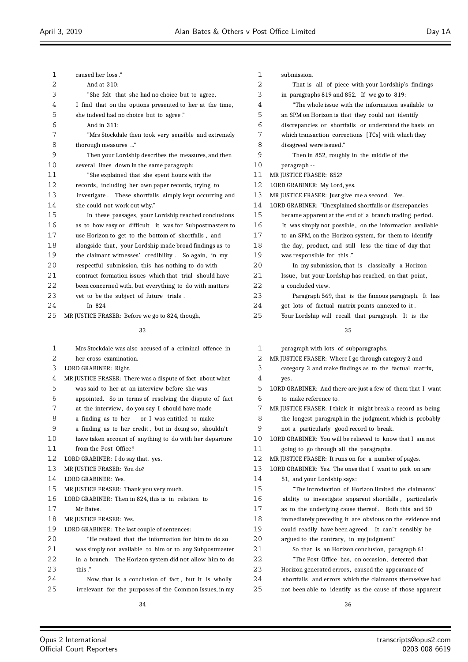| 1  | caused her loss."                                         | 1  | submission.                                                 |
|----|-----------------------------------------------------------|----|-------------------------------------------------------------|
| 2  | And at 310:                                               | 2  | That is all of piece with your Lordship's findings          |
| 3  | "She felt that she had no choice but to agree.            | 3  | in paragraphs 819 and 852. If we go to 819:                 |
| 4  | I find that on the options presented to her at the time,  | 4  | "The whole issue with the information available to          |
| 5  | she indeed had no choice but to agree."                   | 5  | an SPM on Horizon is that they could not identify           |
| 6  | And in 311:                                               | 6  | discrepancies or shortfalls or understand the basis on      |
| 7  | "Mrs Stockdale then took very sensible and extremely      | 7  | which transaction corrections [TCs] with which they         |
| 8  | thorough measures "                                       | 8  | disagreed were issued."                                     |
| 9  | Then your Lordship describes the measures, and then       | 9  | Then in 852, roughly in the middle of the                   |
| 10 | several lines down in the same paragraph:                 | 10 | paragraph--                                                 |
| 11 | "She explained that she spent hours with the              | 11 | MR JUSTICE FRASER: 852?                                     |
| 12 | records, including her own paper records, trying to       | 12 | LORD GRABINER: My Lord, yes.                                |
| 13 | investigate. These shortfalls simply kept occurring and   | 13 | MR JUSTICE FRASER: Just give me a second. Yes.              |
| 14 | she could not work out why."                              | 14 | LORD GRABINER: "Unexplained shortfalls or discrepancies     |
| 15 | In these passages, your Lordship reached conclusions      | 15 | became apparent at the end of a branch trading period.      |
| 16 | as to how easy or difficult it was for Subpostmasters to  | 16 | It was simply not possible, on the information available    |
| 17 | use Horizon to get to the bottom of shortfalls, and       | 17 | to an SPM, on the Horizon system, for them to identify      |
| 18 | alongside that, your Lordship made broad findings as to   | 18 | the day, product, and still less the time of day that       |
| 19 | the claimant witnesses' credibility. So again, in my      | 19 | was responsible for this."                                  |
| 20 | respectful submission, this has nothing to do with        | 20 | In my submission, that is classically a Horizon             |
| 21 | contract formation issues which that trial should have    | 21 | Issue, but your Lordship has reached, on that point,        |
| 22 | been concerned with, but everything to do with matters    | 22 | a concluded view.                                           |
| 23 | yet to be the subject of future trials.                   | 23 | Paragraph 569, that is the famous paragraph. It has         |
| 24 | In 824 --                                                 | 24 | got lots of factual matrix points annexed to it.            |
| 25 | MR JUSTICE FRASER: Before we go to 824, though,           | 25 | Your Lordship will recall that paragraph. It is the         |
|    |                                                           |    |                                                             |
|    | 33                                                        |    | 35                                                          |
| 1  | Mrs Stockdale was also accused of a criminal offence in   | 1  | paragraph with lots of subparagraphs.                       |
| 2  | her cross-examination.                                    | 2  | MR JUSTICE FRASER: Where I go through category 2 and        |
| 3  | LORD GRABINER: Right.                                     | 3  | category 3 and make findings as to the factual matrix,      |
| 4  | MR JUSTICE FRASER: There was a dispute of fact about what | 4  | yes.                                                        |
| 5  | was said to her at an interview before she was            | 5  | LORD GRABINER: And there are just a few of them that I want |
| 6  | appointed. So in terms of resolving the dispute of fact   | 6  | to make reference to.                                       |
| 7  | at the interview, do you say I should have made           | 7  | MR JUSTICE FRASER: I think it might break a record as being |
| 8  | a finding as to her -- or I was entitled to make          | 8  | the longest paragraph in the judgment, which is probably    |
| 9  | a finding as to her credit, but in doing so, shouldn't    | 9  | not a particularly good record to break.                    |
| 10 | have taken account of anything to do with her departure   | 10 | LORD GRABINER: You will be relieved to know that I am not   |
| 11 | from the Post Office?                                     | 11 | going to go through all the paragraphs.                     |
| 12 | LORD GRABINER: I do say that, yes.                        | 12 | MR JUSTICE FRASER: It runs on for a number of pages.        |
| 13 | MR JUSTICE FRASER: You do?                                | 13 | LORD GRABINER: Yes. The ones that I want to pick on are     |
| 14 | LORD GRABINER: Yes.                                       | 14 | 51, and your Lordship says:                                 |
| 15 | MR JUSTICE FRASER: Thank you very much.                   | 15 | "The introduction of Horizon limited the claimants'         |
| 16 | LORD GRABINER: Then in 824, this is in relation to        | 16 | ability to investigate apparent shortfalls, particularly    |
| 17 | Mr Bates.                                                 | 17 | as to the underlying cause thereof. Both this and 50        |
| 18 | MR JUSTICE FRASER: Yes.                                   | 18 | immediately preceding it are obvious on the evidence and    |
| 19 | LORD GRABINER: The last couple of sentences:              | 19 | could readily have been agreed. It can't sensibly be        |
| 20 | "He realised that the information for him to do so        | 20 | argued to the contrary, in my judgment."                    |
| 21 | was simply not available to him or to any Subpostmaster   | 21 | So that is an Horizon conclusion, paragraph 61:             |
| 22 | in a branch. The Horizon system did not allow him to do   | 22 | "The Post Office has, on occasion, detected that            |
| 23 | this ."                                                   | 23 | Horizon generated errors, caused the appearance of          |
| 24 | Now, that is a conclusion of fact, but it is wholly       | 24 | shortfalls and errors which the claimants themselves had    |
| 25 | irrelevant for the purposes of the Common Issues, in my   | 25 | not been able to identify as the cause of those apparent    |
|    | 34                                                        |    |                                                             |
|    |                                                           |    | 36                                                          |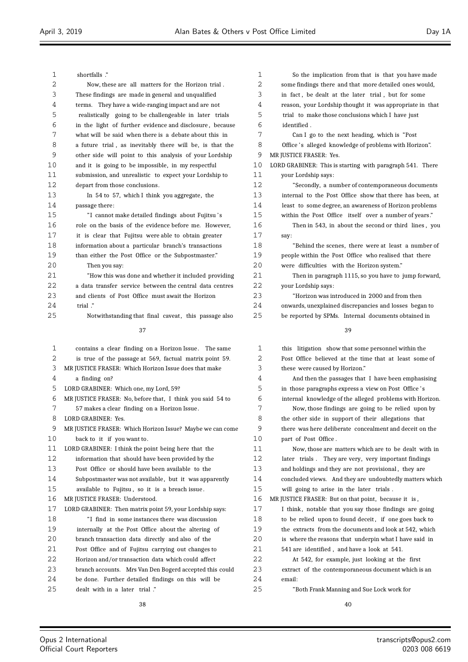$\overline{a}$ 

| 1  | shortfalls ."                                              | 1  | So the implication from that is that you have made        |
|----|------------------------------------------------------------|----|-----------------------------------------------------------|
| 2  | Now, these are all matters for the Horizon trial.          | 2  | some findings there and that more detailed ones would,    |
| 3  | These findings are made in general and unqualified         | 3  | in fact, be dealt at the later trial, but for some        |
| 4  | terms. They have a wide-ranging impact and are not         | 4  | reason, your Lordship thought it was appropriate in that  |
| 5  | realistically going to be challengeable in later trials    | 5  | trial to make those conclusions which I have just         |
| 6  | in the light of further evidence and disclosure, because   | 6  | identified.                                               |
| 7  | what will be said when there is a debate about this in     | 7  | Can I go to the next heading, which is "Post              |
| 8  | a future trial, as inevitably there will be, is that the   | 8  | Office's alleged knowledge of problems with Horizon".     |
| 9  | other side will point to this analysis of your Lordship    | 9  | MR JUSTICE FRASER: Yes.                                   |
| 10 | and it is going to be impossible, in my respectful         | 10 | LORD GRABINER: This is starting with paragraph 541. There |
| 11 | submission, and unrealistic to expect your Lordship to     | 11 | your Lordship says:                                       |
| 12 | depart from those conclusions.                             | 12 | "Secondly, a number of contemporaneous documents          |
| 13 | In 54 to 57, which I think you aggregate, the              | 13 | internal to the Post Office show that there has been, at  |
| 14 | passage there:                                             | 14 | least to some degree, an awareness of Horizon problems    |
| 15 | "I cannot make detailed findings about Fujitsu's           | 15 | within the Post Office itself over a number of years."    |
| 16 | role on the basis of the evidence before me. However,      | 16 | Then in 543, in about the second or third lines, you      |
| 17 | it is clear that Fujitsu were able to obtain greater       | 17 | say:                                                      |
| 18 | information about a particular branch's transactions       | 18 | "Behind the scenes, there were at least a number of       |
| 19 | than either the Post Office or the Subpostmaster."         | 19 | people within the Post Office who realised that there     |
| 20 | Then you say:                                              | 20 | were difficulties with the Horizon system."               |
| 21 | "How this was done and whether it included providing       | 21 | Then in paragraph 1115, so you have to jump forward,      |
| 22 | a data transfer service between the central data centres   | 22 | your Lordship says:                                       |
| 23 | and clients of Post Office must await the Horizon          | 23 | "Horizon was introduced in 2000 and from then             |
| 24 | trial ."                                                   | 24 | onwards, unexplained discrepancies and losses began to    |
| 25 | Notwithstanding that final caveat, this passage also       | 25 | be reported by SPMs. Internal documents obtained in       |
|    | 37                                                         |    | 39                                                        |
|    |                                                            |    |                                                           |
| 1  | contains a clear finding on a Horizon Issue. The same      | 1  | this litigation show that some personnel within the       |
| 2  | is true of the passage at 569, factual matrix point 59.    | 2  | Post Office believed at the time that at least some of    |
| 3  | MR JUSTICE FRASER: Which Horizon Issue does that make      | 3  | these were caused by Horizon."                            |
| 4  | a finding on?                                              | 4  | And then the passages that I have been emphasising        |
| 5  | LORD GRABINER: Which one, my Lord, 59?                     | 5  | in those paragraphs express a view on Post Office's       |
| 6  | MR JUSTICE FRASER: No, before that, I think you said 54 to | 6  | internal knowledge of the alleged problems with Horizon.  |
| 7  | 57 makes a clear finding on a Horizon Issue.               | 7  | Now, those findings are going to be relied upon by        |
| 8  | LORD GRABINER: Yes.                                        | 8  | the other side in support of their allegations that       |
| 9  | MR JUSTICE FRASER: Which Horizon Issue? Maybe we can come  | 9  | there was here deliberate concealment and deceit on the   |
| 10 | back to it if you want to.                                 | 10 | part of Post Office.                                      |
| 11 | LORD GRABINER: I think the point being here that the       | 11 | Now, those are matters which are to be dealt with in      |
| 12 | information that should have been provided by the          | 12 | later trials. They are very, very important findings      |
| 13 | Post Office or should have been available to the           | 13 | and holdings and they are not provisional, they are       |
| 14 | Subpostmaster was not available, but it was apparently     | 14 | concluded views. And they are undoubtedly matters which   |
| 15 | available to Fujitsu, so it is a breach issue.             | 15 | will going to arise in the later trials.                  |
| 16 | MR JUSTICE FRASER: Understood.                             | 16 | MR JUSTICE FRASER: But on that point, because it is,      |
| 17 | LORD GRABINER: Then matrix point 59, your Lordship says:   | 17 | I think, notable that you say those findings are going    |
| 18 | "I find in some instances there was discussion             | 18 | to be relied upon to found deceit, if one goes back to    |
| 19 | internally at the Post Office about the altering of        | 19 | the extracts from the documents and look at 542, which    |
| 20 | branch transaction data directly and also of the           | 20 | is where the reasons that underpin what I have said in    |
| 21 | Post Office and of Fujitsu carrying out changes to         | 21 | 541 are identified, and have a look at 541.               |
| 22 | Horizon and/or transaction data which could affect         | 22 | At 542, for example, just looking at the first            |
| 23 | branch accounts. Mrs Van Den Bogerd accepted this could    | 23 | extract of the contemporaneous document which is an       |
| 24 | be done. Further detailed findings on this will be         | 24 | email:                                                    |
| 25 | dealt with in a later trial."                              | 25 | "Both Frank Manning and Sue Lock work for                 |
|    | 38                                                         |    | 40                                                        |

 $\equiv$ 

Ξ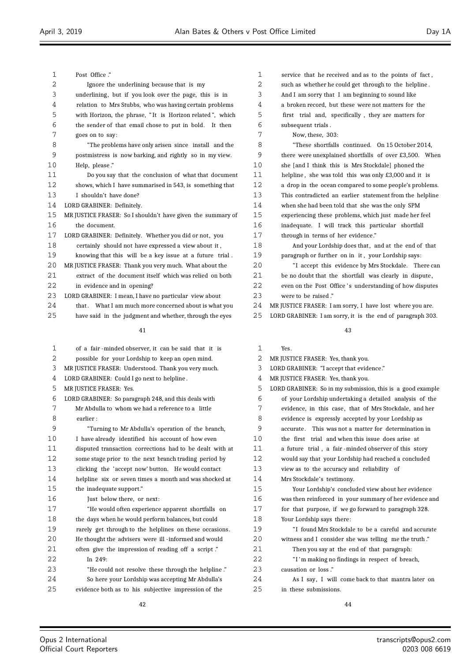| 1  | Post Office ."                                              | 1  | service that he received and as to the points of fact,     |
|----|-------------------------------------------------------------|----|------------------------------------------------------------|
| 2  | Ignore the underlining because that is my                   | 2  | such as whether he could get through to the helpline.      |
| 3  | underlining, but if you look over the page, this is in      | 3  | And I am sorry that I am beginning to sound like           |
| 4  | relation to Mrs Stubbs, who was having certain problems     | 4  | a broken record, but these were not matters for the        |
| 5  | with Horizon, the phrase, "It is Horizon related", which    | 5  | first trial and, specifically, they are matters for        |
| 6  | the sender of that email chose to put in bold. It then      | 6  | subsequent trials.                                         |
| 7  | goes on to say:                                             | 7  | Now, these, 303:                                           |
| 8  | "The problems have only arisen since install and the        | 8  | "These shortfalls continued. On 15 October 2014,           |
| 9  | postmistress is now barking, and rightly so in my view.     | 9  | there were unexplained shortfalls of over £3,500. When     |
| 10 | Help, please."                                              | 10 | she [and I think this is Mrs Stockdale] phoned the         |
| 11 | Do you say that the conclusion of what that document        | 11 | helpline, she was told this was only £3,000 and it is      |
| 12 | shows, which I have summarised in 543, is something that    | 12 | a drop in the ocean compared to some people's problems.    |
| 13 | I shouldn't have done?                                      | 13 | This contradicted an earlier statement from the helpline   |
| 14 | LORD GRABINER: Definitely.                                  | 14 | when she had been told that she was the only SPM           |
| 15 | MR JUSTICE FRASER: So I shouldn't have given the summary of | 15 | experiencing these problems, which just made her feel      |
| 16 | the document.                                               | 16 | inadequate. I will track this particular shortfall         |
| 17 | LORD GRABINER: Definitely. Whether you did or not, you      | 17 | through in terms of her evidence."                         |
| 18 | certainly should not have expressed a view about it,        | 18 | And your Lordship does that, and at the end of that        |
| 19 | knowing that this will be a key issue at a future trial.    | 19 | paragraph or further on in it, your Lordship says:         |
| 20 | MR JUSTICE FRASER: Thank you very much. What about the      | 20 | "I accept this evidence by Mrs Stockdale. There can        |
| 21 | extract of the document itself which was relied on both     | 21 | be no doubt that the shortfall was clearly in dispute,     |
| 22 | in evidence and in opening?                                 | 22 | even on the Post Office's understanding of how disputes    |
| 23 | LORD GRABINER: I mean, I have no particular view about      | 23 | were to be raised."                                        |
| 24 | that. What I am much more concerned about is what you       | 24 | MR JUSTICE FRASER: I am sorry, I have lost where you are.  |
| 25 | have said in the judgment and whether, through the eyes     | 25 | LORD GRABINER: I am sorry, it is the end of paragraph 303. |
|    | 41                                                          |    | 43                                                         |
| 1  | of a fair-minded observer, it can be said that it is        | 1  | Yes.                                                       |
| 2  | possible for your Lordship to keep an open mind.            | 2  | MR JUSTICE FRASER: Yes, thank you.                         |
| 3  | MR JUSTICE FRASER: Understood. Thank you very much.         | 3  | LORD GRABINER: "I accept that evidence."                   |
| 4  | LORD GRABINER: Could I go next to helpline.                 | 4  | MR JUSTICE FRASER: Yes, thank you.                         |

MR JUSTICE FRASER: Yes.

- LORD GRABINER: So paragraph 248, and this deals with
- Mr Abdulla to whom we had a reference to a little earlier :
- "Turning to Mr Abdulla's operation of the branch, I have already identified his account of how even disputed transaction corrections had to be dealt with at some stage prior to the next branch trading period by clicking the 'accept now' button. He would contact helpline six or seven times a month and was shocked at the inadequate support." Just below there, or next: "He would often experience apparent shortfalls on the days when he would perform balances, but could rarely get through to the helplines on these occasions. He thought the advisers were ill -informed and would often give the impression of reading off a script ." In 249: "He could not resolve these through the helpline ."
- So here your Lordship was accepting Mr Abdulla's evidence both as to his subjective impression of the

# 

 evidence is expressly accepted by your Lordship as accurate . This was not a matter for determination in the first trial and when this issue does arise at a future trial , a fair -minded observer of this story would say that your Lordship had reached a concluded view as to the accuracy and reliability of Mrs Stockdale's testimony. Your Lordship's concluded view about her evidence was then reinforced in your summary of her evidence and for that purpose, if we go forward to paragraph 328. Your Lordship says there: " I found Mrs Stockdale to be a careful and accurate witness and I consider she was telling me the truth ."

 LORD GRABINER: So in my submission, this is a good example of your Lordship undertaking a detailed analysis of the evidence, in this case, that of Mrs Stockdale, and her

Then you say at the end of that paragraph:

22 "I'm making no findings in respect of breach,

causation or loss ."

 As I say, I will come back to that mantra later on in these submissions.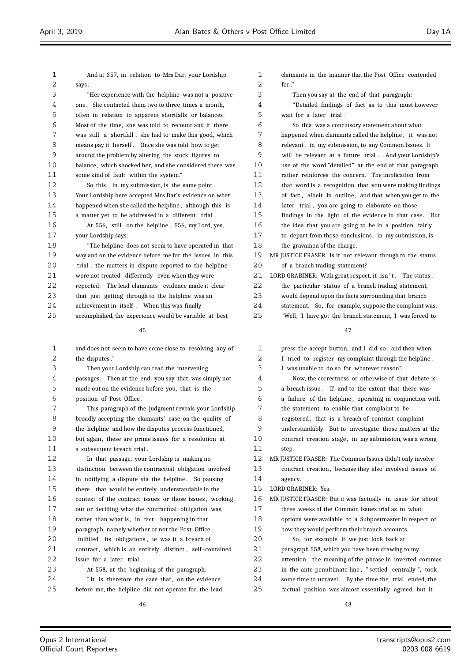| 1<br>2 | And at 357, in relation to Mrs Dar, your Lordship<br>says:                                              | 1<br>2 |
|--------|---------------------------------------------------------------------------------------------------------|--------|
| 3      | "Her experience with the helpline was not a positive                                                    | 3      |
| 4      | She contacted them two to three times a month,<br>one.                                                  | 4      |
| 5      | often in relation to apparent shortfalls or balances.                                                   | 5      |
| 6      | Most of the time, she was told to recount and if there                                                  | 6      |
| 7      | was still a shortfall, she had to make this good, which                                                 | 7      |
| 8      | means pay it herself. Once she was told how to get                                                      | 8      |
| 9      | around the problem by altering the stock figures to                                                     | 9      |
| 10     | balance, which shocked her, and she considered there was                                                | 10     |
| 11     | some kind of fault within the system."                                                                  | 11     |
| 12     | So this, in my submission, is the same point.                                                           | 12     |
| 13     |                                                                                                         | 13     |
| 14     | Your Lordship here accepted Mrs Dar's evidence on what                                                  | 14     |
|        | happened when she called the helpline, although this is                                                 | 15     |
| 15     | a matter yet to be addressed in a different trial.                                                      |        |
| 16     | At 556, still on the helpline, 556, my Lord, yes,                                                       | 16     |
| 17     | your Lordship says:                                                                                     | 17     |
| 18     | "The helpline does not seem to have operated in that                                                    | 18     |
| 19     | way and on the evidence before me for the issues in this                                                | 19     |
| 20     | trial, the matters in dispute reported to the helpline                                                  | 20     |
| 21     | were not treated differently even when they were                                                        | 21     |
| 22     | reported. The lead claimants' evidence made it clear                                                    | 22     |
| 23     | that just getting through to the helpline was an                                                        | 23     |
| 24     | achievement in itself. When this was finally                                                            | 24     |
| 25     | accomplished, the experience would be variable at best                                                  | 25     |
|        | 45                                                                                                      |        |
| 1      | and does not seem to have come close to resolving any of                                                | 1      |
| 2      | the disputes."                                                                                          | 2      |
| 3      | Then your Lordship can read the intervening                                                             | 3      |
| 4      | passages. Then at the end, you say that was simply not                                                  | 4      |
| 5      | made out on the evidence before you, that is the                                                        | 5      |
| 6      | position of Post Office.                                                                                | 6      |
| 7      | This paragraph of the judgment reveals your Lordship                                                    | 7      |
| 8      | broadly accepting the claimants' case on the quality of                                                 | 8      |
| 9      | the helpline and how the disputes process functioned,                                                   | 9      |
| 10     | but again, these are prime issues for a resolution at                                                   | 10     |
| 11     | a subsequent breach trial.                                                                              | 11     |
| 12     | In that passage, your Lordship is making no                                                             | 12     |
| 13     | distinction between the contractual obligation involved                                                 | 13     |
| 14     |                                                                                                         |        |
|        | in notifying a dispute via the helpline. So pausing                                                     | 14     |
| 15     | there, that would be entirely understandable in the                                                     | 15     |
| 16     | context of the contract issues or those issues, working                                                 | 16     |
| 17     | out or deciding what the contractual obligation was,                                                    | 17     |
| 18     | rather than what is, in fact, happening in that                                                         | 18     |
| 19     | paragraph, namely whether or not the Post Office                                                        | 19     |
| 20     | fulfilled its obligations, ie was it a breach of                                                        | 20     |
| 21     |                                                                                                         | 21     |
| 22     | contract, which is an entirely distinct, self-contained<br>issue for a later trial.                     | 22     |
| 23     |                                                                                                         | 23     |
| 24     | At 558, at the beginning of the paragraph:                                                              | 24     |
| 25     | "It is therefore the case that, on the evidence<br>before me, the helpline did not operate for the lead | 25     |

| $\mathbf{1}$ | claimants in the manner that the Post Office contended            |
|--------------|-------------------------------------------------------------------|
| 2            | for $\ddot{\cdot}$                                                |
| 3            | Then you say at the end of that paragraph:                        |
| 4            | "Detailed findings of fact as to this must however                |
| 5            | wait for a later trial."                                          |
| 6            | So this was a conclusory statement about what                     |
| 7            | happened when claimants called the helpline, it was not           |
| 8            | relevant, in my submission, to any Common Issues. It              |
| 9            | will be relevant at a future trial. And your Lordship's           |
| 10           | use of the word "detailed" at the end of that paragraph           |
| 11           | rather reinforces the concern. The implication from               |
| 12           | that word is a recognition that you were making findings          |
| 13           | of fact, albeit in outline, and that when you get to the          |
| 14           | later trial, you are going to elaborate on those                  |
| 15           | findings in the light of the evidence in that case.<br><b>But</b> |
| 16           | the idea that you are going to be in a position fairly            |
| 17           | to depart from those conclusions, in my submission, is            |
| 18           | the gravamen of the charge.                                       |
| 19           | MR JUSTICE FRASER: Is it not relevant though to the status        |
| 20           | of a branch trading statement?                                    |
| 21           | LORD GRABINER: With great respect, it isn't. The status,          |
| 22           | the particular status of a branch trading statement,              |
| 23           | would depend upon the facts surrounding that branch               |
| 24           | statement. So, for example, suppose the complaint was,            |
| 25           | "Well, I have got the branch statement, I was forced to           |
|              | 47                                                                |
|              |                                                                   |
| 1            | press the accept button, and I did so, and then when              |
| 2            | I tried to register my complaint through the helpline,            |
| 3            | I was unable to do so for whatever reason".                       |
| 4            | Now, the correctness or otherwise of that debate is               |
| 5            | If and to the extent that there was<br>a breach issue.            |
| 6            | a failure of the helpline, operating in conjunction with          |
| 7            | the statement, to enable that complaint to be                     |

- registered, that is a breach of contract complaint
- understandably. But to investigate those matters at the contract creation stage, in my submission, was a wrong step.

MR JUSTICE FRASER: The Common Issues didn't only involve contract creation, because they also involved issues of

- agency. LORD GRABINER: Yes.
- MR JUSTICE FRASER: But it was factually in issue for about three weeks of the Common Issues trial as to what options were available to a Subpostmaster in respect of how they would perform their branch accounts. So, for example, if we just look back at paragraph 558, which you have been drawing to my attention, the meaning of the phrase in inverted commas in the ante-penultimate line , " settled centrally ", took some time to unravel. By the time the trial ended, the factual position was almost essentially agreed, but it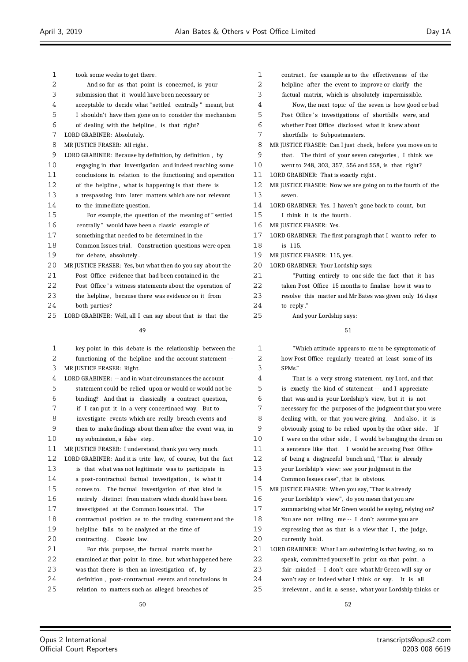| 1          | took some weeks to get there.                               | 1  |            |
|------------|-------------------------------------------------------------|----|------------|
| 2          | And so far as that point is concerned, is your              | 2  |            |
| 3          | submission that it would have been necessary or             | 3  |            |
| 4          | acceptable to decide what "settled centrally" meant, but    | 4  |            |
| 5          | I shouldn't have then gone on to consider the mechanism     | 5  |            |
| 6          | of dealing with the helpline, is that right?                | 6  |            |
| 7          | LORD GRABINER: Absolutely.                                  | 7  |            |
| 8          | MR JUSTICE FRASER: All right.                               | 8  | MR         |
| 9          | LORD GRABINER: Because by definition, by definition, by     | 9  |            |
| 10         | engaging in that investigation and indeed reaching some     | 10 |            |
| 11         | conclusions in relation to the functioning and operation    | 11 | LOI        |
| 12         | of the helpline, what is happening is that there is         | 12 | MR         |
| 13         | a trespassing into later matters which are not relevant     | 13 |            |
| 14         | to the immediate question.                                  | 14 | <b>LOI</b> |
| 15         | For example, the question of the meaning of "settled        | 15 |            |
| 16         | centrally" would have been a classic example of             | 16 | MR         |
| 17         | something that needed to be determined in the               | 17 | <b>LOI</b> |
| 18         | Common Issues trial. Construction questions were open       | 18 |            |
| 19         | for debate, absolutely.                                     | 19 | MR         |
| 20         | MR JUSTICE FRASER: Yes, but what then do you say about the  | 20 | LOI        |
| 21         | Post Office evidence that had been contained in the         | 21 |            |
| 22         | Post Office's witness statements about the operation of     | 22 |            |
| 23         | the helpline, because there was evidence on it from         | 23 |            |
| 24         | both parties?                                               | 24 |            |
| 25         | LORD GRABINER: Well, all I can say about that is that the   | 25 |            |
|            | 49                                                          |    |            |
| 1          | key point in this debate is the relationship between the    | 1  |            |
| 2          | functioning of the helpline and the account statement --    | 2  |            |
| 3          | MR JUSTICE FRASER: Right.                                   | 3  |            |
| 4          | LORD GRABINER: -- and in what circumstances the account     | 4  |            |
| 5          | statement could be relied upon or would or would not be     | 5  |            |
| 6          | binding? And that is classically a contract question,       | 6  |            |
| 7          | if I can put it in a very concertinaed way. But to          | 7  |            |
| 8          | investigate events which are really breach events and       | 8  |            |
| 9          | then to make findings about them after the event was, in    | 9  |            |
| 10         | my submission, a false step.                                | 10 |            |
| 11         | MR JUSTICE FRASER: I understand, thank you very much.       | 11 |            |
| 12         | LORD GRABINER: And it is trite law, of course, but the fact | 12 |            |
| 13         | is that what was not legitimate was to participate in       | 13 |            |
| $1\Lambda$ | a nost contractual factual invostigation is what it         | 14 |            |

- a post-contractual factual investigation , is what it
- comes to. The factual investigation of that kind is
- entirely distinct from matters which should have been
- investigated at the Common Issues trial. The
- contractual position as to the trading statement and the
- helpline falls to be analysed at the time of
- 20 contracting. Classic law. For this purpose, the factual matrix must be examined at that point in time, but what happened here
- 23 was that there is then an investigation of, by
- definition , post-contractual events and conclusions in
- relation to matters such as alleged breaches of
	-

| $\mathbf 1$ | contract, for example as to the effectiveness of the        |
|-------------|-------------------------------------------------------------|
| 2           | helpline after the event to improve or clarify the          |
| 3           | factual matrix, which is absolutely impermissible.          |
| 4           | Now, the next topic of the seven is how good or bad         |
| 5           | Post Office's investigations of shortfalls were, and        |
| 6           | whether Post Office disclosed what it knew about            |
| 7           | shortfalls to Subpostmasters.                               |
| 8           | MR JUSTICE FRASER: Can I just check, before you move on to  |
| 9           | that. The third of your seven categories, I think we        |
| 10          | went to 248, 303, 357, 556 and 558, is that right?          |
| 11          | LORD GRABINER: That is exactly right.                       |
| 12          | MR JUSTICE FRASER: Now we are going on to the fourth of the |
| 13          | seven.                                                      |
| 14          | LORD GRABINER: Yes. I haven't gone back to count, but       |
| 15          | I think it is the fourth.                                   |
| 16          | MR JUSTICE FRASER: Yes.                                     |
| 17          | LORD GRABINER: The first paragraph that I want to refer to  |
| 18          | is 115.                                                     |
| 19          | MR JUSTICE FRASER: 115, yes.                                |
| 20          | LORD GRABINER: Your Lordship says:                          |
| 2.1         | "Putting entirely to one side the fact that it has          |
| 22          | taken Post Office 15 months to finalise how it was to       |
| 23          | resolve this matter and Mr Bates was given only 16 days     |
| 2.4         | to reply."                                                  |
| 25          | And your Lordship says:                                     |

| 1 | "Which attitude appears to me to be symptomatic of     |
|---|--------------------------------------------------------|
| 2 | how Post Office regularly treated at least some of its |
| 3 | SPMs."                                                 |
|   | That is a your strong statement my Land and that       |

| 寡  | пнас is a very strong statement, my Loru, and that        |
|----|-----------------------------------------------------------|
| 5  | is exactly the kind of statement -- and I appreciate      |
| 6  | that was and is your Lordship's view, but it is not       |
| 7  | necessary for the purposes of the judgment that you were  |
| 8  | dealing with, or that you were giving. And also, it is    |
| 9  | obviously going to be relied upon by the other side. If   |
| 10 | I were on the other side, I would be banging the drum on  |
| 11 | a sentence like that. I would be accusing Post Office     |
| 12 | of being a disgraceful bunch and, "That is already        |
| 13 | your Lordship's view: see your judgment in the            |
| 14 | Common Issues case", that is obvious.                     |
| 15 | MR JUSTICE FRASER: When you say, "That is already         |
| 16 | your Lordship's view", do you mean that you are           |
| 17 | summarising what Mr Green would be saying, relying on?    |
| 18 | You are not telling me -- I don't assume you are          |
| 19 | expressing that as that is a view that I, the judge,      |
| 20 | currently hold.                                           |
| 21 | LORD GRABINER: What I am submitting is that having, so to |
| 22 | speak, committed yourself in print on that point, a       |
| 23 | fair - minded -- I don't care what Mr Green will say or   |
| 24 | won't say or indeed what I think or say. It is all        |
| 25 | irrelevant, and in a sense, what your Lordship thinks or  |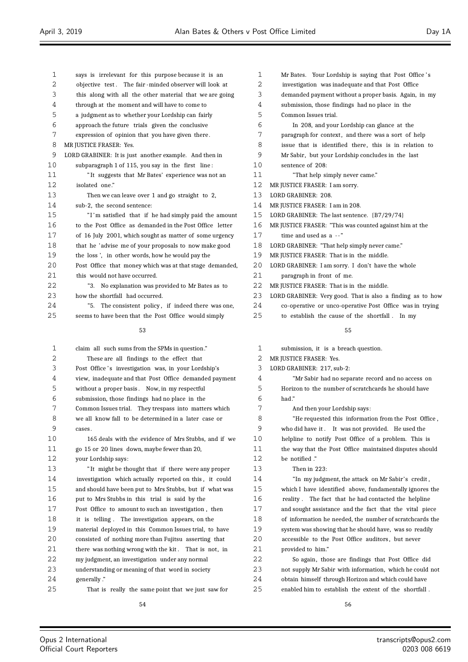| 1  | says is irrelevant for this purpose because it is an     |
|----|----------------------------------------------------------|
| 2  | objective test. The fair-minded observer will look at    |
| 3  | this along with all the other material that we are going |
| 4  | through at the moment and will have to come to           |
| 5  | a judgment as to whether your Lordship can fairly        |
| 6  | approach the future trials given the conclusive          |
| 7  | expression of opinion that you have given there.         |
| 8  | MR JUSTICE FRASER: Yes.                                  |
| 9  | LORD GRABINER: It is just another example. And then in   |
| 10 | subparagraph 1 of 115, you say in the first line:        |
| 11 | "It suggests that Mr Bates' experience was not an        |
| 12 | isolated one."                                           |
| 13 | Then we can leave over 1 and go straight to 2,           |
| 14 | sub-2, the second sentence:                              |
| 15 | "I'm satisfied that if he had simply paid the amount     |
| 16 | to the Post Office as demanded in the Post Office letter |
| 17 | of 16 July 2001, which sought as matter of some urgency  |
| 18 | that he 'advise me of your proposals to now make good    |
| 19 | the loss', in other words, how he would pay the          |
| 20 | Post Office that money which was at that stage demanded, |
| 21 | this would not have occurred.                            |
| 22 | "3.<br>No explanation was provided to Mr Bates as to     |
| 23 | how the shortfall had occurred.                          |
| 24 | "5.<br>The consistent policy, if indeed there was one,   |
| 25 | seems to have been that the Post Office would simply     |
|    |                                                          |
|    | 53                                                       |
| 1  | claim all such sums from the SPMs in question."          |

| 1                 | claim all such sums from the SPMs in question."         |
|-------------------|---------------------------------------------------------|
| 2                 | These are all findings to the effect that               |
| 3                 | Post Office's investigation was, in your Lordship's     |
| 4                 | view, inadequate and that Post Office demanded payment  |
| 5                 | without a proper basis. Now, in my respectful           |
| 6                 | submission, those findings had no place in the          |
| 7                 | Common Issues trial. They trespass into matters which   |
| 8                 | we all know fall to be determined in a later case or    |
| 9                 | cases.                                                  |
| 10                | 165 deals with the evidence of Mrs Stubbs, and if we    |
| 11                | go 15 or 20 lines down, maybe fewer than 20,            |
| $12 \overline{ }$ | your Lordship says:                                     |
| 13                | "It might be thought that if there were any proper      |
| 14                | investigation which actually reported on this, it could |
| 15                | and should have been put to Mrs Stubbs, but if what was |
| 16                | put to Mrs Stubbs in this trial is said by the          |
| 17                | Post Office to amount to such an investigation, then    |
| 18                | it is telling. The investigation appears, on the        |
| 19                | material deployed in this Common Issues trial, to have  |
| 20                | consisted of nothing more than Fujitsu asserting that   |
| 21                | there was nothing wrong with the kit. That is not, in   |
| 22                | my judgment, an investigation under any normal          |
| 23                | understanding or meaning of that word in society        |
| 24                | generally."                                             |
| 25                | That is really the same point that we just saw for      |
|                   |                                                         |

| 1       | Mr Bates. Your Lordship is saying that Post Office's       |
|---------|------------------------------------------------------------|
| 2       | investigation was inadequate and that Post Office          |
| 3       | demanded payment without a proper basis. Again, in my      |
| 4       | submission, those findings had no place in the             |
| 5       | Common Issues trial.                                       |
| 6       | In 208, and your Lordship can glance at the                |
| 7       | paragraph for context, and there was a sort of help        |
| 8       | issue that is identified there, this is in relation to     |
| 9       | Mr Sabir, but your Lordship concludes in the last          |
| 10      | sentence of 208:                                           |
| 11      | "That help simply never came."                             |
| 12      | MR JUSTICE FRASER: I am sorry.                             |
| 13      | LORD GRABINER: 208.                                        |
| 14      | MR JUSTICE FRASER: I am in 208.                            |
| 15      | LORD GRABINER: The last sentence. {B7/29/74}               |
| 16      | MR JUSTICE FRASER: "This was counted against him at the    |
| 17      | time and used as $a - r$                                   |
| 18      | LORD GRABINER: "That help simply never came."              |
| 19      | MR JUSTICE FRASER: That is in the middle.                  |
| $20 \,$ | LORD GRABINER: I am sorry. I don't have the whole          |
| 21      | paragraph in front of me.                                  |
| 22      | MR JUSTICE FRASER: That is in the middle.                  |
| 23      | LORD GRABINER: Very good. That is also a finding as to how |
| 24      | co-operative or unco-operative Post Office was in trying   |

to establish the cause of the shortfall . In my

# 

| $\mathbf 1$ | submission, it is a breach question.                     |
|-------------|----------------------------------------------------------|
| 2           | MR JUSTICE FRASER: Yes.                                  |
| 3           | LORD GRABINER: 217, sub-2:                               |
| 4           | "Mr Sabir had no separate record and no access on        |
| 5           | Horizon to the number of scratchcards he should have     |
| 6           | had."                                                    |
| 7           | And then your Lordship says:                             |
| 8           | "He requested this information from the Post Office,     |
| 9           | who did have it. It was not provided. He used the        |
| 10          | helpline to notify Post Office of a problem. This is     |
| 11          | the way that the Post Office maintained disputes should  |
| 12          | be notified."                                            |
| 13          | Then in 223:                                             |
| 14          | "In my judgment, the attack on Mr Sabir's credit,        |
| 15          | which I have identified above, fundamentally ignores the |
| 16          | reality. The fact that he had contacted the helpline     |
| 17          | and sought assistance and the fact that the vital piece  |
| 18          | of information he needed, the number of scratchcards the |
| 19          | system was showing that he should have, was so readily   |
| 20          | accessible to the Post Office auditors, but never        |
| 21          | provided to him."                                        |
| 22          | So again, those are findings that Post Office did        |
| 23          | not supply Mr Sabir with information, which he could not |
| 24          | obtain himself through Horizon and which could have      |
| 25          | enabled him to establish the extent of the shortfall.    |
|             |                                                          |

Ξ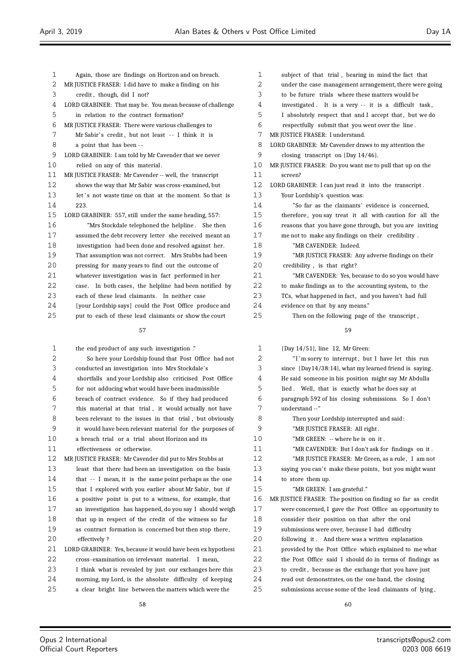| 1  | Again, those are findings on Horizon and on breach.       | 1              |
|----|-----------------------------------------------------------|----------------|
| 2  | MR JUSTICE FRASER: I did have to make a finding on his    | $\overline{2}$ |
| 3  | credit, though, did I not?                                | 3              |
| 4  | LORD GRABINER: That may be. You mean because of challenge | 4              |
| 5  | in relation to the contract formation?                    | 5              |
| 6  | MR JUSTICE FRASER: There were various challenges to       | 6              |
| 7  | Mr Sabir's credit, but not least -- I think it is         | 7              |
| 8  | a point that has been --                                  | 8              |
| 9  | LORD GRABINER: I am told by Mr Cavender that we never     | 9              |
| 10 | relied on any of this material.                           | 10             |
| 11 | MR JUSTICE FRASER: Mr Cavender -- well, the transcript    | 11             |
| 12 | shows the way that Mr Sabir was cross-examined, but       | 12             |
| 13 | let's not waste time on that at the moment. So that is    | 13             |
| 14 | 223.                                                      | 14             |
| 15 | LORD GRABINER: 557, still under the same heading, 557:    | 15             |
| 16 | "Mrs Stockdale telephoned the helpline. She then          | 16             |
| 17 | assumed the debt recovery letter she received meant an    | 17             |
| 18 | investigation had been done and resolved against her.     | 18             |
| 19 | That assumption was not correct. Mrs Stubbs had been      | 19             |
| 20 | pressing for many years to find out the outcome of        | 20             |
| 21 | whatever investigation was in fact performed in her       | 21             |
| 22 | case. In both cases, the helpline had been notified by    | 22             |
| 23 | each of these lead claimants. In neither case             | 23             |
| 24 | [your Lordship says] could the Post Office produce and    | 24             |
| 25 | put to each of these lead claimants or show the court     | 25             |

| 1       | the end product of any such investigation."                 |
|---------|-------------------------------------------------------------|
| 2       | So here your Lordship found that Post Office had not        |
| 3       | conducted an investigation into Mrs Stockdale's             |
| 4       | shortfalls and your Lordship also criticised Post Office    |
| 5       | for not adducing what would have been inadmissible          |
| 6       | breach of contract evidence. So if they had produced        |
| 7       | this material at that trial, it would actually not have     |
| 8       | been relevant to the issues in that trial, but obviously    |
| 9       | it would have been relevant material for the purposes of    |
| $10 \,$ | a breach trial or a trial about Horizon and its             |
| 11      | effectiveness or otherwise.                                 |
| $12 \,$ | MR JUSTICE FRASER: Mr Cavender did put to Mrs Stubbs at     |
| 13      | least that there had been an investigation on the basis     |
| 14      | that -- I mean, it is the same point perhaps as the one     |
| 15      | that I explored with you earlier about Mr Sabir, but if     |
| 16      | a positive point is put to a witness, for example, that     |
| 17      | an investigation has happened, do you say I should weigh    |
| 18      | that up in respect of the credit of the witness so far      |
| 19      | as contract formation is concerned but then stop there,     |
| 20      | effectively?                                                |
| 21      | LORD GRABINER: Yes, because it would have been ex hypothesi |
| 22      | cross-examination on irrelevant material. I mean,           |
| 23      | I think what is revealed by just our exchanges here this    |
| 24      | morning, my Lord, is the absolute difficulty of keeping     |
| 25      | a clear bright line between the matters which were the      |

| $\mathbf{1}$ | subject of that trial, bearing in mind the fact that     |
|--------------|----------------------------------------------------------|
| 2            | under the case management arrangement, there were going  |
| 3            | to be future trials where these matters would be         |
| 4            | investigated. It is a very -- it is a difficult task,    |
| 5            | I absolutely respect that and I accept that, but we do   |
| 6            | respectfully submit that you went over the line.         |
| 7            | MR JUSTICE FRASER: I understand.                         |
| 8            | LORD GRABINER: Mr Cavender draws to my attention the     |
| 9            | closing transcript on $\{Day\ 14/46\}.$                  |
| 10           | MR JUSTICE FRASER: Do you want me to pull that up on the |
| 11           | screen?                                                  |
| 12           | LORD GRABINER: I can just read it into the transcript.   |
| 13           | Your Lordship's question was:                            |
| 14           | "So far as the claimants' evidence is concerned,         |
| 15           | therefore, you say treat it all with caution for all the |
| 16           | reasons that you have gone through, but you are inviting |
| 17           | me not to make any findings on their credibility.        |
| 18           | "MR CAVENDER: Indeed.                                    |
| 19           | "MR JUSTICE FRASER: Any adverse findings on their        |
| 20           | credibility, is that right?                              |
| 21           | "MR CAVENDER: Yes, because to do so you would have       |
| 22           | to make findings as to the accounting system, to the     |
| 23           | TCs, what happened in fact, and you haven't had full     |
| 24           | evidence on that by any means."                          |

Then on the following page of the transcript,

# 

{Day 14/51}, line 12, Mr Green:

| 2  | "I'm sorry to interrupt, but I have let this run            |
|----|-------------------------------------------------------------|
| 3  | since $\{Day14/38:14\}$ , what my learned friend is saying. |
| 4  | He said someone in his position might say Mr Abdulla        |
| 5  | lied. Well, that is exactly what he does say at             |
| 6  | paragraph 592 of his closing submissions. So I don't        |
| 7  | understand --"                                              |
| 8  | Then your Lordship interrupted and said:                    |
| 9  | "MR JUSTICE FRASER: All right.                              |
| 10 | "MR GREEN: -- where he is on it.                            |
| 11 | "MR CAVENDER: But I don't ask for findings on it.           |
| 12 | "MR JUSTICE FRASER: Mr Green, as a rule, I am not           |
| 13 | saying you can't make these points, but you might want      |
| 14 | to store them up.                                           |
| 15 | "MR GREEN: I am grateful."                                  |
| 16 | MR JUSTICE FRASER: The position on finding so far as credit |
| 17 | were concerned, I gave the Post Office an opportunity to    |
| 18 | consider their position on that after the oral              |
| 19 | submissions were over, because I had difficulty             |
| 20 | following it. And there was a written explanation           |
| 21 | provided by the Post Office which explained to me what      |
| 22 | the Post Office said I should do in terms of findings as    |
| 23 | to credit, because as the exchange that you have just       |
| 24 | read out demonstrates, on the one hand, the closing         |
| 25 | submissions accuse some of the lead claimants of lying,     |
|    |                                                             |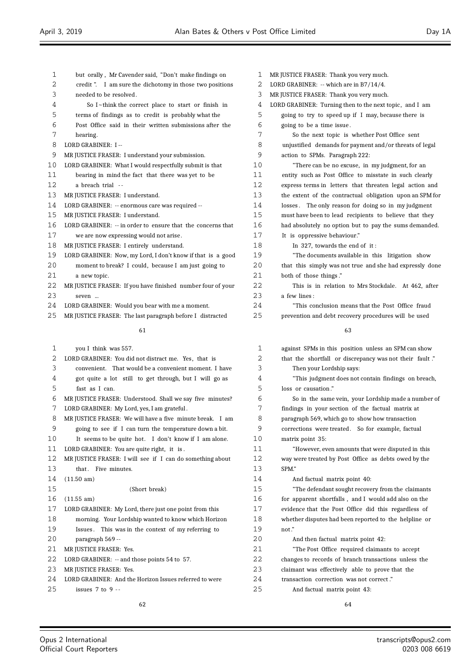| 1  | but orally, Mr Cavender said, "Don't make findings on       | 1  | N |
|----|-------------------------------------------------------------|----|---|
| 2  | credit". I am sure the dichotomy in those two positions     | 2  | L |
| 3  | needed to be resolved.                                      | 3  | N |
| 4  | So I~think the correct place to start or finish in          | 4  | L |
| 5  | terms of findings as to credit is probably what the         | 5  |   |
| 6  | Post Office said in their written submissions after the     | 6  |   |
| 7  | hearing.                                                    | 7  |   |
| 8  | LORD GRABINER: I --                                         | 8  |   |
| 9  | MR JUSTICE FRASER: I understand your submission.            | 9  |   |
| 10 | LORD GRABINER: What I would respectfully submit is that     | 10 |   |
| 11 | bearing in mind the fact that there was yet to be           | 11 |   |
| 12 | a breach trial --                                           | 12 |   |
| 13 | MR JUSTICE FRASER: I understand.                            | 13 |   |
| 14 | LORD GRABINER: -- enormous care was required --             | 14 |   |
| 15 | MR JUSTICE FRASER: I understand.                            | 15 |   |
| 16 | LORD GRABINER: -- in order to ensure that the concerns that | 16 |   |
| 17 | we are now expressing would not arise.                      | 17 |   |
| 18 | MR JUSTICE FRASER: I entirely understand.                   | 18 |   |
| 19 | LORD GRABINER: Now, my Lord, I don't know if that is a good | 19 |   |
| 20 | moment to break? I could, because I am just going to        | 20 |   |
| 21 | a new topic.                                                | 21 |   |
| 22 | MR JUSTICE FRASER: If you have finished number four of your | 22 |   |
| 23 | seven                                                       | 23 |   |
| 24 | LORD GRABINER: Would you bear with me a moment.             | 24 |   |
| 25 | MR JUSTICE FRASER: The last paragraph before I distracted   | 25 |   |
|    | 61                                                          |    |   |
| 1  | you I think was 557.                                        | 1  |   |
| 2  | LORD GRABINER: You did not distract me. Yes, that is        | 2  |   |
| 3  | convenient. That would be a convenient moment. I have       | 3  |   |
| 4  | got quite a lot still to get through, but I will go as      | 4  |   |
| 5  | fast as I can.                                              | 5  |   |
| 6  | MR JUSTICE FRASER: Understood. Shall we say five minutes?   | 6  |   |
| 7  | LORD GRABINER: My Lord, yes, I am grateful.                 | 7  |   |
| 8  | MR JUSTICE FRASER: We will have a five minute break. I am   | 8  |   |
| 9  | going to see if I can turn the temperature down a bit.      | 9  |   |
| 10 | It seems to be quite hot. I don't know if I am alone.       | 10 |   |
| 11 | LORD GRABINER: You are quite right, it is.                  | 11 |   |
| 12 | MR JUSTICE FRASER: I will see if I can do something about   | 12 |   |
| 13 | that. Five minutes.                                         | 13 |   |
| 14 | $(11.50 \text{ am})$                                        | 14 |   |
| 15 | (Short break)                                               | 15 |   |
| 16 | (11.55 am)                                                  | 16 |   |
| 17 | LORD GRABINER: My Lord, there just one point from this      | 17 |   |
| 18 | morning. Your Lordship wanted to know which Horizon         | 18 |   |
| 19 | Issues.<br>This was in the context of my referring to       | 19 |   |
| 20 | paragraph 569 --                                            | 20 |   |
| 21 | MR JUSTICE FRASER: Yes.                                     | 21 |   |
| 22 | LORD GRABINER: -- and those points 54 to 57.                | 22 |   |
| 23 | MR JUSTICE FRASER: Yes.                                     | 23 |   |
|    |                                                             |    |   |

 LORD GRABINER: And the Horizon Issues referred to were issues 7 to 9 - -

MR JUSTICE FRASER: Thank you very much. RD GRABINER: -- which are in B7/14/4. MR JUSTICE FRASER: Thank you very much. ORD GRABINER: Turning then to the next topic, and I am going to try to speed up if I may, because there is going to be a time issue . So the next topic is whether Post Office sent unjustified demands for payment and/or threats of legal action to SPMs. Paragraph 222: "There can be no excuse, in my judgment, for an entity such as Post Office to misstate in such clearly express terms in letters that threaten legal action and the extent of the contractual obligation upon an SPM for losses. The only reason for doing so in my judgment must have been to lead recipients to believe that they had absolutely no option but to pay the sums demanded. It is oppressive behaviour." In 327, towards the end of it: "The documents available in this litigation show that this simply was not true and she had expressly done both of those things." This is in relation to Mrs Stockdale. At 462, after a few lines: "This conclusion means that the Post Office fraud prevention and debt recovery procedures will be used against SPMs in this position unless an SPM can show

|   | against SPMs in this position unless an SPM can show    |
|---|---------------------------------------------------------|
| 2 | that the shortfall or discrepancy was not their fault." |

Then your Lordship says:

"This judgment does not contain findings on breach, loss or causation."

 So in the same vein, your Lordship made a number of findings in your section of the factual matrix at paragraph 569, which go to show how transaction corrections were treated. So for example, factual matrix point 35:

"However, even amounts that were disputed in this way were treated by Post Office as debts owed by the SPM"

And factual matrix point 40:

"The defendant sought recovery from the claimants for apparent shortfalls, and I would add also on the evidence that the Post Office did this regardless of whether disputes had been reported to the helpline or not."

And then factual matrix point 42:

"The Post Office required claimants to accept

changes to records of branch transactions unless the

claimant was effectively able to prove that the

transaction correction was not correct ."

And factual matrix point 43: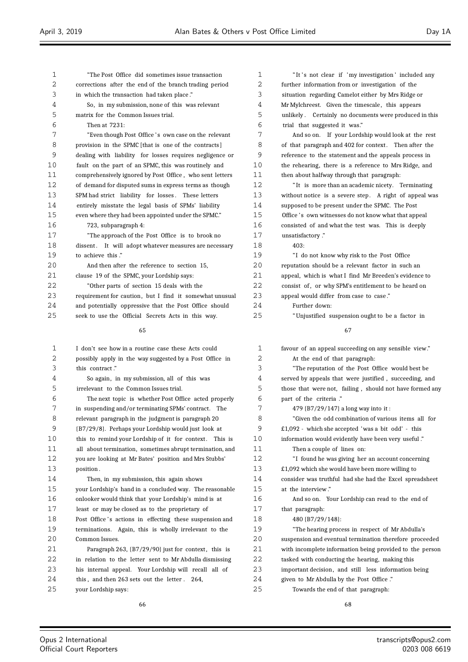| 1  | "The Post Office did sometimes issue transaction         | 1  |                                                                                                        |
|----|----------------------------------------------------------|----|--------------------------------------------------------------------------------------------------------|
| 2  | corrections after the end of the branch trading period   | 2  | "It's not clear if 'my investigation' included any<br>further information from or investigation of the |
| 3  | in which the transaction had taken place."               | 3  | situation regarding Camelot either by Mrs Ridge or                                                     |
| 4  | So, in my submission, none of this was relevant          | 4  | Mr Mylchreest. Given the timescale, this appears                                                       |
| 5  | matrix for the Common Issues trial.                      | 5  | unlikely. Certainly no documents were produced in this                                                 |
| 6  | Then at 7231:                                            | 6  | trial that suggested it was."                                                                          |
| 7  | "Even though Post-Office 's own case on the relevant     | 7  | And so on. If your Lordship would look at the rest                                                     |
| 8  | provision in the SPMC [that is one of the contracts]     | 8  | of that paragraph and 402 for context. Then after the                                                  |
| 9  | dealing with liability for losses requires negligence or | 9  | reference to the statement and the appeals process in                                                  |
| 10 | fault on the part of an SPMC, this was routinely and     | 10 | the rehearing, there is a reference to Mrs Ridge, and                                                  |
| 11 | comprehensively ignored by Post Office, who sent letters | 11 | then about halfway through that paragraph:                                                             |
| 12 | of demand for disputed sums in express terms as though   | 12 | "It is more than an academic nicety. Terminating                                                       |
| 13 | SPM had strict liability for losses. These letters       | 13 | without notice is a severe step. A right of appeal was                                                 |
| 14 | entirely misstate the legal basis of SPMs' liability     | 14 | supposed to be present under the SPMC. The Post                                                        |
| 15 | even where they had been appointed under the SPMC."      | 15 | Office's own witnesses do not know what that appeal                                                    |
| 16 | 723, subparagraph 4:                                     | 16 | consisted of and what the test was. This is deeply                                                     |
| 17 | "The approach of the Post Office is to brook no          | 17 | unsatisfactory."                                                                                       |
| 18 | dissent. It will adopt whatever measures are necessary   | 18 | 403:                                                                                                   |
| 19 | to achieve this."                                        | 19 | "I do not know why risk to the Post Office                                                             |
| 20 | And then after the reference to section 15,              | 20 | reputation should be a relevant factor in such an                                                      |
| 21 | clause 19 of the SPMC, your Lordship says:               | 21 | appeal, which is what I find Mr Breeden's evidence to                                                  |
| 22 | "Other parts of section 15 deals with the                | 22 | consist of, or why SPM's entitlement to be heard on                                                    |
| 23 | requirement for caution, but I find it somewhat unusual  | 23 | appeal would differ from case to case."                                                                |
| 24 | and potentially oppressive that the Post Office should   | 24 | Further down:                                                                                          |
| 25 | seek to use the Official Secrets Acts in this way.       | 25 | "Unjustified suspension ought to be a factor in                                                        |
|    |                                                          |    |                                                                                                        |
|    | 65                                                       |    | 67                                                                                                     |
| 1  | I don't see how in a routine case these Acts could       | 1  | favour of an appeal succeeding on any sensible view."                                                  |
| 2  | possibly apply in the way suggested by a Post Office in  | 2  | At the end of that paragraph:                                                                          |
| 3  | this contract."                                          | 3  | "The reputation of the Post Office would best be                                                       |
| 4  | So again, in my submission, all of this was              | 4  | served by appeals that were justified, succeeding, and                                                 |
| 5  | irrelevant to the Common Issues trial.                   | 5  | those that were not, failing, should not have formed any                                               |
| 6  | The next topic is whether Post Office acted properly     | 6  | part of the criteria."                                                                                 |
| 7  | in suspending and/or terminating SPMs' contract. The     | 7  | 479 {B7/29/147} a long way into it:                                                                    |
| 8  | relevant paragraph in the judgment is paragraph 20       | 8  | 'Given the odd combination of various items all for                                                    |
| 9  | {B7/29/8}. Perhaps your Lordship would just look at      | 9  | £1,092 - which she accepted 'was a bit odd' - this                                                     |
| 10 | this to remind your Lordship of it for context. This is  | 10 | information would evidently have been very useful."                                                    |
| 11 | all about termination, sometimes abrupt termination, and | 11 | Then a couple of lines on:                                                                             |
| 12 | you are looking at Mr Bates' position and Mrs Stubbs'    | 12 | "I found he was giving her an account concerning                                                       |
| 13 | position.                                                | 13 | £1,092 which she would have been more willing to                                                       |
| 14 | Then, in my submission, this again shows                 | 14 | consider was truthful had she had the Excel spreadsheet                                                |
| 15 | your Lordship's hand in a concluded way. The reasonable  | 15 | at the interview."                                                                                     |
| 16 | onlooker would think that your Lordship's mind is at     | 16 | And so on. Your Lordship can read to the end of                                                        |
| 17 | least or may be closed as to the proprietary of          | 17 | that paragraph:                                                                                        |
| 18 | Post Office's actions in effecting these suspension and  | 18 | 480 {B7/29/148}:                                                                                       |
| 19 | terminations. Again, this is wholly irrelevant to the    | 19 | "The hearing process in respect of Mr Abdulla's                                                        |
| 20 | Common Issues.                                           | 20 | suspension and eventual termination therefore proceeded                                                |
| 21 | Paragraph 263, {B7/29/90} just for context, this is      | 21 | with incomplete information being provided to the person                                               |
| 22 | in relation to the letter sent to Mr Abdulla dismissing  | 22 | tasked with conducting the hearing, making this                                                        |
| 23 | his internal appeal. Your Lordship will recall all of    | 23 | important decision, and still less information being                                                   |
| 24 | this, and then 263 sets out the letter. 264,             | 24 | given to Mr Abdulla by the Post Office ."                                                              |
| 25 | your Lordship says:                                      | 25 | Towards the end of that paragraph:                                                                     |
|    | $\epsilon$ $\epsilon$                                    |    | $\epsilon$ o                                                                                           |

 $\equiv$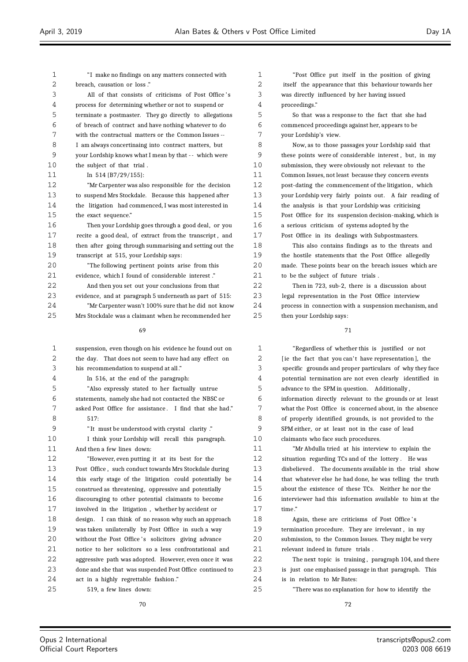| 1              | "I make no findings on any matters connected with        |
|----------------|----------------------------------------------------------|
| 2              | breach, causation or loss."                              |
| 3              | All of that consists of criticisms of Post Office's      |
| 4              | process for determining whether or not to suspend or     |
| 5              | terminate a postmaster. They go directly to allegations  |
| 6              | of breach of contract and have nothing whatever to do    |
| 7              | with the contractual matters or the Common Issues --     |
| 8              | I am always concertinaing into contract matters, but     |
| 9              | your Lordship knows what I mean by that -- which were    |
| 1 <sub>0</sub> | the subject of that trial.                               |
| 11             | In $514$ {B7/29/155}:                                    |
| 12             | "Mr Carpenter was also responsible for the decision      |
| 13             | to suspend Mrs Stockdale. Because this happened after    |
| 14             | the litigation had commenced, I was most interested in   |
| 15             | the exact sequence."                                     |
| 16             | Then your Lordship goes through a good deal, or you      |
| 17             | recite a good deal, of extract from the transcript, and  |
| 18             | then after going through summarising and setting out the |
| 19             | transcript at 515, your Lordship says:                   |
| 2.0            | "The following pertinent points arise from this          |
| 21             | evidence, which I found of considerable interest."       |
| 22             | And then you set out your conclusions from that          |
| 23             | evidence, and at paragraph 5 underneath as part of 515:  |
| 24             | "Mr Carpenter wasn't 100% sure that he did not know      |
| 25             | Mrs Stockdale was a claimant when he recommended her     |
|                | 69                                                       |
|                |                                                          |
| 1              | suspension, even though on his evidence he found out on  |
| 2              | the day. That does not seem to have had any effect on    |
| 3              | his recommendation to suspend at all."                   |
| 4              | In 516, at the end of the paragraph:                     |
| 5              | "Also expressly stated to her factually untrue           |
| 6              | statements, namely she had not contacted the NBSC or     |
| 7              | asked Post Office for assistance. I find that she had."  |
| 8              | 517:                                                     |
| 9              | "It must be understood with crystal clarity."            |
| 10             | I think your Lordship will recall this paragraph.        |
| 11             | And then a few lines down:                               |
| 12             | "However, even putting it at its best for the            |
| 13             | Post Office, such conduct towards Mrs Stockdale during   |
| 14             | this early stage of the litigation could potentially be  |
| 15             | construed as threatening, oppressive and potentially     |
| 16             | discouraging to other potential claimants to become      |
| 17             | involved in the litigation, whether by accident or       |
| 18             | design. I can think of no reason why such an approach    |
| 19             | was taken unilaterally by Post Office in such a way      |
| 20             | without the Post Office's solicitors giving advance      |
| 21             | notice to her solicitors so a less confrontational and   |
| 22             | aggressive path was adopted. However, even once it was   |
| 23             | done and she that was suspended Post Office continued to |
| 24             | act in a highly regrettable fashion."                    |
|                |                                                          |
| 25             | 519, a few lines down:                                   |

 "Post Office put itself in the position of giving itself the appearance that this behaviour towards her was directly influenced by her having issued proceedings." So that was a response to the fact that she had commenced proceedings against her, appears to be your Lordship's view. Now, as to those passages your Lordship said that these points were of considerable interest , but, in my submission, they were obviously not relevant to the Common Issues, not least because they concern events post-dating the commencement of the litigation, which your Lordship very fairly points out. A fair reading of the analysis is that your Lordship was criticising Post Office for its suspension decision-making, which is a serious criticism of systems adopted by the Post Office in its dealings with Subpostmasters. This also contains findings as to the threats and the hostile statements that the Post Office allegedly made. These points bear on the breach issues which are 21 to be the subject of future trials. Then in 723, sub-2, there is a discussion about

 legal representation in the Post Office interview process in connection with a suspension mechanism, and then your Lordship says:

# 

 "Regardless of whether this is justified or not 2 [ie the fact that you can't have representation], the specific grounds and proper particulars of why they face potential termination are not even clearly identified in advance to the SPM in question. Additionally , information directly relevant to the grounds or at least what the Post Office is concerned about, in the absence of properly identified grounds, is not provided to the SPM either, or at least not in the case of lead claimants who face such procedures. "Mr Abdulla tried at his interview to explain the

 situation regarding TCs and of the lottery . He was disbelieved . The documents available in the trial show that whatever else he had done, he was telling the truth about the existence of these TCs. Neither he nor the interviewer had this information available to him at the time<sup> $'$ </sup>

18 Again, these are criticisms of Post Office's termination procedure. They are irrelevant , in my submission, to the Common Issues. They might be very 21 relevant indeed in future trials.

 The next topic is training , paragraph 104, and there is just one emphasised passage in that paragraph. This is in relation to Mr Bates:

"There was no explanation for how to identify the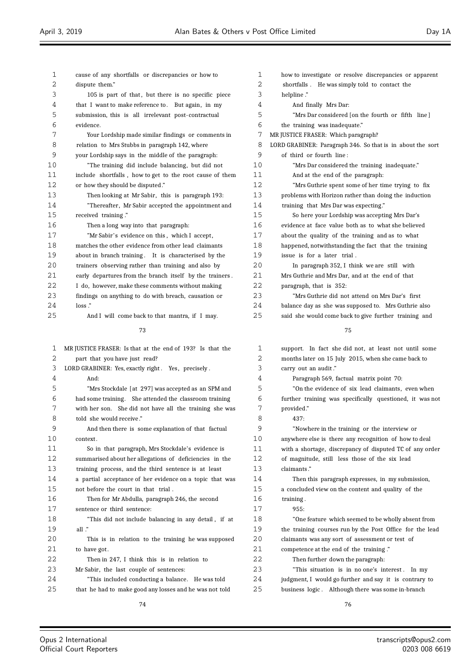| 1  | cause of any shortfalls or discrepancies or how to        | 1  | how to investigate or resolve discrepancies or apparent    |
|----|-----------------------------------------------------------|----|------------------------------------------------------------|
| 2  | dispute them."                                            | 2  | shortfalls. He was simply told to contact the              |
| 3  | 105 is part of that, but there is no specific piece       | 3  | helpline."                                                 |
| 4  | that I want to make reference to. But again, in my        | 4  | And finally Mrs Dar:                                       |
| 5  | submission, this is all irrelevant post-contractual       | 5  | "Mrs Dar considered [on the fourth or fifth line]          |
| 6  | evidence.                                                 | 6  | the training was inadequate."                              |
| 7  | Your Lordship made similar findings or comments in        | 7  | MR JUSTICE FRASER: Which paragraph?                        |
| 8  | relation to Mrs Stubbs in paragraph 142, where            | 8  | LORD GRABINER: Paragraph 346. So that is in about the sort |
| 9  | your Lordship says in the middle of the paragraph:        | 9  | of third or fourth line:                                   |
| 10 | "The training did include balancing, but did not          | 10 | "Mrs Dar considered the training inadequate."              |
| 11 | include shortfalls, how to get to the root cause of them  | 11 | And at the end of the paragraph:                           |
| 12 | or how they should be disputed."                          | 12 | "Mrs Guthrie spent some of her time trying to fix          |
| 13 | Then looking at Mr Sabir, this is paragraph 193:          | 13 | problems with Horizon rather than doing the induction      |
| 14 | "Thereafter, Mr Sabir accepted the appointment and        | 14 | training that Mrs Dar was expecting."                      |
| 15 | received training."                                       | 15 | So here your Lordship was accepting Mrs Dar's              |
| 16 | Then a long way into that paragraph:                      | 16 | evidence at face value both as to what she believed        |
| 17 | "Mr Sabir's evidence on this, which I accept,             | 17 | about the quality of the training and as to what           |
| 18 | matches the other evidence from other lead claimants      | 18 | happened, notwithstanding the fact that the training       |
| 19 | about in branch training. It is characterised by the      | 19 | issue is for a later trial.                                |
| 20 | trainers observing rather than training and also by       | 20 | In paragraph 352, I think we are still with                |
| 21 | early departures from the branch itself by the trainers.  | 21 | Mrs Guthrie and Mrs Dar, and at the end of that            |
| 22 | I do, however, make these comments without making         | 22 | paragraph, that is 352:                                    |
| 23 | findings on anything to do with breach, causation or      | 23 | "Mrs Guthrie did not attend on Mrs Dar's first             |
| 24 | loss."                                                    | 24 | balance day as she was supposed to. Mrs Guthrie also       |
| 25 | And I will come back to that mantra, if I may.            | 25 | said she would come back to give further training and      |
|    | 73                                                        |    | 75                                                         |
| 1  | MR JUSTICE FRASER: Is that at the end of 193? Is that the | 1  | support. In fact she did not, at least not until some      |
| 2  | part that you have just read?                             | 2  | months later on 15 July 2015, when she came back to        |
| 3  | LORD GRABINER: Yes, exactly right. Yes, precisely.        | 3  | carry out an audit."                                       |
| 4  | And:                                                      | 4  | Paragraph 569, factual matrix point 70:                    |
| 5  | "Mrs Stockdale [at 297] was accepted as an SPM and        | 5  | "On the evidence of six lead claimants, even when          |
| 6  | had some training. She attended the classroom training    | 6  | further training was specifically questioned, it was not   |
| 7  | with her son. She did not have all the training she was   | 7  | provided."                                                 |
| 8  | told she would receive."                                  | 8  | 437:                                                       |
| 9  | And then there is some explanation of that factual        | 9  | "Nowhere in the training or the interview or               |
| 10 | context.                                                  | 10 | anywhere else is there any recognition of how to deal      |
| 11 | So in that paragraph, Mrs Stockdale's evidence is         | 11 | with a shortage, discrepancy of disputed TC of any order   |
| 12 | summarised about her allegations of deficiencies in the   | 12 | of magnitude, still less those of the six lead             |
| 13 | training process, and the third sentence is at least      | 13 | claimants."                                                |
| 14 | a partial acceptance of her evidence on a topic that was  | 14 | Then this paragraph expresses, in my submission,           |
| 15 | not before the court in that trial.                       | 15 | a concluded view on the content and quality of the         |
| 16 | Then for Mr Abdulla, paragraph 246, the second            | 16 | training.                                                  |
| 17 | sentence or third sentence:                               | 17 | 955:                                                       |
| 18 | "This did not include balancing in any detail, if at      | 18 | "One feature which seemed to be wholly absent from         |
| 19 | all.                                                      | 19 | the training courses run by the Post Office for the lead   |
| 20 | This is in relation to the training he was supposed       | 20 | claimants was any sort of assessment or test of            |
| 21 | to have got.                                              | 21 | competence at the end of the training."                    |
| 22 | Then in 247, I think this is in relation to               | 22 | Then further down the paragraph:                           |
| 23 | Mr Sabir, the last couple of sentences:                   | 23 | "This situation is in no one's interest. In my             |
| 24 | "This included conducting a balance. He was told          | 24 | judgment, I would go further and say it is contrary to     |
| 25 | that he had to make good any losses and he was not told   | 25 | business logic. Although there was some in-branch          |

Ξ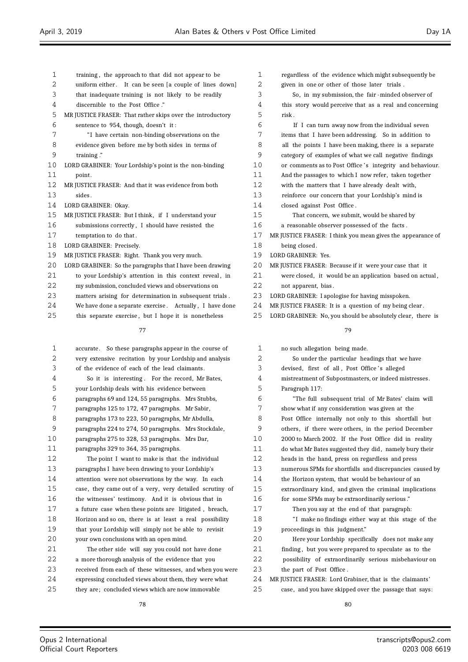| 1  | training, the approach to that did not appear to be        | 1                 | regardless of tl         |
|----|------------------------------------------------------------|-------------------|--------------------------|
| 2  | uniform either. It can be seen [a couple of lines down]    | 2                 | given in one or          |
| 3  | that inadequate training is not likely to be readily       | 3                 | So, in my s              |
| 4  | discernible to the Post Office."                           | 4                 | this story wou           |
| 5  | MR JUSTICE FRASER: That rather skips over the introductory | 5                 | risk.                    |
| 6  | sentence to 954, though, doesn't it:                       | 6                 | If I can tu              |
| 7  | "I have certain non-binding observations on the            | 7                 | items that I ha          |
| 8  | evidence given before me by both sides in terms of         | 8                 | all the points           |
| 9  | training."                                                 | 9                 | category of exa          |
| 10 | LORD GRABINER: Your Lordship's point is the non-binding    | 10                | or comments as           |
| 11 | point.                                                     | 11                | And the passage          |
| 12 | MR JUSTICE FRASER: And that it was evidence from both      | $12 \overline{ }$ | with the matter          |
| 13 | sides.                                                     | 13                | reinforce our c          |
| 14 | LORD GRABINER: Okay.                                       | 14                | closed against           |
| 15 | MR JUSTICE FRASER: But I think, if I understand your       | 15                | That concer              |
| 16 | submissions correctly, I should have resisted the          | 16                | a reasonable ob          |
| 17 | temptation to do that.                                     | 17                | MR JUSTICE FRASEF        |
| 18 | LORD GRABINER: Precisely.                                  | 18                | being closed.            |
| 19 | MR JUSTICE FRASER: Right. Thank you very much.             | 19                | <b>LORD GRABINER: Y</b>  |
| 20 | LORD GRABINER: So the paragraphs that I have been drawing  | 20                | MR JUSTICE FRASEF        |
| 21 | to your Lordship's attention in this context reveal, in    | 21                | were closed, it          |
| 22 | my submission, concluded views and observations on         | 22                | not apparent, b          |
| 23 | matters arising for determination in subsequent trials.    | 23                | <b>LORD GRABINER: I</b>  |
| 24 | We have done a separate exercise. Actually, I have done    | 24                | <b>MR JUSTICE FRASEF</b> |
| 25 | this separate exercise, but I hope it is nonetheless       | 25                | <b>LORD GRABINER: N</b>  |

| 1              | accurate. So these paragraphs appear in the course of    |
|----------------|----------------------------------------------------------|
| $\overline{2}$ | very extensive recitation by your Lordship and analysis  |
| 3              | of the evidence of each of the lead claimants.           |
| 4              | So it is interesting. For the record, Mr Bates,          |
| 5              | your Lordship deals with his evidence between            |
| 6              | paragraphs 69 and 124, 55 paragraphs. Mrs Stubbs,        |
| 7              | paragraphs 125 to 172, 47 paragraphs. Mr Sabir,          |
| 8              | paragraphs 173 to 223, 50 paragraphs, Mr Abdulla,        |
| 9              | paragraphs 224 to 274, 50 paragraphs. Mrs Stockdale,     |
| 10             | paragraphs 275 to 328, 53 paragraphs. Mrs Dar,           |
| 11             | paragraphs 329 to 364, 35 paragraphs.                    |
| 12             | The point I want to make is that the individual          |
| 13             | paragraphs I have been drawing to your Lordship's        |
| 14             | attention were not observations by the way. In each      |
| 15             | case, they came out of a very, very detailed scrutiny of |
| 16             | the witnesses' testimony. And it is obvious that in      |
| 17             | a future case when these points are litigated, breach,   |
| 18             | Horizon and so on, there is at least a real possibility  |
| 19             | that your Lordship will simply not be able to revisit    |
| 20             | your own conclusions with an open mind.                  |
| 21             | The other side will say you could not have done          |
| 22             | a more thorough analysis of the evidence that you        |
|                |                                                          |

received from each of these witnesses, and when you were

| $\mathbf 1$ | regardless of the evidence which might subsequently be      |
|-------------|-------------------------------------------------------------|
| 2           | given in one or other of those later trials.                |
| 3           | So, in my submission, the fair-minded observer of           |
| 4           | this story would perceive that as a real and concerning     |
| 5           | risk.                                                       |
| 6           | If I can turn away now from the individual seven            |
| 7           | items that I have been addressing. So in addition to        |
| 8           | all the points I have been making, there is a separate      |
| 9           | category of examples of what we call negative findings      |
| 10          | or comments as to Post Office's integrity and behaviour.    |
| 11          | And the passages to which I now refer, taken together       |
| 12          | with the matters that I have already dealt with,            |
| 13          | reinforce our concern that your Lordship's mind is          |
| 14          | closed against Post Office.                                 |
| 15          | That concern, we submit, would be shared by                 |
| 16          | a reasonable observer possessed of the facts.               |
| 17          | MR JUSTICE FRASER: I think you mean gives the appearance of |
| 18          | being closed.                                               |
| 19          | LORD GRABINER: Yes.                                         |
| 20          | MR JUSTICE FRASER: Because if it were your case that it     |
| 21          | were closed, it would be an application based on actual,    |
|             |                                                             |

- pias .
- apologise for having misspoken.
- R: It is a question of my being clear.
- No, you should be absolutely clear, there is

# 

| 1  | no such allegation being made.                           |
|----|----------------------------------------------------------|
| 2  | So under the particular headings that we have            |
| 3  | devised, first of all, Post Office's alleged             |
| 4  | mistreatment of Subpostmasters, or indeed mistresses.    |
| 5  | Paragraph 117:                                           |
| 6  | "The full subsequent trial of Mr Bates' claim will       |
| 7  | show what if any consideration was given at the          |
| 8  | Post Office internally not only to this shortfall but    |
| 9  | others, if there were others, in the period December     |
| 10 | 2000 to March 2002. If the Post Office did in reality    |
| 11 | do what Mr Bates suggested they did, namely bury their   |
| 12 | heads in the hand, press on regardless and press         |
| 13 | numerous SPMs for shortfalls and discrepancies caused by |
| 14 | the Horizon system, that would be behaviour of an        |
| 15 | extraordinary kind, and given the criminal implications  |
| 16 | for some SPMs may be extraordinarily serious."           |
| 17 | Then you say at the end of that paragraph:               |
| 18 | "I make no findings either way at this stage of the      |
| 19 | proceedings in this judgment."                           |
| 20 | Here your Lordship specifically does not make any        |
| 21 | finding, but you were prepared to speculate as to the    |
| 22 | possibility of extraordinarily serious misbehaviour on   |
| 23 | the part of Post Office.                                 |
| 24 | MR JUSTICE FRASER: Lord Grabiner, that is the claimants' |
|    |                                                          |

 case, and you have skipped over the passage that says: 

 expressing concluded views about them, they were what they are; concluded views which are now immovable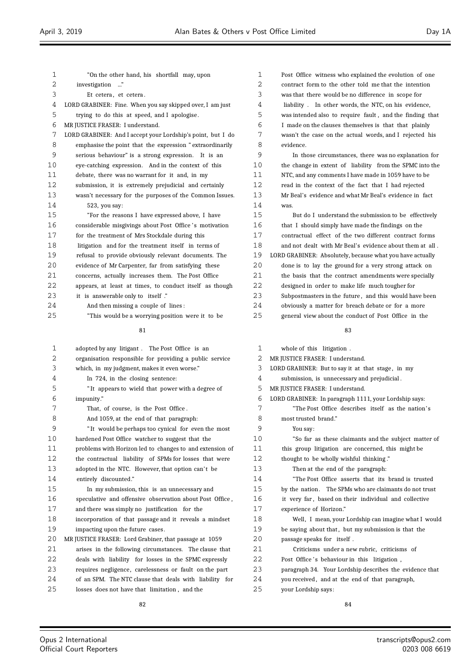| $\mathbf{1}$ | "On the other hand, his shortfall may, upon                 | 1           | Post Office witness who explained the evolution of one    |
|--------------|-------------------------------------------------------------|-------------|-----------------------------------------------------------|
| 2            | investigation "                                             | 2           | contract form to the other told me that the intention     |
| 3            | Et cetera, et cetera.                                       | 3           | was that there would be no difference in scope for        |
| 4            | LORD GRABINER: Fine. When you say skipped over, I am just   | 4           | liability. In other words, the NTC, on his evidence,      |
| 5            | trying to do this at speed, and I apologise.                | 5           | was intended also to require fault, and the finding that  |
| 6            | MR JUSTICE FRASER: I understand.                            | 6           | I made on the clauses themselves is that that plainly     |
| 7            | LORD GRABINER: And I accept your Lordship's point, but I do | 7           | wasn't the case on the actual words, and I rejected his   |
| 8            | emphasise the point that the expression "extraordinarily    | 8           | evidence.                                                 |
| 9            | serious behaviour" is a strong expression. It is an         | 9           | In those circumstances, there was no explanation for      |
| 10           | eye-catching expression. And in the context of this         | 10          | the change in extent of liability from the SPMC into the  |
| 11           | debate, there was no warrant for it and, in my              | 11          | NTC, and any comments I have made in 1059 have to be      |
| 12           | submission, it is extremely prejudicial and certainly       | 12          | read in the context of the fact that I had rejected       |
| 13           | wasn't necessary for the purposes of the Common Issues.     | 13          | Mr Beal's evidence and what Mr Beal's evidence in fact    |
| 14           | 523, you say:                                               | 14          | was.                                                      |
| 15           | "For the reasons I have expressed above, I have             | 15          | But do I understand the submission to be effectively      |
| 16           | considerable misgivings about Post Office's motivation      | 16          | that I should simply have made the findings on the        |
| 17           | for the treatment of Mrs Stockdale during this              | 17          | contractual effect of the two different contract forms    |
| 18           | litigation and for the treatment itself in terms of         | 18          | and not dealt with Mr Beal's evidence about them at all.  |
| 19           | refusal to provide obviously relevant documents. The        | 19          | LORD GRABINER: Absolutely, because what you have actually |
| 20           | evidence of Mr Carpenter, far from satisfying these         | 20          | done is to lay the ground for a very strong attack on     |
| 21           | concerns, actually increases them. The Post Office          | 21          | the basis that the contract amendments were specially     |
| 22           | appears, at least at times, to conduct itself as though     | 22          | designed in order to make life much tougher for           |
| 23           | it is answerable only to itself."                           | 23          | Subpostmasters in the future, and this would have been    |
| 24           | And then missing a couple of lines:                         | 24          | obviously a matter for breach debate or for a more        |
| 25           | "This would be a worrying position were it to be            | 25          | general view about the conduct of Post Office in the      |
|              | 81                                                          |             | 83                                                        |
| $\mathbf{1}$ | adopted by any litigant. The Post Office is an              | $\mathbf 1$ | whole of this litigation.                                 |
| 2            | organisation responsible for providing a public service     | 2           | MR JUSTICE FRASER: I understand.                          |
| 3            | which, in my judgment, makes it even worse."                | 3           | LORD GRABINER: But to say it at that stage, in my         |
| 4            | In 724, in the closing sentence:                            | 4           | submission, is unnecessary and prejudicial.               |
| 5            | "It appears to wield that power with a degree of            | 5           | MR JUSTICE FRASER: I understand.                          |
| 6            | impunity."                                                  | 6           | LORD GRABINER: In paragraph 1111, your Lordship says:     |

| 8  | And 1059, at the end of that paragraph:                  |
|----|----------------------------------------------------------|
| -9 | "It would be perhaps too cynical for even the most       |
| 10 | hardened Post Office watcher to suggest that the         |
| 11 | problems with Horizon led to changes to and extension of |

That, of course, is the Post Office .

 the contractual liability of SPMs for losses that were 13 adopted in the NTC. However, that option can't be entirely discounted." In my submission, this is an unnecessary and speculative and offensive observation about Post Office ,

and there was simply no justification for the

 incorporation of that passage and it reveals a mindset impacting upon the future cases .

MR JUSTICE FRASER: Lord Grabiner, that passage at 1059

- arises in the following circumstances. The clause that
- deals with liability for losses in the SPMC expressly
- requires negligence, carelessness or fault on the part of an SPM. The NTC clause that deals with liability for
- losses does not have that limitation , and the

paragraph 34. Your Lordship describes the evidence that

"The Post Office describes itself as the nation's

 "So far as these claimants and the subject matter of this group litigation are concerned, this might be

 "The Post Office asserts that its brand is trusted by the nation. The SPMs who are claimants do not trust it very far , based on their individual and collective

 Well, I mean, your Lordship can imagine what I would be saying about that , but my submission is that the

 Criticisms under a new rubric, criticisms of 22 Post Office's behaviour in this litigation,

24 you received, and at the end of that paragraph,

 thought to be wholly wishful thinking ." Then at the end of the paragraph:

 most trusted brand." You say:

experience of Horizon."

passage speaks for itself .

your Lordship says: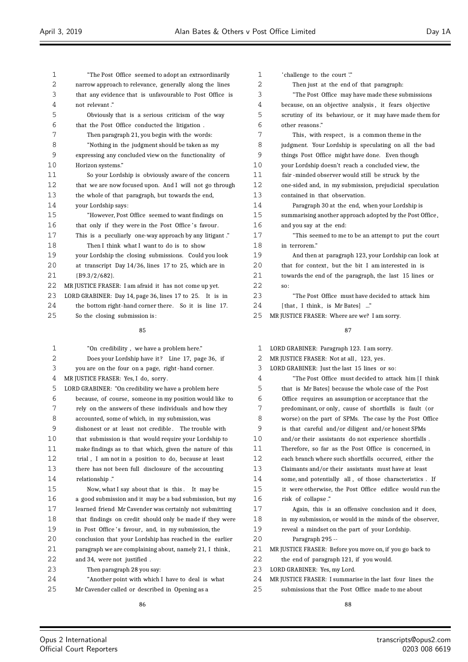| 1  | "The Post Office seemed to adopt an extraordinarily      | $\mathbf 1$    | 'chal           |
|----|----------------------------------------------------------|----------------|-----------------|
| 2  | narrow approach to relevance, generally along the lines  | $\overline{2}$ | ŋ               |
| 3  | that any evidence that is unfavourable to Post Office is | 3              | $\bullet$       |
| 4  | not relevant."                                           | 4              | beca            |
| 5  | Obviously that is a serious criticism of the way         | 5              | scrut           |
| 6  | that the Post Office conducted the litigation.           | 6              | other           |
| 7  | Then paragraph 21, you begin with the words:             | 7              | ŋ               |
| 8  | "Nothing in the judgment should be taken as my           | 8              | judgi           |
| 9  | expressing any concluded view on the functionality of    | 9              | thing           |
| 10 | Horizon systems."                                        | 10             | your            |
| 11 | So your Lordship is obviously aware of the concern       | 11             | fair -          |
| 12 | that we are now focused upon. And I will not go through  | 12             | one-s           |
| 13 | the whole of that paragraph, but towards the end,        | 13             | conta           |
| 14 | your Lordship says:                                      | 14             | I               |
| 15 | "However, Post Office seemed to want findings on         | 15             | sumr            |
| 16 | that only if they were in the Post Office's favour.      | 16             | and y           |
| 17 | This is a peculiarly one-way approach by any litigant."  | 17             | y.              |
| 18 | Then I think what I want to do is to show                | 18             | in te           |
| 19 | your Lordship the closing submissions. Could you look    | 19             | I               |
| 20 | at transcript Day 14/36, lines 17 to 25, which are in    | 20             | that            |
| 21 | $\{B9.3/2/682\}.$                                        | 21             | towa            |
| 22 | MR JUSTICE FRASER: I am afraid it has not come up yet.   | 22             | SO:             |
| 23 | LORD GRABINER: Day 14, page 36, lines 17 to 25. It is in | 23             |                 |
| 24 | the bottom right-hand corner there. So it is line 17.    | 24             | [that           |
| 25 | So the closing submission is:                            | 25             | MR JUSTI        |
|    | 85                                                       |                |                 |
| 1  | "On credibility, we have a problem here."                | 1              | <b>LORD GR</b>  |
| 2  | Does your Lordship have it? Line 17, page 36, if         | 2              | <b>MR JUSTI</b> |
| 3  | you are on the four on a page, right-hand corner.        | 3              | <b>LORD GR</b>  |
| 4  | MR JUSTICE FRASER: Yes, I do, sorry.                     | 4              |                 |
| 5  | LORD GRABINER: "On credibility we have a problem here    | 5              | that            |

 because, of course, someone in my position would like to rely on the answers of these individuals and how they accounted, some of which, in my submission, was dishonest or at least not credible . The trouble with that submission is that would require your Lordship to make findings as to that which, given the nature of this trial , I am not in a position to do, because at least there has not been full disclosure of the accounting relationship ." Now, what I say about that is this . It may be a good submission and it may be a bad submission, but my

 learned friend Mr Cavender was certainly not submitting that findings on credit should only be made if they were 19 in Post Office 's favour, and, in my submission, the conclusion that your Lordship has reached in the earlier paragraph we are complaining about, namely 21, I think , and 34, were not justified .

Then paragraph 28 you say:

 "Another point with which I have to deal is what Mr Cavender called or described in Opening as a

llenge to the court ". Then just at the end of that paragraph: The Post Office may have made these submissions use, on an objective analysis, it fears objective tiny of its behaviour, or it may have made them for r reasons ." This, with respect, is a common theme in the ment. Your Lordship is speculating on all the bad gs Post Office might have done. Even though Lordship doesn't reach a concluded view, the minded observer would still be struck by the sided and, in my submission, prejudicial speculation ained in that observation. Paragraph 30 at the end, when your Lordship is marising another approach adopted by the Post Office , you say at the end: This seemed to me to be an attempt to put the court .<br>rrorem." And then at paragraph 123, your Lordship can look at for context, but the bit I am interested in is rds the end of the paragraph, the last 15 lines or The Post Office must have decided to attack him , I think, is  $Mr$  Bates] ..." ICE FRASER: Where are we? I am sorry. 

| $\mathbf{1}$ | LORD GRABINER: Paragraph 123. I am sorry.                 |
|--------------|-----------------------------------------------------------|
| 2            | MR JUSTICE FRASER: Not at all, 123, yes.                  |
| 3            | LORD GRABINER: Just the last 15 lines or so:              |
| 4            | "The Post Office must decided to attack him [I think      |
| 5            | that is Mr Bates] because the whole case of the Post      |
| 6            | Office requires an assumption or acceptance that the      |
| 7            | predominant, or only, cause of shortfalls is fault (or    |
| 8            | worse) on the part of SPMs. The case by the Post Office   |
| 9            | is that careful and/or diligent and/or honest SPMs        |
| 10           | and/or their assistants do not experience shortfalls.     |
| 11           | Therefore, so far as the Post Office is concerned, in     |
| 12           | each branch where such shortfalls occurred, either the    |
| 13           | Claimants and/or their assistants must have at least      |
| 14           | some, and potentially all, of those characteristics. If   |
| 15           | it were otherwise, the Post Office edifice would run the  |
| 16           | risk of collapse."                                        |
| 17           | Again, this is an offensive conclusion and it does,       |
| 18           | in my submission, or would in the minds of the observer,  |
| 19           | reveal a mindset on the part of your Lordship.            |
| 20           | Paragraph 295 --                                          |
| 21           | MR JUSTICE FRASER: Before you move on, if you go back to  |
| 22           | the end of paragraph 121, if you would.                   |
| 23           | LORD GRABINER: Yes, my Lord.                              |
| 24           | MR JUSTICE FRASER: I summarise in the last four lines the |
| 25           | submissions that the Post Office made to me about         |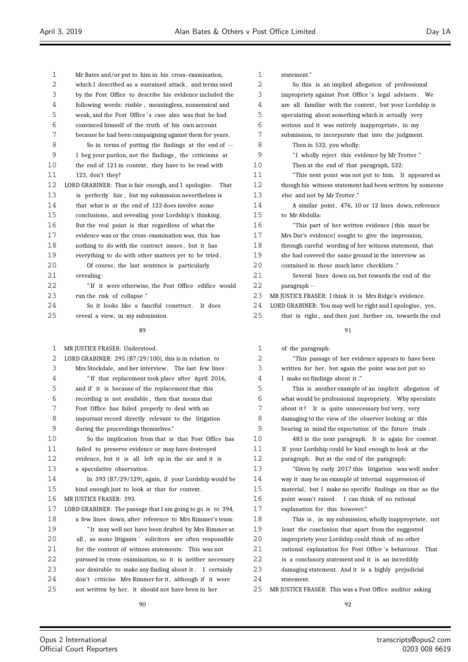| 1        | Mr Bates and/or put to him in his cross-examination,                                                            | 1        | statement."                                                                                             |
|----------|-----------------------------------------------------------------------------------------------------------------|----------|---------------------------------------------------------------------------------------------------------|
| 2        | which I described as a sustained attack, and terms used                                                         | 2        | So this is an implied allegation of professional                                                        |
| 3        | by the Post Office to describe his evidence included the                                                        | 3        | impropriety against Post Office's legal advisers. We                                                    |
| 4        | following words: risible, meaningless, nonsensical and                                                          | 4        | are all familiar with the context, but your Lordship is                                                 |
| 5        | weak, and the Post Office's case also was that he had                                                           | 5        | speculating about something which is actually very                                                      |
| 6        | convinced himself of the truth of his own account                                                               | 6        | serious and it was entirely inappropriate, in my                                                        |
| 7        | because he had been campaigning against them for years.                                                         | 7        | submission, to incorporate that into the judgment.                                                      |
| 8        | So in terms of putting the findings at the end of --                                                            | 8        | Then in 532, you wholly:                                                                                |
| 9        | I beg your pardon, not the findings, the criticisms at                                                          | 9        | "I wholly reject this evidence by Mr Trotter."                                                          |
| 10       | the end of 121 in context, they have to be read with                                                            | 10       | Then at the end of that paragraph, 532:                                                                 |
| 11       | 123, don't they?                                                                                                | 11       | "This next point was not put to him. It appeared as                                                     |
| 12       | LORD GRABINER: That is fair enough, and I apologise. That                                                       | 12       | though his witness statement had been written by someone                                                |
| 13       | is perfectly fair, but my submission nevertheless is                                                            | 13       | else and not by Mr Trotter."                                                                            |
| 14       | that what is at the end of 123 does involve some                                                                | 14       | A similar point, 476, 10 or 12 lines down, reference                                                    |
| 15       | conclusions, and revealing your Lordship's thinking.                                                            | 15       | to Mr Abdulla:                                                                                          |
| 16       | But the real point is that regardless of what the                                                               | 16       | "This part of her written evidence [this must be                                                        |
| 17       | evidence was or the cross-examination was, this has                                                             | 17       | Mrs Dar's evidence] sought to give the impression,                                                      |
| 18       | nothing to do with the contract issues, but it has                                                              | 18       | through careful wording of her witness statement, that                                                  |
| 19       | everything to do with other matters yet to be tried.                                                            | 19       | she had covered the same ground in the interview as                                                     |
| 20       | Of course, the last sentence is particularly                                                                    | 20       | contained in these much later checklists."                                                              |
| 21       | revealing:                                                                                                      | 21       | Several lines down on, but towards the end of the                                                       |
| 22       | "If it were otherwise, the Post Office edifice would                                                            | 22       | paragraph --                                                                                            |
| 23       | run the risk of collapse."                                                                                      | 23       | MR JUSTICE FRASER: I think it is Mrs Ridge's evidence.                                                  |
| 24       |                                                                                                                 |          |                                                                                                         |
|          | So it looks like a fanciful construct. It does                                                                  | 24       | LORD GRABINER: You may well be right and I apologise, yes,                                              |
| 25       | reveal a view, in my submission.                                                                                | 25       | that is right, and then just further on, towards the end                                                |
|          | 89                                                                                                              |          | 91                                                                                                      |
| 1        | MR JUSTICE FRASER: Understood.                                                                                  | 1        | of the paragraph:                                                                                       |
| 2        | LORD GRABINER: $295 \{B7/29/100\}$ , this is in relation to                                                     | 2        | "This passage of her evidence appears to have been                                                      |
| 3        | Mrs Stockdale, and her interview. The last few lines:                                                           | 3        | written for her, but again the point was not put so                                                     |
| 4        | "If that replacement took place after April 2016,                                                               | 4        | I make no findings about it."                                                                           |
| 5        | and if it is because of the replacement that this                                                               | 5        | This is another example of an implicit allegation of                                                    |
| 6        | recording is not available, then that means that                                                                | 6        | what would be professional impropriety.  Why speculate                                                  |
| 7        | Post Office has failed properly to deal with an                                                                 | 7        | about it? It is quite unnecessary but very, very                                                        |
| 8        | important record directly relevant to the litigation                                                            | 8        | damaging to the view of the observer looking at this                                                    |
| 9        | during the proceedings themselves."                                                                             | 9        | bearing in mind the expectation of the future trials.                                                   |
| 10       | So the implication from that is that Post Office has                                                            | 10       | 483 is the next paragraph. It is again for context.                                                     |
| 11       | failed to preserve evidence or may have destroyed                                                               | 11       | If your Lordship could be kind enough to look at the                                                    |
| 12       | evidence, but it is all left up in the air and it is                                                            | 12       | paragraph. But at the end of the paragraph:                                                             |
| 13       | a speculative observation.                                                                                      | 13       | "Given by early 2017 this litigation was well under                                                     |
| 14       | In 393 $(B7/29/129)$ , again, if your Lordship would be                                                         | 14       | way it may be an example of internal suppression of                                                     |
| 15       | kind enough just to look at that for context.                                                                   | 15       | material, but I make no specific findings on that as the                                                |
| 16       | MR JUSTICE FRASER: 393.                                                                                         | 16       | point wasn't raised. I can think of no rational                                                         |
| 17       | LORD GRABINER: The passage that I am going to go is to 394,                                                     | 17       | explanation for this however."                                                                          |
| 18       | a few lines down, after reference to Mrs Rimmer's team:                                                         | 18       | This is, in my submission, wholly inappropriate, not                                                    |
| 19<br>20 | "It may well not have been drafted by Mrs Rimmer at<br>all, as some litigants' solicitors are often responsible | 19<br>20 | least the conclusion that apart from the suggested<br>impropriety your Lordship could think of no other |

 for the content of witness statements. This was not pursued in cross-examination, so it is neither necessary 21 rational explanation for Post Office's behaviour. That

- is a conclusory statement and it is an incredibly
- damaging statement. And it is a highly prejudicial statement.
- MR JUSTICE FRASER: This was a Post Office auditor asking

 nor desirable to make any finding about it . I certainly don't criticise Mrs Rimmer for it , although if it were not written by her, it should not have been in her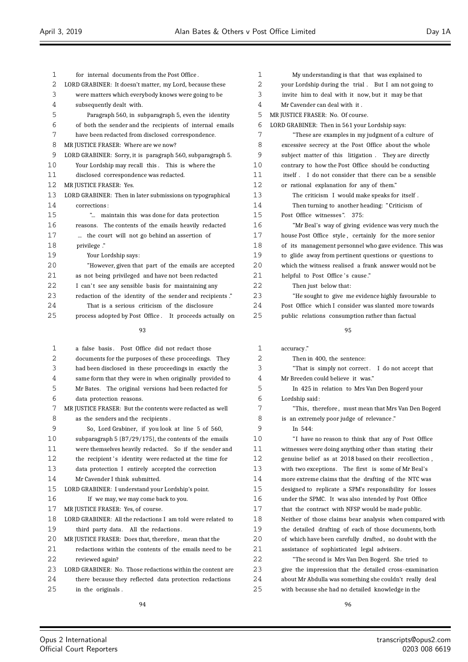| $\mathbf{1}$ | for internal documents from the Post Office.               | 1  | My understanding is that that was explained to     |
|--------------|------------------------------------------------------------|----|----------------------------------------------------|
| 2            | LORD GRABINER: It doesn't matter, my Lord, because these   | 2  | your Lordship during the trial. But I am not goin  |
| 3            | were matters which everybody knows were going to be        | 3  | invite him to deal with it now, but it may be that |
| 4            | subsequently dealt with.                                   | 4  | Mr Cavender can deal with it.                      |
| 5            | Paragraph 560, in subparagraph 5, even the identity        | 5  | MR JUSTICE FRASER: No. Of course.                  |
| 6            | of both the sender and the recipients of internal emails   | 6  | LORD GRABINER: Then in 561 your Lordship says:     |
| 7            | have been redacted from disclosed correspondence.          | 7  | "These are examples in my judgment of a cultur     |
| 8            | MR JUSTICE FRASER: Where are we now?                       | 8  | excessive secrecy at the Post Office about the wh  |
| 9            | LORD GRABINER: Sorry, it is paragraph 560, subparagraph 5. | 9  | subject matter of this litigation. They are direc  |
| 10           | Your Lordship may recall this. This is where the           | 10 | contrary to how the Post Office should be conducti |
| 11           | disclosed correspondence was redacted.                     | 11 | itself. I do not consider that there can be a ser  |
| 12           | MR JUSTICE FRASER: Yes.                                    | 12 | or rational explanation for any of them."          |
| 13           | LORD GRABINER: Then in later submissions on typographical  | 13 | The criticism I would make speaks for itself.      |
| 14           | corrections:                                               | 14 | Then turning to another heading: "Criticism of     |
| 15           | " maintain this was done for data protection               | 15 | Post Office witnesses". 375:                       |
| 16           | reasons. The contents of the emails heavily redacted       | 16 | "Mr Beal's way of giving evidence was very mu      |
| 17           | the court will not go behind an assertion of               | 17 | house Post Office style, certainly for the more se |
| 18           | privilege."                                                | 18 | of its management personnel who gave evidence. T   |
| 19           | Your Lordship says:                                        | 19 | to glide away from pertinent questions or question |
| 20           | "However, given that part of the emails are accepted       | 20 | which the witness realised a frank answer would n  |
| 21           | as not being privileged and have not been redacted         | 21 | helpful to Post Office's cause."                   |
| 22           | I can't see any sensible basis for maintaining any         | 22 | Then just below that:                              |
| 23           | redaction of the identity of the sender and recipients."   | 23 | "He sought to give me evidence highly favourab     |
| 24           | That is a serious criticism of the disclosure              | 24 | Post Office which I consider was slanted more tow  |
| 25           | process adopted by Post Office. It proceeds actually on    | 25 | public relations consumption rather than factual   |

| 1    | a false basis. Post Office did not redact those             |
|------|-------------------------------------------------------------|
| 2    | documents for the purposes of these proceedings. They       |
| 3    | had been disclosed in these proceedings in exactly the      |
| 4    | same form that they were in when originally provided to     |
| 5    | Mr Bates. The original versions had been redacted for       |
| 6    | data protection reasons.                                    |
| 7    | MR JUSTICE FRASER: But the contents were redacted as well   |
| 8    | as the senders and the recipients.                          |
| 9    | So, Lord Grabiner, if you look at line 5 of 560,            |
| 10   | subparagraph $5 \{B7/29/175\}$ , the contents of the emails |
| 11   | were themselves heavily redacted. So if the sender and      |
| 12   | the recipient's identity were redacted at the time for      |
| 13   | data protection I entirely accepted the correction          |
| 14   | Mr Cavender I think submitted.                              |
| 15   | LORD GRABINER: I understand your Lordship's point.          |
| 16   | If we may, we may come back to you.                         |
| 17   | MR JUSTICE FRASER: Yes, of course.                          |
| 18   | LORD GRABINER: All the redactions I am told were related to |
| 19   | third party data. All the redactions.                       |
| 20   | MR JUSTICE FRASER: Does that, therefore, mean that the      |
| 21   | redactions within the contents of the emails need to be     |
| 2.2. | reviewed again?                                             |
| 23   | LORD GRABINER: No. Those redactions within the content are  |
| 24   | there because they reflected data protection redactions     |
| 25   | in the originals.                                           |

the trial . But I am not going to ith it now, but it may be that with it. Of course. 1 561 your Lordship says: ples in my judgment of a culture of the Post Office about the whole is litigation . They are directly Post Office should be conducting nsider that there can be a sensible on for any of them." would make speaks for itself. another heading: " Criticism of ". 375: of giving evidence was very much the yle, certainly for the more senior 18 oersonnel who gave evidence. This was ertinent questions or questions to alised a frank answer would not be e's cause." Then just below that: e me evidence highly favourable to Post Office which I consider was slanted more towards sumption rather than factual 

# accuracy ." Then in 400, the sentence: "That is simply not correct . I do not accept that Mr Breeden could believe it was." In 425 in relation to Mrs Van Den Bogerd your Lordship said: "This, therefore , must mean that Mrs Van Den Bogerd 8 is an extremely poor judge of relevance." In 544: 10 T I have no reason to think that any of Post Office witnesses were doing anything other than stating their genuine belief as at 2018 based on their recollection , with two exceptions. The first is some of Mr Beal's more extreme claims that the drafting of the NTC was designed to replicate a SPM's responsibility for losses under the SPMC. It was also intended by Post Office that the contract with NFSP would be made public. Neither of those claims bear analysis when compared with the detailed drafting of each of those documents, both of which have been carefully drafted , no doubt with the assistance of sophisticated legal advisers . "The second is Mrs Van Den Bogerd. She tried to give the impression that the detailed cross-examination

 about Mr Abdulla was something she couldn't really deal with because she had no detailed knowledge in the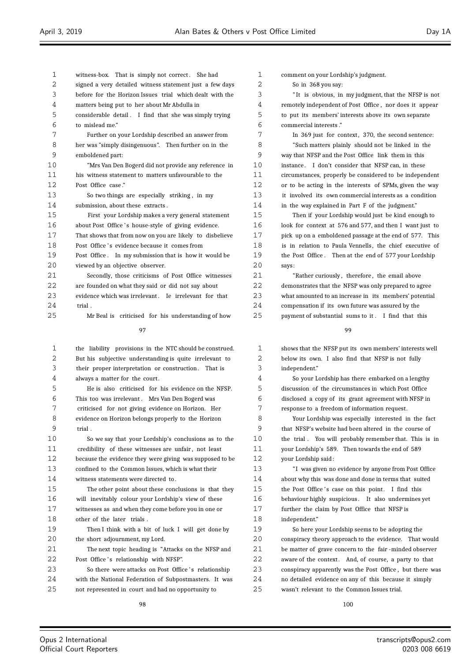| 1  | witness-box. That is simply not correct. She had         |                  |
|----|----------------------------------------------------------|------------------|
| 2  | signed a very detailed witness statement just a few days |                  |
| 3  | before for the Horizon Issues trial which dealt with the |                  |
| 4  | matters being put to her about Mr Abdulla in             |                  |
| 5  | considerable detail. I find that she was simply trying   |                  |
| 6  | to mislead me."                                          |                  |
| 7  | Further on your Lordship described an answer from        |                  |
| 8  | her was "simply disingenuous". Then further on in the    |                  |
| 9  | emboldened part:                                         |                  |
| 10 | "Mrs Van Den Bogerd did not provide any reference in     | 1                |
| 11 | his witness statement to matters unfavourable to the     | 1                |
| 12 | Post Office case."                                       | 1:               |
| 13 | So two things are especially striking, in my             | $\mathbf{1}$     |
| 14 | submission, about these extracts.                        | $1\cdot$         |
| 15 | First your Lordship makes a very general statement       | 1                |
| 16 | about Post Office's house-style of giving evidence.      | 1 <sub>1</sub>   |
| 17 | That shows that from now on you are likely to disbelieve | $1^{\circ}$      |
| 18 | Post Office's evidence because it comes from             | 1                |
| 19 | Post Office. In my submission that is how it would be    | 1                |
| 20 | viewed by an objective observer.                         | 2 <sub>1</sub>   |
| 21 | Secondly, those criticisms of Post Office witnesses      | $\overline{2}$   |
| 22 | are founded on what they said or did not say about       | $\overline{2}$ : |
| 23 | evidence which was irrelevant. Ie irrelevant for that    | $\overline{2}$   |
| 24 | trial.                                                   | 2 <sub>1</sub>   |
| 25 | Mr Beal is criticised for his understanding of how       | $\mathbf{2}$     |
|    | 97                                                       |                  |
| 1  | the liability provisions in the NTC should be construed. |                  |
| 2  | But his subjective understanding is quite irrelevant to  |                  |
| 3  | their proper interpretation or construction.<br>That is  |                  |

 He is also criticised for his evidence on the NFSP. This too was irrelevant . Mrs Van Den Bogerd was criticised for not giving evidence on Horizon. Her evidence on Horizon belongs properly to the Horizon trial .

always a matter for the court .

 So we say that your Lordship's conclusions as to the credibility of these witnesses are unfair , not least because the evidence they were giving was supposed to be confined to the Common Issues, which is what their witness statements were directed to .

 The other point about these conclusions is that they will inevitably colour your Lordship's view of these witnesses as and when they come before you in one or other of the later trials .

 Then I think with a bit of luck I will get done by the short adjournment, my Lord.

 The next topic heading is "Attacks on the NFSP and 22 Post Office's relationship with NFSP".

| -23 | So there were attacks on Post Office's relationship    |
|-----|--------------------------------------------------------|
| 24  | with the National Federation of Subpostmasters. It was |
| -25 | not represented in court and had no opportunity to     |

comment on your Lordship's judgment.

So in 368 you say:

 " It is obvious, in my judgment, that the NFSP is not remotely independent of Post Office , nor does it appear to put its members' interests above its own separate commercial interests ."

7 In 369 just for context, 370, the second sentence: "Such matters plainly should not be linked in the way that NFSP and the Post Office link them in this instance . I don't consider that NFSP can, in these circumstances, properly be considered to be independent or to be acting in the interests of SPMs, given the way it involved its own commercial interests as a condition in the way explained in Part F of the judgment."

 Then if your Lordship would just be kind enough to look for context at 576 and 577, and then I want just to pick up on a emboldened passage at the end of 577. This 8 is in relation to Paula Vennells, the chief executive of the Post Office . Then at the end of 577 your Lordship says:

 "Rather curiously , therefore , the email above demonstrates that the NFSP was only prepared to agree what amounted to an increase in its members' potential compensation if its own future was assured by the payment of substantial sums to it . I find that this

 $\alpha$ 

 shows that the NFSP put its own members' interests well below its own. I also find that NFSP is not fully independent."

 So your Lordship has there embarked on a lengthy discussion of the circumstances in which Post Office disclosed a copy of its grant agreement with NFSP in response to a freedom of information request.

 Your Lordship was especially interested in the fact that NFSP's website had been altered in the course of the trial . You will probably remember that. This is in your Lordship's 589. Then towards the end of 589 your Lordship said:

13 T was given no evidence by anyone from Post Office about why this was done and done in terms that suited 15 the Post Office's case on this point. I find this behaviour highly suspicious . It also undermines yet further the claim by Post Office that NFSP is independent."

 So here your Lordship seems to be adopting the conspiracy theory approach to the evidence. That would be matter of grave concern to the fair -minded observer 22 aware of the context. And, of course, a party to that conspiracy apparently was the Post Office , but there was no detailed evidence on any of this because it simply wasn't relevant to the Common Issues trial.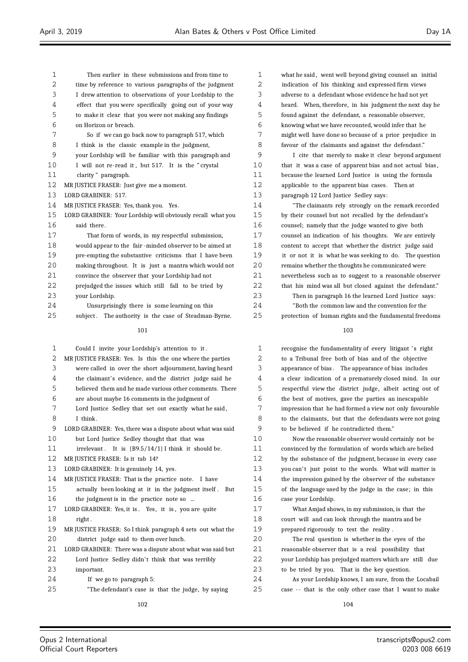| 1                 | Then earlier in these submissions and from time to          |
|-------------------|-------------------------------------------------------------|
| 2                 | time by reference to various paragraphs of the judgment     |
| 3                 | I drew attention to observations of your Lordship to the    |
| 4                 | effect that you were specifically going out of your way     |
| 5                 | to make it clear that you were not making any findings      |
| 6                 | on Horizon or breach.                                       |
| 7                 | So if we can go back now to paragraph 517, which            |
| 8                 | I think is the classic example in the judgment,             |
| 9                 | your Lordship will be familiar with this paragraph and      |
| 10                | I will not re-read it, but 517. It is the "crystal          |
| 11                | clarity " paragraph.                                        |
| $12 \overline{ }$ | MR JUSTICE FRASER: Just give me a moment.                   |
| 13                | LORD GRABINER: 517.                                         |
| 14                | MR JUSTICE FRASER: Yes, thank you. Yes.                     |
| 15                | LORD GRABINER: Your Lordship will obviously recall what you |
| 16                | said there.                                                 |
| 17                | That form of words, in my respectful submission,            |
| 18                | would appear to the fair -minded observer to be aimed at    |
| 19                | pre-empting the substantive criticisms that I have been     |
| 20                | making throughout. It is just a mantra which would not      |
| 21                | convince the observer that your Lordship had not            |
| 22                | prejudged the issues which still fall to be tried by        |
| 23                | your Lordship.                                              |
| 24                | Unsurprisingly there is some learning on this               |
| 25                | subject. The authority is the case of Steadman-Byrne.       |
|                   | 1 <sub>0</sub> 1                                            |

| $\mathbf{1}$      | Could I invite your Lordship's attention to it.             |
|-------------------|-------------------------------------------------------------|
| 2                 | MR JUSTICE FRASER: Yes. Is this the one where the parties   |
| 3                 | were called in over the short adjournment, having heard     |
| 4                 | the claimant's evidence, and the district judge said he     |
| 5                 | believed them and he made various other comments. There     |
| 6                 | are about maybe 16 comments in the judgment of              |
| 7                 | Lord Justice Sedley that set out exactly what he said,      |
| 8                 | I think.                                                    |
| 9                 | LORD GRABINER: Yes, there was a dispute about what was said |
| 10                | but Lord Justice Sedley thought that that was               |
| 11                | irrelevant. It is ${B9.5/14/1}$ I think it should be.       |
| $12 \overline{)}$ | MR JUSTICE FRASER: Is it tab 14?                            |
| 13                | LORD GRABINER: It is genuinely 14, yes.                     |
| 14                | MR JUSTICE FRASER: That is the practice note. I have        |
| 15                | actually been looking at it in the judgment itself.<br>But  |
| 16                | the judgment is in the practice note so                     |
| 17                | LORD GRABINER: Yes, it is. Yes, it is, you are quite        |
| 18                | right.                                                      |
| 19                | MR JUSTICE FRASER: So I think paragraph 4 sets out what the |
| 20                | district judge said to them over lunch.                     |
| 21                | LORD GRABINER: There was a dispute about what was said but  |
| 22                | Lord Justice Sedley didn't think that was terribly          |
| 23                | important.                                                  |
| 24                | If we go to paragraph 5:                                    |
| 25                | "The defendant's case is that the judge, by saying          |

 what he said , went well beyond giving counsel an initial indication of his thinking and expressed firm views adverse to a defendant whose evidence he had not yet heard. When, therefore, in his judgment the next day he found against the defendant, a reasonable observer, knowing what we have recounted, would infer that he might well have done so because of a prior prejudice in favour of the claimants and against the defendant." I cite that merely to make it clear beyond argument that it was a case of apparent bias and not actual bias , because the learned Lord Justice is using the formula 12 applicable to the apparent bias cases. Then at

paragraph 12 Lord Justice Sedley says:

 "The claimants rely strongly on the remark recorded by their counsel but not recalled by the defendant's counsel; namely that the judge wanted to give both counsel an indication of his thoughts. We are entirely content to accept that whether the district judge said it or not it is what he was seeking to do. The question remains whether the thoughts he communicated were nevertheless such as to suggest to a reasonable observer that his mind was all but closed against the defendant."

 Then in paragraph 16 the learned Lord Justice says: "Both the common law and the convention for the

protection of human rights and the fundamental freedoms

# 

1 recognise the fundamentality of every litigant 's right to a Tribunal free both of bias and of the objective appearance of bias . The appearance of bias includes a clear indication of a prematurely closed mind. In our respectful view the district judge, albeit acting out of the best of motives, gave the parties an inescapable impression that he had formed a view not only favourable to the claimants, but that the defendants were not going to be believed if he contradicted them."

 Now the reasonable observer would certainly not be convinced by the formulation of words which are belied by the substance of the judgment, because in every case 13 you can't just point to the words. What will matter is the impression gained by the observer of the substance of the language used by the judge in the case; in this case your Lordship.

 What Amjad shows, in my submission, is that the court will and can look through the mantra and be prepared rigorously to test the reality .

 The real question is whether in the eyes of the reasonable observer that is a real possibility that your Lordship has prejudged matters which are still due to be tried by you. That is the key question.

 As your Lordship knows, I am sure, from the Locabail case - - that is the only other case that I want to make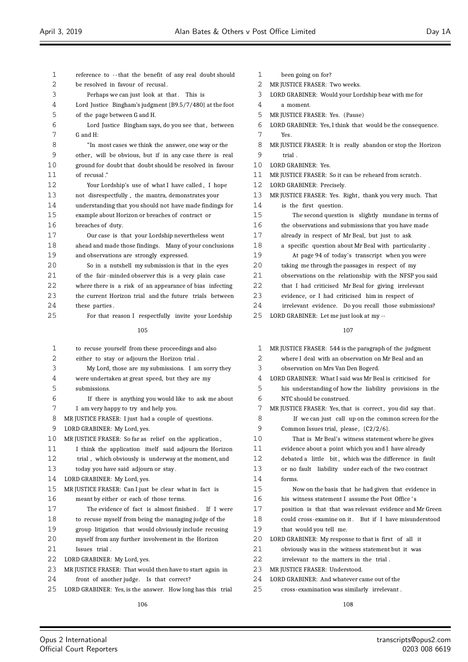$\equiv$ 

| 1  | reference to -- that the benefit of any real doubt should  | 1  | been going on for?                                          |
|----|------------------------------------------------------------|----|-------------------------------------------------------------|
| 2  | be resolved in favour of recusal.                          | 2  | MR JUSTICE FRASER: Two weeks.                               |
| 3  | Perhaps we can just look at that. This is                  | 3  | LORD GRABINER: Would your Lordship bear with me for         |
| 4  | Lord Justice Bingham's judgment {B9.5/7/480} at the foot   | 4  | a moment.                                                   |
| 5  | of the page between G and H.                               | 5  | MR JUSTICE FRASER: Yes. (Pause)                             |
| 6  | Lord Justice Bingham says, do you see that, between        | 6  | LORD GRABINER: Yes, I think that would be the consequence.  |
| 7  | G and H:                                                   | 7  | Yes.                                                        |
| 8  | "In most cases we think the answer, one way or the         | 8  | MR JUSTICE FRASER: It is really abandon or stop the Horizon |
| 9  | other, will be obvious, but if in any case there is real   | 9  | trial.                                                      |
| 10 | ground for doubt that doubt should be resolved in favour   | 10 | LORD GRABINER: Yes.                                         |
| 11 | of recusal."                                               | 11 | MR JUSTICE FRASER: So it can be reheard from scratch.       |
| 12 | Your Lordship's use of what I have called, I hope          | 12 | LORD GRABINER: Precisely.                                   |
| 13 | not disrespectfully, the mantra, demonstrates your         | 13 | MR JUSTICE FRASER: Yes. Right, thank you very much. That    |
| 14 | understanding that you should not have made findings for   | 14 | is the first question.                                      |
| 15 | example about Horizon or breaches of contract or           | 15 | The second question is slightly mundane in terms of         |
| 16 | breaches of duty.                                          | 16 | the observations and submissions that you have made         |
| 17 | Our case is that your Lordship nevertheless went           | 17 | already in respect of Mr Beal, but just to ask              |
| 18 | ahead and made those findings. Many of your conclusions    | 18 | a specific question about Mr Beal with particularity.       |
| 19 | and observations are strongly expressed.                   | 19 | At page 94 of today's transcript when you were              |
| 20 | So in a nutshell my submission is that in the eyes         | 20 | taking me through the passages in respect of my             |
| 21 | of the fair-minded observer this is a very plain case      | 21 | observations on the relationship with the NFSP you said     |
| 22 | where there is a risk of an appearance of bias infecting   | 22 | that I had criticised Mr Beal for giving irrelevant         |
| 23 | the current Horizon trial and the future trials between    | 23 | evidence, or I had criticised him in respect of             |
| 24 | these parties.                                             | 24 | irrelevant evidence. Do you recall those submissions?       |
| 25 | For that reason I respectfully invite your Lordship        | 25 | LORD GRABINER: Let me just look at my --                    |
|    |                                                            |    |                                                             |
|    | 105                                                        |    | 107                                                         |
| 1  | to recuse yourself from these proceedings and also         | 1  | MR JUSTICE FRASER: 544 is the paragraph of the judgment     |
| 2  | either to stay or adjourn the Horizon trial.               | 2  | where I deal with an observation on Mr Beal and an          |
| 3  | My Lord, those are my submissions. I am sorry they         | 3  | observation on Mrs Van Den Bogerd.                          |
| 4  | were undertaken at great speed, but they are my            | 4  | LORD GRABINER: What I said was Mr Beal is criticised for    |
| 5  | submissions.                                               | 5  | his understanding of how the liability provisions in the    |
| 6  | If there is anything you would like to ask me about        | 6  | NTC should be construed.                                    |
| 7  | I am very happy to try and help you.                       | 7  | MR JUSTICE FRASER: Yes, that is correct, you did say that.  |
| 8  | MR JUSTICE FRASER: I just had a couple of questions.       | 8  | If we can just call up on the common screen for the         |
| 9  | LORD GRABINER: My Lord, yes.                               | 9  | Common Issues trial, please, $\{C2/2/6\}$ .                 |
| 10 | MR JUSTICE FRASER: So far as relief on the application,    | 10 | That is Mr Beal's witness statement where he gives          |
| 11 | I think the application itself said adjourn the Horizon    | 11 | evidence about a point which you and I have already         |
| 12 | trial, which obviously is underway at the moment, and      | 12 | debated a little bit, which was the difference in fault     |
| 13 | today you have said adjourn or stay.                       | 13 | or no fault liability under each of the two contract        |
| 14 | LORD GRABINER: My Lord, yes.                               | 14 | forms.                                                      |
| 15 | MR JUSTICE FRASER: Can I just be clear what in fact is     | 15 | Now on the basis that he had given that evidence in         |
| 16 | meant by either or each of those terms.                    | 16 | his witness statement I assume the Post Office's            |
| 17 | The evidence of fact is almost finished. If I were         | 17 | position is that that was relevant evidence and Mr Green    |
| 18 | to recuse myself from being the managing judge of the      | 18 | could cross-examine on it. But_if I_have misunderstood      |
| 19 | group litigation that would obviously include recusing     | 19 | that would you tell me.                                     |
| 20 | myself from any further involvement in the Horizon         | 20 | LORD GRABINER: My response to that is first of all it       |
| 21 | Issues trial.                                              | 21 | obviously was in the witness statement but it was           |
| 22 | LORD GRABINER: My Lord, yes.                               | 22 | irrelevant to the matters in the trial.                     |
| 23 | MR JUSTICE FRASER: That would then have to start again in  | 23 | MR JUSTICE FRASER: Understood.                              |
| 24 | front of another judge. Is that correct?                   | 24 | LORD GRABINER: And whatever came out of the                 |
| 25 | LORD GRABINER: Yes, is the answer. How long has this trial | 25 | cross-examination was similarly irrelevant.                 |
|    | 106                                                        |    |                                                             |
|    |                                                            |    | 108                                                         |

Ξ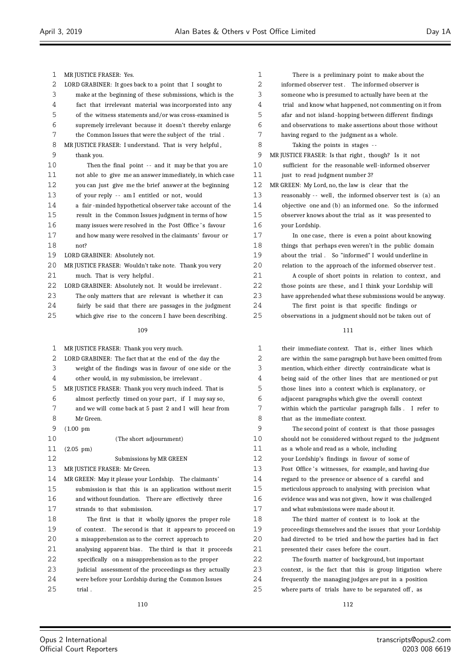| 1  | MR JUSTICE FRASER: Yes.                                  | 1  |    |
|----|----------------------------------------------------------|----|----|
| 2  | LORD GRABINER: It goes back to a point that I sought to  | 2  |    |
| 3  | make at the beginning of these submissions, which is the | 3  |    |
| 4  | fact that irrelevant material was incorporated into any  | 4  |    |
| 5  | of the witness statements and/or was cross-examined is   | 5  |    |
| 6  | supremely irrelevant because it doesn't thereby enlarge  | 6  |    |
| 7  | the Common Issues that were the subject of the trial.    | 7  |    |
| 8  | MR JUSTICE FRASER: I understand. That is very helpful,   | 8  |    |
| 9  | thank you.                                               | 9  | MR |
| 10 | Then the final point -- and it may be that you are       | 10 |    |
| 11 | not able to give me an answer immediately, in which case | 11 |    |
| 12 | you can just give me the brief answer at the beginning   | 12 | MR |
| 13 | of your reply -- am I entitled or not, would             | 13 |    |
| 14 | a fair-minded hypothetical observer take account of the  | 14 |    |
| 15 | result in the Common Issues judgment in terms of how     | 15 |    |
| 16 | many issues were resolved in the Post Office's favour    | 16 |    |
| 17 | and how many were resolved in the claimants' favour or   | 17 |    |
| 18 | not?                                                     | 18 |    |
| 19 | LORD GRABINER: Absolutely not.                           | 19 |    |
| 20 | MR JUSTICE FRASER: Wouldn't take note. Thank you very    | 20 |    |
| 21 | much. That is very helpful.                              | 21 |    |
| 22 | LORD GRABINER: Absolutely not. It would be irrelevant.   | 22 |    |
| 23 | The only matters that are relevant is whether it can     | 23 |    |
| 24 | fairly be said that there are passages in the judgment   | 24 |    |
| 25 | which give rise to the concern I have been describing.   | 25 |    |
|    | 109                                                      |    |    |
|    |                                                          |    |    |
| 1  | MR JUSTICE FRASER: Thank you very much.                  | 1  |    |
| 2  | LORD GRABINER: The fact that at the end of the day the   | 2  |    |
| 3  | weight of the findings was in favour of one side or the  | 3  |    |
| 4  | other would, in my submission, be irrelevant.            | 4  |    |
| 5  | MR JUSTICE FRASER: Thank you very much indeed. That is   | 5  |    |
| 6  | almost perfectly timed on your part, if I may say so,    | 6  |    |
| 7  | and we will come back at 5 past 2 and I will hear from   | 7  |    |
| 8  | Mr Green.                                                | 8  |    |
| 9  | $(1.00 \text{ pm})$                                      | 9  |    |
| 10 | (The short adjournment)                                  | 10 |    |
| 11 | $(2.05 \text{ pm})$                                      | 11 |    |
| 12 | Submissions by MR GREEN                                  | 12 |    |
| 13 | MR JUSTICE FRASER: Mr Green.                             | 13 |    |
| 14 | MR GREEN: May it please your Lordship. The claimants'    | 14 |    |
| 15 | submission is that this is an application without merit  | 15 |    |
| 16 | and without foundation. There are effectively three      | 16 |    |
| 17 | strands to that submission.                              | 17 |    |
| 18 | The first is that it wholly ignores the proper role      | 18 |    |
| 19 | of context. The second is that it appears to proceed on  | 19 |    |
| 20 | a misapprehension as to the correct approach to          | 20 |    |
| 21 | analysing apparent bias. The third is that it proceeds   | 21 |    |
| 22 | specifically on a misapprehension as to the proper       | 22 |    |
| 23 | judicial assessment of the proceedings as they actually  | 23 |    |
| 24 | were before your Lordship during the Common Issues       | 24 |    |
| 25 | trial.                                                   | 25 |    |

| 1      | There is a preliminary point to make about the                                                                                                                                                                                 |
|--------|--------------------------------------------------------------------------------------------------------------------------------------------------------------------------------------------------------------------------------|
| 2      | informed observer test .    The informed observer is                                                                                                                                                                           |
| 3      | someone who is presumed to actually have been at the                                                                                                                                                                           |
| 4      | trial and know what happened, not commenting on it from                                                                                                                                                                        |
| 5      | afar and not island-hopping between different findings                                                                                                                                                                         |
| 6      | and observations to make assertions about those without                                                                                                                                                                        |
| 7      | having regard to the judgment as a whole.                                                                                                                                                                                      |
| 8      | Taking the points in stages --                                                                                                                                                                                                 |
| 9      | MR JUSTICE FRASER: Is that right, though? Is it not                                                                                                                                                                            |
| 10     | sufficient for the reasonable well-informed observer                                                                                                                                                                           |
| 11     | just to read judgment number 3?                                                                                                                                                                                                |
| 12     | MR GREEN: My Lord, no, the law is clear that the                                                                                                                                                                               |
| 13     | reasonably -- well, the informed observer test is (a) an                                                                                                                                                                       |
| 14     | objective one and (b) an informed one. So the informed                                                                                                                                                                         |
| 15     | observer knows about the trial as it was presented to                                                                                                                                                                          |
| 16     | your Lordship.                                                                                                                                                                                                                 |
| 17     | In one case, there is even a point about knowing                                                                                                                                                                               |
| 18     | things that perhaps even weren't in the public domain                                                                                                                                                                          |
| 19     | about the trial. So "informed" I would underline in                                                                                                                                                                            |
| 20     | relation to the approach of the informed observer test.                                                                                                                                                                        |
| 21     | A couple of short points in relation to context, and                                                                                                                                                                           |
| 22     | those points are these, and I think your Lordship will                                                                                                                                                                         |
| 23     | have apprehended what these submissions would be anyway.                                                                                                                                                                       |
| 24     | The first point is that specific findings or                                                                                                                                                                                   |
| 25     | observations in a judgment should not be taken out of                                                                                                                                                                          |
|        | 111                                                                                                                                                                                                                            |
|        |                                                                                                                                                                                                                                |
| 1      | their immediate context. That is, either lines which                                                                                                                                                                           |
| 2      | are within the same paragraph but have been omitted from                                                                                                                                                                       |
| 3      | mention, which either directly contraindicate what is                                                                                                                                                                          |
| 4      | being said of the other lines that are mentioned or put                                                                                                                                                                        |
| 5      | those lines into a context which is explanatory, or                                                                                                                                                                            |
| 6      | adjacent paragraphs which give the overall context                                                                                                                                                                             |
| 7      | within which the particular paragraph falls. I refer to                                                                                                                                                                        |
| 8      | that as the immediate context.                                                                                                                                                                                                 |
| $\cap$ | state and contained and contained and contained and contained and contained and contained and contained and contained and contained and contained and contained and contained and contained and contained and contained and co |

The second point of context is that those passages should not be considered without regard to the judgment as a whole and read as a whole, including your Lordship's findings in favour of some of Post Office's witnesses, for example, and having due regard to the presence or absence of a careful and meticulous approach to analysing with precision what evidence was and was not given, how it was challenged and what submissions were made about it.

The third matter of context is to look at the proceedings themselves and the issues that your Lordship had directed to be tried and how the parties had in fact presented their cases before the court.

The fourth matter of background, but important context, is the fact that this is group litigation where frequently the managing judges are put in a position 25 where parts of trials have to be separated off, as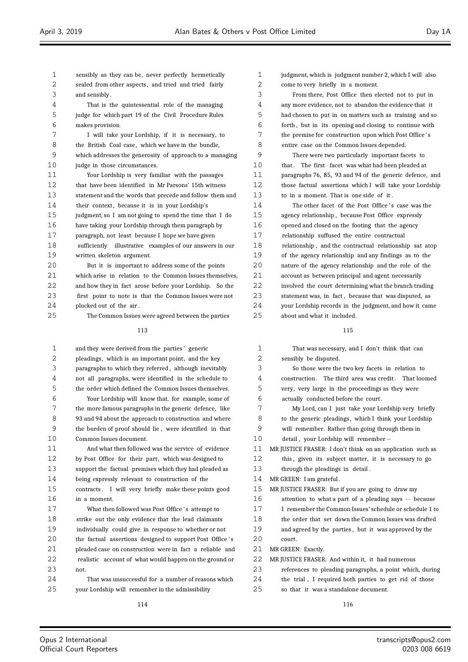| 1              | sensibly as they can be, never perfectly hermetically    |
|----------------|----------------------------------------------------------|
| $\overline{2}$ | sealed from other aspects, and tried and tried fairly    |
| 3              | and sensibly.                                            |
| 4              | That is the quintessential role of the managing          |
| 5              | judge for which part 19 of the Civil Procedure Rules     |
| 6              | makes provision.                                         |
| 7              | I will take your Lordship, if it is necessary, to        |
| 8              | the British Coal case, which we have in the bundle,      |
| 9              | which addresses the generosity of approach to a managing |
| 10             | judge in those circumstances.                            |
| 11             | Your Lordship is very familiar with the passages         |
| 12             | that have been identified in Mr Parsons' 15th witness    |
| 13             | statement and the words that precede and follow them and |
| 14             | their context, because it is in your Lordship's          |
| 15             | judgment, so I am not going to spend the time that I do  |
| 16             | have taking your Lordship through them paragraph by      |
| 17             | paragraph, not least because I hope we have given        |
| 18             | sufficiently illustrative examples of our answers in our |
| 19             | written skeleton argument.                               |
| 20             | But it is important to address some of the points        |
| 21             | which arise in relation to the Common Issues themselves, |
| 22             | and how they in fact arose before your Lordship. So the  |
| 23             | first point to note is that the Common Issues were not   |

 plucked out of the air . The Common Issues were agreed between the parties

| 1                 | and they were derived from the parties' generic          |
|-------------------|----------------------------------------------------------|
| 2                 | pleadings, which is an important point, and the key      |
| 3                 | paragraphs to which they referred, although inevitably   |
| 4                 | not all paragraphs, were identified in the schedule to   |
| 5                 | the order which defined the Common Issues themselves.    |
| 6                 | Your Lordship will know that, for example, some of       |
| 7                 | the more famous paragraphs in the generic defence, like  |
| 8                 | 93 and 94 about the approach to construction and where   |
| 9                 | the burden of proof should lie, were identified in that  |
| 10                | Common Issues document.                                  |
| 11                | And what then followed was the service of evidence       |
| $12 \overline{)}$ | by Post Office for their part, which was designed to     |
| 13                | support the factual premises which they had pleaded as   |
| 14                | being expressly relevant to construction of the          |
| 15                | contracts. I will very briefly make these points good    |
| 16                | in a moment.                                             |
| 17                | What then followed was Post Office's attempt to          |
| 18                | strike out the only evidence that the lead claimants     |
| 19                | individually could give in response to whether or not    |
| 20                | the factual assertions designed to support Post Office's |
| 2.1               | pleaded case on construction were in fact a reliable and |
| 22                | realistic account of what would happen on the ground or  |
| 23                | not.                                                     |
| 24                | That was unsuccessful for a number of reasons which      |
| 25                | your Lordship will remember in the admissibility         |

 judgment, which is judgment number 2, which I will also come to very briefly in a moment.

 From there, Post Office then elected not to put in any more evidence, not to abandon the evidence that it had chosen to put in on matters such as training and so forth , but in its opening and closing to continue with 7 the premise for construction upon which Post Office's entire case on the Common Issues depended.

 There were two particularly important facets to 10 that. The first facet was what had been pleaded at paragraphs 76, 85, 93 and 94 of the generic defence, and those factual assertions which I will take your Lordship to in a moment. That is one side of it .

14 The other facet of the Post Office's case was the agency relationship , because Post Office expressly opened and closed on the footing that the agency relationship suffused the entire contractual relationship , and the contractual relationship sat atop of the agency relationship and any findings as to the nature of the agency relationship and the role of the account as between principal and agent necessarily involved the court determining what the branch trading statement was, in fact , because that was disputed, as your Lordship records in the judgment, and how it came about and what it included.

# 

| 1  | That was necessary, and I don't think that can             |
|----|------------------------------------------------------------|
| 2  | sensibly be disputed.                                      |
| 3  | So those were the two key facets in relation to            |
| 4  | construction. The third area was credit. That loomed       |
| 5  | very, very large in the proceedings as they were           |
| 6  | actually conducted before the court.                       |
| 7  | My Lord, can I just take your Lordship very briefly        |
| 8  | to the generic pleadings, which I think your Lordship      |
| 9  | will remember. Rather than going through them in           |
| 10 | detail, your Lordship will remember --                     |
| 11 | MR JUSTICE FRASER: I don't think on an application such as |
| 12 | this, given its subject matter, it is necessary to go      |
| 13 | through the pleadings in detail.                           |
| 14 | MR GREEN: I am grateful.                                   |
| 15 | MR JUSTICE FRASER: But if you are going to draw my         |
| 16 | attention to what a part of a pleading says -- because     |
| 17 | I remember the Common Issues' schedule or schedule 1 to    |
| 18 | the order that set down the Common Issues was drafted      |
| 19 | and agreed by the parties, but it was approved by the      |
| 20 | court.                                                     |
| 21 | MR GREEN: Exactly.                                         |
| 22 | MR JUSTICE FRASER: And within it, it had numerous          |
| 23 | references to pleading paragraphs, a point which, during   |
| 24 | the trial, I required both parties to get rid of those     |
| 25 | so that it was a standalone document.                      |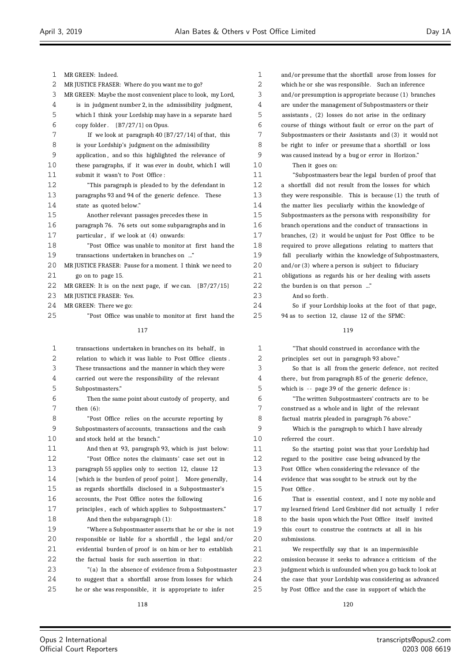| MR GREEN: Indeed.                                           | $\mathbf{1}$                                                                                                                                                                                                                    |
|-------------------------------------------------------------|---------------------------------------------------------------------------------------------------------------------------------------------------------------------------------------------------------------------------------|
| MR JUSTICE FRASER: Where do you want me to go?              | $\overline{2}$                                                                                                                                                                                                                  |
| MR GREEN: Maybe the most convenient place to look, my Lord, | 3                                                                                                                                                                                                                               |
| is in judgment number 2, in the admissibility judgment,     | $\overline{4}$                                                                                                                                                                                                                  |
| which I think your Lordship may have in a separate hard     | 5                                                                                                                                                                                                                               |
| copy folder. $\{B7/27/1\}$ on Opus.                         | 6                                                                                                                                                                                                                               |
| If we look at paragraph $40$ $(B7/27/14)$ of that, this     | 7                                                                                                                                                                                                                               |
| is your Lordship's judgment on the admissibility            | 8                                                                                                                                                                                                                               |
| application, and so this highlighted the relevance of       | 9                                                                                                                                                                                                                               |
| these paragraphs, if it was ever in doubt, which I will     | 10                                                                                                                                                                                                                              |
| submit it wasn't to Post Office:                            | 11                                                                                                                                                                                                                              |
| "This paragraph is pleaded to by the defendant in           | 12                                                                                                                                                                                                                              |
| paragraphs 93 and 94 of the generic defence. These          | 13                                                                                                                                                                                                                              |
| state as quoted below."                                     | 14                                                                                                                                                                                                                              |
| Another relevant passages precedes these in                 | 15                                                                                                                                                                                                                              |
| paragraph 76. 76 sets out some subparagraphs and in         | 16                                                                                                                                                                                                                              |
| particular, if we look at (4) onwards:                      | 17                                                                                                                                                                                                                              |
| "Post Office was unable to monitor at first hand the        | 18                                                                                                                                                                                                                              |
| transactions undertaken in branches on "                    | 19                                                                                                                                                                                                                              |
| MR JUSTICE FRASER: Pause for a moment. I think we need to   | 20                                                                                                                                                                                                                              |
| go on to page 15.                                           | 21                                                                                                                                                                                                                              |
| MR GREEN: It is on the next page, if we can. $\{B7/27/15\}$ | 22                                                                                                                                                                                                                              |
| MR JUSTICE FRASER: Yes.                                     | 23                                                                                                                                                                                                                              |
| MR GREEN: There we go:                                      | 24                                                                                                                                                                                                                              |
| "Post Office was unable to monitor at first hand the        | 25                                                                                                                                                                                                                              |
| 117                                                         |                                                                                                                                                                                                                                 |
|                                                             | $\mathbf{1}$                                                                                                                                                                                                                    |
|                                                             | 2                                                                                                                                                                                                                               |
|                                                             | 3                                                                                                                                                                                                                               |
|                                                             | 4                                                                                                                                                                                                                               |
| Subpostmasters."                                            | 5                                                                                                                                                                                                                               |
|                                                             | transactions undertaken in branches on its behalf, in<br>relation to which it was liable to Post Office clients.<br>These transactions and the manner in which they were<br>carried out were the responsibility of the relevant |

 Then the same point about custody of property, and then (6):

# "Post Office relies on the accurate reporting by Subpostmasters of accounts, transactions and the cash and stock held at the branch."

 And then at 93, paragraph 93, which is just below: "Post Office notes the claimants' case set out in paragraph 55 applies only to section 12, clause 12

14 [which is the burden of proof point ]. More generally,

as regards shortfalls disclosed in a Subpostmaster's

accounts, the Post Office notes the following

 principles , each of which applies to Subpostmasters." And then the subparagraph (1):

 "Where a Subpostmaster asserts that he or she is not responsible or liable for a shortfall , the legal and/or evidential burden of proof is on him or her to establish the factual basis for such assertion in that : "(a) In the absence of evidence from a Subpostmaster to suggest that a shortfall arose from losses for which

he or she was responsible, it is appropriate to infer

and/or presume that the shortfall arose from losses for which he or she was responsible. Such an inference and/or presumption is appropriate because  $(1)$  branches are under the management of Subpostmasters or their assistants, (2) losses do not arise in the ordinary course of things without fault or error on the part of Subpostmasters or their Assistants and (3) it would not be right to infer or presume that a shortfall or loss was caused instead by a bug or error in Horizon." Then it goes on: "Subpostmasters bear the legal burden of proof that a shortfall did not result from the losses for which they were responsible. This is because (1) the truth of the matter lies peculiarly within the knowledge of Subpostmasters as the persons with responsibility for branch operations and the conduct of transactions in branches, (2) it would be unjust for Post Office to be required to prove allegations relating to matters that fall peculiarly within the knowledge of Subpostmasters, and/or  $(3)$  where a person is subject to fiduciary

 obligations as regards his or her dealing with assets the burden is on that person ..."

And so forth.

 $2.0$ 

So if your Lordship looks at the foot of that page, 94 as to section 12, clause 12 of the SPMC:

# 

| $\mathbf{1}$ | "That should construed in accordance with the            |
|--------------|----------------------------------------------------------|
| 2            | principles set out in paragraph 93 above."               |
| 3            | So that is all from the generic defence, not recited     |
| 4            | there, but from paragraph 85 of the generic defence,     |
| 5            | which is $-$ page 39 of the generic defence is:          |
| 6            | "The written Subpostmasters' contracts are to be         |
| 7            | construed as a whole and in light of the relevant        |
| 8            | factual matrix pleaded in paragraph 76 above."           |
| 9            | Which is the paragraph to which I have already           |
| 10           | referred the court.                                      |
| 11           | So the starting point was that your Lordship had         |
| 12           | regard to the positive case being advanced by the        |
| 13           | Post Office when considering the relevance of the        |
| 14           | evidence that was sought to be struck out by the         |
| 15           | Post Office.                                             |
| 16           | That is essential context, and I note my noble and       |
| 17           | my learned friend Lord Grabiner did not actually I refer |
| 18           | to the basis upon which the Post Office itself invited   |
| 19           | this court to construe the contracts at all in his       |
| 20           | submissions.                                             |
|              |                                                          |

 We respectfully say that is an impermissible omission because it seeks to advance a criticism of the 23 judgment which is unfounded when you go back to look at the case that your Lordship was considering as advanced by Post Office and the case in support of which the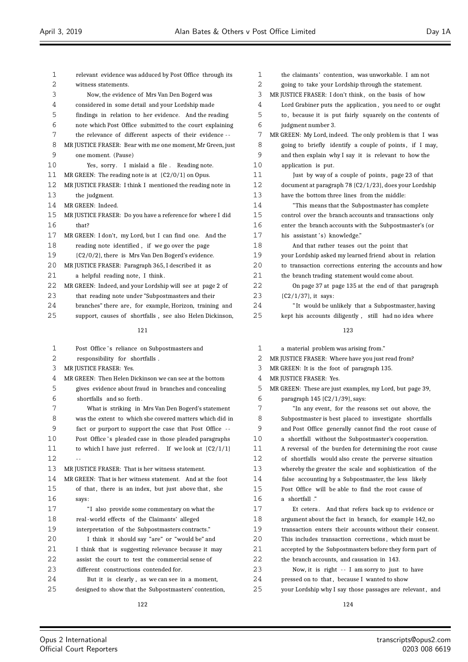| 1        | relevant evidence was adduced by Post Office through its                                | 1        | the claimants' contention, was unworkable. I am not                                            |
|----------|-----------------------------------------------------------------------------------------|----------|------------------------------------------------------------------------------------------------|
| 2        | witness statements.                                                                     | 2        | going to take your Lordship through the statement.                                             |
| 3        | Now, the evidence of Mrs Van Den Bogerd was                                             | 3        | MR JUSTICE FRASER: I don't think, on the basis of how                                          |
| 4        | considered in some detail and your Lordship made                                        | 4        | Lord Grabiner puts the application, you need to or ought                                       |
| 5        | findings in relation to her evidence. And the reading                                   | 5        | to, because it is put fairly squarely on the contents of                                       |
| 6        | note which Post Office submitted to the court explaining                                | 6        | judgment number 3.                                                                             |
| 7        | the relevance of different aspects of their evidence --                                 | 7        | MR GREEN: My Lord, indeed. The only problem is that I was                                      |
| 8        | MR JUSTICE FRASER: Bear with me one moment, Mr Green, just                              | 8        | going to briefly identify a couple of points, if I may,                                        |
| 9        | one moment. (Pause)                                                                     | 9        | and then explain why I say it is relevant to how the                                           |
| 10       | Yes, sorry. I mislaid a file. Reading note.                                             | 10       | application is put.                                                                            |
| 11       | MR GREEN: The reading note is at $(C2/0/1)$ on Opus.                                    | 11       | Just by way of a couple of points, page 23 of that                                             |
| 12       | MR JUSTICE FRASER: I think I mentioned the reading note in                              | 12       | document at paragraph 78 (C2/1/23), does your Lordship                                         |
| 13       | the judgment.                                                                           | 13       | have the bottom three lines from the middle:                                                   |
| 14       | MR GREEN: Indeed.                                                                       | 14       | "This means that the Subpostmaster has complete                                                |
| 15       | MR JUSTICE FRASER: Do you have a reference for where I did                              | 15       | control over the branch accounts and transactions only                                         |
| 16       | that?                                                                                   | 16       | enter the branch accounts with the Subpostmaster's (or                                         |
| 17       | MR GREEN: I don't, my Lord, but I can find one. And the                                 | 17       | his assistant's) knowledge."                                                                   |
| 18       | reading note identified, if we go over the page                                         | 18       | And that rather teases out the point that                                                      |
| 19       | {C2/0/2}, there is Mrs Van Den Bogerd's evidence.                                       | 19       | your Lordship asked my learned friend about in relation                                        |
| 20       | MR JUSTICE FRASER: Paragraph 365, I described it as                                     | 20       | to transaction corrections entering the accounts and how                                       |
| 21       | a helpful reading note, I think.                                                        | 21       | the branch trading statement would come about.                                                 |
| 22       | MR GREEN: Indeed, and your Lordship will see at page 2 of                               | 22       | On page 37 at page 135 at the end of that paragraph                                            |
| 23       | that reading note under "Subpostmasters and their                                       | 23       | $(C2/1/37)$ , it says:                                                                         |
| 24       | branches" there are, for example, Horizon, training and                                 | 24       | "It would be unlikely that a Subpostmaster, having                                             |
| 25       | support, causes of shortfalls, see also Helen Dickinson,                                | 25       | kept his accounts diligently, still had no idea where                                          |
|          |                                                                                         |          |                                                                                                |
|          |                                                                                         |          |                                                                                                |
|          | 121                                                                                     |          | 123                                                                                            |
|          |                                                                                         | 1        |                                                                                                |
| 1<br>2   | Post Office's reliance on Subpostmasters and                                            | 2        | a material problem was arising from."                                                          |
| 3        | responsibility for shortfalls.<br>MR JUSTICE FRASER: Yes.                               | 3        | MR JUSTICE FRASER: Where have you just read from?                                              |
| 4        | MR GREEN: Then Helen Dickinson we can see at the bottom                                 | 4        | MR GREEN: It is the foot of paragraph 135.<br>MR JUSTICE FRASER: Yes.                          |
|          |                                                                                         |          |                                                                                                |
| 5        | gives evidence about fraud in branches and concealing<br>shortfalls and so forth.       | 5        | MR GREEN: These are just examples, my Lord, but page 39,                                       |
| 6        |                                                                                         | 6<br>7   | paragraph $145$ {C2/1/39}, says:                                                               |
| 7        | What is striking in Mrs Van Den Bogerd's statement                                      |          | "In any event, for the reasons set out above, the                                              |
| 8        | was the extent to which she covered matters which did in                                | 8        | Subpostmaster is best placed to investigate shortfalls                                         |
| 9        | fact or purport to support the case that Post Office --                                 | 9        | and Post Office generally cannot find the root cause of                                        |
| 10       | Post Office's pleaded case in those pleaded paragraphs                                  | 10       | a shortfall without the Subpostmaster's cooperation.                                           |
| 11       | to which I have just referred. If we look at ${C2/1/1}$                                 | 11       | A reversal of the burden for determining the root cause                                        |
| 12       | $\overline{a}$                                                                          | 12       | of shortfalls would also create the perverse situation                                         |
| 13       | MR JUSTICE FRASER: That is her witness statement.                                       | 13       | whereby the greater the scale and sophistication of the                                        |
| 14       | MR GREEN: That is her witness statement. And at the foot                                | 14       | false accounting by a Subpostmaster, the less likely                                           |
| 15       | of that, there is an index, but just above that, she                                    | 15       | Post Office will be able to find the root cause of                                             |
| 16       | says:                                                                                   | 16       | a shortfall ."                                                                                 |
| 17       | "I also provide some commentary on what the                                             | 17       | Et cetera. And that refers back up to evidence or                                              |
| 18       | real-world effects of the Claimants' alleged                                            | 18       | argument about the fact in branch, for example 142, no                                         |
| 19       | interpretation of the Subpostmasters contracts."                                        | 19       | transaction enters their accounts without their consent.                                       |
| 20       | I think it should say "are" or "would be" and                                           | 20       | This includes transaction corrections, which must be                                           |
| 21       | I think that is suggesting relevance because it may                                     | 21       | accepted by the Subpostmasters before they form part of                                        |
| 22       | assist the court to test the commercial sense of                                        | 22       | the branch accounts, and causation in 143.                                                     |
| 23<br>24 | different constructions contended for.<br>But it is clearly, as we can see in a moment, | 23<br>24 | Now, it is right -- I am sorry to just to have<br>pressed on to that, because I wanted to show |

designed to show that the Subpostmasters' contention,

25 your Lordship why I say those passages are relevant, and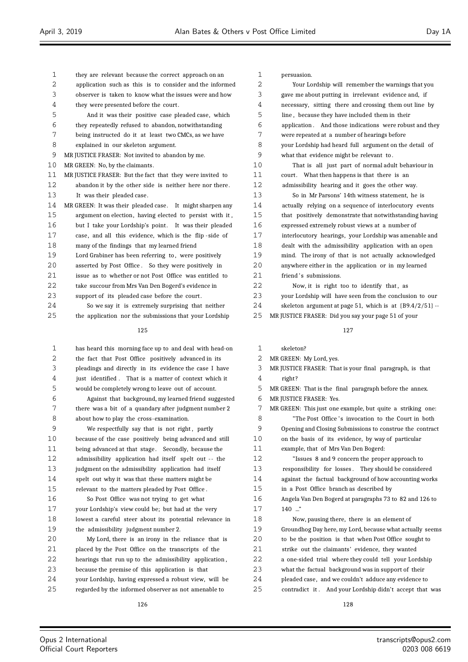- they are relevant because the correct approach on an
- application such as this is to consider and the informed
- observer is taken to know what the issues were and how
- they were presented before the court .
- And it was their positive case pleaded case, which
- they repeatedly refused to abandon, notwithstanding
- being instructed do it at least two CMCs, as we have
- explained in our skeleton argument.
- MR JUSTICE FRASER: Not invited to abandon by me.
- MR GREEN: No, by the claimants.
- MR JUSTICE FRASER: But the fact that they were invited to abandon it by the other side is neither here nor there . It was their pleaded case.
- MR GREEN: It was their pleaded case. It might sharpen any argument on election, having elected to persist with it , 16 but I take your Lordship's point. It was their pleaded case, and all this evidence, which is the flip -side of many of the findings that my learned friend 19 Lord Grabiner has been referring to, were positively asserted by Post Office . So they were positively in
- issue as to whether or not Post Office was entitled to
- take succour from Mrs Van Den Bogerd's evidence in
- 23 support of its pleaded case before the court.
- So we say it is extremely surprising that neither the application nor the submissions that your Lordship

 has heard this morning face up to and deal with head-on the fact that Post Office positively advanced in its pleadings and directly in its evidence the case I have just identified . That is a matter of context which it would be completely wrong to leave out of account.

 Against that background, my learned friend suggested there was a bit of a quandary after judgment number 2 about how to play the cross-examination.

9 We respectfully say that is not right, partly because of the case positively being advanced and still 11 being advanced at that stage. Secondly, because the admissibility application had itself spelt out - - the judgment on the admissibility application had itself spelt out why it was that these matters might be relevant to the matters pleaded by Post Office .

 So Post Office was not trying to get what your Lordship's view could be; but had at the very lowest a careful steer about its potential relevance in

the admissibility judgment number 2.

| 20 | My Lord, there is an irony in the reliance that is     |
|----|--------------------------------------------------------|
| 21 | placed by the Post Office on the transcripts of the    |
| 22 | hearings that run up to the admissibility application, |
| 23 | because the premise of this application is that        |
| 24 | your Lordship, having expressed a robust view, will be |
| 25 | regarded by the informed observer as not amenable to   |

#### persuasion.

 Your Lordship will remember the warnings that you gave me about putting in irrelevant evidence and, if necessary, sitting there and crossing them out line by line , because they have included them in their application . And those indications were robust and they were repeated at a number of hearings before your Lordship had heard full argument on the detail of what that evidence might be relevant to . That is all just part of normal adult behaviour in 11 court. What then happens is that there is an admissibility hearing and it goes the other way. So in Mr Parsons' 14th witness statement, he is actually relying on a sequence of interlocutory events that positively demonstrate that notwithstanding having expressed extremely robust views at a number of interlocutory hearings, your Lordship was amenable and dealt with the admissibility application with an open mind. The irony of that is not actually acknowledged anywhere either in the application or in my learned 21 friend's submissions. 22 Now, it is right too to identify that, as your Lordship will have seen from the conclusion to our skeleton argument at page 51, which is at {B9.4/2/51} --

MR JUSTICE FRASER: Did you say your page 51 of your

# 

# skeleton?

- MR GREEN: My Lord, yes.
- MR JUSTICE FRASER: That is your final paragraph, is that
- right?

MR GREEN: That is the final paragraph before the annex.

 MR JUSTICE FRASER: Yes.  $\overline{X}$  MR GREEN:  $\overline{Y}$  and  $\overline{Y}$ 

| $\prime$ | MR GREEN: This just one example, but quite a striking one: |
|----------|------------------------------------------------------------|
| 8        | "The Post Office's invocation to the Court in both         |
| 9        | Opening and Closing Submissions to construe the contract   |
| 10       | on the basis of its evidence, by way of particular         |
| 11       | example, that of Mrs Van Den Bogerd:                       |
| 12       | "Issues 8 and 9 concern the proper approach to             |
| 13       | responsibility for losses. They should be considered       |
| 14       | against the factual background of how accounting works     |
| 15       | in a Post Office branch as described by                    |
| 16       | Angela Van Den Bogerd at paragraphs 73 to 82 and 126 to    |
| 17       | $140$ "                                                    |
| 18       | Now, pausing there, there is an element of                 |
| 19       | Groundhog Day here, my Lord, because what actually seems   |
| 20       | to be the position is that when Post Office sought to      |
| 21       | strike out the claimants' evidence, they wanted            |
| 22       | a one-sided trial where they could tell your Lordship      |
| 23       | what the factual background was in support of their        |
| 24       | pleaded case, and we couldn't adduce any evidence to       |
| 25       | contradict it. And your Lordship didn't accept that was    |
|          |                                                            |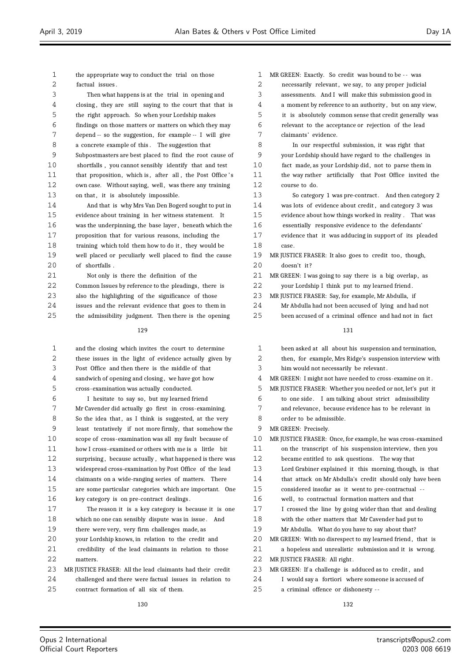| 1  | the appropriate way to conduct the trial on those                                                    | 1              |
|----|------------------------------------------------------------------------------------------------------|----------------|
| 2  | factual issues.                                                                                      | $\overline{c}$ |
| 3  | Then what happens is at the trial in opening and                                                     | 3              |
| 4  | closing, they are still saying to the court that that is                                             | 4              |
| 5  | the right approach. So when your Lordship makes                                                      | 5              |
| 6  | findings on those matters or matters on which they may                                               | 6              |
| 7  | depend -- so the suggestion, for example -- I will give                                              | 7              |
| 8  | a concrete example of this. The suggestion that                                                      | 8              |
| 9  | Subpostmasters are best placed to find the root cause of                                             | 9              |
| 10 | shortfalls, you cannot sensibly identify that and test                                               | 10             |
| 11 | that proposition, which is, after all, the Post Office's                                             | 11             |
| 12 | own case. Without saying, well, was there any training                                               | 12             |
| 13 | on that, it is absolutely impossible.                                                                | 13             |
| 14 | And that is why Mrs Van Den Bogerd sought to put in                                                  | 14             |
| 15 | evidence about training in her witness statement. It                                                 | 15             |
| 16 | was the underpinning, the base layer, beneath which the                                              | 16             |
| 17 | proposition that for various reasons, including the                                                  | 17             |
| 18 | training which told them how to do it, they would be                                                 | 18             |
| 19 | well placed or peculiarly well placed to find the cause                                              | 19             |
| 20 | of shortfalls.                                                                                       | 20             |
| 21 | Not only is there the definition of the                                                              | 21             |
| 22 | Common Issues by reference to the pleadings, there is                                                | 22             |
| 23 | also the highlighting of the significance of those                                                   | 23             |
| 24 | issues and the relevant evidence that goes to them in                                                | 24             |
| 25 | the admissibility judgment. Then there is the opening                                                | 25             |
|    | 129                                                                                                  |                |
| 1  | and the closing which invites the court to determine                                                 | 1              |
| 2  | these issues in the light of evidence actually given by                                              | 2              |
| 3  | Post Office and then there is the middle of that                                                     | 3              |
| 4  | sandwich of opening and closing, we have got how                                                     | 4              |
| 5  | cross-examination was actually conducted.                                                            | 5              |
| 6  |                                                                                                      | 6              |
| 7  | I hesitate to say so, but my learned friend<br>Mr Cavender did actually go first in cross-examining. | 7              |
| 8  | So the idea that, as I think is suggested, at the very                                               | 8              |
| 9  |                                                                                                      | 9              |
| 10 | least tentatively if not more firmly, that somehow the                                               |                |
| 11 | scope of cross-examination was all my fault because of                                               | 10             |
|    | how I cross-examined or others with me is a little bit                                               | 11             |
| 12 | surprising, because actually, what happened is there was                                             | 12             |
| 13 | widespread cross-examination by Post Office of the lead                                              | 13             |
| 14 | claimants on a wide-ranging series of matters.<br>There                                              | 14             |
| 15 | are some particular categories which are important. One                                              | 15             |
| 16 | key category is on pre-contract dealings.                                                            | 16             |
| 17 | The reason it is a key category is because it is one                                                 | 17             |
| 18 | which no one can sensibly dispute was in issue. And                                                  | 18             |
| 19 | there were very, very firm challenges made, as                                                       | 19             |
| 20 | your Lordship knows, in relation to the credit and                                                   | 20             |
| 21 | credibility of the lead claimants in relation to those                                               | 21             |
| 22 | matters.                                                                                             | 22             |
| 23 | MR JUSTICE FRASER: All the lead claimants had their credit                                           | 23             |
| 24 | challenged and there were factual issues in relation to                                              | 24             |
| 25 | contract formation of all six of them.                                                               | 25             |

| $\mathbf 1$ | MR GREEN: Exactly. So credit was bound to be -- was      |
|-------------|----------------------------------------------------------|
| 2           | necessarily relevant, we say, to any proper judicial     |
| 3           | assessments. And I will make this submission good in     |
| 4           | a moment by reference to an authority, but on any view,  |
| 5           | it is absolutely common sense that credit generally was  |
| 6           | relevant to the acceptance or rejection of the lead      |
| 7           | claimants' evidence.                                     |
| 8           | In our respectful submission, it was right that          |
| 9           | your Lordship should have regard to the challenges in    |
| 10          | fact made, as your Lordship did, not to parse them in    |
| 11          | the way rather artificially that Post Office invited the |
| 12          | course to do.                                            |
| 13          | So category 1 was pre-contract. And then category 2      |
| 14          | was lots of evidence about credit, and category 3 was    |
| 15          | evidence about how things worked in reality. That was    |
| 16          | essentially responsive evidence to the defendants'       |
| 17          | evidence that it was adducing in support of its pleaded  |
| 18          | case.                                                    |
| 19          | MR JUSTICE FRASER: It also goes to credit too, though,   |
| 20          | doesn't it?                                              |
| 21          | MR GREEN: I was going to say there is a big overlap, as  |
| 22          | your Lordship I think put to my learned friend.          |
| 23          | MR JUSTICE FRASER: Say, for example, Mr Abdulla, if      |
| 24          | Mr Abdulla had not been accused of lying and had not     |
| 25          | been accused of a criminal offence and had not in fact   |
|             | 131                                                      |

| 1  | been asked at all about his suspension and termination,     |
|----|-------------------------------------------------------------|
| 2  | then, for example, Mrs Ridge's suspension interview with    |
| 3  | him would not necessarily be relevant.                      |
| 4  | MR GREEN: I might not have needed to cross-examine on it.   |
| 5  | MR JUSTICE FRASER: Whether you needed or not, let's put it  |
| 6  | to one side. I am talking about strict admissibility        |
| 7  | and relevance, because evidence has to be relevant in       |
| 8  | order to be admissible.                                     |
| 9  | MR GREEN: Precisely.                                        |
| 10 | MR JUSTICE FRASER: Once, for example, he was cross-examined |
| 11 | on the transcript of his suspension interview, then you     |
| 12 | became entitled to ask questions. The way that              |
| 13 | Lord Grabiner explained it this morning, though, is that    |
| 14 | that attack on Mr Abdulla's credit should only have been    |
| 15 | considered insofar as it went to pre-contractual --         |
| 16 | well, to contractual formation matters and that             |
| 17 | I crossed the line by going wider than that and dealing     |
| 18 | with the other matters that Mr Cavender had put to          |
| 19 | Mr Abdulla. What do you have to say about that?             |
| 20 | MR GREEN: With no disrespect to my learned friend, that is  |
| 21 | a hopeless and unrealistic submission and it is wrong.      |
| 22 | MR JUSTICE FRASER: All right.                               |
| 23 | MR GREEN: If a challenge is adduced as to credit, and       |
| 24 | I would say a fortiori where someone is accused of          |
| 25 | a criminal offence or dishonesty --                         |
|    |                                                             |

 $\equiv$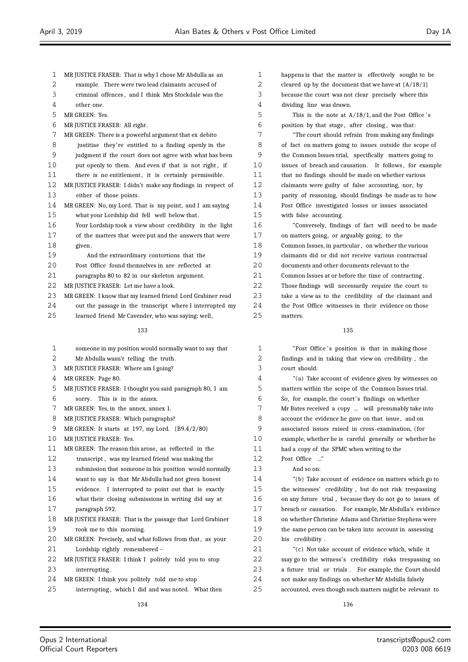| $\mathbf 1$ | MR JUSTICE FRASER: That is why I chose Mr Abdulla as an     |  |
|-------------|-------------------------------------------------------------|--|
| 2           | example. There were two lead claimants accused of           |  |
| 3           | criminal offences, and I think Mrs Stockdale was the        |  |
| 4           | other one.                                                  |  |
| 5           | MR GREEN: Yes.                                              |  |
| 6           | MR JUSTICE FRASER: All right.                               |  |
| 7           | MR GREEN: There is a powerful argument that ex debito       |  |
| 8           | justitiae they're entitled to a finding openly in the       |  |
| 9           | judgment if the court does not agree with what has been     |  |
| 10          | put openly to them. And even if that is not right, if       |  |
| 11          | there is no entitlement, it is certainly permissible.       |  |
| 12          | MR JUSTICE FRASER: I didn't make any findings in respect of |  |
| 13          | either of those points.                                     |  |
| 14          | MR GREEN: No, my Lord. That is my point, and I am saying    |  |
| 15          | what your Lordship did fell well below that.                |  |
| 16          | Your Lordship took a view about credibility in the light    |  |
| 17          | of the matters that were put and the answers that were      |  |
| 18          | given.                                                      |  |
| 19          | And the extraordinary contortions that the                  |  |
| 20          | Post Office found themselves in are reflected at            |  |
| 21          | paragraphs 80 to 82 in our skeleton argument.               |  |
| 22          | MR JUSTICE FRASER: Let me have a look.                      |  |
| 23          | MR GREEN: I know that my learned friend Lord Grabiner read  |  |
| 24          | out the passage in the transcript where I interrupted my    |  |
| 25          | learned friend Mr Cavender, who was saying: well,           |  |

| $\mathbf{1}$      | someone in my position would normally want to say that    |
|-------------------|-----------------------------------------------------------|
| 2                 | Mr Abdulla wasn't telling the truth.                      |
| 3                 | MR JUSTICE FRASER: Where am I going?                      |
| 4                 | MR GREEN: Page 80.                                        |
| 5                 | MR JUSTICE FRASER: I thought you said paragraph 80, I am  |
| 6                 | sorry. This is in the annex.                              |
| 7                 | MR GREEN: Yes, in the annex, annex 1.                     |
| 8                 | MR JUSTICE FRASER: Which paragraphs?                      |
| 9                 | MR GREEN: It starts at 197, my Lord. {B9.4/2/80}          |
| 10                | MR JUSTICE FRASER: Yes.                                   |
| 11                | MR GREEN: The reason this arose, as reflected in the      |
| $12 \overline{ }$ | transcript, was my learned friend was making the          |
| 13                | submission that someone in his position would normally    |
| 14                | want to say is that Mr Abdulla had not given honest       |
| 15                | evidence. I interrupted to point out that is exactly      |
| 16                | what their closing submissions in writing did say at      |
| 17                | paragraph 592.                                            |
| 18                | MR JUSTICE FRASER: That is the passage that Lord Grabiner |
| 19                | took me to this morning.                                  |
| 20                | MR GREEN: Precisely, and what follows from that, as your  |
| 21                | Lordship rightly remembered --                            |
| 22                | MR JUSTICE FRASER: I think I politely told you to stop    |
| 23                | interrupting.                                             |
| 24                | MR GREEN: I think you politely told me to stop            |
| 25                | interrupting, which I did and was noted. What then        |
|                   |                                                           |

| 1  | happens is that the matter is effectively sought to be  |
|----|---------------------------------------------------------|
| 2  | cleared up by the document that we have at ${A/18/1}$   |
| 3  | because the court was not clear precisely where this    |
| 4  | dividing line was drawn.                                |
| 5  | This is the note at $A/18/1$ , and the Post Office's    |
| 6  | position by that stage, after closing, was that:        |
| 7  | "The court should refrain from making any findings      |
| 8  | of fact on matters going to issues outside the scope of |
| 9  | the Common Issues trial, specifically matters going to  |
| 10 | issues of breach and causation. It follows, for example |
| 11 | that no findings should be made on whether various      |
| 12 | claimants were guilty of false accounting, nor, by      |
| 13 | parity of reasoning, should findings be made as to how  |
| 14 | Post Office investigated losses or issues associated    |
| 15 | with false accounting.                                  |
| 16 | "Conversely, findings of fact will need to be made      |
| 17 | on matters going, or arguably going, to the             |
| 18 | Common Issues, in particular, on whether the various    |
| 19 | claimants did or did not receive various contractual    |
| 20 | documents and other documents relevant to the           |
| 21 | Common Issues at or before the time of contracting.     |
| 22 | Those findings will necessarily require the court to    |
|    |                                                         |

 take a view as to the credibility of the claimant and the Post Office witnesses in their evidence on those matters.

| 1  | "Post Office's position is that in making those"         |
|----|----------------------------------------------------------|
| 2  | findings and in taking that view on credibility, the     |
| 3  | court should:                                            |
| 4  | "(a) Take account of evidence given by witnesses on      |
| 5  | matters within the scope of the Common Issues trial.     |
| 6  | So, for example, the court's findings on whether         |
| 7  | Mr Bates received a copy  will presumably take into      |
| 8  | account the evidence he gave on that issue, and on       |
| 9  | associated issues raised in cross-examination, (for      |
| 10 | example, whether he is careful generally or whether he   |
| 11 | had a copy of the SPMC when writing to the               |
| 12 | Post Office "                                            |
| 13 | And so on:                                               |
| 14 | "(b) Take account of evidence on matters which go to     |
| 15 | the witnesses' credibility, but do not risk trespassing  |
| 16 | on any future trial, because they do not go to issues of |
| 17 | breach or causation. For example, Mr Abdulla's evidence  |
| 18 | on whether Christine Adams and Christine Stephens were   |
| 19 | the same person can be taken into account in assessing   |
| 20 | his credibility.                                         |
| 21 | "(c) Not take account of evidence which, while it        |
| 22 | may go to the witness's credibility risks trespassing on |
| 23 | a future trial or trials. For example, the Court should  |
| 24 | not make any findings on whether Mr Abdulla falsely      |
| 25 | accounted, even though such matters might be relevant to |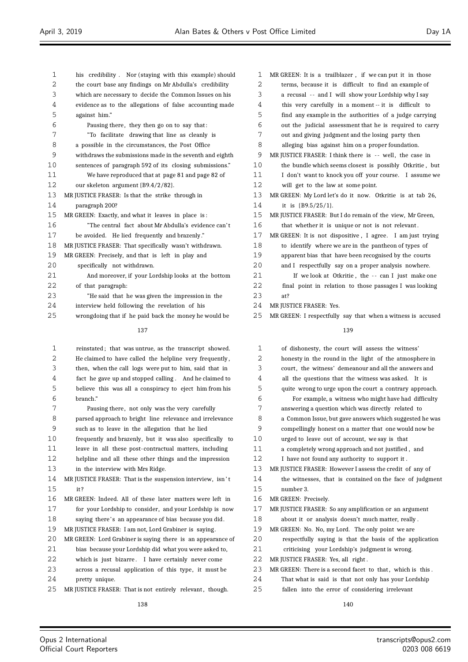his credibility . Nor (staying with this example) should the court base any findings on Mr Abdulla's credibility which are necessary to decide the Common Issues on his evidence as to the allegations of false accounting made against him." Pausing there , they then go on to say that : "To facilitate drawing that line as cleanly is a possible in the circumstances, the Post Office withdraws the submissions made in the seventh and eighth sentences of paragraph 592 of its closing submissions." We have reproduced that at page 81 and page 82 of our skeleton argument {B9.4/2/82}. MR JUSTICE FRASER: Is that the strike through in paragraph 200? MR GREEN: Exactly, and what it leaves in place is : "The central fact about Mr Abdulla's evidence can' t be avoided. He lied frequently and brazenly ." MR JUSTICE FRASER: That specifically wasn't withdrawn. MR GREEN: Precisely, and that is left in play and specifically not withdrawn. And moreover, if your Lordship looks at the bottom of that paragraph: "He said that he was given the impression in the interview held following the revelation of his wrongdoing that if he paid back the money he would be 

| 1  | reinstated; that was untrue, as the transcript showed.      |
|----|-------------------------------------------------------------|
| 2  | He claimed to have called the helpline very frequently,     |
| 3  | then, when the call logs were put to him, said that in      |
| 4  | fact he gave up and stopped calling. And he claimed to      |
| 5  | believe this was all a conspiracy to eject him from his     |
| 6  | branch."                                                    |
| 7  | Pausing there, not only was the very carefully              |
| 8  | parsed approach to bright line relevance and irrelevance    |
| 9  | such as to leave in the allegation that he lied             |
| 10 | frequently and brazenly, but it was also specifically to    |
| 11 | leave in all these post-contractual matters, including      |
| 12 | helpline and all these other things and the impression      |
| 13 | in the interview with Mrs Ridge.                            |
| 14 | MR JUSTICE FRASER: That is the suspension interview, isn't  |
| 15 | it?                                                         |
| 16 | MR GREEN: Indeed. All of these later matters were left in   |
| 17 | for your Lordship to consider, and your Lordship is now     |
| 18 | saying there's an appearance of bias because you did.       |
| 19 | MR JUSTICE FRASER: I am not, Lord Grabiner is saying.       |
| 20 | MR GREEN: Lord Grabiner is saying there is an appearance of |
| 21 | bias because your Lordship did what you were asked to,      |
| 22 | which is just bizarre. I have certainly never come          |
| 23 | across a recusal application of this type, it must be       |
| 24 | pretty unique.                                              |
| 25 | MR JUSTICE FRASER: That is not entirely relevant, though.   |

| 1  | MR GREEN: It is a trailblazer, if we can put it in those    |
|----|-------------------------------------------------------------|
| 2  | terms, because it is difficult to find an example of        |
| 3  | a recusal -- and I will show your Lordship why I say        |
| 4  | this very carefully in a moment -- it is difficult to       |
| 5  | find any example in the authorities of a judge carrying     |
| 6  | out the judicial assessment that he is required to carry    |
| 7  | out and giving judgment and the losing party then           |
| 8  | alleging bias against him on a proper foundation.           |
| 9  | MR JUSTICE FRASER: I think there is -- well, the case in    |
| 10 | the bundle which seems closest is possibly Otkritie, but    |
| 11 | I don't want to knock you off your course. I assume we      |
| 12 | will get to the law at some point.                          |
| 13 | MR GREEN: My Lord let's do it now. Otkritie is at tab 26,   |
| 14 | it is $\{B9.5/25/1\}$ .                                     |
| 15 | MR JUSTICE FRASER: But I do remain of the view, Mr Green,   |
| 16 | that whether it is unique or not is not relevant.           |
| 17 | MR GREEN: It is not dispositive, I agree. I am just trying  |
| 18 | to identify where we are in the pantheon of types of        |
| 19 | apparent bias that have been recognised by the courts       |
| 20 | and I respectfully say on a proper analysis nowhere.        |
| 21 | If we look at Otkritie, the -- can I just make one          |
| 22 | final point in relation to those passages I was looking     |
| 23 | at?                                                         |
| 24 | MR JUSTICE FRASER: Yes.                                     |
| 25 | MR GREEN: I respectfully say that when a witness is accused |
|    | 139                                                         |
| 1  | of dishonesty, the court will assess the witness'           |
| 2  | honesty in the round in the light of the atmosphere in      |
| 3  | court, the witness' demeanour and all the answers and       |
| 4  | all the questions that the witness was asked. It is         |
| 5  | quite wrong to urge upon the court a contrary approach.     |
| 6  | For example, a witness who might have had difficulty        |
| 7  | answering a question which was directly related to          |
| 8  | a Common Issue, but gave answers which suggested he was     |
| 9  | compellingly honest on a matter that one would now be       |
| 10 | urged to leave out of account, we say is that               |
| 11 | a completely wrong approach and not justified, and          |
| 12 | I have not found any authority to support it.               |
| 13 | MR JUSTICE FRASER: However I assess the credit of any of    |
| 14 | the witnesses, that is contained on the face of judgment    |
| 15 | number 3.                                                   |
| 16 | MR GREEN: Precisely.                                        |
|    |                                                             |

- MR JUSTICE FRASER: So any amplification or an argument
- about it or analysis doesn't much matter, really .
- MR GREEN: No. No, my Lord. The only point we are

respectfully saying is that the basis of the application

- criticising your Lordship's judgment is wrong.
- MR JUSTICE FRASER: Yes, all right .
- 23 MR GREEN: There is a second facet to that, which is this.
- That what is said is that not only has your Lordship
- fallen into the error of considering irrelevant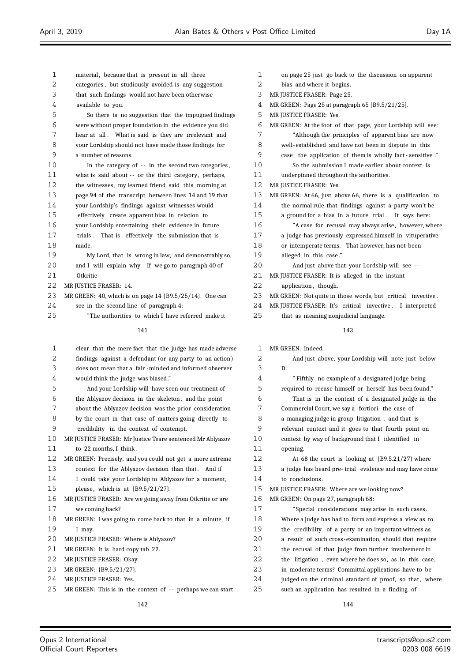| 1        | material, because that is present in all three                             | 1        | O.              |
|----------|----------------------------------------------------------------------------|----------|-----------------|
| 2        | categories, but studiously avoided is any suggestion                       | 2        | b               |
| 3        | that such findings would not have been otherwise                           | 3        | MR JU           |
| 4        | available to you.                                                          | 4        | MR <sub>G</sub> |
| 5        | So there is no suggestion that the impugned findings                       | 5        | MR JU           |
| 6        | were without proper foundation in the evidence you did                     | 6        | MR G.           |
| 7        | hear at all. What is said is they are irrelevant and                       | 7        |                 |
| 8        | your Lordship should not have made those findings for                      | 8        | W               |
| 9        | a number of reasons.                                                       | 9        | C               |
| 10       | In the category of -- in the second two categories,                        | 10       |                 |
| 11       | what is said about -- or the third category, perhaps,                      | 11       | u               |
| 12       | the witnesses, my learned friend said this morning at                      | 12       | MR JU           |
| 13       | page 94 of the transcript between lines 14 and 19 that                     | 13       | MR G.           |
| 14       | your Lordship's findings against witnesses would                           | 14       | tł              |
| 15       | effectively create apparent bias in relation to                            | 15       | a               |
| 16       | your Lordship entertaining their evidence in future                        | 16       |                 |
| 17       | trials. That is effectively the submission that is                         | 17       | a               |
| 18       | made.                                                                      | 18       | O               |
| 19       | My Lord, that is wrong in law, and demonstrably so,                        | 19       | a.              |
| 20       | and I will explain why. If we go to paragraph 40 of                        | 20       |                 |
| 21       | Otkritie --                                                                | 21       | MR JU           |
| 22       | MR JUSTICE FRASER: 14.                                                     | 22       | a               |
| 23       | MR GREEN: 40, which is on page $14$ {B9.5/25/14}. One can                  | 23       | MR G.           |
| 24       | see in the second line of paragraph 4:                                     | 24       | MR JU           |
| 25       | "The authorities to which I have referred make it                          | 25       | tl              |
|          | 141                                                                        |          |                 |
| 1        | clear that the mere fact that the judge has made adverse                   | 1        | MR G.           |
| 2        | findings against a defendant (or any party to an action)                   | 2        |                 |
| 3        | does not mean that a fair -minded and informed observer                    | 3        | D               |
| 4        | would think the judge was biased."                                         | 4        |                 |
| 5        | And your Lordship will have seen our treatment of                          | 5        | r               |
| 6        | the Ablyazov decision in the skeleton, and the point                       | 6        |                 |
| 7        | about the Ablyazov decision was the prior consideration                    | 7        | C               |
| 8        | by the court in that case of matters going directly to                     | 8        | a               |
| 9        | credibility in the context of contempt.                                    | 9        | r               |
| 10       | MR JUSTICE FRASER: Mr Justice Teare sentenced Mr Ablyazov                  | 10       | $\mathbf{C}$    |
| 11       | to 22 months, I think.                                                     | 11       | 0               |
| 12       | MR GREEN: Precisely, and you could not get a more extreme                  | 12       |                 |
| 13       | context for the Ablyazov decision than that. And if                        | 13       | a               |
| 14       | I could take your Lordship to Ablyazov for a moment,                       | 14       | t               |
| 15       | please, which is at $(B9.5/21/27)$ .                                       | 15       | MR JU           |
| 16       | MR JUSTICE FRASER: Are we going away from Otkritie or are                  | 16       | MR G            |
| 17       | we coming back?                                                            | 17       |                 |
| 18       | MR GREEN: I was going to come back to that in a minute, if                 | 18       | V               |
| 19       | I may.                                                                     | 19       | tŀ              |
| 20<br>21 | MR JUSTICE FRASER: Where is Ablyazov?<br>MR GREEN: It is hard copy tab 22. | 20<br>21 | a<br>tŀ         |
|          |                                                                            |          |                 |

- 22 MR JUSTICE FRASER: Okay.
- 23 MR GREEN: {B9.5/21/27}.
- 24 MR JUSTICE FRASER: Yes.
- 25 MR GREEN: This is in the context of - perhaps we can start
- n page 25 just go back to the discussion on apparent ias and where it begins. JSTICE FRASER: Page 25. REEN: Page 25 at paragraph 65 {B9.5/21/25}. JSTICE FRASER: Yes. REEN: At the foot of that page, your Lordship will see: 7 "Although the principles of apparent bias are now vell-established and have not been in dispute in this ase, the application of them is wholly fact - sensitive ." So the submission I made earlier about context is 11 underpinned throughout the authorities . JSTICE FRASER: Yes. REEN: At 66, just above 66, there is a qualification to he normal rule that findings against a party won't be ground for a bias in a future trial . It says here: "A case for recusal may always arise, however, where judge has previously expressed himself in vituperative r intemperate terms. That however, has not been lleged in this case." And just above that your Lordship will see --JSTICE FRASER: It is alleged in the instant pplication, though. REEN: Not quite in those words, but critical invective. JSTICE FRASER: It's critical invective . I interpreted
	- .<br>hat as meaning nonjudicial language.

REEN: Indeed. 2 And just above, your Lordship will note just below 3 D: " Fifthly no example of a designated judge being 5 required to recuse himself or herself has been found." That is in the context of a designated judge in the ommercial Court, we say a fortiori the case of managing judge in group litigation, and that is elevant context and it goes to that fourth point on ontext by way of background that I identified in pening. At 68 the court is looking at  ${B9.5.21/27}$  where judge has heard pre- trial evidence and may have come n conclusions JSTICE FRASER: Where are we looking now? REEN: On page 27, paragraph 68: "Special considerations may arise in such cases. 18 Where a judge has had to form and express a view as to he credibility of a party or an important witness as result of such cross-examination, should that require 21 the recusal of that judge from further involvement in 22 the litigation , even where he does so, as in this case, 23 in moderate terms? Committal applications have to be 24 judged on the criminal standard of proof, so that, where 25 such an application has resulted in a finding of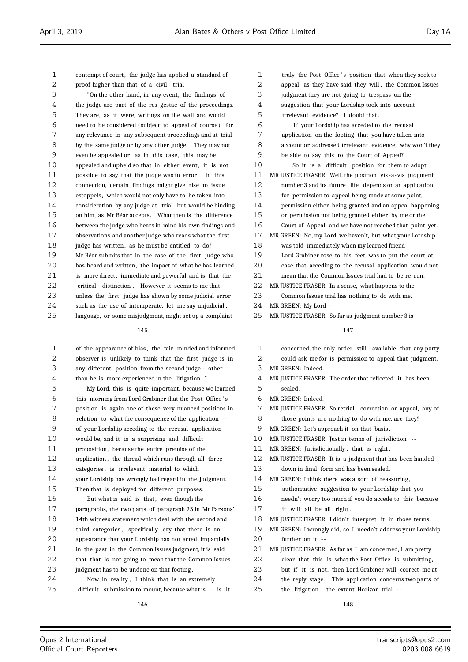| 1  | contempt of court, the judge has applied a standard of   |
|----|----------------------------------------------------------|
| 2  | proof higher than that of a civil trial.                 |
| 3  | "On the other hand, in any event, the findings of        |
| 4  | the judge are part of the res gestae of the proceedings. |
| 5  | They are, as it were, writings on the wall and would     |
| 6  | need to be considered (subject to appeal of course), for |
| 7  | any relevance in any subsequent proceedings and at trial |
| 8  | by the same judge or by any other judge. They may not    |
| 9  | even be appealed or, as in this case, this may be        |
| 10 | appealed and upheld so that in either event, it is not   |
| 11 | possible to say that the judge was in error. In this     |
| 12 | connection, certain findings might give rise to issue    |
| 13 | estoppels, which would not only have to be taken into    |
| 14 | consideration by any judge at trial but would be binding |
| 15 | on him, as Mr Béar accepts. What then is the difference  |
| 16 | between the judge who bears in mind his own findings and |
| 17 | observations and another judge who reads what the first  |
| 18 | judge has written, as he must be entitled to do?         |
| 19 | Mr Béar submits that in the case of the first judge who  |
| 20 | has heard and written, the impact of what he has learned |
| 21 | is more direct, immediate and powerful, and is that the  |
| 22 | critical distinction. However, it seems to me that,      |
| 23 | unless the first judge has shown by some judicial error, |
| 24 | such as the use of intemperate, let me say unjudicial,   |
| 25 | language, or some misiudgment, might set up a complaint  |

 of the appearance of bias , the fair -minded and informed observer is unlikely to think that the first judge is in any different position from the second judge - other than he is more experienced in the litigation ." My Lord, this is quite important, because we learned this morning from Lord Grabiner that the Post Office ' s position is again one of these very nuanced positions in

 relation to what the consequence of the application - - of your Lordship acceding to the recusal application would be, and it is a surprising and difficult 11 proposition, because the entire premise of the application , the thread which runs through all three categories , is irrelevant material to which your Lordship has wrongly had regard in the judgment.

- Then that is deployed for different purposes. 16 But what is said is that, even though the paragraphs, the two parts of paragraph 25 in Mr Parsons' 14th witness statement which deal with the second and 19 third categories, specifically say that there is an appearance that your Lordship has not acted impartially in the past in the Common Issues judgment, it is said that that is not going to mean that the Common Issues
- 23 judgment has to be undone on that footing. Now, in reality , I think that is an extremely
- difficult submission to mount, because what is - is it

| 1  | truly the Post Office's position that when they seek to   |
|----|-----------------------------------------------------------|
| 2  | appeal, as they have said they will, the Common Issues    |
| 3  | judgment they are not going to trespass on the            |
| 4  | suggestion that your Lordship took into account           |
| 5  | irrelevant evidence? I doubt that.                        |
| 6  | If your Lordship has acceded to the recusal               |
| 7  | application on the footing that you have taken into       |
| 8  | account or addressed irrelevant evidence, why won't they  |
| 9  | be able to say this to the Court of Appeal?               |
| 10 | So it is a difficult position for them to adopt.          |
| 11 | MR JUSTICE FRASER: Well, the position vis-a-vis judgment  |
| 12 | number 3 and its future life depends on an application    |
| 13 | for permission to appeal being made at some point,        |
| 14 | permission either being granted and an appeal happening   |
| 15 | or permission not being granted either by me or the       |
| 16 | Court of Appeal, and we have not reached that point yet.  |
| 17 | MR GREEN: No, my Lord, we haven't, but what your Lordship |
| 18 | was told immediately when my learned friend               |
| 19 | Lord Grabiner rose to his feet was to put the court at    |
| 20 | ease that acceding to the recusal application would not   |
| 21 | mean that the Common Issues trial had to be re-run.       |
| 22 | MR JUSTICE FRASER: In a sense, what happens to the        |
| 23 | Common Issues trial has nothing to do with me.            |
| 24 | MR GREEN: My Lord --                                      |

MR JUSTICE FRASER: So far as judgment number 3 is

- concerned, the only order still available that any party
- could ask me for is permission to appeal that judgment.
- MR GREEN: Indeed.
- MR JUSTICE FRASER: The order that reflected it has been
- sealed .
- MR GREEN: Indeed.
- 7 MR JUSTICE FRASER: So retrial, correction on appeal, any of
- those points are nothing to do with me, are they?
- MR GREEN: Let's approach it on that basis .
- MR JUSTICE FRASER: Just in terms of jurisdiction -
- MR GREEN: Jurisdictionally , that is right .
- MR JUSTICE FRASER: It is a judgment that has been handed
- down in final form and has been sealed.
- 14 MR GREEN: I think there was a sort of reassuring, authoritative suggestion to your Lordship that you
- needn't worry too much if you do accede to this because it will all be all right .
- MR JUSTICE FRASER: I didn't interpret it in those terms.
- MR GREEN: I wrongly did, so I needn't address your Lordship further on it - -
- MR JUSTICE FRASER: As far as I am concerned, I am pretty
- clear that this is what the Post Office is submitting,
- but if it is not, then Lord Grabiner will correct me at
- 24 the reply stage. This application concerns two parts of
- the litigation , the extant Horizon trial -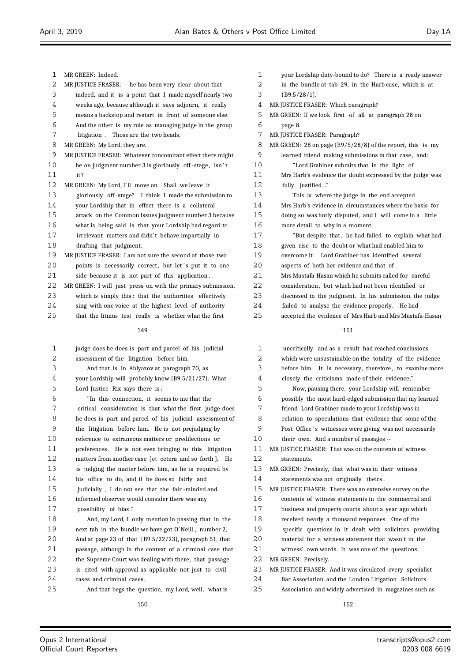| 1  | MR GREEN: Indeed.                                           | 1                 | your Lordship duty-bound to do? There is a ready answer      |
|----|-------------------------------------------------------------|-------------------|--------------------------------------------------------------|
| 2  | MR JUSTICE FRASER: -- he has been very clear about that     | 2                 | in the bundle at tab 29, in the Harb case, which is at       |
| 3  | indeed, and it is a point that I made myself nearly two     | 3                 | $\{B9.5/28/1\}.$                                             |
| 4  | weeks ago, because although it says adjourn, it really      | 4                 | MR JUSTICE FRASER: Which paragraph?                          |
| 5  | means a backstop and restart in front of someone else.      | 5                 | MR GREEN: If we look first of all at paragraph 28 on         |
| 6  | And the other is my role as managing judge in the group     | 6                 | page 8.                                                      |
| 7  | litigation. Those are the two heads.                        | 7                 | MR JUSTICE FRASER: Paragraph?                                |
| 8  | MR GREEN: My Lord, they are.                                | 8                 | MR GREEN: 28 on page ${B9/5/28/8}$ of the report, this is my |
| 9  | MR JUSTICE FRASER: Whatever concomitant effect there might  | 9                 | learned friend making submissions in that case, and:         |
| 10 | be on judgment number 3 is gloriously off-stage, isn't      | 10                | "Lord Grabiner submits that in the light of                  |
| 11 | it?                                                         | 11                | Mrs Harb's evidence the doubt expressed by the judge was     |
| 12 | MR GREEN: My Lord, I'll move on. Shall we leave it          | $12 \overline{ }$ | fully justified."                                            |
| 13 | gloriously off-stage? I think I made the submission to      | 13                | This is where the judge in the end accepted                  |
| 14 | your Lordship that in effect there is a collateral          | 14                | Mrs Harb's evidence in circumstances where the basis for     |
| 15 | attack on the Common Issues judgment number 3 because       | 15                | doing so was hotly disputed, and I will come in a little     |
| 16 | what is being said is that your Lordship had regard to      | 16                | more detail to why in a moment:                              |
| 17 | irrelevant matters and didn't behave impartially in         | 17                | "But despite that, he had failed to explain what had         |
| 18 | drafting that judgment.                                     | 18                | given rise to the doubt or what had enabled him to           |
| 19 | MR JUSTICE FRASER: I am not sure the second of those two    | 19                | overcome it. Lord Grabiner has identified several            |
| 20 | points is necessarily correct, but let's put it to one      | 20                | aspects of both her evidence and that of                     |
| 21 | side because it is not part of this application.            | 21                | Mrs Mustafa-Hasan which he submits called for careful        |
| 22 | MR GREEN: I will just press on with the primary submission, | 22                | consideration, but which had not been identified or          |
| 23 | which is simply this: that the authorities effectively      | 23                | discussed in the judgment. In his submission, the judge      |
| 24 | sing with one voice at the highest level of authority       | 24                | failed to analyse the evidence properly. He had              |
| 25 | that the litmus test really is whether what the first       | 25                | accepted the evidence of Mrs Harb and Mrs Mustafa-Hasan      |

| 1  | judge does he does is part and parcel of his judicial        |
|----|--------------------------------------------------------------|
| 2  | assessment of the litigation before him.                     |
| 3  | And that is in Ablyazov at paragraph 70, as                  |
| 4  | your Lordship will probably know {B9.5/21/27}. What          |
| 5  | Lord Justice Rix says there is:                              |
| 6  | "In this connection, it seems to me that the                 |
| 7  | critical consideration is that what the first judge does     |
| 8  | he does is part and parcel of his judicial assessment of     |
| 9  | the litigation before him. He is not prejudging by           |
| 10 | reference to extraneous matters or predilections or          |
| 11 | preferences. He is not even bringing to this litigation      |
| 12 | matters from another case [et cetera and so forth ]. He      |
| 13 | is judging the matter before him, as he is required by       |
| 14 | his office to do, and if he does so fairly and               |
| 15 | judicially, I do not see that the fair-minded and            |
| 16 | informed observer would consider there was any               |
| 17 | possibility of bias."                                        |
| 18 | And, my Lord, I only mention in passing that in the          |
| 19 | next tab in the bundle we have got O'Neill, number 2,        |
| 20 | And at page 23 of that $\{B9.5/22/23\}$ , paragraph 51, that |
| 21 | passage, although in the context of a criminal case that     |
| 22 | the Supreme Court was dealing with there, that passage       |
| 23 | is cited with approval as applicable not just to civil       |

25 And that begs the question, my Lord, well, what is

| $\mathbf 1$       | your Lordship duty-bound to do? There is a ready answer                         |  |  |  |
|-------------------|---------------------------------------------------------------------------------|--|--|--|
| 2                 | in the bundle at tab 29, in the Harb case, which is at                          |  |  |  |
| 3                 | ${B9.5/28/1}.$                                                                  |  |  |  |
| 4                 | MR JUSTICE FRASER: Which paragraph?                                             |  |  |  |
| 5                 | MR GREEN: If we look first of all at paragraph 28 on                            |  |  |  |
| 6                 | page 8.                                                                         |  |  |  |
| 7                 | MR JUSTICE FRASER: Paragraph?                                                   |  |  |  |
| 8                 | MR GREEN: 28 on page $\left[\frac{B9}{5/28/8}\right]$ of the report, this is my |  |  |  |
| 9                 | learned friend making submissions in that case, and:                            |  |  |  |
| 10                | "Lord Grabiner submits that in the light of                                     |  |  |  |
| 11                | Mrs Harb's evidence the doubt expressed by the judge was                        |  |  |  |
| $12 \overline{ }$ | fully justified ."                                                              |  |  |  |
| 13                | This is where the judge in the end accepted                                     |  |  |  |
| 14                | Mrs Harb's evidence in circumstances where the basis for                        |  |  |  |
| 15                | doing so was hotly disputed, and I will come in a little                        |  |  |  |
| 16                | more detail to why in a moment:                                                 |  |  |  |
| 17                | "But despite that, he had failed to explain what had                            |  |  |  |
| 18                | given rise to the doubt or what had enabled him to                              |  |  |  |
| 19                | overcome it. Lord Grabiner has identified several                               |  |  |  |
| 20                | aspects of both her evidence and that of                                        |  |  |  |
| 21                | Mrs Mustafa-Hasan which he submits called for careful                           |  |  |  |
| 22                | consideration, but which had not been identified or                             |  |  |  |
| 23                | discussed in the judgment. In his submission, the judge                         |  |  |  |
| 24                | failed to analyse the evidence properly. He had                                 |  |  |  |

| 1              | uncritically and as a result had reached conclusions      |
|----------------|-----------------------------------------------------------|
| $\overline{2}$ | which were unsustainable on the totality of the evidence  |
| 3              | before him. It is necessary, therefore, to examine more   |
| 4              | closely the criticisms made of their evidence."           |
| 5              | Now, pausing there, your Lordship will remember           |
| 6              | possibly the most hard-edged submission that my learned   |
| 7              | friend Lord Grabiner made to your Lordship was in         |
| 8              | relation to speculations that evidence that some of the   |
| 9              | Post Office's witnesses were giving was not necessarily   |
| 10             | their own. And a number of passages --                    |
| 11             | MR JUSTICE FRASER: That was on the contents of witness    |
| 12             | statements.                                               |
| 13             | MR GREEN: Precisely, that what was in their witness       |
| 14             | statements was not originally theirs.                     |
| 15             | MR JUSTICE FRASER: There was an extensive survey on the   |
| 16             | contents of witness statements in the commercial and      |
| 17             | business and property courts about a year ago which       |
| 18             | received nearly a thousand responses. One of the          |
| 19             | specific questions in it dealt with solicitors providing  |
| 20             | material for a witness statement that wasn't in the       |
| 21             | witness' own words. It was one of the questions.          |
| 22             | MR GREEN: Precisely.                                      |
| 23             | MR JUSTICE FRASER: And it was circulated every specialist |
| 24             | Bar Association and the London Litigation Solicitors      |
| 25             | Association and widely advertised in magazines such as    |
|                |                                                           |

cases and criminal cases .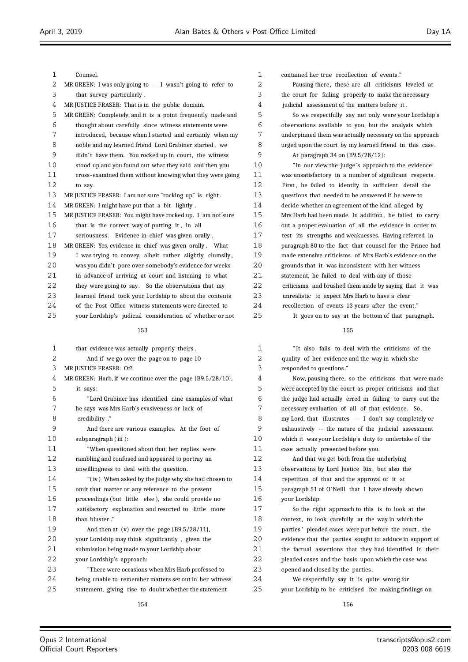| $\mathbf{1}$ | Counsel.                                                    |
|--------------|-------------------------------------------------------------|
| 2            | MR GREEN: I was only going to -- I wasn't going to refer to |
| 3            | that survey particularly.                                   |
| 4            | MR JUSTICE FRASER: That is in the public domain.            |
| 5            | MR GREEN: Completely, and it is a point frequently made and |
| 6            | thought about carefully since witness statements were       |
| 7            | introduced, because when I started and certainly when my    |
| 8            | noble and my learned friend Lord Grabiner started, we       |
| 9            | didn't have them. You rocked up in court, the witness       |
| 10           | stood up and you found out what they said and then you      |
| 11           | cross-examined them without knowing what they were going    |
| 12           | to say.                                                     |
| 13           | MR JUSTICE FRASER: I am not sure "rocking up" is right.     |
| 14           | MR GREEN: I might have put that a bit lightly.              |
| 15           | MR JUSTICE FRASER: You might have rocked up. I am not sure  |
| 16           | that is the correct way of putting it, in all               |
| 17           | seriousness. Evidence-in-chief was given orally.            |
| 18           | MR GREEN: Yes, evidence-in-chief was given orally. What     |
| 19           | I was trying to convey, albeit rather slightly clumsily,    |
| 20           | was you didn't pore over somebody's evidence for weeks      |
| 21           | in advance of arriving at court and listening to what       |
| 22           | they were going to say. So the observations that my         |
| 23           | learned friend took your Lordship to about the contents     |
| 24           | of the Post Office witness statements were directed to      |
| 25           | your Lordship's judicial consideration of whether or not    |
|              |                                                             |

| 1  | that evidence was actually properly theirs.                |
|----|------------------------------------------------------------|
| 2  | And if we go over the page on to page $10 -$               |
| 3  | MR JUSTICE FRASER: Of?                                     |
| 4  | MR GREEN: Harb, if we continue over the page {B9.5/28/10}, |
| 5  | it says:                                                   |
| 6  | "Lord Grabiner has identified nine examples of what        |
| 7  | he says was Mrs Harb's evasiveness or lack of              |
| 8  | credibility ."                                             |
| 9  | And there are various examples. At the foot of             |
| 10 | subparagraph (iii):                                        |
| 11 | "When questioned about that, her replies were              |
| 12 | rambling and confused and appeared to portray an           |
| 13 | unwillingness to deal with the question.                   |
| 14 | "(iv) When asked by the judge why she had chosen to        |
| 15 | omit that matter or any reference to the present           |
| 16 | proceedings (but little else), she could provide no        |
| 17 | satisfactory explanation and resorted to little<br>more    |
| 18 | than bluster."                                             |
| 19 | And then at $(v)$ over the page $\{B9.5/28/11\}$ ,         |
| 20 | your Lordship may think significantly, given the           |
| 21 | submission being made to your Lordship about               |
| 22 | your Lordship's approach:                                  |
| 23 | "There were occasions when Mrs Harb professed to           |
| 24 | being unable to remember matters set out in her witness    |
| 25 | statement, giving rise to doubt whether the statement      |
|    |                                                            |

contained her true recollection of events ."

2 Pausing there these are all criticisms leveled at the court for failing properly to make the necessary judicial assessment of the matters before it .

 So we respectfully say not only were your Lordship's observations available to you, but the analysis which underpinned them was actually necessary on the approach urged upon the court by my learned friend in this case.

#### At paragraph 34 on {B9.5/28/12}:

 "In our view the judge's approach to the evidence was unsatisfactory in a number of significant respects . First , he failed to identify in sufficient detail the questions that needed to be answered if he were to decide whether an agreement of the kind alleged by Mrs Harb had been made. In addition , he failed to carry out a proper evaluation of all the evidence in order to test its strengths and weaknesses. Having referred in paragraph 80 to the fact that counsel for the Prince had made extensive criticisms of Mrs Harb's evidence on the 20 grounds that it was inconsistent with her witness statement, he failed to deal with any of those criticisms and brushed them aside by saying that it was unrealistic to expect Mrs Harb to have a clear recollection of events 13 years after the event ." It goes on to say at the bottom of that paragraph.

# 

 " It also fails to deal with the criticisms of the quality of her evidence and the way in which she responded to questions ."

 Now, pausing there, so the criticisms that were made were accepted by the court as proper criticisms and that the judge had actually erred in failing to carry out the necessary evaluation of all of that evidence. So, my Lord, that illustrates - - I don't say completely or exhaustively - - the nature of the judicial assessment which it was your Lordship's duty to undertake of the case actually presented before you.

 And that we get both from the underlying 13 observations by Lord Justice Rix, but also the repetition of that and the approval of it at paragraph 51 of O' Neill that I have already shown your Lordship.

 So the right approach to this is to look at the 18 context, to look carefully at the way in which the 19 parties' pleaded cases were put before the court, the evidence that the parties sought to adduce in support of the factual assertions that they had identified in their pleaded cases and the basis upon which the case was opened and closed by the parties .

 We respectfully say it is quite wrong for your Lordship to be criticised for making findings on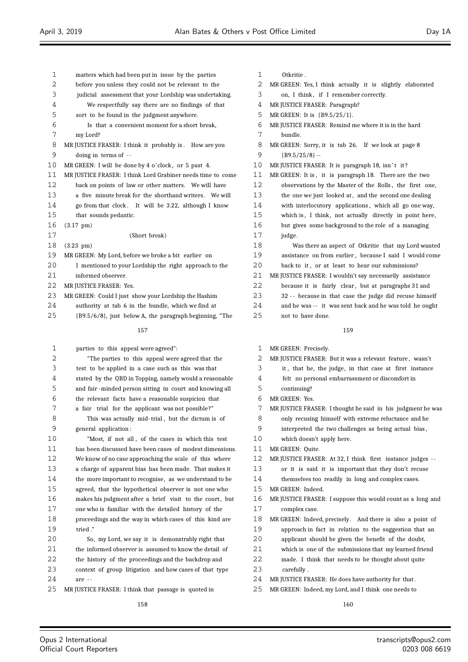| $\mathbf{1}$ | matters which had been put in issue by the parties          | $\mathbf 1$ | Otkritie.                    |
|--------------|-------------------------------------------------------------|-------------|------------------------------|
| $\mathbf{2}$ | before you unless they could not be relevant to the         | 2           | MR GREEN: Yes, I think       |
| 3            | judicial assessment that your Lordship was undertaking.     | 3           | on, I think, if I ren        |
| 4            | We respectfully say there are no findings of that           | 4           | MR JUSTICE FRASER: Par       |
| 5            | sort to be found in the judgment anywhere.                  | 5           | MR GREEN: It is {B9.5/2      |
| 6            | Is that a convenient moment for a short break,              | 6           | MR JUSTICE FRASER: Ren       |
| 7            | my Lord?                                                    | 7           | bundle.                      |
| 8            | MR JUSTICE FRASER: I think it probably is. How are you      | 8           | MR GREEN: Sorry, it is t     |
| 9            | doing in terms of --                                        | 9           | ${B9.5/25/8}$ --             |
| 10           | MR GREEN: I will be done by 4 o'clock, or 5 past 4.         | 10          | MR JUSTICE FRASER: It is     |
| 11           | MR JUSTICE FRASER: I think Lord Grabiner needs time to come | 11          | MR GREEN: It is, it is $\mu$ |
| 12           | back on points of law or other matters. We will have        | 12          | observations by the 1        |
| 13           | a five minute break for the shorthand writers. We will      | 13          | the one we just looke        |
| 14           | go from that clock. It will be 3.22, although I know        | 14          | with interlocutory a         |
| 15           | that sounds pedantic.                                       | 15          | which is, I think, no        |
| 16           | $(3.17 \text{ pm})$                                         | 16          | but gives some backg         |
| 17           | (Short break)                                               | 17          | judge.                       |
| 18           | $(3.23 \text{ pm})$                                         | 18          | Was there an asp             |
| 19           | MR GREEN: My Lord, before we broke a bit earlier on         | 19          | assistance on from e         |
| 20           | I mentioned to your Lordship the right approach to the      | 20          | back to it, or at lea        |
| 21           | informed observer.                                          | 21          | MR JUSTICE FRASER: I wo      |
| 22           | MR JUSTICE FRASER: Yes.                                     | 22          | because it is fairly         |
| 23           | MR GREEN: Could I just show your Lordship the Hashim        | 23          | 32 -- because in that        |
| 24           | authority at tab 6 in the bundle, which we find at          | 24          | and he was -- it was         |
| 25           | {B9.5/6/8}, just below A, the paragraph beginning. "The     | 25          | not to have done.            |

{B9.5/6/8}, just below A, the paragraph beginning, "The

| parties to this appeal were agreed": |  |
|--------------------------------------|--|
|--------------------------------------|--|

| $\overline{2}$ | "The parties to this appeal were agreed that the        |
|----------------|---------------------------------------------------------|
| 3              | test to be applied in a case such as this was that      |
| 4              | stated by the QBD in Topping, namely would a reasonable |
| 5              | and fair-minded person sitting in court and knowing all |
| 6              | the relevant facts have a reasonable suspicion that     |
| 7              | a fair trial for the applicant was not possible?"       |

 This was actually mid- trial , but the dictum is of general application :

 "Most, if not all , of the cases in which this test has been discussed have been cases of modest dimensions. We know of no case approaching the scale of this where a charge of apparent bias has been made. That makes it the more important to recognise, as we understand to be agreed, that the hypothetical observer is not one who 16 makes his judgment after a brief visit to the court, but one who is familiar with the detailed history of the proceedings and the way in which cases of this kind are tried ."

 So, my Lord, we say it is demonstrably right that 21 the informed observer is assumed to know the detail of the history of the proceedings and the backdrop and context of group litigation and how cases of that type are - -

MR JUSTICE FRASER: I think that passage is quoted in

- 
- actually it is slightly elaborated
- member correctly.
- agraph?
- $.5/1$ .
- nind me where it is in the hard
- ab 26. If we look at page 8
- paragraph 18, isn't it?
- paragraph 18. There are the two Master of the Rolls, the first one,
- ed at, and the second one dealing
- pplications, which all go one way,
- ot actually directly in point here,
- ground to the role of a managing
- ect of Otkritie that my Lord wanted arlier, because I said I would come
- <sup>2</sup><br>19 bec to hear our submissions?
- $\text{p}$  and  $\text{p}$  assistance build n't say necessarily assistance
- clear, but at paragraphs 31 and
- case the judge did recuse himself
- sent back and he was told he ought

# 

MR GREEN: Precisely.

| $\overline{2}$ | MR JUSTICE FRASER: But it was a relevant feature, wasn't    |
|----------------|-------------------------------------------------------------|
| 3              | it, that he, the judge, in that case at first instance      |
| 4              | felt no personal embarrassment or discomfort in             |
| 5              | continuing?                                                 |
| 6              | MR GREEN: Yes.                                              |
| 7              | MR JUSTICE FRASER: I thought he said in his judgment he was |
| 8              | only recusing himself with extreme reluctance and he        |
| 9              | interpreted the two challenges as being actual bias,        |
| 10             | which doesn't apply here.                                   |
| 11             | MR GREEN: Quite.                                            |
| 12             | MR JUSTICE FRASER: At 32, I think first instance judges --  |
| 13             | or it is said it is important that they don't recuse        |
| 14             | themselves too readily in long and complex cases.           |
| 15             | MR GREEN: Indeed.                                           |
| 16             | MR JUSTICE FRASER: I suppose this would count as a long and |
| 17             | complex case.                                               |
| 18             | MR GREEN: Indeed, precisely. And there is also a point of   |
| 19             | approach in fact in relation to the suggestion that an      |
| 20             | applicant should be given the benefit of the doubt,         |
| 21             | which is one of the submissions that my learned friend      |
| 22             | made. I think that needs to be thought about quite          |
| 23             | carefully.                                                  |
| 24             | MR JUSTICE FRASER: He does have authority for that.         |
| 25             | MR GREEN: Indeed, my Lord, and I think one needs to         |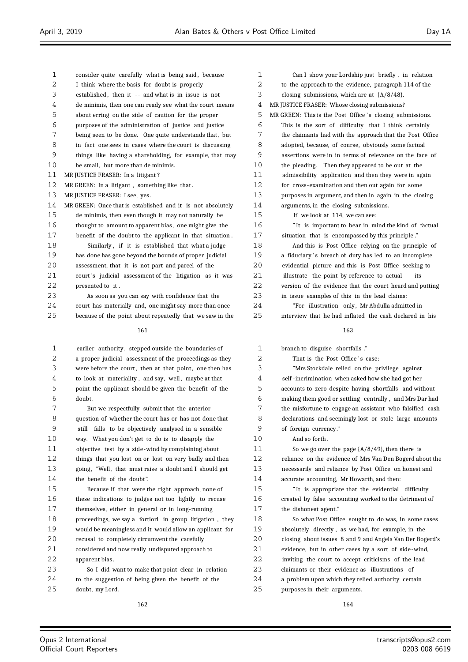| 1  | consider quite carefully what is being said, because        | 1              |                 |
|----|-------------------------------------------------------------|----------------|-----------------|
| 2  | I think where the basis for doubt is properly               | $\overline{2}$ | to              |
| 3  | established, then it -- and what is in issue is not         | 3              | clo             |
| 4  | de minimis, then one can ready see what the court means     | 4              | <b>MR JUS</b>   |
| 5  | about erring on the side of caution for the proper          | 5              | MR GR           |
| 6  | purposes of the administration of justice and justice       | 6              | Th              |
| 7  | being seen to be done. One quite understands that, but      | 7              | the             |
| 8  | in fact one sees in cases where the court is discussing     | 8              | ad              |
| 9  | things like having a shareholding, for example, that may    | 9              | as:             |
| 10 | be small, but more than de minimis.                         | 10             | the             |
| 11 | MR JUSTICE FRASER: In a litigant?                           | 11             | ad              |
| 12 | MR GREEN: In a litigant, something like that.               | 12             | for             |
| 13 | MR JUSTICE FRASER: I see, yes.                              | 13             | pu              |
| 14 | MR GREEN: Once that is established and it is not absolutely | 14             | ar              |
| 15 | de minimis, then even though it may not naturally be        | 15             |                 |
| 16 | thought to amount to apparent bias, one might give the      | 16             |                 |
| 17 | benefit of the doubt to the applicant in that situation.    | 17             | sit             |
| 18 | Similarly, if it is established that what a judge           | 18             |                 |
| 19 | has done has gone beyond the bounds of proper judicial      | 19             | a               |
| 20 | assessment, that it is not part and parcel of the           | 20             | ev              |
| 21 | court's judicial assessment of the litigation as it was     | 21             | ill             |
| 22 | presented to it.                                            | 22             | ve:             |
| 23 | As soon as you can say with confidence that the             | 23             | in              |
| 24 | court has materially and, one might say more than once      | 24             |                 |
| 25 | because of the point about repeatedly that we saw in the    | 25             | int             |
|    | 161                                                         |                |                 |
| 1  | earlier authority, stepped outside the boundaries of        | 1              | bra             |
| 2  | a proper judicial assessment of the proceedings as they     | 2              |                 |
| 3  | were before the court, then at that point, one then has     | 3              |                 |
| 4  | to look at materiality, and say, well, maybe at that        | 4              | se              |
| 5  | point the applicant should be given the benefit of the      | 5              | aco             |
| 6  | doubt.                                                      | 6              | mε              |
| 7  | But we respectfully submit that the anterior                | 7              | the             |
| 8  | question of whether the court has or has not done that      | 8              | de              |
| 9  | falls to be objectively analysed in a sensible<br>still     | 9              | of              |
| 10 | way. What you don't get to do is to disapply the            | 10             |                 |
| 11 | objective test by a side-wind by complaining about          | 11             |                 |
| 12 | things that you lost on or lost on very badly and then      | 12             | rel             |
| 13 | going, "Well, that must raise a doubt and I should get      | 13             | ne              |
| 14 | the benefit of the doubt".                                  | 14             | aco             |
| 15 | Because if that were the right approach, none of            | 15             |                 |
| 16 | these indications to judges not too lightly to recuse       | 16             | cr <sub>f</sub> |
| 17 | themselves, either in general or in long-running            | 17             | the             |
| 18 | proceedings, we say a fortiori in group litigation, they    | 18             |                 |
| 19 | would be meaningless and it would allow an applicant for    | 19             | ab              |
| 20 | recusal to completely circumvent the carefully              | 20             | clo             |
| 21 | considered and now really undisputed approach to            | 21             | evi             |
| 22 | apparent bias.                                              | 22             | in              |

23 So I did want to make that point clear in relation 24 to the suggestion of being given the benefit of the 25 doubt, my Lord.

Can I show your Lordship just briefly, in relation the approach to the evidence, paragraph 114 of the osing submissions, which are at  ${A/8/48}$ . STICE FRASER: Whose closing submissions? EEN: This is the Post Office's closing submissions. is is the sort of difficulty that I think certainly 7 the claimants had with the approach that the Post Office opted, because, of course, obviously some factual sertions were in in terms of relevance on the face of e pleading. Then they appeared to be out at the Imissibility application and then they were in again r cross-examination and then out again for some rposes in argument, and then in again in the closing guments, in the closing submissions. 15 If we look at 114, we can see: "It is important to bear in mind the kind of factual tuation that is encompassed by this principle ." 18 And this is Post Office relying on the principle of fiduciary 's breach of duty has led to an incomplete idential picture and this is Post Office seeking to lustrate the point by reference to actual -- its rsion of the evidence that the court heard and putting issue examples of this in the lead claims:

"For illustration only, Mr Abdulla admitted in terview that he had inflated the cash declared in his

# 163

anch to disguise shortfalls ." That is the Post Office's case: "Mrs Stockdale relied on the privilege against If -incrimination when asked how she had got her 5 accounts to zero despite having shortfalls and without aking them good or settling centrally , and Mrs Dar had e misfortune to engage an assistant who falsified cash eclarations and seemingly lost or stole large amounts foreign currency." And so forth. So we go over the page  $(A/8/49)$ , then there is liance on the evidence of Mrs Van Den Bogerd about the ecessarily and reliance by Post Office on honest and curate accounting, Mr Howarth, and then: "It is appropriate that the evidential difficulty eated by false accounting worked to the detriment of e dishonest agent." So what Post Office sought to do was, in some cases solutely directly, as we had, for example, in the 20 closing about issues 8 and 9 and Angela Van Der Bogerd's idence, but in other cases by a sort of side-wind, 22 inviting the court to accept criticisms of the lead

23 claimants or their evidence as illustrations of

- 24 a problem upon which they relied authority certain
- 25 purposes in their arguments.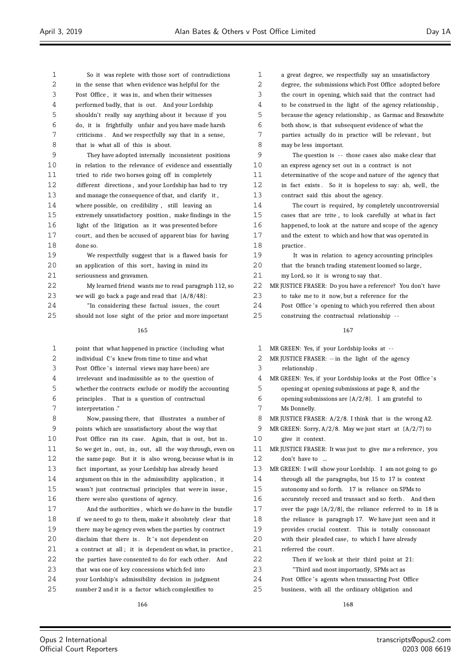| 1      | So it was replete with those sort of contradictions                                                 | 1      | a great degree, we respectfully say an unsatisfactory                                                              |
|--------|-----------------------------------------------------------------------------------------------------|--------|--------------------------------------------------------------------------------------------------------------------|
| 2      | in the sense that when evidence was helpful for the                                                 | 2<br>3 | degree, the submissions which Post Office adopted before                                                           |
| 3<br>4 | Post Office, it was in, and when their witnesses<br>performed badly, that is out. And your Lordship | 4      | the court in opening, which said that the contract had<br>to be construed in the light of the agency relationship, |
| 5      | shouldn't really say anything about it because if you                                               | 5      | because the agency relationship, as Garmac and Branwhite                                                           |
| 6      | do, it is frightfully unfair and you have made harsh                                                | 6      | both show, is that subsequent evidence of what the                                                                 |
| 7      | criticisms. And we respectfully say that in a sense,                                                | 7      | parties actually do in practice will be relevant, but                                                              |
| 8      | that is what all of this is about.                                                                  | 8      | may be less important.                                                                                             |
| 9      | They have adopted internally inconsistent positions                                                 | 9      | The question is -- those cases also make clear that                                                                |
| 10     | in relation to the relevance of evidence and essentially                                            | 10     | an express agency set out in a contract is not                                                                     |
| 11     | tried to ride two horses going off in completely                                                    | 11     | determinative of the scope and nature of the agency that                                                           |
| 12     | different directions, and your Lordship has had to try                                              | 12     | in fact exists. So it is hopeless to say: ah, well, the                                                            |
| 13     | and manage the consequence of that, and clarify it,                                                 | 13     | contract said this about the agency.                                                                               |
| 14     | where possible, on credibility, still leaving an                                                    | 14     | The court is required, by completely uncontroversial                                                               |
| 15     | extremely unsatisfactory position, make findings in the                                             | 15     | cases that are trite, to look carefully at what in fact                                                            |
| 16     | light of the litigation as it was presented before                                                  | 16     | happened, to look at the nature and scope of the agency                                                            |
| 17     | court, and then be accused of apparent bias for having                                              | 17     | and the extent to which and how that was operated in                                                               |
| 18     | done so.                                                                                            | 18     | practice.                                                                                                          |
| 19     | We respectfully suggest that is a flawed basis for                                                  | 19     | It was in relation to agency accounting principles                                                                 |
| 20     | an application of this sort, having in mind its                                                     | 20     | that the branch trading statement loomed so large,                                                                 |
| 21     | seriousness and gravamen.                                                                           | 21     | my Lord, so it is wrong to say that.                                                                               |
| 22     | My learned friend wants me to read paragraph 112, so                                                | 22     | MR JUSTICE FRASER: Do you have a reference? You don't have                                                         |
| 23     | we will go back a page and read that $(A/8/48)$ :                                                   | 23     | to take me to it now, but a reference for the                                                                      |
| 24     | "In considering these factual issues, the court                                                     | 24     | Post Office's opening to which you referred then about                                                             |
| 25     | should not lose sight of the prior and more important                                               | 25     | construing the contractual relationship --                                                                         |
|        | 165                                                                                                 |        | 167                                                                                                                |
| 1      | point that what happened in practice (including what                                                | 1      | MR GREEN: Yes, if your Lordship looks at --                                                                        |
| 2      | individual C's knew from time to time and what                                                      | 2      | MR JUSTICE FRASER: -- in the light of the agency                                                                   |
| 3      | Post Office's internal views may have been) are                                                     | 3      | relationship.                                                                                                      |
| 4      | irrelevant and inadmissible as to the question of                                                   | 4      | MR GREEN: Yes, if your Lordship looks at the Post Office's                                                         |
| 5      | whether the contracts exclude or modify the accounting                                              | 5      | opening at opening submissions at page 8, and the                                                                  |
| 6      | principles. That is a question of contractual                                                       | 6      | opening submissions are $(A/2/8)$ . I am grateful to                                                               |
| 7      | interpretation."                                                                                    | 7      | Ms Donnelly.                                                                                                       |
| 8      | Now, pausing there, that illustrates a number of                                                    | 8      | MR JUSTICE FRASER: $A/2/8$ . I think that is the wrong A2.                                                         |
| 9      | points which are unsatisfactory about the way that                                                  | 9      | MR GREEN: Sorry, $A/2/8$ . May we just start at $\{A/2/7\}$ to                                                     |
| 10     | Post Office ran its case. Again, that is out, but in.                                               | 10     | give it context.                                                                                                   |
| 11     | So we get in, out, in, out, all the way through, even on                                            | 11     | MR JUSTICE FRASER: It was just to give me a reference, you                                                         |
| 12     | the same page. But it is also wrong, because what is in                                             | 12     | don't have to                                                                                                      |
| 13     | fact important, as your Lordship has already heard                                                  | 13     | MR GREEN: I will show your Lordship. I am not going to go                                                          |
| 14     | argument on this in the admissibility application, it                                               | 14     | through all the paragraphs, but 15 to 17 is context                                                                |
| 15     | wasn't just contractual principles that were in issue,                                              | 15     | autonomy and so forth. 17 is reliance on SPMs to                                                                   |
| 16     | there were also questions of agency.                                                                | 16     | accurately record and transact and so forth. And then                                                              |
| 17     | And the authorities, which we do have in the bundle                                                 | 17     | over the page $(A/2/8)$ , the reliance referred to in 18 is                                                        |
| 18     | if we need to go to them, make it absolutely clear that                                             | 18     | the reliance is paragraph 17. We have just seen and it                                                             |
| 19     | there may be agency even when the parties by contract                                               | 19     | provides crucial context. This is totally consonant                                                                |
| 20     | disclaim that there is. It's not dependent on                                                       | 20     | with their pleaded case, to which I have already                                                                   |
| 21     | a contract at all; it is dependent on what, in practice,                                            | 21     | referred the court.                                                                                                |
| 22     | the parties have consented to do for each other. And                                                | 22     | Then if we look at their third point at 21:                                                                        |
| 23     | that was one of key concessions which fed into                                                      | 23     | "Third and most importantly, SPMs act as                                                                           |
| 24     | your Lordship's admissibility decision in judgment                                                  | 24     | Post Office's agents when transacting Post Office                                                                  |

number 2 and it is a factor which complexifies to

business, with all the ordinary obligation and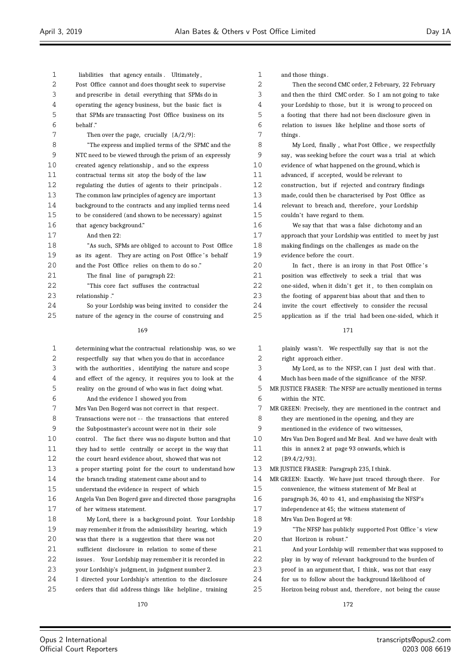| 1            |                                                                                                             | 1      |                                                                                                               |
|--------------|-------------------------------------------------------------------------------------------------------------|--------|---------------------------------------------------------------------------------------------------------------|
| 2            | liabilities that agency entails. Ultimately,                                                                | 2      | and those things.                                                                                             |
| 3            | Post Office cannot and does thought seek to supervise<br>and prescribe in detail everything that SPMs do in | 3      | Then the second CMC order, 2 February, 22 February<br>and then the third CMC order. So I am not going to take |
| 4            | operating the agency business, but the basic fact is                                                        | 4      | your Lordship to those, but it is wrong to proceed on                                                         |
| 5            | that SPMs are transacting Post Office business on its                                                       | 5      | a footing that there had not been disclosure given in                                                         |
| 6            | behalf."                                                                                                    | 6      | relation to issues like helpline and those sorts of                                                           |
| 7            | Then over the page, crucially $(A/2/9)$ :                                                                   | 7      | things.                                                                                                       |
| 8            | "The express and implied terms of the SPMC and the                                                          | 8      | My Lord, finally, what Post Office, we respectfully                                                           |
| 9            | NTC need to be viewed through the prism of an expressly                                                     | 9      | say, was seeking before the court was a trial at which                                                        |
| 10           | created agency relationship, and so the express                                                             | 10     | evidence of what happened on the ground, which is                                                             |
| 11           | contractual terms sit atop the body of the law                                                              | 11     | advanced, if accepted, would be relevant to                                                                   |
| 12           | regulating the duties of agents to their principals.                                                        | 12     | construction, but if rejected and contrary findings                                                           |
| 13           | The common law principles of agency are important                                                           | 13     | made, could then be characterised by Post Office as                                                           |
| 14           | background to the contracts and any implied terms need                                                      | 14     | relevant to breach and, therefore, your Lordship                                                              |
| 15           | to be considered (and shown to be necessary) against                                                        | 15     | couldn't have regard to them.                                                                                 |
| 16           | that agency background."                                                                                    | 16     | We say that that was a false dichotomy and an                                                                 |
| 17           | And then 22:                                                                                                | $17\,$ | approach that your Lordship was entitled to meet by just                                                      |
| 18           | "As such, SPMs are obliged to account to Post Office                                                        | 18     | making findings on the challenges as made on the                                                              |
| 19           | as its agent. They are acting on Post Office's behalf                                                       | 19     | evidence before the court.                                                                                    |
| 20           | and the Post Office relies on them to do so."                                                               | 20     | In fact, there is an irony in that Post Office's                                                              |
| 21           | The final line of paragraph 22:                                                                             | 21     | position was effectively to seek a trial that was                                                             |
| 22           | "This core fact suffuses the contractual                                                                    | 22     | one-sided, when it didn't get it, to then complain on                                                         |
| 23           | relationship."                                                                                              | 23     | the footing of apparent bias about that and then to                                                           |
| 24           | So your Lordship was being invited to consider the                                                          | 24     | invite the court effectively to consider the recusal                                                          |
| 25           | nature of the agency in the course of construing and                                                        | 25     | application as if the trial had been one-sided, which it                                                      |
|              | 169                                                                                                         |        | 171                                                                                                           |
|              |                                                                                                             |        |                                                                                                               |
| $\mathbf{1}$ | determining what the contractual relationship was, so we                                                    | 1      | plainly wasn't. We respectfully say that is not the                                                           |
| 2            | respectfully say that when you do that in accordance                                                        | 2      | right approach either.                                                                                        |
| 3            | with the authorities, identifying the nature and scope                                                      | 3      | My Lord, as to the NFSP, can I just deal with that.                                                           |
| 4            | and effect of the agency, it requires you to look at the                                                    | 4      | Much has been made of the significance of the NFSP.                                                           |
| 5            | reality on the ground of who was in fact doing what.                                                        | 5      | MR JUSTICE FRASER: The NFSP are actually mentioned in terms                                                   |
| 6            | And the evidence I showed you from                                                                          | 6      | within the NTC.                                                                                               |
| 7            | Mrs Van Den Bogerd was not correct in that respect.                                                         | 7      | MR GREEN: Precisely, they are mentioned in the contract and                                                   |
| 8            | Transactions were not -- the transactions that entered                                                      | 8      | they are mentioned in the opening, and they are                                                               |
| 9            | the Subpostmaster's account were not in their sole                                                          | 9      | mentioned in the evidence of two witnesses,                                                                   |
| 10           | control. The fact there was no dispute button and that                                                      | 10     | Mrs Van Den Bogerd and Mr Beal. And we have dealt with                                                        |
| 11           | they had to settle centrally or accept in the way that                                                      | 11     | this in annex 2 at page 93 onwards, which is                                                                  |
| 12           | the court heard evidence about, showed that was not                                                         | 12     | $\{B9.4/2/93\}.$                                                                                              |
| 13           | a proper starting point for the court to understand how                                                     | 13     | MR JUSTICE FRASER: Paragraph 235, I think.                                                                    |
| 14           | the branch trading statement came about and to                                                              | 14     | MR GREEN: Exactly. We have just traced through there. For                                                     |
| 15           | understand the evidence in respect of which                                                                 | 15     | convenience, the witness statement of Mr Beal at                                                              |
| 16           | Angela Van Den Bogerd gave and directed those paragraphs                                                    | 16     | paragraph 36, 40 to 41, and emphasising the NFSP's                                                            |
| 17           | of her witness statement.                                                                                   | 17     | independence at 45; the witness statement of                                                                  |
| 18           | My Lord, there is a background point. Your Lordship                                                         | 18     | Mrs Van Den Bogerd at 98:                                                                                     |
| 19           | may remember it from the admissibility hearing, which                                                       | 19     | "The NFSP has publicly supported Post Office's view                                                           |
| 20           | was that there is a suggestion that there was not                                                           | 20     | that Horizon is robust."                                                                                      |
| 21           | sufficient disclosure in relation to some of these                                                          | 21     | And your Lordship will remember that was supposed to                                                          |
| 22           | issues. Your Lordship may remember it is recorded in                                                        | 22     | play in by way of relevant background to the burden of                                                        |
| 23           | your Lordship's judgment, in judgment number 2.                                                             | 23     | proof in an argument that, I think, was not that easy                                                         |
| 24           | I directed your Lordship's attention to the disclosure                                                      | 24     | for us to follow about the background likelihood of                                                           |
| 25           | orders that did address things like helpline, training                                                      | 25     | Horizon being robust and, therefore, not being the cause                                                      |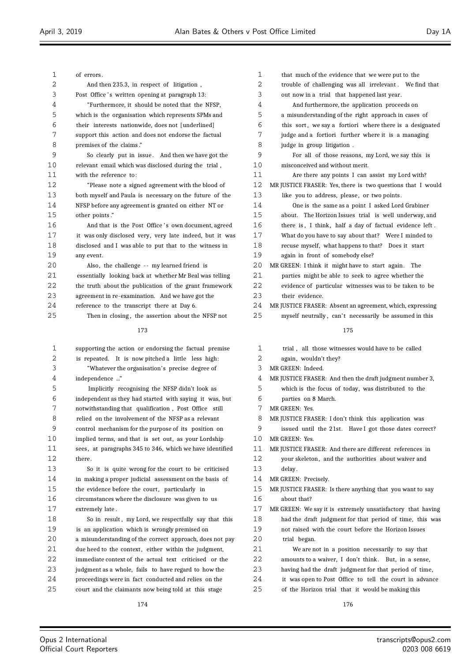| 1                          | of errors.                                                                                                   | 1        | that much of the evidence that we were put to the                                                            |
|----------------------------|--------------------------------------------------------------------------------------------------------------|----------|--------------------------------------------------------------------------------------------------------------|
| 2                          | And then 235.3, in respect of litigation,                                                                    | 2        | trouble of challenging was all irrelevant. We find that                                                      |
| 3                          | Post Office's written opening at paragraph 13:                                                               | 3        | out now in a trial that happened last year.                                                                  |
| 4                          | "Furthermore, it should be noted that the NFSP,                                                              | 4        | And furthermore, the application proceeds on                                                                 |
| 5                          | which is the organisation which represents SPMs and                                                          | 5        | a misunderstanding of the right approach in cases of                                                         |
| 6                          | their interests nationwide, does not [underlined]                                                            | 6        | this sort, we say a fortiori where there is a designated                                                     |
| 7                          | support this action and does not endorse the factual                                                         | 7        | judge and a fortiori further where it is a managing                                                          |
| 8                          | premises of the claims."                                                                                     | 8        | judge in group litigation.                                                                                   |
| 9                          | So clearly put in issue. And then we have got the                                                            | 9        | For all of those reasons, my Lord, we say this is                                                            |
| 10                         | relevant email which was disclosed during the trial,                                                         | 10       | misconceived and without merit.                                                                              |
| 11                         | with the reference to:                                                                                       | 11       | Are there any points I can assist my Lord with?                                                              |
| 12                         | "Please note a signed agreement with the blood of                                                            | 12       | MR JUSTICE FRASER: Yes, there is two questions that I would                                                  |
| 13                         | both myself and Paula is necessary on the future of the                                                      | 13       | like you to address, please, or two points.                                                                  |
| 14                         | NFSP before any agreement is granted on either NT or                                                         | 14       | One is the same as a point I asked Lord Grabiner                                                             |
| 15                         | other points."                                                                                               | 15       | about. The Horizon Issues trial is well underway, and                                                        |
| 16                         | And that is the Post Office's own document, agreed                                                           | 16       | there is, I think, half a day of factual evidence left.                                                      |
| 17                         | it was only disclosed very, very late indeed, but it was                                                     | 17       | What do you have to say about that? Were I minded to                                                         |
| 18                         | disclosed and I was able to put that to the witness in                                                       | 18       | recuse myself, what happens to that? Does it start                                                           |
| 19                         | any event.                                                                                                   | 19       | again in front of somebody else?                                                                             |
| 20                         | Also, the challenge -- my learned friend is                                                                  | 20       | MR GREEN: I think it might have to start again. The                                                          |
| 21                         | essentially looking back at whether Mr Beal was telling                                                      | 21       | parties might be able to seek to agree whether the                                                           |
| 22                         | the truth about the publication of the grant framework                                                       | 22       | evidence of particular witnesses was to be taken to be                                                       |
| 23                         | agreement in re-examination. And we have got the                                                             | 23       | their evidence.                                                                                              |
| 24                         | reference to the transcript there at Day 6.                                                                  | 24       | MR JUSTICE FRASER: Absent an agreement, which, expressing                                                    |
| 25                         | Then in closing, the assertion about the NFSP not                                                            | 25       | myself neutrally, can't necessarily be assumed in this                                                       |
|                            |                                                                                                              |          |                                                                                                              |
|                            | 173                                                                                                          |          | 175                                                                                                          |
| 1                          | supporting the action or endorsing the factual premise                                                       | 1        | trial, all those witnesses would have to be called                                                           |
| 2                          | is repeated. It is now pitched a little less high:                                                           | 2        | again, wouldn't they?                                                                                        |
| 3                          | "Whatever the organisation's precise degree of                                                               | 3        | MR GREEN: Indeed.                                                                                            |
| 4                          | independence "                                                                                               | 4        | MR JUSTICE FRASER: And then the draft judgment number 3,                                                     |
| 5                          | Implicitly recognising the NFSP didn't look as                                                               | 5        | which is the focus of today, was distributed to the                                                          |
| 6                          | independent as they had started with saying it was, but                                                      | 6        | parties on 8 March.                                                                                          |
| 7                          | notwithstanding that qualification, Post Office still                                                        | 7        | MR GREEN: Yes.                                                                                               |
| 8                          | relied on the involvement of the NFSP as a relevant                                                          | 8        | MR JUSTICE FRASER: I don't think this application was                                                        |
| 9                          | control mechanism for the purpose of its position on                                                         | 9        | issued until the 21st. Have I got those dates correct?                                                       |
| 10                         | implied terms, and that is set out, as your Lordship                                                         | 10       | MR GREEN: Yes.                                                                                               |
|                            |                                                                                                              |          |                                                                                                              |
|                            | sees, at paragraphs 345 to 346, which we have identified                                                     | 11       | MR JUSTICE FRASER: And there are different references in                                                     |
|                            | there.                                                                                                       | 12       | your skeleton, and the authorities about waiver and                                                          |
|                            | So it is quite wrong for the court to be criticised                                                          | 13       | delay.                                                                                                       |
| 11<br>12<br>13<br>14       | in making a proper judicial assessment on the basis of                                                       | 14       | MR GREEN: Precisely.                                                                                         |
| 15                         | the evidence before the court, particularly in                                                               | 15       |                                                                                                              |
|                            |                                                                                                              | 16       | MR JUSTICE FRASER: Is there anything that you want to say<br>about that?                                     |
|                            | circumstances where the disclosure was given to us<br>extremely late .                                       | 17       | MR GREEN: We say it is extremely unsatisfactory that having                                                  |
|                            | So in result, my Lord, we respectfully say that this                                                         | 18       | had the draft judgment for that period of time, this was                                                     |
|                            | is an application which is wrongly premised on                                                               | 19       |                                                                                                              |
|                            |                                                                                                              |          | not raised with the court before the Horizon Issues                                                          |
| 16<br>17<br>18<br>19<br>20 | a misunderstanding of the correct approach, does not pay                                                     | 20       | trial began.                                                                                                 |
| 21                         | due heed to the context, either within the judgment,                                                         | 21       | We are not in a position necessarily to say that                                                             |
|                            | immediate context of the actual text criticised or the                                                       | 22<br>23 | amounts to a waiver, I don't think. But, in a sense,                                                         |
| 22<br>23<br>24             | judgment as a whole, fails to have regard to how the                                                         |          | having had the draft judgment for that period of time,                                                       |
| 25                         | proceedings were in fact conducted and relies on the<br>court and the claimants now being told at this stage | 24<br>25 | it was open to Post Office to tell the court in advance<br>of the Horizon trial that it would be making this |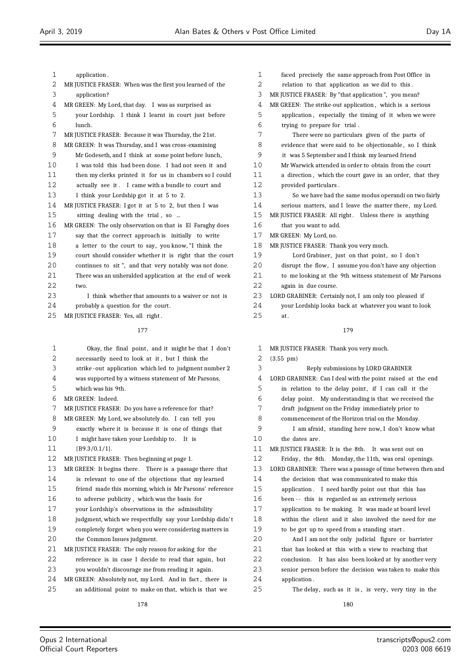| application.                                              |
|-----------------------------------------------------------|
| MR JUSTICE FRASER: When was the first you learned of the  |
| application?                                              |
| MR GREEN: My Lord, that day. I was as surprised as        |
| your Lordship. I think I learnt in court just before      |
| lunch.                                                    |
| MR JUSTICE FRASER: Because it was Thursday, the 21st.     |
| MR GREEN: It was Thursday, and I was cross-examining      |
| Mr Godeseth, and I think at some point before lunch,      |
| I was told this had been done. I had not seen it and      |
| then my clerks printed it for us in chambers so I could   |
| actually see it. I came with a bundle to court and        |
| I think your Lordship got it at 5 to 2.                   |
| MR JUSTICE FRASER: I got it at 5 to 2, but then I was     |
| sitting dealing with the trial, so                        |
| MR GREEN: The only observation on that is El Faraghy does |
| say that the correct approach is initially to write       |
| a letter to the court to say, you know,"I think the       |
| court should consider whether it is right that the court  |
| continues to sit", and that very notably was not done.    |
| There was an unheralded application at the end of week    |
| two.                                                      |
| I think whether that amounts to a waiver or not is        |
| probably a question for the court.                        |
| MR JUSTICE FRASER: Yes, all right.                        |
| 177                                                       |
|                                                           |
|                                                           |

| 1  | Okay, the final point, and it might be that I don't      |
|----|----------------------------------------------------------|
| 2  | necessarily need to look at it, but I think the          |
| 3  | strike-out application which led to judgment number 2    |
| 4  | was supported by a witness statement of Mr Parsons,      |
| 5  | which was his 9th.                                       |
| 6  | MR GREEN: Indeed.                                        |
| 7  | MR JUSTICE FRASER: Do you have a reference for that?     |
| 8  | MR GREEN: My Lord, we absolutely do. I can tell you      |
| 9  | exactly where it is because it is one of things that     |
| 10 | I might have taken your Lordship to.<br>It is            |
| 11 | ${B9.3/0.1/1}.$                                          |
| 12 | MR JUSTICE FRASER: Then beginning at page 1.             |
| 13 | MR GREEN: It begins there. There is a passage there that |
| 14 | is relevant to one of the objections that my learned     |
| 15 | friend made this morning, which is Mr Parsons' reference |
| 16 | to adverse publicity, which was the basis for            |
| 17 | your Lordship's observations in the admissibility        |
| 18 | judgment, which we respectfully say your Lordship didn't |
| 19 | completely forget when you were considering matters in   |
| 20 | the Common Issues judgment.                              |
| 21 | MR JUSTICE FRASER: The only reason for asking for the    |
| 22 | reference is in case I decide to read that again, but    |
| 23 | you wouldn't discourage me from reading it again.        |
| 24 | MR GREEN: Absolutely not, my Lord. And in fact, there is |
| 25 | an additional point to make on that, which is that we    |

| 1                 | faced precisely the same approach from Post Office in    |
|-------------------|----------------------------------------------------------|
| 2                 | relation to that application as we did to this.          |
| 3                 | MR JUSTICE FRASER: By "that application", you mean?      |
| 4                 | MR GREEN: The strike-out application, which is a serious |
| 5                 | application, especially the timing of it when we were    |
| 6                 | trying to prepare for trial.                             |
| 7                 | There were no particulars given of the parts of          |
| 8                 | evidence that were said to be objectionable, so I think  |
| 9                 | it was 5 September and I think my learned friend         |
| 10                | Mr Warwick attended in order to obtain from the court    |
| 11                | a direction, which the court gave in an order, that they |
| $12 \overline{ }$ | provided particulars.                                    |
| 13                | So we have had the same modus operandi on two fairly     |
| 14                | serious matters, and I leave the matter there, my Lord.  |
| 15                | MR JUSTICE FRASER: All right. Unless there is anything   |
| 16                | that you want to add.                                    |
| 17                | MR GREEN: My Lord, no.                                   |
| 18                | MR JUSTICE FRASER: Thank you very much.                  |
| 19                | Lord Grabiner, just on that point, so I don't            |
| 20                | disrupt the flow, I assume you don't have any objection  |
| 21                | to me looking at the 9th witness statement of Mr Parsons |
| 22                | again in due course.                                     |
| 23                | LORD GRABINER: Certainly not, I am only too pleased if   |
| 24                | your Lordship looks back at whatever you want to look    |
| 25                | at.                                                      |

| 1  | MR JUSTICE FRASER: Thank you very much.                     |
|----|-------------------------------------------------------------|
| 2  | $(3.55 \text{ pm})$                                         |
| 3  | Reply submissions by LORD GRABINER                          |
| 4  | LORD GRABINER: Can I deal with the point raised at the end  |
| 5  | in relation to the delay point, if I can call it the        |
| 6  | delay point. My understanding is that we received the       |
| 7  | draft judgment on the Friday immediately prior to           |
| 8  | commencement of the Horizon trial on the Monday.            |
| 9  | I am afraid, standing here now, I don't know what           |
| 10 | the dates are.                                              |
| 11 | MR JUSTICE FRASER: It is the 8th. It was sent out on        |
| 12 | Friday, the 8th. Monday, the 11th, was oral openings.       |
| 13 | LORD GRABINER: There was a passage of time between then and |
| 14 | the decision that was communicated to make this             |
| 15 | application. I need hardly point out that this has          |
| 16 | been -- this is regarded as an extremely serious            |
| 17 | application to be making. It was made at board level        |
| 18 | within the client and it also involved the need for me      |
| 19 | to be got up to speed from a standing start.                |
| 20 | And I am not the only judicial figure or barrister          |
| 21 | that has looked at this with a view to reaching that        |
| 22 | conclusion. It has also been looked at by another very      |
| 23 | senior person before the decision was taken to make this    |
| 24 | application.                                                |
| 25 | The delay, such as it is, is very, very tiny in the         |
|    |                                                             |

Ξ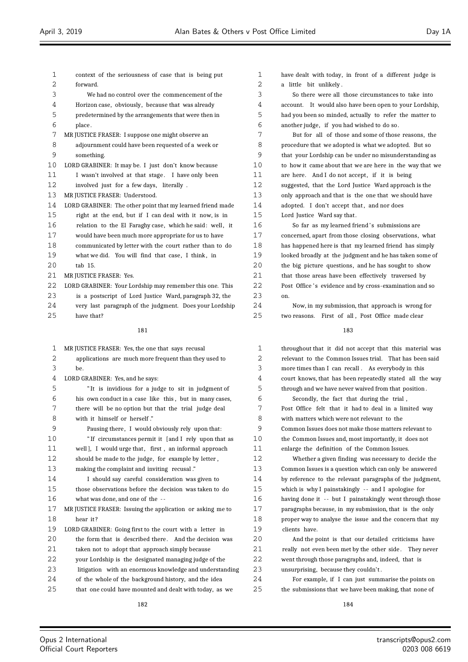| 1  | context of the seriousness of case that is being put       |
|----|------------------------------------------------------------|
| 2  | forward.                                                   |
| 3  | We had no control over the commencement of the             |
| 4  | Horizon case, obviously, because that was already          |
| 5  | predetermined by the arrangements that were then in        |
| 6  | place.                                                     |
| 7  | MR JUSTICE FRASER: I suppose one might observe an          |
| 8  | adjournment could have been requested of a week or         |
| 9  | something.                                                 |
| 10 | LORD GRABINER: It may be. I just don't know because        |
| 11 | I wasn't involved at that stage. I have only been          |
| 12 | involved just for a few days, literally.                   |
| 13 | MR JUSTICE FRASER: Understood.                             |
| 14 | LORD GRABINER: The other point that my learned friend made |
| 15 | right at the end, but if I can deal with it now, is in     |
| 16 | relation to the El Faraghy case, which he said: well, it   |
| 17 | would have been much more appropriate for us to have       |
| 18 | communicated by letter with the court rather than to do    |
| 19 | what we did. You will find that case, I think, in          |
| 20 | tab 15.                                                    |
| 21 | MR JUSTICE FRASER: Yes.                                    |
| 22 | LORD GRABINER: Your Lordship may remember this one. This   |
| 23 | is a postscript of Lord Justice Ward, paragraph 32, the    |
| 24 | very last paragraph of the judgment. Does your Lordship    |
| 25 | have that?                                                 |
|    | 181                                                        |
|    |                                                            |
| 1  | MR JUSTICE FRASER: Yes, the one that says recusal          |
| 2  | applications are much more frequent than they used to      |
| 3  | be.                                                        |
| 4  | LORD GRABINER: Yes, and he says:                           |
| 5  | "It is invidious for a judge to sit in judgment of         |
| 6  | his own conduct in a case like this, but in many cases,    |
| 7  | there will be no option but that the trial judge deal      |
| 8  | with it himself or herself."                               |
| 9  | Pausing there, I would obviously rely upon that:           |
| 10 | "If circumstances permit it [and I rely upon that as       |
| 11 | well], I would urge that, first, an informal approach      |
| 12 | should be made to the judge, for example by letter,        |
| 13 | making the complaint and inviting recusal."                |
| 14 | I should say careful consideration was given to            |
| 15 | those observations before the decision was taken to do     |
| 16 | what was done, and one of the --                           |

 MR JUSTICE FRASER: Issuing the application or asking me to hear it ?

- LORD GRABINER: Going first to the court with a letter in 20 the form that is described there. And the decision was
- taken not to adopt that approach simply because
- your Lordship is the designated managing judge of the
- litigation with an enormous knowledge and understanding
- of the whole of the background history, and the idea
- that one could have mounted and dealt with today, as we

 have dealt with today, in front of a different judge is a little bit unlikely . So there were all those circumstances to take into account. It would also have been open to your Lordship, had you been so minded, actually to refer the matter to another judge, if you had wished to do so. But for all of those and some of those reasons, the procedure that we adopted is what we adopted. But so that your Lordship can be under no misunderstanding as to how it came about that we are here in the way that we are here. And I do not accept, if it is being suggested, that the Lord Justice Ward approach is the only approach and that is the one that we should have 14 adopted. I don't accept that, and nor does Lord Justice Ward say that . 16 So far as my learned friend's submissions are

 concerned, apart from those closing observations, what has happened here is that my learned friend has simply looked broadly at the judgment and he has taken some of the big picture questions, and he has sought to show 21 that those areas have been effectively traversed by 22 Post Office's evidence and by cross-examination and so on.

 Now, in my submission, that approach is wrong for two reasons. First of all , Post Office made clear

# 

 throughout that it did not accept that this material was relevant to the Common Issues trial. That has been said more times than I can recall . As everybody in this court knows, that has been repeatedly stated all the way through and we have never waived from that position .

 Secondly, the fact that during the trial , Post Office felt that it had to deal in a limited way with matters which were not relevant to the Common Issues does not make those matters relevant to the Common Issues and, most importantly, it does not enlarge the definition of the Common Issues.

 Whether a given finding was necessary to decide the Common Issues is a question which can only be answered by reference to the relevant paragraphs of the judgment, which is why I painstakingly - - and I apologise for having done it -- but I painstakingly went through those paragraphs because, in my submission, that is the only 18 proper way to analyse the issue and the concern that my clients have.

 And the point is that our detailed criticisms have 21 really not even been met by the other side. They never went through those paragraphs and, indeed, that is unsurprising, because they couldn't .

 For example, if I can just summarise the points on the submissions that we have been making, that none of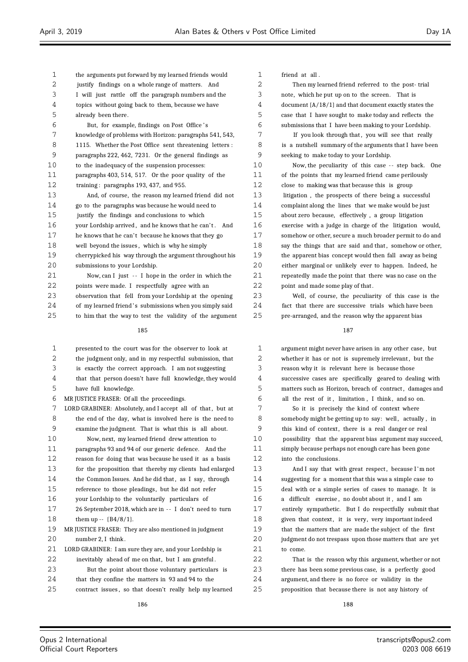| 1  | the arguments put forward by my learned friends would       |
|----|-------------------------------------------------------------|
| 2  | justify findings on a whole range of matters. And           |
| 3  | I will just rattle off the paragraph numbers and the        |
| 4  | topics without going back to them, because we have          |
| 5  | already been there.                                         |
| 6  | But, for example, findings on Post Office's                 |
| 7  | knowledge of problems with Horizon: paragraphs 541, 543,    |
| 8  | 1115. Whether the Post Office sent threatening letters :    |
| 9  | paragraphs 222, 462, 7231. Or the general findings as       |
| 10 | to the inadequacy of the suspension processes:              |
| 11 | paragraphs 403, 514, 517. Or the poor quality of the        |
| 12 | training: paragraphs 193, 437, and 955.                     |
| 13 | And, of course, the reason my learned friend did not        |
| 14 | go to the paragraphs was because he would need to           |
| 15 | justify the findings and conclusions to which               |
| 16 | your Lordship arrived, and he knows that he can't. And      |
| 17 | he knows that he can't because he knows that they go        |
| 18 | well beyond the issues, which is why he simply              |
| 19 | cherrypicked his way through the argument throughout his    |
| 20 | submissions to your Lordship.                               |
| 21 | Now, can I just -- I hope in the order in which the         |
| 22 | points were made. I respectfully agree with an              |
| 23 | observation that fell from your Lordship at the opening     |
| 24 | of my learned friend's submissions when you simply said     |
| 25 | to him that the way to test the validity of the argument    |
|    | 185                                                         |
|    |                                                             |
| 1  | presented to the court was for the observer to look at      |
| 2  | the judgment only, and in my respectful submission, that    |
| 3  | is exactly the correct approach. I am not suggesting        |
| 4  | that that person doesn't have full knowledge, they would    |
| 5  | have full knowledge.                                        |
| 6  | MR JUSTICE FRASER: Of all the proceedings.                  |
| 7  | LORD GRABINER: Absolutely, and I accept all of that, but at |
| ୪  | the end of the day, what is involved here is the need to    |
| 9  | examine the judgment. That is what this is all about.       |
| 10 | Now, next, my learned friend drew attention to              |
| 11 | paragraphs 93 and 94 of our generic defence. And the        |
| 12 | reason for doing that was because he used it as a basis     |
| 13 | for the proposition that thereby my clients had enlarged    |
| 14 | the Common Issues. And he did that, as I say, through       |
| 15 | reference to those pleadings, but he did not refer          |
| 16 | your Lordship to the voluntarily particulars of             |

26 September 2018, which are in - - I don't need to turn

MR JUSTICE FRASER: They are also mentioned in judgment

 LORD GRABINER: I am sure they are, and your Lordship is inevitably ahead of me on that, but I am grateful . But the point about those voluntary particulars is that they confine the matters in 93 and 94 to the 25 contract issues, so that doesn't really help my learned 

| $\mathbf{1}$ | friend at all.                                           |
|--------------|----------------------------------------------------------|
| 2            | Then my learned friend referred to the post-trial        |
| 3            | note, which he put up on to the screen. That is          |
| 4            | document $(A/18/1)$ and that document exactly states the |
| 5            | case that I have sought to make today and reflects the   |
| 6            | submissions that I have been making to your Lordship.    |
| 7            | If you look through that, you will see that really       |
| 8            | is a nutshell summary of the arguments that I have been  |
| 9            | seeking to make today to your Lordship.                  |
| 10           | Now, the peculiarity of this case -- step back. One      |
| 11           | of the points that my learned friend came perilously     |
| 12           | close to making was that because this is group           |
| 13           | litigation, the prospects of there being a successful    |
| 14           | complaint along the lines that we make would be just     |
| 15           | about zero because, effectively, a group litigation      |
| 16           | exercise with a judge in charge of the litigation would, |
| 17           | somehow or other, secure a much broader permit to do and |
| 18           | say the things that are said and that, somehow or other, |
| 19           | the apparent bias concept would then fall away as being  |
| 20           | either marginal or unlikely ever to happen. Indeed, he   |
| 21           | repeatedly made the point that there was no case on the  |
| 22           | point and made some play of that.                        |

 Well, of course, the peculiarity of this case is the fact that there are successive trials which have been pre-arranged, and the reason why the apparent bias

# 

 argument might never have arisen in any other case, but 2 whether it has or not is supremely irrelevant, but the reason why it is relevant here is because those successive cases are specifically geared to dealing with matters such as Horizon, breach of contract , damages and 6 all the rest of it, limitation, I think, and so on.

 So it is precisely the kind of context where 8 somebody might be getting up to say: well, actually, in this kind of context , there is a real danger or real possibility that the apparent bias argument may succeed, simply because perhaps not enough care has been gone into the conclusions.

13 And I say that with great respect, because I'm not suggesting for a moment that this was a simple case to deal with or a simple series of cases to manage. It is a difficult exercise , no doubt about it , and I am entirely sympathetic. But I do respectfully submit that 18 given that context, it is very, very important indeed that the matters that are made the subject of the first judgment do not trespass upon those matters that are yet to come.

 That is the reason why this argument, whether or not there has been some previous case, is a perfectly good argument, and there is no force or validity in the proposition that because there is not any history of

them up -- {B4/8/1}.

20 number 2, I think.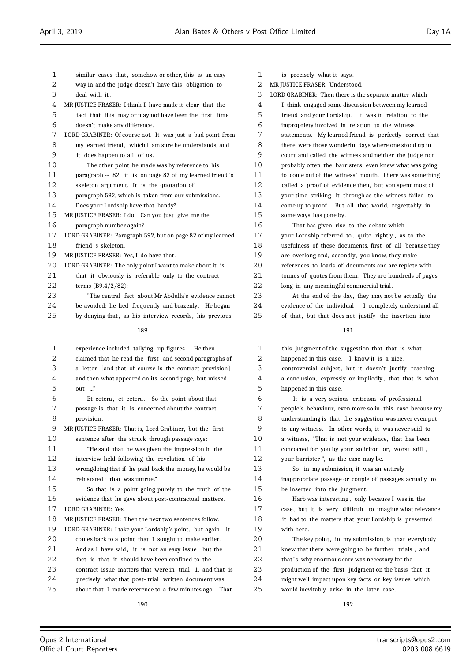| 1  | similar cases that, somehow or other, this is an easy      |
|----|------------------------------------------------------------|
| 2  | way in and the judge doesn't have this obligation to       |
| 3  | deal with it.                                              |
| 4  | MR JUSTICE FRASER: I think I have made it clear that the   |
| 5  | fact that this may or may not have been the first time     |
| 6  | doesn't make any difference.                               |
| 7  | LORD GRABINER: Of course not. It was just a bad point from |
| 8  | my learned friend, which I am sure he understands, and     |
| 9  | it does happen to all of us.                               |
| 10 | The other point he made was by reference to his            |
| 11 | paragraph -- 82, it is on page 82 of my learned friend's   |
| 12 | skeleton argument. It is the quotation of                  |
| 13 | paragraph 592, which is taken from our submissions.        |
| 14 | Does your Lordship have that handy?                        |
| 15 | MR JUSTICE FRASER: I do. Can you just give me the          |
| 16 | paragraph number again?                                    |
| 17 | LORD GRABINER: Paragraph 592, but on page 82 of my learned |
| 18 | friend's skeleton.                                         |
| 19 | MR JUSTICE FRASER: Yes, I do have that.                    |
| 20 | LORD GRABINER: The only point I want to make about it is   |
| 21 | that it obviously is referable only to the contract        |
| 22 | terms {B9.4/2/82}:                                         |
| 23 | "The central fact about Mr Abdulla's evidence cannot       |
| 24 | be avoided: he lied frequently and brazenly. He began      |
| 25 | by denying that, as his interview records, his previous    |
|    | 189                                                        |
| 1  | experience included tallying up figures. He then           |
| 2  | claimed that he read the first and second paragraphs of    |
| 3  | a letter [and that of course is the contract provision]    |

 a letter [and that of course is the contract provision] and then what appeared on its second page, but missed out  $\therefore$ 

Et cetera , et cetera . So the point about that

 passage is that it is concerned about the contract provision .

 MR JUSTICE FRASER: That is, Lord Grabiner, but the first sentence after the struck through passage says:

"He said that he was given the impression in the

interview held following the revelation of his

wrongdoing that if he paid back the money, he would be

 reinstated ; that was untrue." So that is a point going purely to the truth of the evidence that he gave about post-contractual matters.

LORD GRABINER: Yes.

MR JUSTICE FRASER: Then the next two sentences follow.

19 LORD GRABINER: I take your Lordship's point, but again, it

 comes back to a point that I sought to make earlier . 21 And as I have said, it is not an easy issue, but the

fact is that it should have been confined to the

contract issue matters that were in trial 1, and that is

precisely what that post- trial written document was

about that I made reference to a few minutes ago. That

 is precisely what it says . 2 MR JUSTICE FRASER: Understood. LORD GRABINER: Then there is the separate matter which I think engaged some discussion between my learned friend and your Lordship. It was in relation to the impropriety involved in relation to the witness statements. My learned friend is perfectly correct that there were those wonderful days where one stood up in court and called the witness and neither the judge nor probably often the barristers even knew what was going to come out of the witness' mouth. There was something called a proof of evidence then, but you spent most of your time striking it through as the witness failed to come up to proof. But all that world, regrettably in some ways, has gone by.

 That has given rise to the debate which 17 your Lordship referred to, quite rightly, as to the usefulness of these documents, first of all because they are overlong and, secondly, you know, they make references to loads of documents and are replete with tonnes of quotes from them. They are hundreds of pages long in any meaningful commercial trial .

 At the end of the day, they may not be actually the evidence of the individual . I completely understand all 25 of that, but that does not justify the insertion into

 this judgment of the suggestion that that is what happened in this case. I know it is a nice , controversial subject , but it doesn't justify reaching a conclusion, expressly or impliedly , that that is what happened in this case.

 It is a very serious criticism of professional people's behaviour, even more so in this case because my understanding is that the suggestion was never even put to any witness. In other words, it was never said to a witness, "That is not your evidence, that has been concocted for you by your solicitor or, worst still , your barrister ", as the case may be.

 So, in my submission, it was an entirely inappropriate passage or couple of passages actually to be inserted into the judgment.

 Harb was interesting , only because I was in the case, but it is very difficult to imagine what relevance it had to the matters that your Lordship is presented with here.

20 The key point, in my submission, is that everybody knew that there were going to be further trials , and 22 that 's why enormous care was necessary for the production of the first judgment on the basis that it might well impact upon key facts or key issues which would inevitably arise in the later case.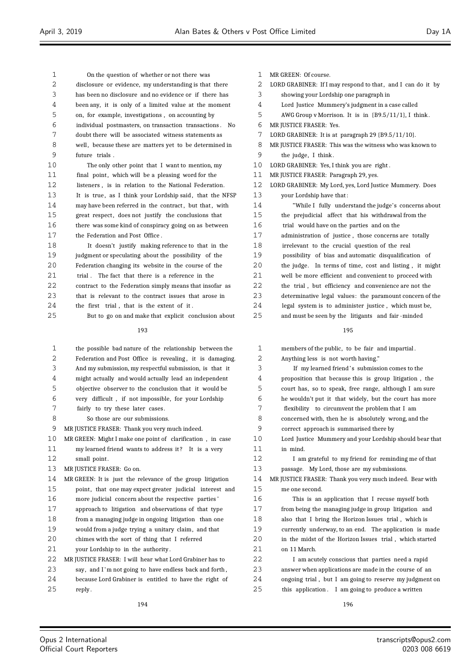| 2<br>2<br>disclosure or evidence, my understanding is that there<br>LORD GRABINER: If I may respond to that, and I can do it by<br>3<br>3<br>has been no disclosure and no evidence or if there has<br>showing your Lordship one paragraph in<br>4<br>4<br>been any, it is only of a limited value at the moment<br>Lord Justice Mummery's judgment in a case called<br>5<br>5<br>on, for example, investigations, on accounting by<br>AWG Group v Morrison. It is in $\{B9.5/11/1\}$ , I think.<br>6<br>6<br>individual postmasters, on transaction transactions. No<br>MR JUSTICE FRASER: Yes.<br>7<br>7<br>doubt there will be associated witness statements as<br>LORD GRABINER: It is at paragraph 29 {B9.5/11/10}.<br>8<br>8<br>well, because these are matters yet to be determined in<br>MR JUSTICE FRASER: This was the witness who was known to<br>9<br>9<br>future trials.<br>the judge, I think.<br>10<br>10<br>The only other point that I want to mention, my<br>LORD GRABINER: Yes, I think you are right.<br>11<br>11<br>MR JUSTICE FRASER: Paragraph 29, yes.<br>final point, which will be a pleasing word for the<br>12<br>12<br>LORD GRABINER: My Lord, yes, Lord Justice Mummery. Does<br>listeners, is in relation to the National Federation.<br>13<br>13<br>It is true, as I think your Lordship said, that the NFSP<br>your Lordship have that:<br>14<br>14<br>may have been referred in the contract, but that, with<br>"While I fully understand the judge's concerns about<br>15<br>15<br>great respect, does not justify the conclusions that<br>the prejudicial affect that his withdrawal from the<br>16<br>16<br>there was some kind of conspiracy going on as between<br>trial would have on the parties and on the<br>17<br>17<br>the Federation and Post Office.<br>administration of justice, those concerns are totally<br>18<br>18<br>It doesn't justify making reference to that in the<br>irrelevant to the crucial question of the real<br>19<br>19<br>judgment or speculating about the possibility of the<br>possibility of bias and automatic disqualification of<br>20<br>20<br>Federation changing its website in the course of the<br>the judge. In terms of time, cost and listing, it might<br>21<br>21<br>trial. The fact that there is a reference in the<br>well be more efficient and convenient to proceed with<br>22<br>22<br>contract to the Federation simply means that insofar as<br>the trial, but efficiency and convenience are not the<br>23<br>23<br>that is relevant to the contract issues that arose in<br>determinative legal values: the paramount concern of the<br>24<br>24<br>the first trial, that is the extent of it.<br>legal system is to administer justice, which must be,<br>25<br>25<br>But to go on and make that explicit conclusion about<br>and must be seen by the litigants and fair-minded<br>193<br>195<br>$\mathbf 1$<br>$\mathbf 1$<br>the possible bad nature of the relationship between the<br>members of the public, to be fair and impartial.<br>2<br>2<br>Federation and Post Office is revealing, it is damaging.<br>Anything less is not worth having."<br>3<br>3<br>And my submission, my respectful submission, is that it<br>If my learned friend's submission comes to the<br>4<br>4<br>might actually and would actually lead an independent<br>proposition that because this is group litigation, the<br>5<br>5<br>objective observer to the conclusion that it would be<br>court has, so to speak, free range, although I am sure<br>6<br>6<br>very difficult, if not impossible, for your Lordship<br>he wouldn't put it that widely, but the court has more<br>7<br>7<br>fairly to try these later cases.<br>flexibility to circumvent the problem that I am<br>8<br>8<br>So those are our submissions.<br>concerned with, then he is absolutely wrong, and the<br>9<br>9<br>MR JUSTICE FRASER: Thank you very much indeed.<br>correct approach is summarised there by<br>10<br>10<br>MR GREEN: Might I make one point of clarification, in case<br>Lord Justice Mummery and your Lordship should bear that<br>11<br>11<br>my learned friend wants to address it? It is a very<br>in mind.<br>12<br>12<br>small point.<br>I am grateful to my friend for reminding me of that<br>13<br>13<br>MR JUSTICE FRASER: Go on.<br>passage. My Lord, those are my submissions.<br>14<br>14<br>MR GREEN: It is just the relevance of the group litigation<br>MR JUSTICE FRASER: Thank you very much indeed. Bear with<br>15<br>15<br>point, that one may expect greater judicial interest and<br>me one second.<br>16<br>16<br>more judicial concern about the respective parties'<br>This is an application that I recuse myself both<br>17<br>17<br>approach to litigation and observations of that type<br>from being the managing judge in group litigation and<br>18<br>18<br>from a managing judge in ongoing litigation than one<br>also that I bring the Horizon Issues trial, which is<br>19<br>19<br>would from a judge trying a unitary claim, and that<br>currently underway, to an end. The application is made<br>20<br>20<br>chimes with the sort of thing that I referred<br>in the midst of the Horizon Issues trial, which started<br>21<br>21<br>your Lordship to in the authority.<br>on 11 March.<br>22<br>22<br>MR JUSTICE FRASER: I will hear what Lord Grabiner has to<br>I am acutely conscious that parties need a rapid<br>23<br>23<br>say, and I'm not going to have endless back and forth,<br>answer when applications are made in the course of an<br>24<br>24<br>because Lord Grabiner is entitled to have the right of<br>ongoing trial, but I am going to reserve my judgment on | 25<br>25<br>this application. I am going to produce a written<br>reply. |   |                                             |   |                      |
|----------------------------------------------------------------------------------------------------------------------------------------------------------------------------------------------------------------------------------------------------------------------------------------------------------------------------------------------------------------------------------------------------------------------------------------------------------------------------------------------------------------------------------------------------------------------------------------------------------------------------------------------------------------------------------------------------------------------------------------------------------------------------------------------------------------------------------------------------------------------------------------------------------------------------------------------------------------------------------------------------------------------------------------------------------------------------------------------------------------------------------------------------------------------------------------------------------------------------------------------------------------------------------------------------------------------------------------------------------------------------------------------------------------------------------------------------------------------------------------------------------------------------------------------------------------------------------------------------------------------------------------------------------------------------------------------------------------------------------------------------------------------------------------------------------------------------------------------------------------------------------------------------------------------------------------------------------------------------------------------------------------------------------------------------------------------------------------------------------------------------------------------------------------------------------------------------------------------------------------------------------------------------------------------------------------------------------------------------------------------------------------------------------------------------------------------------------------------------------------------------------------------------------------------------------------------------------------------------------------------------------------------------------------------------------------------------------------------------------------------------------------------------------------------------------------------------------------------------------------------------------------------------------------------------------------------------------------------------------------------------------------------------------------------------------------------------------------------------------------------------------------------------------------------------------------------------------------------------------------------------------------------------------------------------------------------------------------------------------------------------------------------------------------------------------------------------------------------------------------------------------------------------------------------------------------------------------------------------------------------------------------------------------------------------------------------------------------------------------------------------------------------------------------------------------------------------------------------------------------------------------------------------------------------------------------------------------------------------------------------------------------------------------------------------------------------------------------------------------------------------------------------------------------------------------------------------------------------------------------------------------------------------------------------------------------------------------------------------------------------------------------------------------------------------------------------------------------------------------------------------------------------------------------------------------------------------------------------------------------------------------------------------------------------------------------------------------------------------------------------------------------------------------------------------------------------------------------------------------------------------------------------------------------------------------------------------------------------------------------------------------------------------------------------------------------------------------------------------------------------------------------------------------------------------------------------------------------------------------------------------------------------------------------------------------------------------------------------------------------------------------------------------------------------------------------------------------------------------------------------------------------------------------------------------------------------------------------------------------------------------------------------------------------------------------------------------------------------|-------------------------------------------------------------------------|---|---------------------------------------------|---|----------------------|
|                                                                                                                                                                                                                                                                                                                                                                                                                                                                                                                                                                                                                                                                                                                                                                                                                                                                                                                                                                                                                                                                                                                                                                                                                                                                                                                                                                                                                                                                                                                                                                                                                                                                                                                                                                                                                                                                                                                                                                                                                                                                                                                                                                                                                                                                                                                                                                                                                                                                                                                                                                                                                                                                                                                                                                                                                                                                                                                                                                                                                                                                                                                                                                                                                                                                                                                                                                                                                                                                                                                                                                                                                                                                                                                                                                                                                                                                                                                                                                                                                                                                                                                                                                                                                                                                                                                                                                                                                                                                                                                                                                                                                                                                                                                                                                                                                                                                                                                                                                                                                                                                                                                                                                                                                                                                                                                                                                                                                                                                                                                                                                                                                                                                                                                      |                                                                         | 1 | On the question of whether or not there was | 1 | MR GREEN: Of course. |
|                                                                                                                                                                                                                                                                                                                                                                                                                                                                                                                                                                                                                                                                                                                                                                                                                                                                                                                                                                                                                                                                                                                                                                                                                                                                                                                                                                                                                                                                                                                                                                                                                                                                                                                                                                                                                                                                                                                                                                                                                                                                                                                                                                                                                                                                                                                                                                                                                                                                                                                                                                                                                                                                                                                                                                                                                                                                                                                                                                                                                                                                                                                                                                                                                                                                                                                                                                                                                                                                                                                                                                                                                                                                                                                                                                                                                                                                                                                                                                                                                                                                                                                                                                                                                                                                                                                                                                                                                                                                                                                                                                                                                                                                                                                                                                                                                                                                                                                                                                                                                                                                                                                                                                                                                                                                                                                                                                                                                                                                                                                                                                                                                                                                                                                      |                                                                         |   |                                             |   |                      |
|                                                                                                                                                                                                                                                                                                                                                                                                                                                                                                                                                                                                                                                                                                                                                                                                                                                                                                                                                                                                                                                                                                                                                                                                                                                                                                                                                                                                                                                                                                                                                                                                                                                                                                                                                                                                                                                                                                                                                                                                                                                                                                                                                                                                                                                                                                                                                                                                                                                                                                                                                                                                                                                                                                                                                                                                                                                                                                                                                                                                                                                                                                                                                                                                                                                                                                                                                                                                                                                                                                                                                                                                                                                                                                                                                                                                                                                                                                                                                                                                                                                                                                                                                                                                                                                                                                                                                                                                                                                                                                                                                                                                                                                                                                                                                                                                                                                                                                                                                                                                                                                                                                                                                                                                                                                                                                                                                                                                                                                                                                                                                                                                                                                                                                                      |                                                                         |   |                                             |   |                      |
|                                                                                                                                                                                                                                                                                                                                                                                                                                                                                                                                                                                                                                                                                                                                                                                                                                                                                                                                                                                                                                                                                                                                                                                                                                                                                                                                                                                                                                                                                                                                                                                                                                                                                                                                                                                                                                                                                                                                                                                                                                                                                                                                                                                                                                                                                                                                                                                                                                                                                                                                                                                                                                                                                                                                                                                                                                                                                                                                                                                                                                                                                                                                                                                                                                                                                                                                                                                                                                                                                                                                                                                                                                                                                                                                                                                                                                                                                                                                                                                                                                                                                                                                                                                                                                                                                                                                                                                                                                                                                                                                                                                                                                                                                                                                                                                                                                                                                                                                                                                                                                                                                                                                                                                                                                                                                                                                                                                                                                                                                                                                                                                                                                                                                                                      |                                                                         |   |                                             |   |                      |
|                                                                                                                                                                                                                                                                                                                                                                                                                                                                                                                                                                                                                                                                                                                                                                                                                                                                                                                                                                                                                                                                                                                                                                                                                                                                                                                                                                                                                                                                                                                                                                                                                                                                                                                                                                                                                                                                                                                                                                                                                                                                                                                                                                                                                                                                                                                                                                                                                                                                                                                                                                                                                                                                                                                                                                                                                                                                                                                                                                                                                                                                                                                                                                                                                                                                                                                                                                                                                                                                                                                                                                                                                                                                                                                                                                                                                                                                                                                                                                                                                                                                                                                                                                                                                                                                                                                                                                                                                                                                                                                                                                                                                                                                                                                                                                                                                                                                                                                                                                                                                                                                                                                                                                                                                                                                                                                                                                                                                                                                                                                                                                                                                                                                                                                      |                                                                         |   |                                             |   |                      |
|                                                                                                                                                                                                                                                                                                                                                                                                                                                                                                                                                                                                                                                                                                                                                                                                                                                                                                                                                                                                                                                                                                                                                                                                                                                                                                                                                                                                                                                                                                                                                                                                                                                                                                                                                                                                                                                                                                                                                                                                                                                                                                                                                                                                                                                                                                                                                                                                                                                                                                                                                                                                                                                                                                                                                                                                                                                                                                                                                                                                                                                                                                                                                                                                                                                                                                                                                                                                                                                                                                                                                                                                                                                                                                                                                                                                                                                                                                                                                                                                                                                                                                                                                                                                                                                                                                                                                                                                                                                                                                                                                                                                                                                                                                                                                                                                                                                                                                                                                                                                                                                                                                                                                                                                                                                                                                                                                                                                                                                                                                                                                                                                                                                                                                                      |                                                                         |   |                                             |   |                      |
|                                                                                                                                                                                                                                                                                                                                                                                                                                                                                                                                                                                                                                                                                                                                                                                                                                                                                                                                                                                                                                                                                                                                                                                                                                                                                                                                                                                                                                                                                                                                                                                                                                                                                                                                                                                                                                                                                                                                                                                                                                                                                                                                                                                                                                                                                                                                                                                                                                                                                                                                                                                                                                                                                                                                                                                                                                                                                                                                                                                                                                                                                                                                                                                                                                                                                                                                                                                                                                                                                                                                                                                                                                                                                                                                                                                                                                                                                                                                                                                                                                                                                                                                                                                                                                                                                                                                                                                                                                                                                                                                                                                                                                                                                                                                                                                                                                                                                                                                                                                                                                                                                                                                                                                                                                                                                                                                                                                                                                                                                                                                                                                                                                                                                                                      |                                                                         |   |                                             |   |                      |
|                                                                                                                                                                                                                                                                                                                                                                                                                                                                                                                                                                                                                                                                                                                                                                                                                                                                                                                                                                                                                                                                                                                                                                                                                                                                                                                                                                                                                                                                                                                                                                                                                                                                                                                                                                                                                                                                                                                                                                                                                                                                                                                                                                                                                                                                                                                                                                                                                                                                                                                                                                                                                                                                                                                                                                                                                                                                                                                                                                                                                                                                                                                                                                                                                                                                                                                                                                                                                                                                                                                                                                                                                                                                                                                                                                                                                                                                                                                                                                                                                                                                                                                                                                                                                                                                                                                                                                                                                                                                                                                                                                                                                                                                                                                                                                                                                                                                                                                                                                                                                                                                                                                                                                                                                                                                                                                                                                                                                                                                                                                                                                                                                                                                                                                      |                                                                         |   |                                             |   |                      |
|                                                                                                                                                                                                                                                                                                                                                                                                                                                                                                                                                                                                                                                                                                                                                                                                                                                                                                                                                                                                                                                                                                                                                                                                                                                                                                                                                                                                                                                                                                                                                                                                                                                                                                                                                                                                                                                                                                                                                                                                                                                                                                                                                                                                                                                                                                                                                                                                                                                                                                                                                                                                                                                                                                                                                                                                                                                                                                                                                                                                                                                                                                                                                                                                                                                                                                                                                                                                                                                                                                                                                                                                                                                                                                                                                                                                                                                                                                                                                                                                                                                                                                                                                                                                                                                                                                                                                                                                                                                                                                                                                                                                                                                                                                                                                                                                                                                                                                                                                                                                                                                                                                                                                                                                                                                                                                                                                                                                                                                                                                                                                                                                                                                                                                                      |                                                                         |   |                                             |   |                      |
|                                                                                                                                                                                                                                                                                                                                                                                                                                                                                                                                                                                                                                                                                                                                                                                                                                                                                                                                                                                                                                                                                                                                                                                                                                                                                                                                                                                                                                                                                                                                                                                                                                                                                                                                                                                                                                                                                                                                                                                                                                                                                                                                                                                                                                                                                                                                                                                                                                                                                                                                                                                                                                                                                                                                                                                                                                                                                                                                                                                                                                                                                                                                                                                                                                                                                                                                                                                                                                                                                                                                                                                                                                                                                                                                                                                                                                                                                                                                                                                                                                                                                                                                                                                                                                                                                                                                                                                                                                                                                                                                                                                                                                                                                                                                                                                                                                                                                                                                                                                                                                                                                                                                                                                                                                                                                                                                                                                                                                                                                                                                                                                                                                                                                                                      |                                                                         |   |                                             |   |                      |
|                                                                                                                                                                                                                                                                                                                                                                                                                                                                                                                                                                                                                                                                                                                                                                                                                                                                                                                                                                                                                                                                                                                                                                                                                                                                                                                                                                                                                                                                                                                                                                                                                                                                                                                                                                                                                                                                                                                                                                                                                                                                                                                                                                                                                                                                                                                                                                                                                                                                                                                                                                                                                                                                                                                                                                                                                                                                                                                                                                                                                                                                                                                                                                                                                                                                                                                                                                                                                                                                                                                                                                                                                                                                                                                                                                                                                                                                                                                                                                                                                                                                                                                                                                                                                                                                                                                                                                                                                                                                                                                                                                                                                                                                                                                                                                                                                                                                                                                                                                                                                                                                                                                                                                                                                                                                                                                                                                                                                                                                                                                                                                                                                                                                                                                      |                                                                         |   |                                             |   |                      |
|                                                                                                                                                                                                                                                                                                                                                                                                                                                                                                                                                                                                                                                                                                                                                                                                                                                                                                                                                                                                                                                                                                                                                                                                                                                                                                                                                                                                                                                                                                                                                                                                                                                                                                                                                                                                                                                                                                                                                                                                                                                                                                                                                                                                                                                                                                                                                                                                                                                                                                                                                                                                                                                                                                                                                                                                                                                                                                                                                                                                                                                                                                                                                                                                                                                                                                                                                                                                                                                                                                                                                                                                                                                                                                                                                                                                                                                                                                                                                                                                                                                                                                                                                                                                                                                                                                                                                                                                                                                                                                                                                                                                                                                                                                                                                                                                                                                                                                                                                                                                                                                                                                                                                                                                                                                                                                                                                                                                                                                                                                                                                                                                                                                                                                                      |                                                                         |   |                                             |   |                      |
|                                                                                                                                                                                                                                                                                                                                                                                                                                                                                                                                                                                                                                                                                                                                                                                                                                                                                                                                                                                                                                                                                                                                                                                                                                                                                                                                                                                                                                                                                                                                                                                                                                                                                                                                                                                                                                                                                                                                                                                                                                                                                                                                                                                                                                                                                                                                                                                                                                                                                                                                                                                                                                                                                                                                                                                                                                                                                                                                                                                                                                                                                                                                                                                                                                                                                                                                                                                                                                                                                                                                                                                                                                                                                                                                                                                                                                                                                                                                                                                                                                                                                                                                                                                                                                                                                                                                                                                                                                                                                                                                                                                                                                                                                                                                                                                                                                                                                                                                                                                                                                                                                                                                                                                                                                                                                                                                                                                                                                                                                                                                                                                                                                                                                                                      |                                                                         |   |                                             |   |                      |
|                                                                                                                                                                                                                                                                                                                                                                                                                                                                                                                                                                                                                                                                                                                                                                                                                                                                                                                                                                                                                                                                                                                                                                                                                                                                                                                                                                                                                                                                                                                                                                                                                                                                                                                                                                                                                                                                                                                                                                                                                                                                                                                                                                                                                                                                                                                                                                                                                                                                                                                                                                                                                                                                                                                                                                                                                                                                                                                                                                                                                                                                                                                                                                                                                                                                                                                                                                                                                                                                                                                                                                                                                                                                                                                                                                                                                                                                                                                                                                                                                                                                                                                                                                                                                                                                                                                                                                                                                                                                                                                                                                                                                                                                                                                                                                                                                                                                                                                                                                                                                                                                                                                                                                                                                                                                                                                                                                                                                                                                                                                                                                                                                                                                                                                      |                                                                         |   |                                             |   |                      |
|                                                                                                                                                                                                                                                                                                                                                                                                                                                                                                                                                                                                                                                                                                                                                                                                                                                                                                                                                                                                                                                                                                                                                                                                                                                                                                                                                                                                                                                                                                                                                                                                                                                                                                                                                                                                                                                                                                                                                                                                                                                                                                                                                                                                                                                                                                                                                                                                                                                                                                                                                                                                                                                                                                                                                                                                                                                                                                                                                                                                                                                                                                                                                                                                                                                                                                                                                                                                                                                                                                                                                                                                                                                                                                                                                                                                                                                                                                                                                                                                                                                                                                                                                                                                                                                                                                                                                                                                                                                                                                                                                                                                                                                                                                                                                                                                                                                                                                                                                                                                                                                                                                                                                                                                                                                                                                                                                                                                                                                                                                                                                                                                                                                                                                                      |                                                                         |   |                                             |   |                      |
|                                                                                                                                                                                                                                                                                                                                                                                                                                                                                                                                                                                                                                                                                                                                                                                                                                                                                                                                                                                                                                                                                                                                                                                                                                                                                                                                                                                                                                                                                                                                                                                                                                                                                                                                                                                                                                                                                                                                                                                                                                                                                                                                                                                                                                                                                                                                                                                                                                                                                                                                                                                                                                                                                                                                                                                                                                                                                                                                                                                                                                                                                                                                                                                                                                                                                                                                                                                                                                                                                                                                                                                                                                                                                                                                                                                                                                                                                                                                                                                                                                                                                                                                                                                                                                                                                                                                                                                                                                                                                                                                                                                                                                                                                                                                                                                                                                                                                                                                                                                                                                                                                                                                                                                                                                                                                                                                                                                                                                                                                                                                                                                                                                                                                                                      |                                                                         |   |                                             |   |                      |
|                                                                                                                                                                                                                                                                                                                                                                                                                                                                                                                                                                                                                                                                                                                                                                                                                                                                                                                                                                                                                                                                                                                                                                                                                                                                                                                                                                                                                                                                                                                                                                                                                                                                                                                                                                                                                                                                                                                                                                                                                                                                                                                                                                                                                                                                                                                                                                                                                                                                                                                                                                                                                                                                                                                                                                                                                                                                                                                                                                                                                                                                                                                                                                                                                                                                                                                                                                                                                                                                                                                                                                                                                                                                                                                                                                                                                                                                                                                                                                                                                                                                                                                                                                                                                                                                                                                                                                                                                                                                                                                                                                                                                                                                                                                                                                                                                                                                                                                                                                                                                                                                                                                                                                                                                                                                                                                                                                                                                                                                                                                                                                                                                                                                                                                      |                                                                         |   |                                             |   |                      |
|                                                                                                                                                                                                                                                                                                                                                                                                                                                                                                                                                                                                                                                                                                                                                                                                                                                                                                                                                                                                                                                                                                                                                                                                                                                                                                                                                                                                                                                                                                                                                                                                                                                                                                                                                                                                                                                                                                                                                                                                                                                                                                                                                                                                                                                                                                                                                                                                                                                                                                                                                                                                                                                                                                                                                                                                                                                                                                                                                                                                                                                                                                                                                                                                                                                                                                                                                                                                                                                                                                                                                                                                                                                                                                                                                                                                                                                                                                                                                                                                                                                                                                                                                                                                                                                                                                                                                                                                                                                                                                                                                                                                                                                                                                                                                                                                                                                                                                                                                                                                                                                                                                                                                                                                                                                                                                                                                                                                                                                                                                                                                                                                                                                                                                                      |                                                                         |   |                                             |   |                      |
|                                                                                                                                                                                                                                                                                                                                                                                                                                                                                                                                                                                                                                                                                                                                                                                                                                                                                                                                                                                                                                                                                                                                                                                                                                                                                                                                                                                                                                                                                                                                                                                                                                                                                                                                                                                                                                                                                                                                                                                                                                                                                                                                                                                                                                                                                                                                                                                                                                                                                                                                                                                                                                                                                                                                                                                                                                                                                                                                                                                                                                                                                                                                                                                                                                                                                                                                                                                                                                                                                                                                                                                                                                                                                                                                                                                                                                                                                                                                                                                                                                                                                                                                                                                                                                                                                                                                                                                                                                                                                                                                                                                                                                                                                                                                                                                                                                                                                                                                                                                                                                                                                                                                                                                                                                                                                                                                                                                                                                                                                                                                                                                                                                                                                                                      |                                                                         |   |                                             |   |                      |
|                                                                                                                                                                                                                                                                                                                                                                                                                                                                                                                                                                                                                                                                                                                                                                                                                                                                                                                                                                                                                                                                                                                                                                                                                                                                                                                                                                                                                                                                                                                                                                                                                                                                                                                                                                                                                                                                                                                                                                                                                                                                                                                                                                                                                                                                                                                                                                                                                                                                                                                                                                                                                                                                                                                                                                                                                                                                                                                                                                                                                                                                                                                                                                                                                                                                                                                                                                                                                                                                                                                                                                                                                                                                                                                                                                                                                                                                                                                                                                                                                                                                                                                                                                                                                                                                                                                                                                                                                                                                                                                                                                                                                                                                                                                                                                                                                                                                                                                                                                                                                                                                                                                                                                                                                                                                                                                                                                                                                                                                                                                                                                                                                                                                                                                      |                                                                         |   |                                             |   |                      |
|                                                                                                                                                                                                                                                                                                                                                                                                                                                                                                                                                                                                                                                                                                                                                                                                                                                                                                                                                                                                                                                                                                                                                                                                                                                                                                                                                                                                                                                                                                                                                                                                                                                                                                                                                                                                                                                                                                                                                                                                                                                                                                                                                                                                                                                                                                                                                                                                                                                                                                                                                                                                                                                                                                                                                                                                                                                                                                                                                                                                                                                                                                                                                                                                                                                                                                                                                                                                                                                                                                                                                                                                                                                                                                                                                                                                                                                                                                                                                                                                                                                                                                                                                                                                                                                                                                                                                                                                                                                                                                                                                                                                                                                                                                                                                                                                                                                                                                                                                                                                                                                                                                                                                                                                                                                                                                                                                                                                                                                                                                                                                                                                                                                                                                                      |                                                                         |   |                                             |   |                      |
|                                                                                                                                                                                                                                                                                                                                                                                                                                                                                                                                                                                                                                                                                                                                                                                                                                                                                                                                                                                                                                                                                                                                                                                                                                                                                                                                                                                                                                                                                                                                                                                                                                                                                                                                                                                                                                                                                                                                                                                                                                                                                                                                                                                                                                                                                                                                                                                                                                                                                                                                                                                                                                                                                                                                                                                                                                                                                                                                                                                                                                                                                                                                                                                                                                                                                                                                                                                                                                                                                                                                                                                                                                                                                                                                                                                                                                                                                                                                                                                                                                                                                                                                                                                                                                                                                                                                                                                                                                                                                                                                                                                                                                                                                                                                                                                                                                                                                                                                                                                                                                                                                                                                                                                                                                                                                                                                                                                                                                                                                                                                                                                                                                                                                                                      |                                                                         |   |                                             |   |                      |
|                                                                                                                                                                                                                                                                                                                                                                                                                                                                                                                                                                                                                                                                                                                                                                                                                                                                                                                                                                                                                                                                                                                                                                                                                                                                                                                                                                                                                                                                                                                                                                                                                                                                                                                                                                                                                                                                                                                                                                                                                                                                                                                                                                                                                                                                                                                                                                                                                                                                                                                                                                                                                                                                                                                                                                                                                                                                                                                                                                                                                                                                                                                                                                                                                                                                                                                                                                                                                                                                                                                                                                                                                                                                                                                                                                                                                                                                                                                                                                                                                                                                                                                                                                                                                                                                                                                                                                                                                                                                                                                                                                                                                                                                                                                                                                                                                                                                                                                                                                                                                                                                                                                                                                                                                                                                                                                                                                                                                                                                                                                                                                                                                                                                                                                      |                                                                         |   |                                             |   |                      |
|                                                                                                                                                                                                                                                                                                                                                                                                                                                                                                                                                                                                                                                                                                                                                                                                                                                                                                                                                                                                                                                                                                                                                                                                                                                                                                                                                                                                                                                                                                                                                                                                                                                                                                                                                                                                                                                                                                                                                                                                                                                                                                                                                                                                                                                                                                                                                                                                                                                                                                                                                                                                                                                                                                                                                                                                                                                                                                                                                                                                                                                                                                                                                                                                                                                                                                                                                                                                                                                                                                                                                                                                                                                                                                                                                                                                                                                                                                                                                                                                                                                                                                                                                                                                                                                                                                                                                                                                                                                                                                                                                                                                                                                                                                                                                                                                                                                                                                                                                                                                                                                                                                                                                                                                                                                                                                                                                                                                                                                                                                                                                                                                                                                                                                                      |                                                                         |   |                                             |   |                      |
|                                                                                                                                                                                                                                                                                                                                                                                                                                                                                                                                                                                                                                                                                                                                                                                                                                                                                                                                                                                                                                                                                                                                                                                                                                                                                                                                                                                                                                                                                                                                                                                                                                                                                                                                                                                                                                                                                                                                                                                                                                                                                                                                                                                                                                                                                                                                                                                                                                                                                                                                                                                                                                                                                                                                                                                                                                                                                                                                                                                                                                                                                                                                                                                                                                                                                                                                                                                                                                                                                                                                                                                                                                                                                                                                                                                                                                                                                                                                                                                                                                                                                                                                                                                                                                                                                                                                                                                                                                                                                                                                                                                                                                                                                                                                                                                                                                                                                                                                                                                                                                                                                                                                                                                                                                                                                                                                                                                                                                                                                                                                                                                                                                                                                                                      |                                                                         |   |                                             |   |                      |
|                                                                                                                                                                                                                                                                                                                                                                                                                                                                                                                                                                                                                                                                                                                                                                                                                                                                                                                                                                                                                                                                                                                                                                                                                                                                                                                                                                                                                                                                                                                                                                                                                                                                                                                                                                                                                                                                                                                                                                                                                                                                                                                                                                                                                                                                                                                                                                                                                                                                                                                                                                                                                                                                                                                                                                                                                                                                                                                                                                                                                                                                                                                                                                                                                                                                                                                                                                                                                                                                                                                                                                                                                                                                                                                                                                                                                                                                                                                                                                                                                                                                                                                                                                                                                                                                                                                                                                                                                                                                                                                                                                                                                                                                                                                                                                                                                                                                                                                                                                                                                                                                                                                                                                                                                                                                                                                                                                                                                                                                                                                                                                                                                                                                                                                      |                                                                         |   |                                             |   |                      |
|                                                                                                                                                                                                                                                                                                                                                                                                                                                                                                                                                                                                                                                                                                                                                                                                                                                                                                                                                                                                                                                                                                                                                                                                                                                                                                                                                                                                                                                                                                                                                                                                                                                                                                                                                                                                                                                                                                                                                                                                                                                                                                                                                                                                                                                                                                                                                                                                                                                                                                                                                                                                                                                                                                                                                                                                                                                                                                                                                                                                                                                                                                                                                                                                                                                                                                                                                                                                                                                                                                                                                                                                                                                                                                                                                                                                                                                                                                                                                                                                                                                                                                                                                                                                                                                                                                                                                                                                                                                                                                                                                                                                                                                                                                                                                                                                                                                                                                                                                                                                                                                                                                                                                                                                                                                                                                                                                                                                                                                                                                                                                                                                                                                                                                                      |                                                                         |   |                                             |   |                      |
|                                                                                                                                                                                                                                                                                                                                                                                                                                                                                                                                                                                                                                                                                                                                                                                                                                                                                                                                                                                                                                                                                                                                                                                                                                                                                                                                                                                                                                                                                                                                                                                                                                                                                                                                                                                                                                                                                                                                                                                                                                                                                                                                                                                                                                                                                                                                                                                                                                                                                                                                                                                                                                                                                                                                                                                                                                                                                                                                                                                                                                                                                                                                                                                                                                                                                                                                                                                                                                                                                                                                                                                                                                                                                                                                                                                                                                                                                                                                                                                                                                                                                                                                                                                                                                                                                                                                                                                                                                                                                                                                                                                                                                                                                                                                                                                                                                                                                                                                                                                                                                                                                                                                                                                                                                                                                                                                                                                                                                                                                                                                                                                                                                                                                                                      |                                                                         |   |                                             |   |                      |
|                                                                                                                                                                                                                                                                                                                                                                                                                                                                                                                                                                                                                                                                                                                                                                                                                                                                                                                                                                                                                                                                                                                                                                                                                                                                                                                                                                                                                                                                                                                                                                                                                                                                                                                                                                                                                                                                                                                                                                                                                                                                                                                                                                                                                                                                                                                                                                                                                                                                                                                                                                                                                                                                                                                                                                                                                                                                                                                                                                                                                                                                                                                                                                                                                                                                                                                                                                                                                                                                                                                                                                                                                                                                                                                                                                                                                                                                                                                                                                                                                                                                                                                                                                                                                                                                                                                                                                                                                                                                                                                                                                                                                                                                                                                                                                                                                                                                                                                                                                                                                                                                                                                                                                                                                                                                                                                                                                                                                                                                                                                                                                                                                                                                                                                      |                                                                         |   |                                             |   |                      |
|                                                                                                                                                                                                                                                                                                                                                                                                                                                                                                                                                                                                                                                                                                                                                                                                                                                                                                                                                                                                                                                                                                                                                                                                                                                                                                                                                                                                                                                                                                                                                                                                                                                                                                                                                                                                                                                                                                                                                                                                                                                                                                                                                                                                                                                                                                                                                                                                                                                                                                                                                                                                                                                                                                                                                                                                                                                                                                                                                                                                                                                                                                                                                                                                                                                                                                                                                                                                                                                                                                                                                                                                                                                                                                                                                                                                                                                                                                                                                                                                                                                                                                                                                                                                                                                                                                                                                                                                                                                                                                                                                                                                                                                                                                                                                                                                                                                                                                                                                                                                                                                                                                                                                                                                                                                                                                                                                                                                                                                                                                                                                                                                                                                                                                                      |                                                                         |   |                                             |   |                      |
|                                                                                                                                                                                                                                                                                                                                                                                                                                                                                                                                                                                                                                                                                                                                                                                                                                                                                                                                                                                                                                                                                                                                                                                                                                                                                                                                                                                                                                                                                                                                                                                                                                                                                                                                                                                                                                                                                                                                                                                                                                                                                                                                                                                                                                                                                                                                                                                                                                                                                                                                                                                                                                                                                                                                                                                                                                                                                                                                                                                                                                                                                                                                                                                                                                                                                                                                                                                                                                                                                                                                                                                                                                                                                                                                                                                                                                                                                                                                                                                                                                                                                                                                                                                                                                                                                                                                                                                                                                                                                                                                                                                                                                                                                                                                                                                                                                                                                                                                                                                                                                                                                                                                                                                                                                                                                                                                                                                                                                                                                                                                                                                                                                                                                                                      |                                                                         |   |                                             |   |                      |
|                                                                                                                                                                                                                                                                                                                                                                                                                                                                                                                                                                                                                                                                                                                                                                                                                                                                                                                                                                                                                                                                                                                                                                                                                                                                                                                                                                                                                                                                                                                                                                                                                                                                                                                                                                                                                                                                                                                                                                                                                                                                                                                                                                                                                                                                                                                                                                                                                                                                                                                                                                                                                                                                                                                                                                                                                                                                                                                                                                                                                                                                                                                                                                                                                                                                                                                                                                                                                                                                                                                                                                                                                                                                                                                                                                                                                                                                                                                                                                                                                                                                                                                                                                                                                                                                                                                                                                                                                                                                                                                                                                                                                                                                                                                                                                                                                                                                                                                                                                                                                                                                                                                                                                                                                                                                                                                                                                                                                                                                                                                                                                                                                                                                                                                      |                                                                         |   |                                             |   |                      |
|                                                                                                                                                                                                                                                                                                                                                                                                                                                                                                                                                                                                                                                                                                                                                                                                                                                                                                                                                                                                                                                                                                                                                                                                                                                                                                                                                                                                                                                                                                                                                                                                                                                                                                                                                                                                                                                                                                                                                                                                                                                                                                                                                                                                                                                                                                                                                                                                                                                                                                                                                                                                                                                                                                                                                                                                                                                                                                                                                                                                                                                                                                                                                                                                                                                                                                                                                                                                                                                                                                                                                                                                                                                                                                                                                                                                                                                                                                                                                                                                                                                                                                                                                                                                                                                                                                                                                                                                                                                                                                                                                                                                                                                                                                                                                                                                                                                                                                                                                                                                                                                                                                                                                                                                                                                                                                                                                                                                                                                                                                                                                                                                                                                                                                                      |                                                                         |   |                                             |   |                      |
|                                                                                                                                                                                                                                                                                                                                                                                                                                                                                                                                                                                                                                                                                                                                                                                                                                                                                                                                                                                                                                                                                                                                                                                                                                                                                                                                                                                                                                                                                                                                                                                                                                                                                                                                                                                                                                                                                                                                                                                                                                                                                                                                                                                                                                                                                                                                                                                                                                                                                                                                                                                                                                                                                                                                                                                                                                                                                                                                                                                                                                                                                                                                                                                                                                                                                                                                                                                                                                                                                                                                                                                                                                                                                                                                                                                                                                                                                                                                                                                                                                                                                                                                                                                                                                                                                                                                                                                                                                                                                                                                                                                                                                                                                                                                                                                                                                                                                                                                                                                                                                                                                                                                                                                                                                                                                                                                                                                                                                                                                                                                                                                                                                                                                                                      |                                                                         |   |                                             |   |                      |
|                                                                                                                                                                                                                                                                                                                                                                                                                                                                                                                                                                                                                                                                                                                                                                                                                                                                                                                                                                                                                                                                                                                                                                                                                                                                                                                                                                                                                                                                                                                                                                                                                                                                                                                                                                                                                                                                                                                                                                                                                                                                                                                                                                                                                                                                                                                                                                                                                                                                                                                                                                                                                                                                                                                                                                                                                                                                                                                                                                                                                                                                                                                                                                                                                                                                                                                                                                                                                                                                                                                                                                                                                                                                                                                                                                                                                                                                                                                                                                                                                                                                                                                                                                                                                                                                                                                                                                                                                                                                                                                                                                                                                                                                                                                                                                                                                                                                                                                                                                                                                                                                                                                                                                                                                                                                                                                                                                                                                                                                                                                                                                                                                                                                                                                      |                                                                         |   |                                             |   |                      |
|                                                                                                                                                                                                                                                                                                                                                                                                                                                                                                                                                                                                                                                                                                                                                                                                                                                                                                                                                                                                                                                                                                                                                                                                                                                                                                                                                                                                                                                                                                                                                                                                                                                                                                                                                                                                                                                                                                                                                                                                                                                                                                                                                                                                                                                                                                                                                                                                                                                                                                                                                                                                                                                                                                                                                                                                                                                                                                                                                                                                                                                                                                                                                                                                                                                                                                                                                                                                                                                                                                                                                                                                                                                                                                                                                                                                                                                                                                                                                                                                                                                                                                                                                                                                                                                                                                                                                                                                                                                                                                                                                                                                                                                                                                                                                                                                                                                                                                                                                                                                                                                                                                                                                                                                                                                                                                                                                                                                                                                                                                                                                                                                                                                                                                                      |                                                                         |   |                                             |   |                      |
|                                                                                                                                                                                                                                                                                                                                                                                                                                                                                                                                                                                                                                                                                                                                                                                                                                                                                                                                                                                                                                                                                                                                                                                                                                                                                                                                                                                                                                                                                                                                                                                                                                                                                                                                                                                                                                                                                                                                                                                                                                                                                                                                                                                                                                                                                                                                                                                                                                                                                                                                                                                                                                                                                                                                                                                                                                                                                                                                                                                                                                                                                                                                                                                                                                                                                                                                                                                                                                                                                                                                                                                                                                                                                                                                                                                                                                                                                                                                                                                                                                                                                                                                                                                                                                                                                                                                                                                                                                                                                                                                                                                                                                                                                                                                                                                                                                                                                                                                                                                                                                                                                                                                                                                                                                                                                                                                                                                                                                                                                                                                                                                                                                                                                                                      |                                                                         |   |                                             |   |                      |
|                                                                                                                                                                                                                                                                                                                                                                                                                                                                                                                                                                                                                                                                                                                                                                                                                                                                                                                                                                                                                                                                                                                                                                                                                                                                                                                                                                                                                                                                                                                                                                                                                                                                                                                                                                                                                                                                                                                                                                                                                                                                                                                                                                                                                                                                                                                                                                                                                                                                                                                                                                                                                                                                                                                                                                                                                                                                                                                                                                                                                                                                                                                                                                                                                                                                                                                                                                                                                                                                                                                                                                                                                                                                                                                                                                                                                                                                                                                                                                                                                                                                                                                                                                                                                                                                                                                                                                                                                                                                                                                                                                                                                                                                                                                                                                                                                                                                                                                                                                                                                                                                                                                                                                                                                                                                                                                                                                                                                                                                                                                                                                                                                                                                                                                      |                                                                         |   |                                             |   |                      |
|                                                                                                                                                                                                                                                                                                                                                                                                                                                                                                                                                                                                                                                                                                                                                                                                                                                                                                                                                                                                                                                                                                                                                                                                                                                                                                                                                                                                                                                                                                                                                                                                                                                                                                                                                                                                                                                                                                                                                                                                                                                                                                                                                                                                                                                                                                                                                                                                                                                                                                                                                                                                                                                                                                                                                                                                                                                                                                                                                                                                                                                                                                                                                                                                                                                                                                                                                                                                                                                                                                                                                                                                                                                                                                                                                                                                                                                                                                                                                                                                                                                                                                                                                                                                                                                                                                                                                                                                                                                                                                                                                                                                                                                                                                                                                                                                                                                                                                                                                                                                                                                                                                                                                                                                                                                                                                                                                                                                                                                                                                                                                                                                                                                                                                                      |                                                                         |   |                                             |   |                      |
|                                                                                                                                                                                                                                                                                                                                                                                                                                                                                                                                                                                                                                                                                                                                                                                                                                                                                                                                                                                                                                                                                                                                                                                                                                                                                                                                                                                                                                                                                                                                                                                                                                                                                                                                                                                                                                                                                                                                                                                                                                                                                                                                                                                                                                                                                                                                                                                                                                                                                                                                                                                                                                                                                                                                                                                                                                                                                                                                                                                                                                                                                                                                                                                                                                                                                                                                                                                                                                                                                                                                                                                                                                                                                                                                                                                                                                                                                                                                                                                                                                                                                                                                                                                                                                                                                                                                                                                                                                                                                                                                                                                                                                                                                                                                                                                                                                                                                                                                                                                                                                                                                                                                                                                                                                                                                                                                                                                                                                                                                                                                                                                                                                                                                                                      |                                                                         |   |                                             |   |                      |
|                                                                                                                                                                                                                                                                                                                                                                                                                                                                                                                                                                                                                                                                                                                                                                                                                                                                                                                                                                                                                                                                                                                                                                                                                                                                                                                                                                                                                                                                                                                                                                                                                                                                                                                                                                                                                                                                                                                                                                                                                                                                                                                                                                                                                                                                                                                                                                                                                                                                                                                                                                                                                                                                                                                                                                                                                                                                                                                                                                                                                                                                                                                                                                                                                                                                                                                                                                                                                                                                                                                                                                                                                                                                                                                                                                                                                                                                                                                                                                                                                                                                                                                                                                                                                                                                                                                                                                                                                                                                                                                                                                                                                                                                                                                                                                                                                                                                                                                                                                                                                                                                                                                                                                                                                                                                                                                                                                                                                                                                                                                                                                                                                                                                                                                      |                                                                         |   |                                             |   |                      |
|                                                                                                                                                                                                                                                                                                                                                                                                                                                                                                                                                                                                                                                                                                                                                                                                                                                                                                                                                                                                                                                                                                                                                                                                                                                                                                                                                                                                                                                                                                                                                                                                                                                                                                                                                                                                                                                                                                                                                                                                                                                                                                                                                                                                                                                                                                                                                                                                                                                                                                                                                                                                                                                                                                                                                                                                                                                                                                                                                                                                                                                                                                                                                                                                                                                                                                                                                                                                                                                                                                                                                                                                                                                                                                                                                                                                                                                                                                                                                                                                                                                                                                                                                                                                                                                                                                                                                                                                                                                                                                                                                                                                                                                                                                                                                                                                                                                                                                                                                                                                                                                                                                                                                                                                                                                                                                                                                                                                                                                                                                                                                                                                                                                                                                                      |                                                                         |   |                                             |   |                      |
|                                                                                                                                                                                                                                                                                                                                                                                                                                                                                                                                                                                                                                                                                                                                                                                                                                                                                                                                                                                                                                                                                                                                                                                                                                                                                                                                                                                                                                                                                                                                                                                                                                                                                                                                                                                                                                                                                                                                                                                                                                                                                                                                                                                                                                                                                                                                                                                                                                                                                                                                                                                                                                                                                                                                                                                                                                                                                                                                                                                                                                                                                                                                                                                                                                                                                                                                                                                                                                                                                                                                                                                                                                                                                                                                                                                                                                                                                                                                                                                                                                                                                                                                                                                                                                                                                                                                                                                                                                                                                                                                                                                                                                                                                                                                                                                                                                                                                                                                                                                                                                                                                                                                                                                                                                                                                                                                                                                                                                                                                                                                                                                                                                                                                                                      |                                                                         |   |                                             |   |                      |
|                                                                                                                                                                                                                                                                                                                                                                                                                                                                                                                                                                                                                                                                                                                                                                                                                                                                                                                                                                                                                                                                                                                                                                                                                                                                                                                                                                                                                                                                                                                                                                                                                                                                                                                                                                                                                                                                                                                                                                                                                                                                                                                                                                                                                                                                                                                                                                                                                                                                                                                                                                                                                                                                                                                                                                                                                                                                                                                                                                                                                                                                                                                                                                                                                                                                                                                                                                                                                                                                                                                                                                                                                                                                                                                                                                                                                                                                                                                                                                                                                                                                                                                                                                                                                                                                                                                                                                                                                                                                                                                                                                                                                                                                                                                                                                                                                                                                                                                                                                                                                                                                                                                                                                                                                                                                                                                                                                                                                                                                                                                                                                                                                                                                                                                      |                                                                         |   |                                             |   |                      |
|                                                                                                                                                                                                                                                                                                                                                                                                                                                                                                                                                                                                                                                                                                                                                                                                                                                                                                                                                                                                                                                                                                                                                                                                                                                                                                                                                                                                                                                                                                                                                                                                                                                                                                                                                                                                                                                                                                                                                                                                                                                                                                                                                                                                                                                                                                                                                                                                                                                                                                                                                                                                                                                                                                                                                                                                                                                                                                                                                                                                                                                                                                                                                                                                                                                                                                                                                                                                                                                                                                                                                                                                                                                                                                                                                                                                                                                                                                                                                                                                                                                                                                                                                                                                                                                                                                                                                                                                                                                                                                                                                                                                                                                                                                                                                                                                                                                                                                                                                                                                                                                                                                                                                                                                                                                                                                                                                                                                                                                                                                                                                                                                                                                                                                                      |                                                                         |   |                                             |   |                      |
|                                                                                                                                                                                                                                                                                                                                                                                                                                                                                                                                                                                                                                                                                                                                                                                                                                                                                                                                                                                                                                                                                                                                                                                                                                                                                                                                                                                                                                                                                                                                                                                                                                                                                                                                                                                                                                                                                                                                                                                                                                                                                                                                                                                                                                                                                                                                                                                                                                                                                                                                                                                                                                                                                                                                                                                                                                                                                                                                                                                                                                                                                                                                                                                                                                                                                                                                                                                                                                                                                                                                                                                                                                                                                                                                                                                                                                                                                                                                                                                                                                                                                                                                                                                                                                                                                                                                                                                                                                                                                                                                                                                                                                                                                                                                                                                                                                                                                                                                                                                                                                                                                                                                                                                                                                                                                                                                                                                                                                                                                                                                                                                                                                                                                                                      |                                                                         |   |                                             |   |                      |
|                                                                                                                                                                                                                                                                                                                                                                                                                                                                                                                                                                                                                                                                                                                                                                                                                                                                                                                                                                                                                                                                                                                                                                                                                                                                                                                                                                                                                                                                                                                                                                                                                                                                                                                                                                                                                                                                                                                                                                                                                                                                                                                                                                                                                                                                                                                                                                                                                                                                                                                                                                                                                                                                                                                                                                                                                                                                                                                                                                                                                                                                                                                                                                                                                                                                                                                                                                                                                                                                                                                                                                                                                                                                                                                                                                                                                                                                                                                                                                                                                                                                                                                                                                                                                                                                                                                                                                                                                                                                                                                                                                                                                                                                                                                                                                                                                                                                                                                                                                                                                                                                                                                                                                                                                                                                                                                                                                                                                                                                                                                                                                                                                                                                                                                      |                                                                         |   |                                             |   |                      |
|                                                                                                                                                                                                                                                                                                                                                                                                                                                                                                                                                                                                                                                                                                                                                                                                                                                                                                                                                                                                                                                                                                                                                                                                                                                                                                                                                                                                                                                                                                                                                                                                                                                                                                                                                                                                                                                                                                                                                                                                                                                                                                                                                                                                                                                                                                                                                                                                                                                                                                                                                                                                                                                                                                                                                                                                                                                                                                                                                                                                                                                                                                                                                                                                                                                                                                                                                                                                                                                                                                                                                                                                                                                                                                                                                                                                                                                                                                                                                                                                                                                                                                                                                                                                                                                                                                                                                                                                                                                                                                                                                                                                                                                                                                                                                                                                                                                                                                                                                                                                                                                                                                                                                                                                                                                                                                                                                                                                                                                                                                                                                                                                                                                                                                                      |                                                                         |   |                                             |   |                      |
|                                                                                                                                                                                                                                                                                                                                                                                                                                                                                                                                                                                                                                                                                                                                                                                                                                                                                                                                                                                                                                                                                                                                                                                                                                                                                                                                                                                                                                                                                                                                                                                                                                                                                                                                                                                                                                                                                                                                                                                                                                                                                                                                                                                                                                                                                                                                                                                                                                                                                                                                                                                                                                                                                                                                                                                                                                                                                                                                                                                                                                                                                                                                                                                                                                                                                                                                                                                                                                                                                                                                                                                                                                                                                                                                                                                                                                                                                                                                                                                                                                                                                                                                                                                                                                                                                                                                                                                                                                                                                                                                                                                                                                                                                                                                                                                                                                                                                                                                                                                                                                                                                                                                                                                                                                                                                                                                                                                                                                                                                                                                                                                                                                                                                                                      |                                                                         |   |                                             |   |                      |
|                                                                                                                                                                                                                                                                                                                                                                                                                                                                                                                                                                                                                                                                                                                                                                                                                                                                                                                                                                                                                                                                                                                                                                                                                                                                                                                                                                                                                                                                                                                                                                                                                                                                                                                                                                                                                                                                                                                                                                                                                                                                                                                                                                                                                                                                                                                                                                                                                                                                                                                                                                                                                                                                                                                                                                                                                                                                                                                                                                                                                                                                                                                                                                                                                                                                                                                                                                                                                                                                                                                                                                                                                                                                                                                                                                                                                                                                                                                                                                                                                                                                                                                                                                                                                                                                                                                                                                                                                                                                                                                                                                                                                                                                                                                                                                                                                                                                                                                                                                                                                                                                                                                                                                                                                                                                                                                                                                                                                                                                                                                                                                                                                                                                                                                      |                                                                         |   |                                             |   |                      |
|                                                                                                                                                                                                                                                                                                                                                                                                                                                                                                                                                                                                                                                                                                                                                                                                                                                                                                                                                                                                                                                                                                                                                                                                                                                                                                                                                                                                                                                                                                                                                                                                                                                                                                                                                                                                                                                                                                                                                                                                                                                                                                                                                                                                                                                                                                                                                                                                                                                                                                                                                                                                                                                                                                                                                                                                                                                                                                                                                                                                                                                                                                                                                                                                                                                                                                                                                                                                                                                                                                                                                                                                                                                                                                                                                                                                                                                                                                                                                                                                                                                                                                                                                                                                                                                                                                                                                                                                                                                                                                                                                                                                                                                                                                                                                                                                                                                                                                                                                                                                                                                                                                                                                                                                                                                                                                                                                                                                                                                                                                                                                                                                                                                                                                                      |                                                                         |   |                                             |   |                      |

 $\equiv$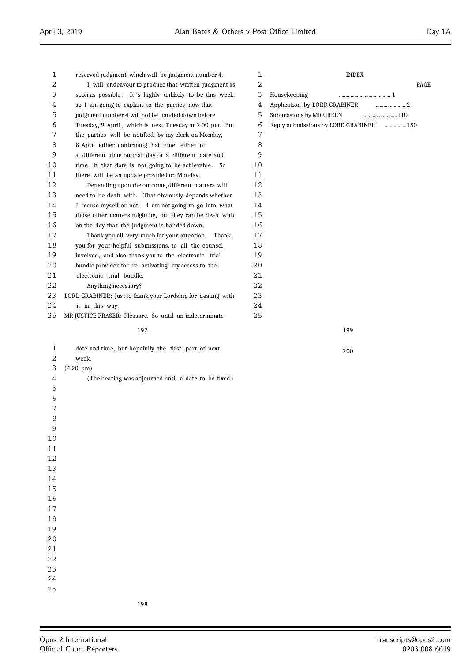$\overline{a}$ 

| 1        | reserved judgment, which will be judgment number 4.         | 1  | <b>INDEX</b>                               |      |
|----------|-------------------------------------------------------------|----|--------------------------------------------|------|
| 2        | I will endeavour to produce that written judgment as        | 2  |                                            | PAGE |
| 3        | soon as possible. It's highly unlikely to be this week,     | 3  | Housekeeping                               |      |
| 4        | so I am going to explain to the parties now that            | 4  | Application by LORD GRABINER               | 2    |
| 5        | judgment number 4 will not be handed down before            | 5  | Submissions by MR GREEN                    | 110  |
| 6        | Tuesday, 9 April, which is next Tuesday at 2.00 pm. But     | 6  | Reply submissions by LORD GRABINER 7711180 |      |
| 7        | the parties will be notified by my clerk on Monday,         | 7  |                                            |      |
| 8        | 8 April either confirming that time, either of              | 8  |                                            |      |
| 9        | a different time on that day or a different date and        | 9  |                                            |      |
| 10       | time, if that date is not going to be achievable. So        | 10 |                                            |      |
| 11       | there will be an update provided on Monday.                 | 11 |                                            |      |
| 12       | Depending upon the outcome, different matters will          | 12 |                                            |      |
| 13       | need to be dealt with. That obviously depends whether       | 13 |                                            |      |
| 14       | I recuse myself or not. I am not going to go into what      | 14 |                                            |      |
| 15       | those other matters might be, but they can be dealt with    | 15 |                                            |      |
| 16       | on the day that the judgment is handed down.                | 16 |                                            |      |
| 17       | Thank you all very much for your attention. Thank           | 17 |                                            |      |
| 18       | you for your helpful submissions, to all the counsel        | 18 |                                            |      |
| 19       | involved, and also thank you to the electronic trial        | 19 |                                            |      |
| 20       | bundle provider for re-activating my access to the          | 20 |                                            |      |
| 21       | electronic trial bundle.                                    | 21 |                                            |      |
| 22       | Anything necessary?                                         | 22 |                                            |      |
| 23       | LORD GRABINER: Just to thank your Lordship for dealing with | 23 |                                            |      |
| 24       | it in this way.                                             | 24 |                                            |      |
| 25       | MR JUSTICE FRASER: Pleasure. So until an indeterminate      | 25 |                                            |      |
|          |                                                             |    |                                            |      |
|          | 197                                                         |    | 199                                        |      |
| 1        | date and time, but hopefully the first part of next         |    | 200                                        |      |
| 2        | week.                                                       |    |                                            |      |
| 3        | $(4.20 \text{ pm})$                                         |    |                                            |      |
| 4        | (The hearing was adjourned until a date to be fixed)        |    |                                            |      |
| 5        |                                                             |    |                                            |      |
| 6        |                                                             |    |                                            |      |
| 7        |                                                             |    |                                            |      |
| $\Omega$ |                                                             |    |                                            |      |
| 9        |                                                             |    |                                            |      |
| 10       |                                                             |    |                                            |      |
| 11       |                                                             |    |                                            |      |
| 12       |                                                             |    |                                            |      |
| 13       |                                                             |    |                                            |      |
| 14       |                                                             |    |                                            |      |
| 15       |                                                             |    |                                            |      |
| 16       |                                                             |    |                                            |      |
| 17       |                                                             |    |                                            |      |
| 18       |                                                             |    |                                            |      |
| 19       |                                                             |    |                                            |      |
| 20       |                                                             |    |                                            |      |
| 21       |                                                             |    |                                            |      |
| 22       |                                                             |    |                                            |      |
| 23       |                                                             |    |                                            |      |
| 24       |                                                             |    |                                            |      |
| 25       |                                                             |    |                                            |      |
|          |                                                             |    |                                            |      |

 $\equiv$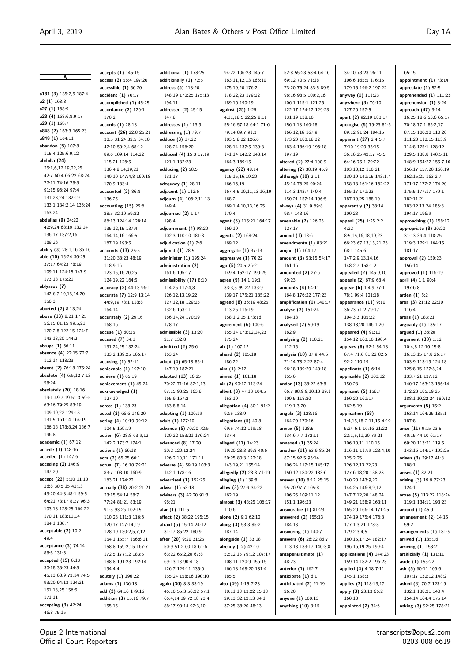| $\overline{\mathbf{A}}$                 | accepts (1) 145:15                       | additional (1) 178:25                      | 94:22 106:23 146:7                        | 52:8 55:23 58:4 64:16                      |
|-----------------------------------------|------------------------------------------|--------------------------------------------|-------------------------------------------|--------------------------------------------|
|                                         | access (2) 56:4 197:20                   | additionally (1) 72:5                      | 163:11,12,13 166:10                       | 69:12 70:5 71:18                           |
|                                         | $accessible(1)$ 56:20                    | address (5) 113:20                         | 175:19,20 176:2                           | 73:20 75:24 83:5 89:5                      |
| a181 (3) 135:2,5 187:4<br>a2(1)168:8    | accident (1) 70:17                       | 148:19 170:25 175:13                       | 178:22,23 179:22                          | 96:16 98:5 100:2,16                        |
| a27 (1) 168:9                           | accomplished (1) 45:25                   | 194:11                                     | 189:16 190:19                             | 106:1 115:1 121:25<br>122:17 124:12 129:23 |
| a28 (4) 168:6,8,9,17                    | $accordance(2)$ 120:1<br>170:2           | addressed (2) 45:15<br>147:8               | against (25) 1:25<br>4:11,18 5:22,25 8:11 | 131:19 138:10                              |
| a29 (1) 169:7                           | accords (1) 28:18                        | addresses (1) 113:9                        | 55:16 57:18 64:1 71:6                     | 156:1,13 160:18                            |
| a848 (2) 163:3 165:23                   | account (26) 22:8 25:21                  | addressing (1) 79:7                        | 79:14 89:7 91:3                           | 166:12,16 167:9                            |
| a849 (1) 164:11                         | 30:5 31:24 32:5 34:10                    | adduce (3) 17:22                           | 103:5,8,22 126:6                          | 173:20 180:18,22                           |
| abandon (5) 107:8                       | 42:10 50:2,4 68:12                       | 128:24 156:20                              | 128:14 137:5 139:8                        | 183:4 186:19 196:18                        |
| 115:4 125:6,9,12                        | 89:6 109:14 114:22                       | adduced (4) 15:3 17:19                     | 141:14 142:2 143:14                       | 197:19                                     |
| abdulla (24)                            | 115:21 126:5                             | 121:1 132:23                               | 164:3 169:15                              | altered (2) 27:4 100:9                     |
| 25:1,6,12,19,22,25                      | 136:4,8,14,19,21                         | adducing $(2)$ 58:5                        | agency (22) 48:14                         | altering (2) 38:19 45:9                    |
| 42:7 60:4 66:22 68:24                   | 140:10 147:4,8 169:18                    | 131:17                                     | 115:15,16,19,20                           | although (10) 2:11                         |
| 72:11 74:16 78:8                        | 170:9 183:4                              | adequacy (1) 28:11                         | 166:16,19                                 | 45:14 76:25 90:24                          |
| 91:15 96:24 97:4                        | $accounted(2)$ 86:8                      | adjacent (1) 112:6                         | 167:4,5,10,11,13,16,19                    | 114:3 143:7 149:4                          |
| 131:23,24 132:19                        | 136:25                                   | adjourn (4) 106:2,11,13                    | 168:2                                     | 150:21 157:14 196:5                        |
| 133:1 134:2,14 136:24<br>163:24         | accounting $(15)$ 25:6                   | 149:4                                      | 169:1,4,10,13,16,25                       | always (4) 31:9 69:8                       |
| abdullas (9) 24:22                      | 28:5 32:10 59:22                         | adjourned $(2)$ 1:17                       | 170:4                                     | 98:4 143:16                                |
| 42:9,24 68:19 132:14                    | 86:13 124:14 128:14<br>135:12,15 137:4   | 198:4<br>adjournment (4) 98:20             | agent (3) 115:21 164:17<br>169:19         | amenable (2) 126:25<br>127:17              |
| 136:17 137:2,16                         | 164:14,16 166:5                          | 102:3 110:10 181:8                         | agents (2) 168:24                         | amend (1) 18:6                             |
| 189:23                                  | 167:19 193:5                             | adjudication (1) 7:6                       | 169:12                                    | amendments (1) 83:21                       |
| ability (3) 28:1,16 36:16               | accounts (13) 25:5                       | adjunct (1) 28:5                           | aggregate $(1)$ 37:13                     | amjad (1) 104:17                           |
| able (10) 15:24 36:25                   | 31:20 38:23 48:19                        | administer (1) 195:24                      | aggressive $(1)$ 70:22                    | amount (3) 53:15 54:17                     |
| 37:17 64:23 78:19                       | 118:9,16                                 | administration (2)                         | ago (5) 20:5 26:21                        | 161:16                                     |
| 109:11 124:15 147:9                     | 123:15,16,20,25                          | 161:6 195:17                               | 149:4 152:17 190:25                       | amounted $(2)$ 27:6                        |
| 173:18 175:21                           | 124:19.22 164:5                          | admissibility (17) 8:10                    | agree (9) 14:1 19:1                       | 99:23                                      |
| ablyazov (7)                            | accuracy (2) 44:13 96:1                  | 114:25 117:4,8                             | 33:3,5 99:22 133:9                        | amounts (4) 64:11                          |
| 142:6,7,10,13,14,20                     | accurate (7) 12:9 13:14                  | 126:12,13,19,22                            | 139:17 175:21 185:22                      | 164:8 176:22 177:23                        |
| 150:3                                   | 44:9,19 78:1 118:8                       | 127:12,18 129:25                           | agreed (8) 36:19 48:25                    | amplification (1) 140:17                   |
| aborted (2) 8:13,24                     | 164:14                                   | 132:6 163:11                               | 113:25 116:19                             | analyse (2) 151:24                         |
| above (13) 8:21 17:25                   | accurately (2) 29:16                     | 166:14,24 170:19                           | 158:1,2,15 173:16                         | 184:18                                     |
| 56:15 81:15 99:5,21                     | 168:16                                   | 178:17                                     | agreement (6) 100:6                       | analysed (2) 50:19                         |
| 120:2,8 122:15 124:7<br>143:13,20 144:2 | accuse (1) 60:25                         | admissible (3) 13:20                       | 155:14 173:12,14,23                       | 162:9                                      |
| abrupt (1) 66:11                        | accused $(7)$ 34:1                       | 21:7 132:8                                 | 175:24                                    | analysing $(2)$ 110:21                     |
| absence (4) 22:15 72:7                  | 131:24,25 132:24<br>133:2 139:25 165:17  | admitted $(2)$ 25:6<br>163:24              | ah (1) 167:12<br>ahead (2) 105:18         | 112:15<br>analysis (10) 37:9 44:6          |
| 112:14 118:23                           | accusing $(1)$ 52:11                     | adopt (4) 65:18 85:1                       | 186:22                                    | 71:14 78:2,22 87:4                         |
| absent (2) 76:18 175:24                 | achievable (1) 197:10                    | 147:10 182:21                              | aim (1) 2:12                              | 96:18 139:20 140:18                        |
| absolute (4) 6:5,12 7:13                | achieve (1) 65:19                        | adopted (13) 16:25                         | aimed (1) 101:18                          | 155:6                                      |
| 58:24                                   | achievement $(1)$ 45:24                  | 70:22 71:16 82:1,13                        | air (2) 90:12 113:24                      | andor (13) 38:22 63:8                      |
| absolutely $(20)$ 18:16                 | acknowledged (1)                         | 87:15 93:25 163:8                          | albeit (3) 47:13 104:5                    | 66:7 88:9,9,10,13 89:1                     |
| 19:1 49:7,19 51:3 59:5                  | 127:19                                   | 165:9 167:2                                | 153:19                                    | 109:5 118:20                               |
| 63:16 79:25 83:19                       | across (1) 138:23                        | 183:8,8,14                                 | allegation (4) 80:1 91:2                  | 119:1,3,20                                 |
| 109:19,22 129:13                        | acted (2) 66:6 146:20                    | adopting (1) 100:19                        | 92:5 138:9                                | angela (3) 128:16                          |
| 131:5 161:14 164:19                     | acting (4) 10:19 99:12                   | adult (1) 127:10                           | allegations (5) 40:8                      | 164:20 170:16                              |
| 166:18 178:8,24 186:7                   | 104:5 169:19                             | advance (5) 70:20 72:5                     | 69:5 74:12 119:18                         | annex (5) 128:5                            |
| 196:8                                   | action (6) $28:863:9,12$                 | 120:22 153:21 176:24                       | 137:4                                     | 134:6,7,7 172:11                           |
| academic (1) 67:12<br>accede (1) 148:16 | 142:2 173:7 174:1                        | advanced (8) 17:20                         | alleged (11) 14:23                        | annexed $(1)$ 35:24                        |
| acceded (1) 147:6                       | actions (1) 66:18<br>acts (2) 65:25 66:1 | 20:2 120:12,24<br>126:2,10,11 171:11       | 19:20 28:3 39:8 40:6                      | another (11) 53:9 86:24                    |
| acceding (2) 146:9                      | actual (7) 16:10 79:21                   | adverse (4) 59:19 103:3                    | 50:25 80:3 122:18<br>143:19,21 155:14     | 87:15 92:5 95:14<br>106:24 117:15 145:17   |
| 147:20                                  | 83:7 103:10 160:9                        | 142:1 178:16                               | allegedly (2) 28:8 71:19                  | 150:12 180:22 183:6                        |
| accept (22) 5:20 11:10                  | 163:21 174:22                            | advertised (1) 152:25                      | alleging (1) 139:8                        | answer (10) 8:12 25:15                     |
| 26:8 30:5,15 42:13                      | actually (38) 20:2 21:21                 | advise (1) 53:18                           | allow (3) 27:9 34:22                      | 95:20 97:7 105:8                           |
| 43:20 44:3 48:1 59:5                    | 23:15 54:14 58:7                         | advisers (3) 42:20 91:3                    | 162:19                                    | 106:25 109:11,12                           |
| 64:21 73:17 81:7 96:3                   | 77:24 81:21 83:19                        | 96:21                                      | almost (3) 48:25 106:17                   | 151:1 196:23                               |
| 103:18 128:25 164:22                    | 91:5 93:25 102:15                        | afar (1) 111:5                             | 110:6                                     | answerable $(1)$ 81:23                     |
| 170:11 183:11,14                        | 110:23 111:3 116:6                       | affect (2) 38:22 195:15                    | alone (2) 9:1 62:10                       | answered (2) 155:13                        |
| 184:1 186:7                             | 120:17 127:14,19                         | afraid (5) 15:14 24:12                     | along (3) 53:3 85:2                       | 184:13                                     |
| acceptable (2) 10:2                     | 128:19 130:2,5,7,12                      | 31:17 85:22 180:9                          | 187:14                                    | answering (1) 140:7                        |
| 49:4                                    | 154:1 155:7 156:6,11                     | after (20) 9:20 31:25                      | alongside $(1)$ 33:18                     | answers (6) 26:22 86:7                     |
| acceptance $(3)$ 74:14<br>88:6 131:6    | 158:8 159:2,15 167:7                     | 50:9 51:2 60:18 61:6                       | already (12) 42:10                        | 113:18 133:17 140:3,8                      |
| accepted (15) 6:13                      | 172:5 177:12 183:5                       | 63:22 65:2,20 67:8                         | 52:12,15 79:12 107:17                     | antepenultimate (1)                        |
| 30:18 38:23 44:8                        | 188:8 191:23 192:14                      | 69:13,18 90:4,18                           | 108:11 120:9 156:15                       | 48:23                                      |
| 45:13 68:9 73:14 74:5                   | 194:4,4<br>acutely (1) 196:22            | 126:7 129:11 135:6<br>155:24 158:16 190:10 | 166:13 168:20 181:4<br>185:5              | anterior (1) 162:7<br>anticipate (1) 6:1   |
| 93:20 94:13 124:21                      | adams (1) 136:18                         | again (30) 8:3 33:19                       | also (49) 1:15 7:23                       | anticipated (2) 21:19                      |
| 151:13,25 156:5                         | add (2) 64:16 179:16                     | 46:10 55:3 56:22 57:1                      | 10:11,18 13:22 15:18                      | 26:20                                      |
| 171:11                                  | addition (3) 15:16 79:7                  | 66:4,14,19 72:18 73:4                      | 29:13 32:12,13 34:1                       | anyone (1) 100:13                          |
| accepting $(3)$ 42:24                   | 155:15                                   | 88:17 90:14 92:3,10                        | 37:25 38:20 48:13                         | anything (10) 3:15                         |
| 46:8 75:15                              |                                          |                                            |                                           |                                            |

 $64:16$ **amount (3)** 53:15 54:17 **amplification (1)** 140:17 13 89:1 **a** 86:24 140:3,8 34:10 73:23 96:11 106:6 165:5 176:15 179:15 196:2 197:22 **anyway (1)** 111:23 **anywhere (3)** 76:10 127:20 157:5 **apart (2)** 92:19 183:17 **apologise (5)** 79:23 81:5 89:12 91:24 184:15 **apparent (27)** 2:4 5:7 7:10 19:20 35:15 36:16,25 42:17 45:5 64:16 75:1 79:22 103:10,12 110:21 139:19 141:15 143:1,7 158:13 161:16 162:22 165:17 171:23 187:19,25 188:10 **apparently (2)** 38:14 100:23 **appeal (25)** 1:25 2:2 4:22 8:5,15,16,18,19,23 66:23 67:13,15,21,23 68:1 145:6 147:2,9,13,14,16 148:2,7 158:1,2 **appealed (2)** 145:9,10 **appeals (2)** 67:9 68:4 **appear (6)** 1:4,9 77:1 78:1 99:4 101:18 **appearance (11)** 9:10 36:23 71:2 79:17 104:3,3 105:22 138:18,20 146:1,20 **appeared (4)** 91:11 154:12 163:10 190:4 **appears (8)** 52:1 54:18 67:4 71:6 81:22 82:5 92:2 110:19 **appellants (1)** 6:14 **applicable (2)** 103:12 150:23 **applicant (5)** 158:7 160:20 161:17 162:5,19 **application (68)** 1:4,15,18 2:11,15 4:19 5:24 6:1 16:16 21:22 22:1,5,11,20 79:21 106:10,11 110:15 116:11 117:9 123:4,10 125:2,25 126:12,13,22,23 127:6,18,20 138:23 140:20 143:922 144:25 146:8,9,12 147:7,12,20 148:24 149:21 158:9 163:11 165:20 166:14 171:25 174:19 175:4 176:8 177:1,3,21 178:3 179:2,3,4,5 180:15,17,24 182:17 196:16,19,25 199:4 **applications (4)** 144:23 159:14 182:2 196:23 **applied (4)** 4:18 7:11 145:1 158:3 **applies (2)** 118:13,17 **apply (3)** 23:13 66:2 160:10 **appointed (2)** 34:6

65:15 **appointment (1)** 73:14 **appreciate (1)** 52:5 **apprehended (1)** 111:23 **apprehension (1)** 8:24 **approach (47)** 3:14 16:25 18:6 53:6 65:17 70:18 77:1 85:2,17 87:15 100:20 110:20 111:20 112:15 113:9 114:8 125:1 128:12 129:5 138:8 140:5,11 148:9 154:22 155:7,10 156:17 157:20 160:19 162:15,21 163:2,7 171:17 172:2 174:20 175:5 177:17 179:1 182:11,21 183:12,13,24 186:3 194:17 196:9 **approaching (1)** 158:12 **appropriate (8)** 20:20 31:13 39:4 118:25 119:3 129:1 164:15 181:17 **approval (2)** 150:23 156:14 **approved (1)** 116:19 **april (4)** 1:1 90:4 197:6,8 **arden (1)** 5:2 **area (3)** 21:12 22:10 116:4 **areas (1)** 183:21 **arguably (1)** 135:17 **argued (1)** 36:20 **argument (30)** 1:12 10:4,8 12:16 15:8 16:13,15 17:8 26:17 103:9 113:19 124:18 125:8,15 127:8,24 133:7,21 137:12 140:17 163:13 166:14 172:23 185:19,25 188:1,10,22,24 189:12 **arguments (5)** 15:2 163:14 164:25 185:1 187:8 **arise (11)** 9:15 23:5 40:15 44:10 61:17 69:20 113:21 119:5 143:16 144:17 192:25 **arisen (3)** 29:17 41:8 188:1 **arises (1)** 82:21 **arising (3)** 19:9 77:23 124:1 **arose (5)** 113:22 118:24 119:1 134:11 193:23 **around (1)** 45:9 **arrangement (2)** 14:15 59:2 **arrangements (1)** 181:5 **arrived (1)** 185:16 **arriving (1)** 153:21 **artificially (1)** 131:11 **aside (1)** 155:22 **ask (5)** 60:11 106:6 107:17 132:12 148:2 **asked (8)** 70:7 123:19 132:1 138:21 140:4 154:14 164:4 175:14 **asking (3)** 92:25 178:21

Opus 2 International Official Court Reporters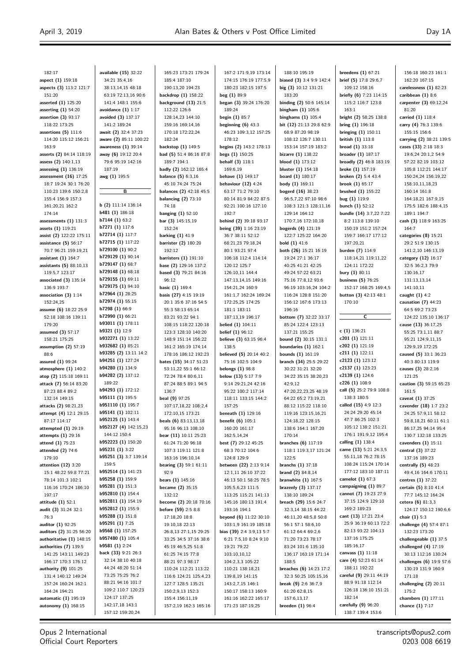| 182:17                                           | available (15) 32:22                                   | 165:23 173:21 179:24                          | 167:2 171:9,19 173:14                         | 188:10 195:19                                     | breedens $(1)$ 67:21                               | 156:18 160:23 161:1                           |
|--------------------------------------------------|--------------------------------------------------------|-----------------------------------------------|-----------------------------------------------|---------------------------------------------------|----------------------------------------------------|-----------------------------------------------|
| aspect (1) 159:18                                | 34:21 35:4,16                                          | 185:4 187:10                                  | 174:15 176:19 177:5,9                         | biased (3) 3:4 9:9 142:4                          | brief (5) 17:8 29:6,7                              | 162:20 167:15                                 |
| aspects (3) 113:2 121:7                          | 38:13,14,15 48:18                                      | 190:13,20 194:23                              | 180:23 182:15 197:5                           | big (3) 10:12 131:21                              | 109:12 158:16                                      | carelessness (1) 82:23                        |
| 151:20                                           | 63:19 72:13,16 90:6                                    | backdrop (1) 158:22                           | beg(1)89:9                                    | 183:20                                            | briefly (6) 7:23 114:15                            | caribbean $(1)$ 8:6                           |
| asserted (1) 125:20                              | 141:4 148:1 155:6                                      | background (13) 21:5<br>112:22 126:6          | began (3) 39:24 176:20<br>189:24              | binding (2) 50:6 145:14<br>bingham $(1)$ 105:6    | 115:2 116:7 123:8<br>163:1                         | carpenter (3) 69:12,24<br>81:20               |
| asserting $(1)$ 54:20<br>assertion (3) 93:17     | avoidance $(1)$ 1:17<br>avoided (3) 137:17             | 128:14,23 144:10                              | begin $(1)$ 85:7                              | binghams $(1)$ 105:4                              | bright (2) 58:25 138:8                             | carried (1) 118:4                             |
| 118:22 173:25                                    | 141:2 189:24                                           | 159:16 169:14,16                              | beginning $(6)$ 43:3                          | bit (12) 21:13 29:8 62:9                          | bring $(1)$ 196:18                                 | carry (4) 76:3 139:6                          |
| assertions $(5)$ 111:6                           | await (2) 32:4 37:23                                   | 170:18 172:22,24                              | 46:23 109:3,12 157:25                         | 68:9 87:20 98:19                                  | bringing $(1)$ 150:11                              | 155:15 156:6                                  |
| 114:20 115:12 156:21                             | aware (2) 85:11 100:22                                 | 182:24                                        | 178:12                                        | 108:12 126:7 130:11                               | british (1) 113:8                                  | carrying (2) 38:21 139:5                      |
| 163:9                                            | awareness (1) 39:14                                    | backstop (1) 149:5                            | begins (2) 143:2 178:13                       | 153:14 157:19 183:2                               | <b>broad</b> $(1)$ 33:18                           | cases (33) 2:18 18:3                          |
| asserts (2) 84:14 118:19                         | away (6) 19:12 20:4                                    | bad (5) 51:4 86:16 87:8                       | begs $(1)$ 150:25                             | bizarre (1) 138:22                                | broader (1) 187:17                                 | 19:6,24 20:1,2 54:9                           |
| assess (2) 140:1,13                              | 79:6 95:19 142:16                                      | 189:7 194:1                                   | behalf (3) 118:1                              | blood $(1)$ 173:12                                | broadly (2) 46:8 183:19                            | 57:22 82:19 103:12                            |
| assessing $(1)$ 136:19                           | 187:19                                                 | badly (2) 162:12 165:4                        | 169:6.19                                      | bluster $(1)$ 154:18                              | broke $(1)$ 157:19                                 | 105:8 112:21 144:17                           |
| assessment (16) 17:25                            | awg (1) 195:5                                          | <b>balance (5)</b> 6:3,16                     | behave (1) 149:17                             | board (1) 180:17                                  | broken (2) 5:4 43:4                                | 150:24,24 156:19,22                           |
| 18:7 19:24 30:1 76:20<br>110:23 139:6 150:2,8    | в                                                      | 45:10 74:24 75:24<br>balances (2) 42:18 45:5  | behaviour $(12)$ 4:24<br>63:17 71:2 79:10     | body (1) 169:11<br>bogerd (16) 38:23              | brook $(1)$ 65:17<br>brushed $(1)$ 155:22          | 158:10,11,18,23<br>160:14 161:8               |
| 155:4 156:9 157:3                                |                                                        | balancing $(2)$ 73:10                         | 80:14 81:9 84:22 87:5                         | 96:5,7,22 97:10 98:6                              | bug $(1)$ 119:9                                    | 164:18,21 167:9,15                            |
| 161:20,21 162:2                                  | $b(2)$ 111:14 136:14                                   | 74:18                                         | 92:21 100:16 127:10                           | 108:3 121:3 128:11,16                             | bunch $(1)$ 52:12                                  | 175:5 182:6 188:4,15                          |
| 174:14                                           | <b>b481 (1)</b> 186:18                                 | banging $(1)$ 52:10                           | 192:7                                         | 129:14 164:12                                     | bundle (14) 3:7,22 7:22                            | 189:1 194:7                                   |
| assessments $(1)$ 131:3                          | b7144(1)63:2                                           | bar (3) 145:15,19                             | behind (2) 39:18 93:17                        | 170:7,16 172:10,18                                | 8:2 113:8 139:10                                   | cash (3) 118:9 163:25                         |
| assets (1) 119:21                                | b7271 (1) 117:6                                        | 152:24                                        | being (39) 1:16 23:19                         | bogerds (4) 121:19                                | 150:19 151:2 157:24                                | 164:7                                         |
| assist (2) 122:22 175:11                         | <b>b72714 (1)</b> 117:7                                | barking (1) 41:9                              | 36:7 38:11 52:12                              | 122:7 125:22 164:20                               | 159:7 166:17 177:12                                | categories $(8)$ 15:21                        |
| assistance $(5)$ 56:17                           | <b>b72715 (1)</b> 117:22                               | barrister (2) 180:20                          | 68:21,23 79:18,24                             | <b>bold</b> $(1)$ 41:6                            | 197:20,21                                          | 29:2 51:9 130:15                              |
| 70:7 96:21 159:19,21                             | b729100 (1) 90:2                                       | 192:12                                        | 80:1 93:21 97:4                               | both (26) 15:21 16:19                             | burden (7) 114:9                                   | 141:2,10 146:13,19                            |
| assistant $(1)$ 164:7                            | b729129 (1) 90:14                                      | barristers (1) 191:10                         | 106:18 112:4 114:14                           | 19:24 27:1 36:17                                  | 118:14,21 119:11,22                                | category (12) 16:17                           |
| assistants (5) 88:10,13                          | <b>b729147 (1)</b> 68:7<br>b729148 (1) 68:18           | base (2) 129:16 137:2                         | 120:12 125:7                                  | 40:25 41:21 42:25                                 | 124:11 172:22                                      | 32:5 36:2,3 79:9                              |
| 119:5,7 123:17                                   | b729155 (1) 69:11                                      | based (3) 79:21 84:16<br>96:12                | 126:10,11 144:4                               | 49:24 57:22 63:21                                 | bury $(1)$ 80:11                                   | 130:16,17                                     |
| associated $(3)$ 135:14<br>136:9 193:7           | b729175 (1) 94:10                                      | basic (1) 169:4                               | 147:13,14,15 149:16<br>154:21,24 160:9        | 75:16 77:8,12 93:6<br>96:19 103:16,24 104:2       | <b>business (5) 76:25</b><br>152:17 168:25 169:4,5 | 131:13,13,14<br>141:10,11                     |
| association $(3)$ 1:14                           | <b>b72964 (1)</b> 28:25                                | basis (27) 4:15 19:19                         | 161:1,7 162:24 169:24                         | 116:24 128:8 151:20                               | button (3) 42:13 48:1                              | caught $(1)$ 4:2                              |
| 152:24,25                                        | b72974 (1) 55:15                                       | 20:1 35:6 37:16 54:5                          | 172:25,25 174:25                              | 156:12 167:6 173:13                               | 170:10                                             | causation $(7)$ 44:23                         |
| assume (6) 18:22 25:9                            | b7298(1)66:9                                           | 55:3 58:13 65:14                              | 181:1 183:11                                  | 196:16                                            |                                                    | 64:5 69:2 73:23                               |
| 52:18 108:16 139:11                              | b72990(1)66:21                                         | 83:21 93:22 94:1                              | 187:13,19 196:17                              | bottom (7) 32:22 33:17                            | $\overline{\mathsf{c}}$                            | 124:22 135:10 136:17                          |
| 179:20                                           | <b>b93011</b> (1) $178:11$                             | 108:15 118:22 120:18                          | belied $(1)$ 104:11                           | 85:24 122:4 123:13                                |                                                    | cause (13) 36:17,25                           |
| assumed (3) 57:17                                | <b>b9321 (1)</b> 12:9                                  | 123:3 128:10 140:20                           | belief $(1)$ 96:12                            | 137:21 155:25                                     | c $(1)$ 136:21                                     | 55:25 73:1,11 88:7                            |
| 158:21 175:25                                    | <b>b932271 (1)</b> 13:22                               | 148:9 151:14 156:22                           | believe (3) 63:15 96:4                        | bound (2) 30:15 131:1                             | c201 $(1)$ 121:11                                  | 95:21 124:9,11,15                             |
| assumption (2) 57:19                             | b932682 (1) 85:21                                      | 161:2 165:19 174:14                           | 138:5                                         | boundaries $(1)$ 162:1                            | c202 (1) 121:19                                    | 129:9,19 172:25                               |
| 88:6                                             | <b>b93285 (2)</b> 13:11 14:2                           | 178:16 186:12 192:23                          | <b>believed</b> (5) 20:14 40:2                | bounds (1) 161:19                                 | c211 (1) 122:11                                    | caused (5) 33:1 36:23                         |
| assured (1) 99:24                                | <b>b94251 (1)</b> 127:24                               | bates (15) 34:17 51:23                        | 75:16 102:5 104:9                             | branch (34) 25:5 29:22                            | c2123 (1) 123:12<br>c2137 (1) 123:23               | 40:3 80:13 119:9                              |
| atmosphere $(1)$ 140:2                           | <b>b94280 (1)</b> 134:9<br>b94282 (2) 137:12           | 53:11,22 55:1 66:12                           | belongs $(1)$ 98:8                            | 30:22 31:21 32:20                                 | c2139 (1) $124:6$                                  | causes (3) 28:2,16                            |
| atop (2) 115:18 169:11<br>attack (7) 56:14 83:20 | 189:22                                                 | 72:24 78:4 80:6,11<br>87:24 88:5 89:1 94:5    | below $(13)$ 5:17 7:9<br>9:14 29:21,24 42:16  | 34:22 35:15 38:20,23<br>42:9,12                   | c226 (1) 108:9                                     | 121:25<br>caution (3) 59:15 65:23             |
| 87:23 88:4 89:2                                  | b94293 (1) 172:12                                      | 136:7                                         | 95:22 100:2 117:14                            | 47:20,22,23,25 48:19                              | call (5) 25:2 79:9 108:8                           | 161:5                                         |
| 132:14 149:15                                    | b95111 (1) 195:5                                       | beal $(9)$ 97:25                              | 118:11 133:15 144:2                           | 64:22 65:2 73:19,21                               | 138:3 180:5                                        | caveat (1) 37:25                              |
| attacks (2) 98:21,23                             | b951110 (1) 195:7                                      | 107:17,18,22 108:2,4                          | 157:25                                        | 88:12 115:22 118:10                               | called (15) 4:9 12:3                               | cavender (18) 1:7 23:2                        |
| attempt (4) 12:1 29:15                           | <b>b95141 (1)</b> 102:11                               | 172:10,15 173:21                              | beneath (1) 129:16                            | 119:16 123:15,16,21                               | 24:24 29:20 45:14                                  | 24:25 57:9,11 58:12                           |
| 87:17 114:17                                     | b952125 (1) 143:4                                      | beals (6) 83:13,13,18                         | benefit $(6)$ 105:1                           | 124:18,22 128:15                                  | 47:7 86:25 102:3                                   | 59:8,18,21 60:11 61:1                         |
| attempted $(1)$ 29:19                            | b952127 (4) 142:15,23                                  | 95:16 96:13 108:10                            | 160:20 161:17                                 | 138:6 164:1 167:20                                | 105:12 138:2 151:21                                | 86:17,25 94:14 95:4                           |
| attempts (1) 29:16                               | 144:12 150:4                                           | bear (11) 10:11 25:23                         | 162:5,14,24                                   | 170:14                                            | 176:1 191:9,12 195:4                               | 130:7 132:18 133:25                           |
| attend (1) 75:23                                 | <b>b952223 (1)</b> 150:20                              | 61:24 71:20 96:18                             | best (7) 29:12 45:25                          | branches (6) 117:19                               | calling (1) 138:4                                  | cavenders $(1)$ 15:11                         |
| attended $(2)$ 74:6                              | <b>b95231</b> (1) 3:22<br><b>b95251 (3)</b> 3:7 139:14 | 107:3 119:11 121:8                            | 68:3 70:12 104:6                              | 118:1 119:3,17 121:24                             | came (13) 5:21 24:3,5<br>55:11,18 76:2 78:15       | central (3) 37:22                             |
| 179:10                                           | 159:5                                                  | 163:16 196:10,14                              | 124:8 129:9                                   | 122:5                                             | 108:24 115:24 170:14                               | 137:16 189:23                                 |
| attention $(12)$ 3:20<br>15:1 48:22 59:8 77:21   | <b>b952514 (1)</b> 141:23                              | bearing (3) 59:1 61:11<br>92:9                | between (22) 2:13 9:14<br>12:1,11 26:10 37:22 | branchs $(1)$ 37:18<br>brand $(2)$ 84:8,14        | 177:12 183:10 187:11                               | centrally $(5)$ 48:23<br>49:4,16 164:6 170:11 |
| 78:14 101:3 102:1                                | <b>b95258 (1)</b> 159:9                                | bears (1) 145:16                              | 46:13 50:1 58:25 78:5                         | branwhite $(1)$ 167:5                             | camelot $(1)$ 67:3                                 | centres (1) 37:22                             |
| 116:16 170:24 186:10                             | <b>b95281 (1)</b> 151:3                                | became (2) 35:15                              | 105:5,6,23 111:5                              | brazenly $(3)$ 137:17                             | campaigning (1) 89:7                               | certain (5) 8:10 41:4                         |
| 197:17                                           | b952810 (1) 154:4                                      | 132:12                                        | 113:25 115:21 141:13                          | 138:10 189:24                                     | cannot (7) 19:23 27:9                              | 77:7 145:12 164:24                            |
| attitude (1) 52:1                                | b952811 (1) 154:19                                     | become (2) 20:18 70:16                        | 145:16 180:13 191:4                           | breach (29) 15:6 24:7                             | 37:15 124:9 129:10                                 | cetera (6) 81:3,3                             |
| audit (3) 31:24 32:1                             | b952812(1)155:9                                        | before (59) 2:5 8:8                           | 193:16 194:1                                  | 32:3,14 38:15 44:22                               | 169:2 189:23                                       | 124:17 150:12 190:6,6                         |
| 76:3                                             | b95288 (1) 151:8                                       | 17:18,20 18:8                                 | beyond (6) 11:22 30:10                        | 46:11,20 48:5,8 50:8                              | cant (13) 17:21 23:4                               | chair (1) 5:3                                 |
| auditor (1) 92:25                                | <b>b95291</b> (1) 7:25                                 | 19:10,18 22:13                                | 103:1,9 161:19 185:18                         | 56:1 57:1 58:6,10                                 | 25:9 36:19 60:13 72:2                              | challenge (4) 57:4 87:1                       |
| auditors (2) 31:25 56:20                         | <b>b9568 (1)</b> 157:25                                | 26:8,13 27:1,15 29:25                         | bias (39) 2:4 3:9,13 5:7                      | 61:12 64:4 69:2,6                                 | 82:13 93:22 104:13                                 | 132:23 173:20                                 |
| authoritative (1) 148:15                         | b957480 (1) 105:4                                      | 33:25 34:5 37:16 38:6                         | 6:21 7:5,10 8:24 9:10                         | 71:20 73:23 78:17                                 | 137:16 175:25                                      | challengeable (1) 37:5                        |
| authorities (7) 139:5                            | b9581(1)2:24                                           | 45:19 46:5,25 51:8                            | 19:21 79:22                                   | 83:24 101:6 135:10                                | 185:16,17                                          | challenged $(4)$ 17:19                        |
| 141:25 143:11 149:23                             | back (33) 9:21 26:3<br>32:14 38:10 40:18               | 61:25 74:15 77:8                              | 103:10,10,12                                  | 136:17 163:19 171:14                              | canvass (1) 11:18<br>care (4) 52:23 61:14          | 30:13 112:16 130:24                           |
| 166:17 170:3 176:12                              | 44:24 48:20 51:14                                      | 88:21 97:3 98:17                              | 104:2,3,3 105:22                              | 188:5                                             | 188:11 192:22                                      | challenges (6) 19:9 57:6                      |
| authority (9) 101:25<br>131:4 140:12 149:24      | 73:25 75:25 76:2                                       | 110:24 112:21 113:22<br>116:6 124:21 125:4,23 | 110:21 138:18,21<br>139:8,19 141:15           | breaches $(6)$ 14:23 17:2<br>32:3 50:25 105:15,16 | careful (9) 29:11 44:19                            | 130:19 131:9 160:9<br>171:18                  |
| 157:24 160:24 162:1                              | 88:21 94:16 101:7                                      | 127:7 128:5 135:21                            | 143:2,7,15 146:1                              | break (9) 2:6 36:7,9                              | 88:9 91:18 112:14                                  | challenging $(2)$ 20:11                       |
| 164:24 194:21                                    | 109:2 110:7 120:23                                     | 150:2,9,13 152:3                              | 150:17 158:13 160:9                           | 61:20 62:8,15                                     | 126:18 136:10 151:21                               | 175:2                                         |
| automatic (1) 195:19                             | 124:17 137:25                                          | 155:4 156:11,19                               | 161:16 162:22 165:17                          | 157:6,13,17                                       | 182:14                                             | chambers (1) 177:11                           |
| autonomy (1) 168:15                              | 142:17,18 143:1                                        | 157:2,19 162:3 165:16                         | 171:23 187:19,25                              | breeden $(1)$ 96:4                                | carefully $(9)$ $96:20$                            | chance (1) 7:17                               |
|                                                  | 157:12 159:20,24                                       |                                               |                                               |                                                   | 138:7 139:4 153:6                                  |                                               |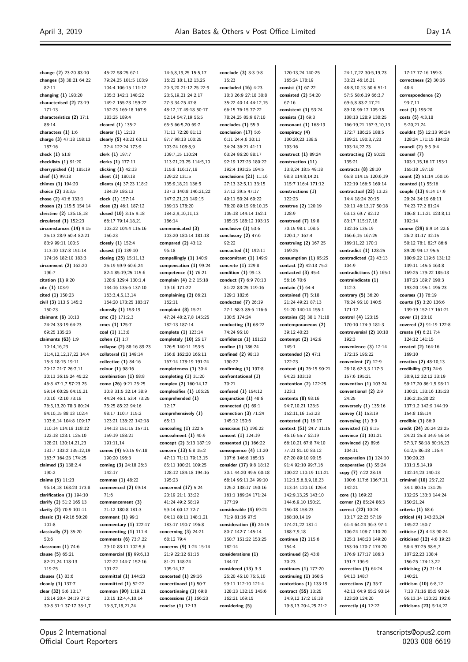17:17 77:16 159:3

**change (2)** 23:20 83:10 **changes (3)** 38:21 64:22 82:11 **changing (1)** 193:20 **characterised (2)** 73:19 171:13 **characteristics (2)** 17:1 88:14 **characters (1)** 1:6 **charge (3)** 47:18 158:13 187:16 **check (1)** 51:8 **checklists (1)** 91:20 **cherrypicked (1)** 185:19 **chief (1)** 99:18 **chimes (1)** 194:20 **choice (2)** 33:3,5 **chose (2)** 41:6 133:1 **chosen (2)** 115:5 154:14 **christine (2)** 136:18,18 **circulated (1)** 152:23 **circumstances (14)** 9:15 25:13 28:9 50:4 82:21 83:9 99:11 100:5 113:10 137:8 151:14 174:16 182:10 183:3 **circumvent (2)** 162:20 196:7 **citation (1)** 9:20 **cite (1)** 103:9 **cited (1)** 150:23 **civil (3)** 113:5 145:2 150:23 **claimant (6)** 10:13 24:24 33:19 64:23 69:25 135:23 **claimants (63)** 1:9 10:14,16,23 11:4,12,12,17,22 14:4 15:3 18:15 19:11 20:12 21:7 26:7,11 30:13 36:15,24 45:22 46:8 47:1,7 57:23,25 59:14 60:25 64:15,21 70:16 72:10 73:18 76:5,13,20 78:3 80:24 84:10,15 88:13 102:4 103:8,14 104:8 109:17 110:14 114:18 118:12 122:18 123:1 125:10 128:21 130:14,21,23 131:7 133:2 135:12,19 163:7 164:23 174:25 **claimed (3)** 138:2,4 190:2 **claims (5)** 11:23 96:14,18 163:23 173:8 **clarification (1)** 194:10 **clarify (2)** 51:2 165:13 **clarity (2)** 70:9 101:11 **classic (3)** 49:16 50:20 101:8 **classically (2)** 35:20 50:6 **classroom (1)** 74:6 **clause (5)** 65:21 82:21,24 118:13 119:25 **clauses (1)** 83:6 **cleanly (1)** 137:7 **clear (32)** 5:6 13:17 16:14 20:4 24:19 27:2 30:8 31:1 37:17 38:1,7

45:22 58:25 67:1 79:24,25 101:5 103:9 104:4 106:15 111:12 135:3 142:1 148:22 149:2 155:23 159:22 162:23 166:18 167:9 183:25 189:4 **cleared (1)** 135:2 **clearer (1)** 12:13 **clearly (5)** 43:21 63:11 72:4 122:24 173:9 **clerk (1)** 197:7 **clerks (1)** 177:11 **clicking (1)** 42:13 **client (1)** 180:18 **clients (4)** 37:23 118:2 184:19 186:13 **clock (1)** 157:14 **close (2)** 46:1 187:12 **closed (10)** 3:15 9:18 66:17 79:14,18,21 103:22 104:4 115:16 156:23 **closely (1)** 152:4 **closest (1)** 139:10 **closing (25)** 15:11,13 25:19 59:9 60:6,24 82:4 85:19,25 115:6 128:9 129:4 130:1,4 134:16 135:6 137:10 163:3,4,5,13,14 164:20 173:25 183:17 **clumsily (1)** 153:19 **cmc (2)** 171:2,3 **cmcs (1)** 125:7 **coal (1)** 113:8 **cohen (1)** 1:7 **collapse (2)** 88:16 89:23 **collateral (1)** 149:14 **collective (1)** 84:16 **colour (1)** 98:16 **combination (1)** 68:8 **come (26)** 9:21 25:25 30:8 31:5 32:14 38:9 44:24 46:1 53:4 73:25 75:25 85:22 94:16 98:17 110:7 115:2 123:21 138:22 142:18 144:13 151:15 157:11 159:19 188:21 191:11,14 **comes (4)** 50:15 97:18 190:20 196:3 **coming (3)** 24:18 26:3 142:17 **commas (1)** 48:22 **commenced (2)** 69:14 71:6 **commencement (3)** 71:12 180:8 181:3 **comment (1)** 99:1 **commentary (1)** 122:17 **commenting (1)** 111:4 **comments (6)** 73:7,22 79:10 83:11 102:5,6 **commercial (6)** 99:6,13 122:22 144:7 152:16 191:22 **committal (1)** 144:23 **committed (1)** 52:22 **common (90)** 1:19,21 10:15 12:4,4,10,14 13:3,7,18,21,24

14:6,8,19,25 15:5,17 16:22 18:1,12,13,25 20:3,20 21:12,25 22:9 23:5,19,21 24:2,17 27:3 34:25 47:8 48:12,17 49:18 50:17 52:14 54:7,19 55:5 65:5 66:5,20 69:7 71:11 72:20 81:13 87:7 98:13 100:25 103:24 108:8.9 109:7,15 110:24 113:21,23,25 114:5,10 115:8 116:17,18 129:22 131:5 135:9,18,21 136:5 137:3 140:8 146:21,22 147:2,21,23 149:15 169:13 178:20 184:2,9,10,11,13 186:14 **communicated (3)** 103:20 180:14 181:18 **compared (2)** 43:12 96:18 **compellingly (1)** 140:9 **compensation (1)** 99:24 **competence (1)** 76:21 **complain (4)** 2:2 15:18 19:16 171:22 **complaining (2)** 86:21 162:11 **complaint (8)** 15:21 47:24 48:2,7,8 145:25 182:13 187:14 **complete (1)** 123:14 **completely (10)** 25:17 126:5 140:11 153:5 156:8 162:20 165:11 167:14 178:19 191:24 **completeness (1)** 30:4 **completing (1)** 31:20 **complex (2)** 160:14,17 **complexifies (1)** 166:25 **comprehended (1)** 12:17 **comprehensively (1)** 65:11 **concealing (1)** 122:5 **concealment (1)** 40:9 **concept (2)** 3:13 187:19 **concern (13)** 6:8 15:2 47:11 71:11 79:13,15 85:11 100:21 109:25 128:12 184:18 194:16 195:23 **concerned (17)** 5:24 20:19 21:1 33:22 41:24 49:2 58:19 59:14 60:17 72:7 84:11 88:11 148:1,21 183:17 190:7 196:8 **concerning (3)** 24:21 68:12 79:4 **concerns (9)** 1:24 15:14 21:9 22:12 61:16 81:21 148:24 195:14,17 **concerted (1)** 29:16 **concertinaed (1)** 50:7 **concertinaing (1)** 69:8 **concessions (1)** 166:23 **concise (1)** 12:13

**conclude (3)** 3:3 9:8 15:23 **concluded (16)** 4:23 10:3 26:9 27:18 30:8 35:22 40:14 44:12,15 66:15 76:15 77:22 78:24,25 85:9 87:10 **concludes (1)** 55:9 **conclusion (17)** 5:6 6:11 24:4,6 30:11 34:24 36:21 41:11 63:24 86:20 88:17 92:19 127:23 180:22 192:4 193:25 194:5 **conclusions (21)** 11:16 27:13 32:5,11 33:15 37:12 39:5 47:17 49:11 50:24 69:22 78:20 89:15 98:10,15 105:18 144:14 152:1 185:15 188:12 193:15 **conclusive (1)** 53:6 **conclusory (2)** 47:6 92:22 **concocted (1)** 192:11 **concomitant (1)** 149:9 **concrete (1)** 129:8 **condition (1)** 99:13 **conduct (7)** 6:9 70:13 81:22 83:25 119:16 129:1 182:6 **conducted (7)** 26:19 27:1 58:3 85:6 116:6 130:5 174:24 **conducting (3)** 68:22 74:24 95:10 **confidence (1)** 161:23 **confine (1)** 186:24 **confined (2)** 98:13 190:22 **confirming (1)** 197:8 **confrontational (1)** 70:21 **confused (1)** 154:12 **conjunction (1)** 48:6 **connected (1)** 69:1 **connection (3)** 71:24 145:12 150:6 **conscious (1)** 196:22 **consent (1)** 124:19 **consented (1)** 166:22 **consequence (4)** 11:20 107:6 146:8 165:13 **consider (17)** 9:8 18:12 30:1 44:20 49:5 60:18 68:14 95:11,24 99:10 125:2 138:17 150:16 161:1 169:24 171:24 177:19 **considerable (4)** 69:21 71:9 81:16 97:5 **consideration (8)** 24:15 80:7 142:7 145:14 150:7 151:22 153:25 182:14 **considerations (1)** 144:17 **considered (13)** 3:3 25:20 45:10 75:5,10 99:11 112:10 121:4 128:13 132:15 145:6 162:21 169:15 **considering (5)**

120:13,24 140:25 165:24 178:19 **consist (1)** 67:22 **consisted (2)** 54:20 67:16 **consistent (1)** 53:24 **consists (1)** 69:3 **consonant (1)** 168:19 **conspiracy (4)** 100:20,23 138:5 193:16 **construct (1)** 89:24 **construction (11)** 13:8,24 18:5 49:18 98:3 114:8,14,21 115:7 116:4 171:12 **constructions (1)** 122:23 **construe (2)** 120:19 128:9 **construed (7)** 19:8 70:15 98:1 108:6 120:1,7 167:4 **construing (2)** 167:25 169:25 **consumption (1)** 95:25 **contact (2)** 42:13 75:2 **contacted (3)** 45:4 56:16 70:6 **contain (1)** 64:4 **contained (7)** 5:18 21:24 49:21 87:13 91:20 140:14 155:1 **contains (2)** 38:1 71:18 **contemporaneous (2)** 39:12 40:23 **contempt (2)** 142:9 145:1 **contended (2)** 47:1 122:23 **content (4)** 76:15 90:21 94:23 103:18 **contention (2)** 122:25 123:1 **contents (8)** 93:16 94:7,10,21 123:5 152:11,16 153:23 **contested (1)** 19:17 **context (51)** 24:7 31:15 46:16 55:7 62:19 66:10,21 67:8 74:10 77:21 81:10 83:12 87:20 89:10 90:15 91:4 92:10 99:7,16 100:22 110:19 111:21 112:1,5,6,8,9,18,23 113:14 120:16 126:4 142:9,13,25 143:10 144:6,9,10 150:21 156:18 158:23 168:10,14,19 174:21,22 181:1 188:7,9,18 **continue (2)** 115:6 154:4 **continued (2)** 43:8 70:23 **continues (1)** 177:20 **continuing (1)** 160:5 **contortions (1)** 133:19 **contract (55)** 13:25 14:9,12 17:2 18:18

19:8,13 20:4,25 21:2

24:1,7,22 30:5,19,23 33:21 46:16,21 48:8,10,13 50:6 51:1 57:5 58:6,19 66:3,7 69:6,8 83:2,17,21 89:18 96:17 105:15 108:13 128:9 130:25 166:19,21 167:3,10,13 172:7 186:25 188:5 189:21 190:3,7,23 103:14,22.23 **contracting (2)** 50:20 135:21 **contracts (8)** 28:10 65:8 114:15 120:6,19 122:19 166:5 169:14 **contractual (22)** 13:23 14:4 18:24 20:15 30:11 46:13,17 50:18 63:13 69:7 82:12 83:17 115:17,18 132:16 135:19 166:6,15 167:25 169:11,22 170:1 **contradict (1)** 128:25 **contradicted (2)** 43:13 104:9 **contradictions (1)** 165:1 **contraindicate (1)** 112:3 **contrary (5)** 36:20 76:24 95:10 140:5 171:12 **control (4)** 123:15 170:10 174:9 181:3 **controversial (2)** 10:10 192:3 **convenience (3)** 12:14 172:15 195:22 **convenient (7)** 12:9 28:18 62:3,3 117:3 157:6 195:21 **convention (1)** 103:24 **conventional (2)** 2:9  $24.25$ **conversely (1)** 135:16 **convey (1)** 153:19 **conveying (1)** 3:9 **convicted (1)** 8:15 **convince (1)** 101:21 **convinced (2)** 89:6 104:11 **cooperation (1)** 124:10 **cooperative (1)** 55:24 **copy (7)** 7:22 28:19 100:6 117:6 136:7,11 142:21 **core (1)** 169:22 **corner (2)** 85:24 86:3 **correct (22)** 10:24 13:17 22:23 57:19 61:4 64:24 96:3 97:1 106:24 108:7 110:20 125:1 148:23 149:20 153:16 170:7 174:20 176:9 177:17 186:3 191:7 196:9 **correction (3)** 64:24 94:13 148:7 **corrections (7)** 35:7 42:11 64:9 65:2 93:14 123:20 124:20 **correctly (4)** 12:22

**correctness (2)** 30:16 48:4 **correspondence (2)** 93:7,11 **cost (1)** 195:20 **costs (5)** 4:3,18 5:20,21,24 **couldnt (5)** 12:13 96:24 128:24 171:15 184:23 **council (2)** 8:5 9:4 **counsel (7)** 103:1,15,16,17 153:1 155:18 197:18 **count (2)** 51:14 160:16 **counted (1)** 55:16 **couple (13)** 9:14 17:9 29:24 34:19 68:11 74:23 77:2 81:24 106:8 111:21 123:8,11 192:14 **course (29)** 8:9,14 22:6 26:2 31:17 32:15 50:12 78:1 82:7 86:6 89:20 94:17 95:5 100:9,22 119:6 131:12 139:11 145:6 163:8 169:25 179:22 185:13 187:23 189:7 190:3 193:20 195:1 196:23 **courses (1)** 76:19 **courts (5)** 3:20 136:6 139:19 152:17 161:21 **cover (1)** 23:10 **covered (2)** 91:19 122:8 **create (4)** 6:21 7:4 124:12 141:15 **created (2)** 164:16 169:10 **creation (2)** 48:10,13 **credibility (23)** 24:6 30:9,12 32:12 33:19 59:17,20 86:1,5 98:11 130:21 133:16 135:23 136:2,15,20,22 137:1,2 142:9 144:19 154:8 165:14 **credible (1)** 86:9 **credit (24)** 20:24 23:25 24:21 25:8 34:9 56:14 57:3,7 58:18 60:16,23 61:2,5 86:18 116:4 130:20,23 131:1,5,14,19 132:14,23 140:13 **criminal (10)** 25:7,22 34:1 80:15 131:25 132:25 133:3 144:24 150:21,24 **criteria (1)** 68:6 **critical (4)** 143:23,24 145:22 150:7 **criticise (2)** 4:13 90:24 **criticised (12)** 4:8 19:23 58:4 97:25 98:5,7 107:22,23 108:4 156:25 174:13,22 **criticising (2)** 71:14 140:21 **criticism (10)** 6:8,12 7:13 71:16 85:5 93:24 95:13,14 120:22 192:6 **criticisms (23)** 5:14,22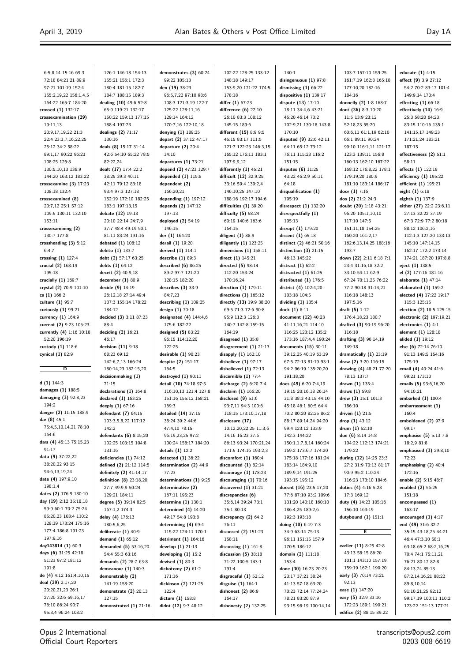6:5,8,14 15:16 69:3 72:18 84:21,21 89:9 97:21 101:19 152:4 155:2,19,22 156:1,4,5 164:22 165:7 184:20 **crossed (1)** 132:17 **crossexamination (29)** 19:11,13 20:9,17,19,22 21:3 22:4 23:3,7,16,22,25 25:12 34:2 58:22 89:1,17 90:22 96:23 108:25 126:8 130:5,10,13 136:9 144:20 163:12 183:22 **crossexamine (3)** 17:23 108:18 132:4 **crossexamined (8)** 20:7,12 25:1 57:12 109:5 130:11 132:10 153:11 **crossexamining (2)** 130:7 177:8 **crossheading (3)** 5:12  $6:4.7$ **crossing (1)** 127:4 **crucial (2)** 168:19 195:18 **crucially (1)** 169:7 **crystal (2)** 70:9 101:10 **cs (1)** 166:2 **culture (1)** 95:7 **curiously (1)** 99:21 **currency (1)** 164:9 **current (2)** 9:23 105:23 **currently (4)** 1:16 10:18 52:20 196:19 **custody (1)** 118:6 **cynical (1)** 82:9 **D d (1)** 144:3 **damages (1)** 188:5 **damaging (3)** 92:8,23  $104.2$ **danger (2)** 11:15 188:9 **dar (8)** 45:1 75:4,5,10,14,21 78:10 164:6 **dars (4)** 45:13 75:15,23 91:17 **data (9)** 37:22,22 38:20,22 93:15 94:6,13,19,24 **date (4)** 197:9,10 198:1,4 **dates (2)** 176:9 180:10 **day (19)** 2:12 35:18,18 59:9 60:1 70:2 75:24 85:20,23 103:4 110:2 128:19 173:24 175:16 177:4 186:8 191:23 197:9,16 **day143814 (1)** 60:3 **days (6)** 31:25 42:18 51:23 97:2 181:12 191:8 **de (4)** 4:12 161:4,10,15 **deal (29)** 2:17,20 20:20,21,23 26:1 27:20 32:6 69:16,17 76:10 86:24 90:7 95:3,4 96:24 108:2 126:1 146:18 154:13 155:21 156:1 172:3 180:4 181:15 182:7 184:7 188:15 189:3 **dealing (10)** 49:6 52:8 65:9 119:21 132:17 150:22 159:13 177:15 188:4 197:23 **dealings (2)** 71:17 130:16 **deals (8)** 15:17 31:14 42:6 54:10 65:22 78:5 82:22,24 **dealt (17)** 17:4 22:2 38:25 39:3 40:11 42:11 79:12 83:18 93:4 97:3 127:18 152:19 172:10 182:25 183:1 197:13,15 **debate (12)** 19:13 20:10 22:14 24:7,9 37:7 48:4 49:19 50:1 81:11 83:24 191:16 **debated (1)** 108:12 **debito (1)** 133:7 **debt (2)** 57:17 63:25 **debts (1)** 64:12 **deceit (2)** 40:9,18 **december (1)** 80:9 **decide (9)** 14:19 26:12,18 27:14 49:4 137:3 155:14 178:22 184:12 **decided (3)** 3:11 87:23 88:4 **deciding (2)** 16:21 46:17 **decision (11)** 9:18 68:23 69:12 142:6,7,13 166:24 180:14,23 182:15,20 **decisionmaking (1)** 71:15 **declarations (1)** 164:8 **declared (1)** 163:25 **deeply (1)** 67:16 **defendant (7)** 64:15 103:3,5,8,22 117:12  $142.2$ **defendants (6)** 8:15,20 102:25 103:15 104:8 131:16 **deficiencies (1)** 74:12 **defined (2)** 21:12 114:5 **definitely (2)** 41:14,17 **definition (8)** 23:18,20 27:7 49:9,9 50:24 129:21 184:11 **degree (5)** 39:14 82:5 167:1,2 174:3 **delay (4)** 176:13 180:5,6,25 **deliberate (1)** 40:9 **demand (1)** 65:12 **demanded (5)** 53:16,20 54:4 55:3 63:16 **demands (2)** 28:7 63:8 **demeanour (1)** 140:3 **demonstrably (2)** 141:19 158:20 **demonstrate (2)** 20:13 127:15 **demonstrated (1)** 21:16 **demonstrates (3)** 60:24 99:22 105:13 **den (19)** 38:23 96:5,7,22 97:10 98:6 108:3 121:3,19 122:7 125:22 128:11,16 129:14 164:12 170:7,16 172:10,18 **denying (1)** 189:25 **depart (2)** 37:12 47:17 **departure (2)** 20:4 34:10 **departures (1)** 73:21 **depend (2)** 47:23 129:7 **depended (1)** 115:8 **dependent (2)** 166:20,21 **depending (1)** 197:12 **depends (2)** 147:12 197:13 **deployed (2)** 54:19 146:15 **der (1)** 164:20 **derail (1)** 19:20 **derived (1)** 114:1 **describe (1)** 89:3 **described (6)** 86:25 89:2 97:7 121:20 128:15 182:20 **describes (3)** 33:9 84:7,23 **describing (1)** 109:25 **design (1)** 70:18 **designated (4)** 144:4,6 175:6 182:22 **designed (5)** 83:22 96:15 114:12,20 122:25 **desirable (1)** 90:23 **despite (2)** 151:17 164:5 **destroyed (1)** 90:11 **detail (10)** 74:18 97:5 116:10,13 121:4 127:8 151:16 155:12 158:21 169:3 **detailed (14)** 37:15 38:24 39:2 44:6 47:4,10 78:15 96:19,23,25 97:2 100:24 158:17 184:20 **details (1)** 12:2 **detected (1)** 36:22 **determination (2)** 44:9 77:23 **determinations (1)** 9:25 **determinative (2)** 167:11 195:23 **determine (1)** 130:1 **determined (4)** 14:20 49:17 54:8 193:8 **determining (4)** 69:4 115:22 124:11 170:1 **detriment (1)** 164:16 **develop (1)** 21:13 **developing (1)** 15:2 **devised (1)** 80:3 **dichotomy (2)** 61:2 171:16 **dickinson (2)** 121:25 122:4 **dictum (1)** 158:8 **didnt (12)** 9:3 48:12

102:22 128:25 133:12 76:11 191:4

148:18 149:17 153:9,20 171:22 174:5 178:18 **differ (1)** 67:23 **difference (6)** 22:10 26:10 83:3 108:12 145:15 189:6 **different (15)** 8:9 9:5 45:15 83:17 111:5 121:7 122:23 146:3,15 165:12 176:11 183:1 197:9,9,12 **differently (1)** 45:21 **difficult (12)** 32:9,25 33:16 59:4 139:2,4 146:10,25 147:10 188:16 192:17 194:6 **difficulties (1)** 39:20 **difficulty (5)** 58:24 60:19 140:6 163:6 164:15 **diligent (1)** 88:9 **diligently (1)** 123:25 **dimensions (1)** 158:11 **direct (1)** 145:21 **directed (5)** 98:14 112:20 153:24 170:16,24 **direction (1)** 179:11 **directions (1)** 165:12 **directly (13)** 19:9 38:20 69:5 71:3 72:6 90:8 95:9 112:3 126:3 140:7 142:8 159:15 164:19 **disagreed (1)** 35:8 **disagreement (1)** 21:13 **disapply (1)** 162:10 **disbelieve (1)** 97:17 **disbelieved (1)** 72:13 **discernible (1)** 77:4 **discharge (2)** 6:20 7:4 **disclaim (1)** 166:20 **disclosed (9)** 51:6 93:7,11 94:3 100:6 118:15 173:10,17,18 **disclosure (17)** 10:12,20,22,25 11:3,6 14:16 16:23 37:6 86:13 93:24 170:21,24 171:5 174:16 193:2,3 **discomfort (1)** 160:4 **discounted (1)** 82:14 **discourage (1)** 178:23 **discouraging (1)** 70:16 **discovered (1)** 31:21 **discrepancies (6)** 35:6,14 39:24 73:1 75:1 80:13 **discrepancy (2)** 64:2 **discussed (2)** 151:23 158:11 **discussing (1)** 161:8 **discussion (5)** 38:18 71:22 100:5 143:1 **disgraceful (1)** 52:12 **disguise (1)** 164:1 **dishonest (2)** 86:9 164:17 **dishonesty (2)** 132:25

 $140.1$ **disingenuous (1)** 97:8 **dismissing (1)** 66:22 **dispositive (1)** 139:17 **dispute (13)** 17:10 18:11 34:4,6 43:21 45:20 46:14 73:2 102:9,21 130:18 143:8 170:10 **disputed (9)** 32:6 42:11 64:11 65:12 73:12 76:11 115:23 116:2 151:15 **disputes (6)** 11:25 43:22 46:2,9 56:11 64:18 **disqualification (1)** 195:19 **disrespect (1)** 132:20 **disrespectfully (1)** 105:13 **disrupt (1)** 179:20 **dissent (1)** 65:18 **distinct (2)** 46:21 50:16 **distinction (3)** 21:15 46:13 145:22 **distract (1)** 62:2 **distracted (1)** 61:25 **distributed (1)** 176:5 **district (4)** 102:4,20 103:18 104:5 **dividing (1)** 135:4 **dock (1)** 8:11 **document (12)** 40:23 41:11,16,21 114:10 116:25 123:12 135:2 173:16 187:4,4 190:24 **documents (15)** 30:11 39:12,25 40:19 63:19 67:5 72:13 81:19 93:1 94:2 96:19 135:20,20 191:18,20 **does (49)** 6:20 7:4,19 19:15 20:16,18 26:14 31:8 38:3 43:18 44:10 45:18 46:1 60:5 64:4 70:2 80:20 82:25 86:2 88:17 89:14,24 94:20 99:4 123:12 133:9 142:3 144:22 150:1,1,7,8,14 160:24 169:2 173:6,7 174:20 175:18 177:16 181:24 183:14 184:9,10 189:9,14 191:25 193:15 195:12 **doesnt (16)** 23:5,17,20 77:6 87:10 93:2 109:6 131:20 140:18 160:10 186:4,25 189:2,6 192:3 193:18 **doing (10)** 6:19 7:3 34:9 63:14 75:13 96:11 151:15 157:9 170:5 186:12 **domain (2)** 111:18 153:4 **done (30)** 16:23 20:23 23:17 37:21 38:24 41:13 57:18 63:20 70:23 72:14 77:24,24 78:21 83:20 87:9 93:15 98:19 100:14,14

161:7,19 162:8 165:18 177:10,20 182:16 184:16 **donnelly (2)** 1:8 168:7 **dont (36)** 8:3 10:20 11:5 13:9 23:12 52:18,23 55:20 60:6,11 61:1,19 62:10 66:1 89:11 90:24 99:10 116:1,11 121:17 123:3 139:11 156:8 160:13 162:10 167:22 168:12 176:8,22 178:1 179:19,20 180:9 181:10 183:14 186:17 **door (1)** 7:16 **dos (2)** 21:2 24:3 **doubt (20)** 1:18 43:21 96:20 105:1,10,10 117:10 147:5 151:11,18 154:25 160:20 161:2,17 162:6,13,14,25 188:16 193:7 **down (22)** 2:11 6:18 7:1 23:4 31:16,18 32:2 33:10 54:11 62:9 67:24 70:11,25 76:22 77:2 90:18 91:14,21 116:18 148:13 197:5,16 **draft (5)** 1:12 176:4,18,23 180:7 **drafted (3)** 90:19 96:20 116:18 **drafting (3)** 96:14,19 149:18 **dramatically (1)** 23:19 **draw (2)** 3:20 116:15 **drawing (4)** 48:21 77:20 78:13 137:7 **drawn (1)** 135:4 **draws (1)** 59:8 **drew (3)** 15:1 101:3 186:10 **driven (1)** 21:5 **drop (1)** 43:12 **drum (1)** 52:10 **due (6)** 8:14 14:8 104:22 112:13 174:21 179:22 **during (12)** 14:25 23:3 27:2 31:9 70:13 81:17 90:9 95:2 110:24 116:23 173:10 184:6 **duties (4)** 4:16 5:23 17:3 169:12 **duty (4)** 14:23 105:16 156:10 163:19 **dutybound (1)** 151:1 **E earlier (11)** 8:25 42:8 43:13 58:15 86:20 101:1 143:10 157:19 159:19 162:1 190:20 **early (3)** 70:14 73:21 92:13 **ease (1)** 147:20 **easy (5)** 32:9 33:16

103:7 157:10 159:25

**educate (1)** 4:15 **effect (9)** 3:9 27:12 54:2 70:2 83:17 101:4 149:9,14 170:4 **effecting (1)** 66:18 **effectively (14)** 16:9 25:3 58:20 64:23 83:15 110:16 135:1 141:15,17 149:23 171:21,24 183:21 187:15 **effectiveness (2)** 51:1 58:11 **effects (1)** 122:18 **efficiency (1)** 195:22 **efficient (1)** 195:21 **eight (1)** 6:18 **eighth (1)** 137:9 **either (27)** 22:2 23:6,11 27:13 32:22 37:19 67:3 72:9 77:2 80:18 88:12 106:2,16 112:1,3 127:20 133:13 145:10 147:14,15 162:17 172:2 173:14 174:21 187:20 197:8,8 **eject (1)** 138:5 **el (2)** 177:16 181:16 **elaborate (1)** 47:14 **elaborated (1)** 159:2 **elected (4)** 17:22 19:17 115:3 125:15 **election (2)** 18:5 125:15 **electronic (2)** 197:19,21 **electronics (1)** 4:1 **element (1)** 128:18 **elided (1)** 19:12 **else (6)** 72:14 76:10 91:13 149:5 154:16 175:19 **email (4)** 40:24 41:6 99:21 173:10 **emails (5)** 93:6,16,20 94:10,21 **embarked (1)** 100:4 **embarrassment (1)** 160:4 **emboldened (2)** 97:9 99:17 **emphasise (5)** 5:13 7:8 18:2,9 81:8 **emphasised (3)** 29:8,10 72:23 **emphasising (2)** 40:4 172:16 **enable (2)** 5:15 48:7 **enabled (2)** 56:25 151:18 **encompassed (1)** 163:17 **encouraged (1)** 4:17 **end (49)** 31:6 32:7 35:15 43:18,25 44:21 46:4 47:3,10 58:1 63:18 65:2 68:2,16,25 70:4 74:1 75:11,21 76:21 80:17 82:8 84:13,24 85:13 87:2,14,16,21 88:22 89:8,10,14 91:10,21,25 92:12 99:17,19 100:11 110:2 123:22 151:13 177:21

Opus 2 International Official Court Reporters transcripts@opus2.com 0203 008 6619

172:23 189:1 190:21 **edifice (2)** 88:15 89:22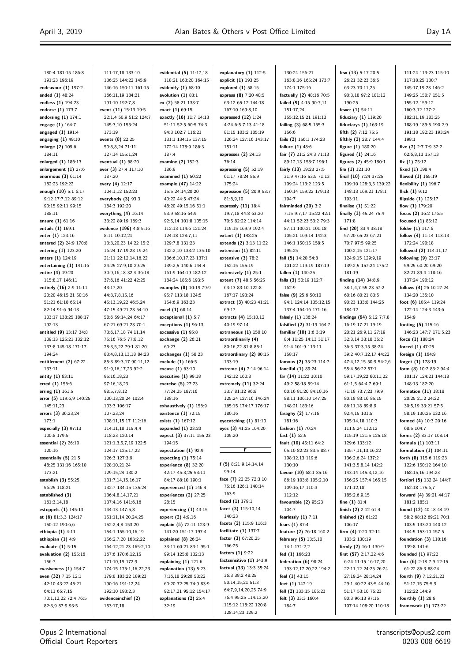180:4 181:15 186:8 191:23 196:19 **endeavour (1)** 197:2 **ended (1)** 48:24 **endless (1)** 194:23 **endorse (1)** 173:7 **endorsing (1)** 174:1 **engage (1)** 164:7 **engaged (1)** 191:4 **engaging (1)** 49:10 **enlarge (2)** 109:6 184:11 **enlarged (1)** 186:13 **enlargement (1)** 27:6 **enormous (3)** 61:14 182:23 192:22 **enough (10)** 5:1 6:17 9:12 17:7,12 89:12 90:15 92:11 99:15 188:11 **ensure (1)** 61:16 **entails (1)** 169:1 **enter (1)** 123:16 **entered (2)** 24:9 170:8 **entering (1)** 123:20 **enters (1)** 124:19 **entertaining (1)** 141:16 **entire (4)** 19:20 115:8,17 146:11 **entirely (16)** 2:9 11:11 20:20 46:15,21 50:16 51:21 61:18 65:14 82:14 91:6 94:13 103:17 138:25 188:17 192:13 **entitled (9)** 13:17 34:8 109:13 125:21 132:12 133:8 145:18 171:17 194:24 **entitlement (2)** 67:22 133:11 **entity (1)** 63:11 **erred (1)** 156:6 **erring (1)** 161:5 **error (5)** 119:6,9 140:25 145:11,23 **errors (3)** 36:23,24 173:1 **especially (3)** 97:13 100:8 179:5 **essential (2)** 26:10 120:16 **essentially (5)** 21:5 48:25 131:16 165:10 173:21 **establish (3)** 55:25 56:25 118:21 **established (3)** 161:3,14,18 **estoppels (1)** 145:13 **et (6)** 81:3,3 124:17 150:12 190:6,6 **ethiopia (1)** 4:11 **ethiopian (1)** 4:9 **evaluate (1)** 5:15 **evaluation (2)** 155:16 156:7 **evasiveness (1)** 154:7 **even (32)** 7:15 12:1 42:10 43:22 45:21 64:11 65:7,15 70:1,12,22 72:4 76:5 82:3,9 87:9 93:5

111:17,18 133:10 136:25 144:22 145:9 146:16 150:11 161:15 166:11,19 184:21 191:10 192:7,8 **event (11)** 15:13 19:5 22:1,4 50:9 51:2 124:7 145:3,10 155:24 173:19 **events (8)** 22:25 50:8,8,24 71:11 127:14 155:1,24 **eventual (1)** 68:20 **ever (3)** 27:4 117:10 187:20 **every (4)** 12:17 104:1,12 152:23 **everybody (3)** 93:3 184:3 192:20 **everything (4)** 16:14 33:22 89:19 169:3 **evidence (196)** 4:8 5:16 8:11 10:12,21 13:3,20,23 14:22 15:2 16:24 17:19,23 19:24 21:11 22:12,14,16,22 24:25 27:9,10 29:25 30:9,16,18 32:4 36:18 37:6,16 41:22 42:25 43:17,20 44:3,7,8,15,16 45:13,19,22 46:5,24 47:15 49:21,23 54:10 58:6 59:14,24 64:17 67:21 69:21,23 70:1 73:6,17,18 74:11,14 75:16 76:5 77:8,12 78:3,5,22 79:1 81:20 83:4,8,13,13,18 84:23 85:3 89:3,17 90:11,12 91:9,16,17,23 92:2 95:16,18,23 97:16,18,23 98:5,7,8,12 100:13,20,24 102:4 103:3 106:17 107:23,24 108:11,15,17 112:16 114:11,18 115:4,4 118:23 120:14 121:1,3,5,7,19 122:5 124:17 125:17,22 126:3 127:3,9 128:10,21,24 129:15,24 130:2 131:7,14,15,16,17 132:7 134:15 135:24 136:4,8,14,17,21 137:4,16 141:6,16 144:13 147:5,8 151:11,14,20,24,25 152:2,4,8 153:20 154:1 155:10,16,19 156:2,7,20 163:2,22 164:12,21,23 165:2,10 167:6 170:6,12,15 171:10,19 172:9 174:15 175:1,16,22,23 179:8 183:22 189:23 190:16 191:12,24 192:10 193:2,3 **evidenceinchief (2)** 153:17,18

**evidential (5)** 11:17,18 118:21 163:20 164:15 **evidently (1)** 68:10 **evolution (1)** 83:1 **ex (2)** 58:21 133:7 **exact (1)** 69:15 **exactly (16)** 11:7 14:13 51:11 52:5 60:5 74:3 94:3 102:7 116:21 131:1 134:15 137:15 172:14 178:9 186:3 187:4 **examine (2)** 152:3 186:9 **examined (1)** 50:22 **example (47)** 14:22 15:5 24:14,20,20 40:22 44:5 47:24 48:20 49:15,16 51:1 53:9 58:16 64:9 92:5,14 101:8 105:15 112:13 114:6 121:24 124:18 128:7,11 129:7,8 131:23 132:2,10 133:2 135:10 136:6,10,17,23 137:1 139:2,5 140:6 144:4 161:9 164:19 182:12 184:24 185:6 193:5 **examples (8)** 10:19 79:9 95:7 113:18 124:5 154:6,9 163:23 **excel (1)** 68:14 **exceptional (1)** 5:7 **exceptions (1)** 96:13 **excessive (1)** 95:8 **exchange (2)** 26:21 60:23 **exchanges (1)** 58:23 **exclude (1)** 166:5 **excuse (1)** 63:10 **executive (1)** 99:18 **exercise (5)** 27:23 77:24,25 187:16 188:16 **exhaustively (1)** 156:9 **existence (1)** 72:15 **exists (1)** 167:12 **expanded (1)** 23:20 **expect (3)** 37:11 155:23 194:15 **expectation (1)** 92:9 **expecting (1)** 75:14 **experience (8)** 32:20 42:17 45:3,25 53:11 84:17 88:10 190:1 **experienced (1)** 146:4 **experiences (2)** 27:25 28:15 **experiencing (1)** 43:15 **expert (2)** 4:9,16 **explain (5)** 72:11 123:9 141:20 151:17 197:4 **explained (8)** 26:24 33:11 60:21 83:1 95:1 99:14 125:8 132:13 **explaining (1)** 121:6 **explanation (13)** 5:23 7:16,18 29:20 53:22 60:20 72:25 74:9 83:9 92:17,21 95:12 154:17 **explanations (2)** 25:4 32:19

**explanatory (1)** 112:5 **explicit (1)** 193:25 **explored (1)** 58:15 **express (8)** 7:20 40:5 63:12 65:12 144:18 167:10 169:8,10 **expressed (12)** 1:24 4:24 6:5 7:13 41:18 81:15 103:2 105:19 126:24 127:16 143:17 151:11 **expresses (2)** 24:13 76:14 **expressing (5)** 52:19 61:17 78:24 85:9 175:24 **expression (5)** 20:9 53:7 81:8,9,10 **expressly (11)** 18:4 19:7,18 44:8 63:20 70:5 82:22 114:14 115:15 169:9 192:4 **extant (1)** 148:25 **extends (2)** 3:13 11:22 **extension (1)** 82:11 **extensive (3)** 78:2 152:15 155:19 **extensively (1)** 25:1 **extent (7)** 48:5 56:25 63:13 83:10 122:8 167:17 193:24 **extract (3)** 40:23 41:21 69:17 **extracts (4)** 15:10,12 40:19 97:14 **extraneous (1)** 150:10 **extraordinarily (4)** 80:16,22 81:8 85:1 **extraordinary (2)** 80:15 133:19 **extreme (4)** 7:14 96:14 142:12 160:8 **extremely (11)** 32:24 33:7 81:12 96:8 125:24 127:16 146:24 165:15 174:17 176:17 180:16 **eyecatching (1)** 81:10 **eyes (3)** 41:25 104:20 105:20 **F f (5)** 8:21 9:14,14,14 99:14 **face (7)** 22:25 72:3,10 75:16 126:1 140:14 163:9 **faced (1)** 179:1 **facet (3)** 115:10,14 140:23 **facets (2)** 115:9 116:3 **facilitate (1)** 137:7 **factor (3)** 67:20,25 166:25 **factors (1)** 9:22 **factsensitive (1)** 143:9 **factual (33)** 13:3 35:24 36:3 38:2 48:25 50:14,15,21 51:3 64:7,9,14,20,25 74:9 76:4 95:25 114:13,20 115:12 118:22 120:8 128:14,23 129:2

130:24 156:21 163:8,16 165:24 173:7 174:1 175:16 **factually (2)** 48:16 70:5 **failed (9)** 4:15 90:7,11 151:17,24 155:12,15,21 191:13 **failing (3)** 68:5 155:3 156:6 **fails (2)** 156:1 174:23 **failure (1)** 48:6 **fair (7)** 21:2 24:3 71:13 89:12,13 158:7 196:1 **fairly (13)** 19:23 27:5 31:9 47:16 53:5 71:13 109:24 113:2 123:5 150:14 159:22 179:13 194:7 **fairminded (20)** 3:2 7:15 9:7,17 15:22 42:1 44:11 52:23 53:2 79:3 87:11 100:21 101:18 105:21 109:14 142:3 146:1 150:15 158:5 195:25 **fall (5)** 14:20 54:8 101:22 119:19 187:19 **fallen (1)** 140:25 **falls (3)** 50:19 112:7 162:9 **false (9)** 25:6 50:10 94:1 124:14 135:12,15 137:4 164:16 171:16 **falsely (1)** 136:24 **falsified (2)** 31:19 164:7 **familiar (10)** 1:6 3:19 8:4 11:25 14:13 31:17 91:4 101:9 113:11 158:17 **famous (2)** 35:23 114:7 **fanciful (1)** 89:24 **far (14)** 11:22 30:10 49:2 58:18 59:14 60:16 81:20 84:10,16 88:11 106:10 147:25 148:21 183:16 **faraghy (2)** 177:16 181:16 **fashion (1)** 70:24 **fast (1)** 62:5 **fault (10)** 45:11 64:2 65:10 82:23 83:5 88:7 108:12,13 119:6 130:10 **favour (10)** 68:1 85:16 86:19 103:8 105:2,10 109:16,17 110:3 112:12 **favourable (2)** 95:23 104:7 **fearlessly (1)** 7:11 **fears (1)** 87:4 **feature (2)** 76:18 160:2 **february (5)** 13:5,10 14:1 171:2,2 **fed (1)** 166:23 **federation (6)** 98:24 193:12,17,20,22 194:2 **feel (1)** 43:15 **feet (1)** 147:19 **fell (2)** 133:15 185:23 **felt (3)** 33:3 160:4 184:7

**few (13)** 5:17 20:5 26:21 32:23 36:5 63:23 70:11,25 90:3,18 97:2 181:12 190:25 **fewer (1)** 54:11 **fiduciary (1)** 119:20 **fiduciarys (1)** 163:19 **fifth (2)** 7:12 75:5 **fifthly (2)** 28:7 144:4 **figure (1)** 180:20 **figured (1)** 24:16 **figures (2)** 45:9 190:1 **file (1)** 121:10 **final (10)** 7:24 37:25 109:10 128:3,5 139:22 148:13 169:21 178:1 193:11 **finalise (1)** 51:22 **finally (3)** 45:24 75:4 171:8 **find (20)** 33:4 38:18 57:20 65:23 67:21 70:7 97:5 99:25 100:2,15 121:17 124:9,15 129:9,19 139:2,5 157:24 175:2 181:19 **finding (14)** 34:8,9 38:1,4,7 55:23 57:2 60:16 80:21 83:5 90:23 133:8 144:25 184:12 **findings (94)** 5:12 7:7,8 16:19 17:21 19:19 20:21 26:9,11 27:19 32:3,14 33:18 35:2 36:3 37:3,15 38:24 39:2 40:7,12,17 44:22 47:4,12,15 50:9 54:2,6 55:4 56:22 57:1 59:17,19,22 60:11,22 61:1,5 64:4,7 69:1 71:18 73:7,23 79:9 80:18 83:16 85:15 86:11,18 89:8,9 92:4,15 101:5 105:14,18 110:3 111:5,24 112:12 115:19 121:5 125:18 129:6 133:12 135:7,11,13,16,22 136:2,6,24 137:2 141:3,5,8,14 142:2 143:14 145:3,12,16 156:25 157:4 165:15 171:12,18 185:2,6,9,15 **fine (1)** 81:4 **finish (2)** 2:12 61:4 **finished (2)** 61:22 106:17 **firm (4)** 7:20 32:11 103:2 130:19 **firmly (2)** 16:1 130:9 **first (57)** 2:17,22 4:6 6:24 11:15 16:17,20 22:11,12 24:25 26:24 27:19,24 28:14,24 29:1 40:22 43:5 44:10 51:17 53:10 75:23 80:3 96:13 97:15 107:14 108:20 110:18

111:24 113:23 115:10 117:18,25 130:7 145:17,19,23 146:2 149:25 150:7 151:5 155:12 159:12 160:3,12 177:2 182:11,19 183:25 188:19 189:5 190:2,9 191:18 192:23 193:24 198:1 **five (7)** 2:7 7:9 32:2 62:6,8,13 157:13 **fix (1)** 75:12 **fixed (1)** 198:4 **flawed (1)** 165:19 **flexibility (1)** 196:7 **flick (1)** 9:12 **flipside (1)** 125:17 **flow (1)** 179:20 **focus (2)** 16:2 176:5 **focused (1)** 85:12 **folder (1)** 117:6 **follow (4)** 11:14 113:13 172:24 190:18 **followed (2)** 114:11,17 **following (9)** 23:17 59:25 60:20 69:20 82:21 89:4 118:16 137:24 190:12 **follows (4)** 26:10 27:24 134:20 135:10 **foot (6)** 105:4 119:24 122:14 124:3 143:6 154:9 **footing (5)** 115:16 146:23 147:7 171:5,23 **force (1)** 188:24 **forced (1)** 47:25 **foreign (1)** 164:9 **forget (1)** 178:19 **form (8)** 10:2 83:2 94:4 101:17 124:21 144:18 148:13 182:20 **formation (11)** 18:18 20:25 21:2 24:22 30:5,19 33:21 57:5 58:19 130:25 132:16 **formed (4)** 10:3 20:16 68:5 104:7 **forms (2)** 83:17 108:14 **formula (1)** 103:11 **formulation (1)** 104:11 **forth (8)** 115:6 119:23 122:6 150:12 164:10 168:15,16 194:23 **fortiori (5)** 132:24 144:7 162:18 175:6,7 **forward (4)** 39:21 44:17 181:2 185:1 **found (12)** 40:18 44:19 58:2 68:12 69:21 70:1 103:5 133:20 140:12 144:5 153:10 157:5 **foundation (3)** 110:16 139:8 141:6 **founded (1)** 97:22 **four (6)** 2:18 7:9 12:15 61:22 86:3 88:24 **fourth (9)** 7:12,21,23 51:12,15 75:5,9 112:22 144:9 **fourthly (1)** 28:6 **framework (1)** 173:22

Opus 2 International Official Court Reporters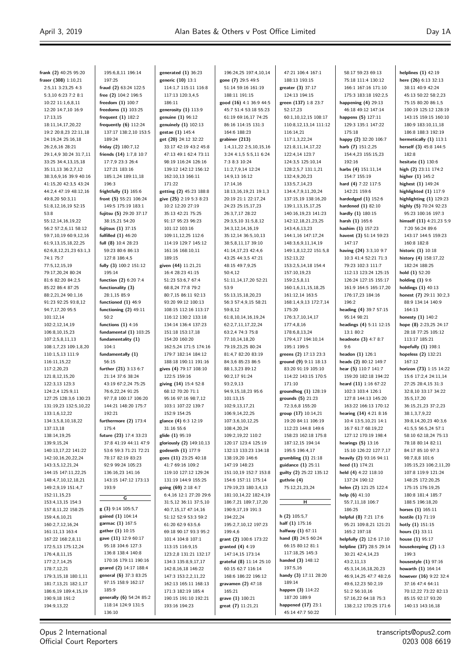| frank (2) 40:25 95:20                    | 195:6,8,11 196:14                                 | generated $(1)$ 36:23                              | 196:24,25 197:4,10,14                            | 47:21 106:4 167:1                         | 58:17 59:23 69:13                             | helplines $(1)$ 42:19                            |
|------------------------------------------|---------------------------------------------------|----------------------------------------------------|--------------------------------------------------|-------------------------------------------|-----------------------------------------------|--------------------------------------------------|
| fraser (308) 1:10,21                     | 197:25                                            | generic (10) 13:1                                  | gone (7) 29:5 49:5                               | 188:13 193:15                             | 75:18 111:4 130:12                            | here (26) 6:13 32:13                             |
| 2:5,11 3:23,25 4:3                       | fraud (2) 63:24 122:5                             | 114:1,7 115:11 116:8                               | 51:14 59:16 161:19                               | greater (3) 37:17                         | 166:1 167:16 171:10                           | 38:11 40:9 42:24                                 |
| 5:3,10 6:23 7:2 8:1                      | free (2) 104:2 196:5                              | 117:13 120:3,4,5                                   | 188:11 191:15                                    | 124:13 194:15                             | 175:3 183:18 192:2,5                          | 45:13 50:22 58:2,23                              |
| 10:22 11:1,6,8,11                        | freedom (1) 100:7                                 | 186:11                                             | good (16) 4:1 36:9 44:5                          | green (137) 1:8 23:7                      | happening $(4)$ 29:13                         | 75:15 80:20 86:1,5                               |
| 12:20 14:7,10 16:9                       | freedoms (1) 103:25                               | generosity (1) 113:9                               | 45:7 51:4 53:18 55:23                            | 52:17,23                                  | 46:18 49:12 147:14                            | 100:19 125:12 128:19                             |
| 17:13,15                                 | frequent $(1)$ 182:2                              | genuine (1) 96:12                                  | 61:19 69:16,17 74:25                             | 60:1,10,12,15 108:17                      | happens (5) 127:11                            | 143:15 159:15 160:10                             |
| 18:11,14,17,20,22                        | frequently $(6)$ 112:24                           | genuinely (1) 102:13                               | 86:16 114:15 131:3                               | 110:8,12,13,14 111:12                     | 129:3 135:1 147:22                            | 180:9 183:10,11,18                               |
| 19:2 20:8,23 22:11,18                    | 137:17 138:2,10 153:5                             | gestae (1) 145:4                                   | 164:6 188:23                                     | 116:14,21                                 | 175:18                                        | 186:8 188:3 192:19                               |
| 24:19,24 25:16,18                        | 189:24                                            | get (20) 24:12 32:22                               | grabiner (213)                                   | 117:1,3,22,24                             | happy (2) 32:20 106:7                         | hermetically (1) 113:1                           |
| 26:2,6,16 28:21                          | friday (2) 180:7,12                               | 33:17 42:19 43:2 45:8                              | 1:4,11,22 2:5,10,15,16                           | 121:8,11,14,17,22                         | harb (7) 151:2,25                             | herself (3) 45:8 144:5                           |
| 29:1,4,9 30:24 31:7,11                   | friends (14) 1:7,8 10:7                           | 47:13 49:1 62:4 73:11                              | 3:24 4:1,5 5:5,11 6:24                           | 122:4,14 123:7                            | 154:4,23 155:15,23                            | 182:8                                            |
| 33:25 34:4,13,15,18                      | 17:7,9 23:3 26:4                                  | 98:19 116:24 126:16                                | 7:3 8:3 10:24                                    | 124:3,5 125:10,14                         | 192:16                                        | hesitate (1) 130:6                               |
| 35:11,13 36:2,7,12                       | 127:21 183:16                                     | 139:12 142:12 156:12                               | 11:2,7,9,14 12:24                                | 128:2,5,7 131:1,21                        | harbs (4) 151:11,14                           | high (2) 23:11 174:2                             |
| 38:3,6,9,16 39:9 40:16                   | 185:1,24 189:11,18                                | 162:10,13 166:11                                   | 14:9,13 16:12                                    | 132:4,9,20,23                             | 154:7 155:19                                  | higher (1) 145:2                                 |
| 41:15,20 42:3,5 43:24                    | 196:3                                             | 171:22                                             | 17:14,16                                         | 133:5,7,14,23                             | hard (4) 7:22 117:5<br>142:21 159:6           | highest (1) 149:24                               |
| 44:2,4 47:19 48:12,16<br>49:8,20 50:3,11 | frightfully $(1)$ 165:6<br>front (5) 55:21 106:24 | getting (2) 45:23 188:8<br>give (25) 2:19 5:3 8:23 | 18:13, 16, 19, 21 19:1, 3<br>20:19 21:1 22:17,24 | 134:4,7,9,11,20,24<br>137:15,19 138:16,20 | hardedged $(1)$ 152:6                         | highlighted (1) 117:9<br>highlighting (1) 129:23 |
| 51:8,12,16,19 52:15                      | 149:5 175:19 183:1                                | 10:2 12:20 27:19                                   | 24:23 25:15,17,23                                | 139:1,13,15,17,25                         | hardened (1) 82:10                            | highly (5) 70:24 92:23                           |
| 53:8                                     | fujitsu (5) 29:20 37:17                           | 35:13 42:21 75:25                                  | 26:3,7,17 28:22                                  | 140:16,19,23 141:23                       | hardly (1) 180:15                             | 95:23 100:16 197:3                               |
| 55:12,14,16,19,22                        | 38:15,21 54:20                                    | 91:17 95:23 96:23                                  | 29:3,5,10 31:5,8,12                              | 142:12,18,21,23,25                        | harsh (1) 165:6                               | himself (11) 4:21,23 5:9                         |
| 56:2 57:2,6,11 58:12                     | fujitsus $(1)$ 37:15                              | 101:12 103:16                                      | 34:3,12,14,16,19                                 | 143:4,6,13,23                             | hashim (1) 157:23                             | 7:20 56:24 89:6                                  |
| 59:7,10,19 60:9,12,16                    | fulfilled $(1)$ 46:20                             | 109:11,12,25 112:6                                 | 35:12,14 36:5,10,13                              | 144:1,16 147:17,24                        | havent (3) 51:14 59:23                        | 143:17 144:5 159:23                              |
| 61:9,13,15,18,22,25                      | full (8) 10:4 28:23                               | 114:19 129:7 145:12                                | 38:5,8,11,17 39:10                               | 148:3,6,9,11,14,19                        | 147:17                                        | 160:8 182:8                                      |
| 62:6,8,12,21,23 63:1,3                   | 59:23 80:6 86:13                                  | 161:16 168:10,11                                   | 41:14,17,23 42:4,6                               | 149:1,8,12,22 151:5,8                     | having (24) 3:3,10 9:7                        | historic (1) 10:18                               |
| 74:1 75:7                                | 127:8 186:4,5                                     | 189:15                                             | 43:25 44:3,5 47:21                               | 152:13,22                                 | 10:3 41:4 52:21 71:3                          | history (4) 158:17,22                            |
| 77:5,12,15,19                            | fully (3) 100:2 151:12                            | given (44) 11:21,21                                | 48:15 49:7,9,25                                  | 153:2,5,14,18 154:4                       | 79:23 102:3 111:7                             | 182:24 188:25                                    |
| 79:17,20,24 80:24                        | 195:14                                            | 16:4 28:23 41:15                                   | 50:4,12                                          | 157:10,19,23                              | 112:13 123:24 125:15                          | hold $(1)$ 52:20                                 |
| 81:6 82:20 84:2,5                        | function (2) 6:20 7:4                             | 51:23 53:6,7 67:4                                  | 51:11,14,17,20 52:21                             | 159:2,5,8,11                              | 126:24 127:15 155:17                          | holding $(1)$ 9:6                                |
| 85:22 86:4 87:25                         | functionality (3)                                 | 68:8,24 77:8 79:2                                  | 53:9                                             | 160:1,6,11,15,18,25                       | 161:9 164:5 165:17,20                         | holdings (1) 40:13                               |
| 88:2,21,24 90:1,16                       | 28:1,15 85:9                                      | 80:7,15 86:11 92:13                                | 55:13,15,18,20,23                                | 161:12,14 163:5                           | 176:17,23 184:16                              | honest (7) 29:11 30:2,3                          |
| 91:23 92:25 93:8,12                      | functioned $(1)$ 46:9                             | 93:20 99:12 100:13                                 | 56:3 57:4,9,15 58:21                             | 168:1,4,9,13 172:7,14                     | 196:2                                         | 88:9 134:14 140:9                                |
| 94:7,17,20 95:5                          | functioning $(2)$ 49:11                           | 108:15 112:16 113:17                               | 59:8,12                                          | 175:20                                    | heading (4) 39:7 57:15                        | 164:13                                           |
| 101:12,14<br>102:2,12,14,19              | 50:2                                              | 116:12 130:2 133:18<br>134:14 136:4 137:23         | 61:8,10,14,16,19,24<br>62:2,7,11,17,22,24        | 176:3,7,10,14,17<br>177:4,8,16            | 95:14 98:21                                   | honesty $(1)$ 140:2                              |
| 106:8,10,15,23                           | functions $(1)$ 4:16<br>fundamental $(1)$ 103:25  | 151:18 153:17,18                                   | 63:2,4 74:3 75:8                                 | 178:6,8,13,24                             | headings (4) 5:11 12:15<br>13:1 80:2          | hope (8) 2:23,25 24:17<br>28:18 77:25 105:12     |
| 107:2,5,8,11,13                          | fundamentality (1)                                | 154:20 160:20                                      | 77:10,14,18,20                                   | 179:4,17 194:10,14                        | headnote (3) 4:7 8:7                          | 113:17 185:21                                    |
| 108:1,7,23 109:1,8,20                    | 104:1                                             | 162:5,24 171:5 174:16                              | 79:19,23,25 80:24                                | 195:1 199:5                               | 9:6                                           | hopefully (1) 198:1                              |
| 110:1,5,13 111:9                         | fundamentally (1)                                 | 179:7 182:14 184:12                                | 81:4,7 82:20 83:19                               | greens (2) 17:13 23:3                     | headon $(1)$ 126:1                            | hopeless (2) 132:21                              |
| 116:11,15,22                             | 56:15                                             | 188:18 190:11 191:16                               | 84:3,6 85:23 86:5                                | ground (9) 9:11 18:13                     | heads (2) 80:12 149:7                         | 167:12                                           |
| 117:2,20,23                              | further (21) 3:13 6:7                             | gives (4) 79:17 108:10                             | 88:1,3,23 89:12                                  | 83:20 91:19 105:10                        | hear (5) 110:7 141:7                          | horizon (73) 1:15 14:22                          |
| 121:8,12,15,20                           | 21:14 37:6 38:24                                  | 122:5 159:16                                       | 90:2,17 91:24                                    | 114:22 143:15 170:5                       | 159:20 182:18 194:22                          | 15:6 17:2,4 24:11,14                             |
| 122:3,13 123:3                           | 43:19 67:2,24 75:25                               | giving (14) 15:4 52:8                              | 93:2,9,13                                        | 171:10                                    | heard (11) 1:16 67:22                         | 27:25 28:4,15 31:3                               |
| 124:2,4 125:9,11                         | 76:6,22,24 91:25                                  | 68:12 70:20 71:1                                   | 94:9,15,18,23 95:6                               | groundhog (1) 128:19                      | 102:3 103:4 126:1                             | 32:8,10 33:17 34:22                              |
| 127:25 128:3,6 130:23                    | 97:7,8 100:17 106:20                              | 95:16 97:16 98:7,12                                | 101:13,15                                        | grounds (5) 21:23                         | 127:8 144:13 145:20                           | 35:5,17,20                                       |
| 131:19,23 132:5,10,22                    | 144:21 148:20 175:7                               | 103:1 107:22 139:7                                 | 102:9,13,17,21                                   | 72:3,6,8 155:20                           | 163:22 166:13 170:12                          | 36:15,21,23 37:2,23                              |
| 133:1,6,12,22                            | 192:21                                            | 152:9 154:25                                       | 106:9,14,22,25                                   | group (17) 10:14,21                       | hearing (14) 4:21 8:16                        | 38:1,3,7,9,22                                    |
| 134:3,5,8,10,18,22                       | furthermore $(2)$ 173:4                           | glance (4) 6:3 12:19                               | 107:3,6,10,12,25                                 | 19:20 84:11 106:19                        | 10:4 13:5,10,21 14:1                          | 39:8,14,20,23 40:3,6                             |
| 137:13.18                                | 175:4                                             | 31:16 55:6                                         | 108:4,20,24                                      | 112:23 144:8 149:6                        | 16:7 61:7 68:19,22                            | 41:5,5 56:5,24 57:1                              |
| 138:14,19,25                             | future (23) 17:4 33:23                            | glide (1) 95:19                                    | 109:2,19,22 110:2                                | 158:23 162:18 175:8                       | 127:12 170:19 198:4                           | 58:10 62:18,24 75:13                             |
| 139:9,15,24<br>140:13,17,22 141:22       | 37:8 41:19 44:11 47:9<br>53:6 59:3 71:21 72:21    | gloriously (2) 149:10,13<br>godeseth (1) 177:9     | 120:17 123:4 125:19<br>132:13 133:23 134:18      | 187:12,15 194:14<br>195:5 196:4,17        | hearings $(5)$ 13:16<br>15:10 126:22 127:7,17 | 78:18 80:14 82:11<br>84:17 85:10 97:3            |
| 142:10,16,20,22,24                       | 78:17 82:19 83:23                                 | goes (11) 23:25 40:18                              | 138:19,20 146:6                                  | grumbling $(1)$ 21:18                     | heavily (2) 93:16 94:11                       | 98:7,8,8 101:6                                   |
| 143:3,5,12,21,24                         | 92:9 99:24 105:23                                 | 41:7 69:16 109:2                                   | 147:19 148:23                                    | guidance (1) 25:11                        | heed $(1)$ 174:21                             | 105:15,23 106:2,11,20                            |
| 144:15 147:11,22,25                      | 136:16,23 141:16                                  | 119:10 127:12 129:24                               | 151:10,19 152:7 153:8                            | guilty (2) 25:22 135:12                   | held (4) 4:22 118:10                          | 107:8 119:9 121:24                               |
| 148:4,7,10,12,18,21                      | 143:15 147:12 173:13                              | 131:19 144:9 155:25                                | 154:6 157:11 175:14                              | guthrie (4)                               | 137:24 190:12                                 | 148:25 172:20,25                                 |
| 149:2,9,19 151:4,7                       | 193:9                                             | going (69) 2:18 4:7                                | 179:19,23 180:3,4,13                             | 75:12,21,23,24                            | helen (2) 121:25 122:4                        | 175:15 176:19,25                                 |
| 152:11,15,23                             | $\overline{\mathsf{G}}$                           | 6:4,16 12:1 27:20 29:6                             | 181:10,14,22 182:4,19                            |                                           | help $(6)$ 41:10                              | 180:8 181:4 185:7                                |
| 153:4,13,15 154:3                        |                                                   | 31:5,12 36:11 37:5,10                              | 186:7,21 189:7,17,20                             | н                                         | 55:7,11,18 106:7                              | 188:5 196:18,20                                  |
| 157:8,11,22 158:25                       | g (3) 9:14 105:5,7                                | 40:7,15,17 47:14,16                                | 190:9,17,19 191:3                                |                                           | 186:25                                        | horses $(1)$ 165:11                              |
| 159:4,6,10,21                            | gained (1) 104:14                                 | 51:12 52:9 53:3 59:2                               | 194:22,24                                        | h $(2)$ 105:5,7                           | helpful (8) 7:21 17:6                         | hostile (1) 71:19                                |
| 160:2,7,12,16,24                         | garmac (1) 167:5                                  | 61:20 62:9 63:5,6                                  | 195:2,7,10,12 197:23                             | half (1) 175:16                           | 95:21 109:8,21 121:21                         | hotly (1) 151:15                                 |
| 161:11,13 163:4                          | gather (1) 10:15                                  | 69:18 90:17 93:3 95:2                              | 199:4,6                                          | halfway $(1)$ 67:11                       | 165:2 197:18                                  | hours $(1)$ 33:11                                |
| 167:22 168:2,8,11                        | gave (11) 12:9 60:17                              | 101:4 104:8 107:1                                  | grant (2) 100:6 173:22                           | hand (8) 24:5 60:24                       | helpfully (2) 12:6 17:10                      | house $(1)$ 95:17                                |
| 172:5,13 175:12,24                       | 95:18 104:6 127:3<br>136:8 138:4 140:8            | 113:15 116:9,15                                    | granted (4) 4:19                                 | 66:15 80:12 81:1                          | helpline (37) 28:5 29:14                      | housekeeping (2) 1:3                             |
| 176:4,8,11,15                            | 170:16 179:11 190:16                              | 123:2,8 131:21 132:17                              | 147:14,15 173:14                                 | 117:18,25 145:3<br>handed (3) 148:12      | 30:21 42:4,14,23                              | 199:3                                            |
| 177:2,7,14,25                            | geared (2) 14:17 188:4                            | 134:3 135:8,9,17,17                                | grateful (8) 11:14 25:10<br>60:15 62:7 116:14    | 197:5,16                                  | 43:2,11,13                                    | housestyle $(1)$ 97:16                           |
| 178:7,12,21<br>179:3,15,18 180:1,11      | general (6) 37:3 83:25                            | 142:8,16,18 146:22<br>147:3 153:2,2,11,22          | 168:6 186:22 196:12                              | handy (3) 17:11 28:20                     | 45:3,14,16,18,20,23<br>46:9,14,25 47:7 48:2,6 | howarth (1) 164:14<br>however (16) 9:22 32:4     |
| 181:7,13,21 182:1,17                     | 97:15 158:9 162:17                                | 162:13 165:11 168:13                               | gravamen $(2)$ 47:18                             | 189:14                                    | 49:6,12,23 50:2,19                            | 37:16 47:4 64:11                                 |
| 186:6,19 189:4,15,19                     | 185:9                                             | 171:3 182:19 185:4                                 | 165:21                                           | happen (3) 114:22                         | 51:2 56:10,16                                 | 70:12,22 73:22 82:13                             |
| 190:9,18 191:2                           | generally (6) 54:24 85:2                          | 190:15 191:10 192:21                               | grave (1) 100:21                                 | 187:20 189:9                              | 57:16,22 64:18 75:3                           | 85:15 92:17 93:20                                |
| 194:9,13,22                              | 118:14 124:9 131:5<br>136:10                      | 193:16 194:23                                      | great (7) 11:21,21                               | happened $(17)$ 23:1<br>45:14 47:7 50:22  | 138:2,12 170:25 171:6                         | 140:13 143:16,18                                 |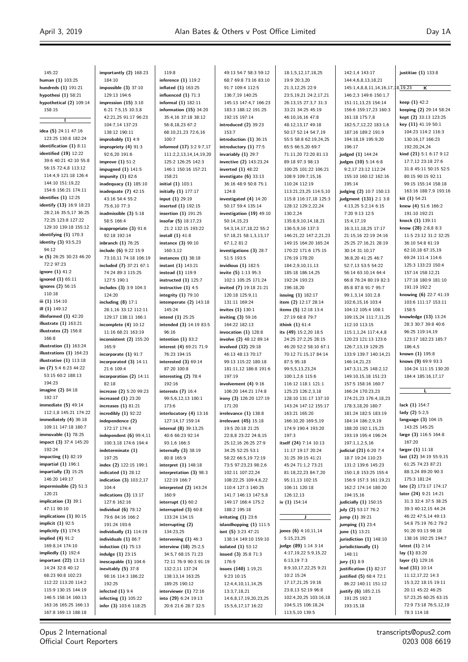| 145:22                                        | importantly (2) 168:23                            | 119:8                                           | 49:13 54:7 58:3 59:12                           | 18:1,5,12,17,18,25                           | 142:1,4 143:17                               | justitiae $(1)$ 133:8                             |
|-----------------------------------------------|---------------------------------------------------|-------------------------------------------------|-------------------------------------------------|----------------------------------------------|----------------------------------------------|---------------------------------------------------|
| human (1) 103:25                              | 184:10                                            | inference (1) 119:2                             | 68:7 69:8 73:16 83:10                           | 19:9 20:3,20                                 | 144:4,6,8,13,18,21                           |                                                   |
| hundreds (1) 191:21                           | impossible $(3)$ 37:10                            | inflated $(1)$ 163:25                           | 91:7 109:4 112:5                                | 21:3,12,25 22:9                              | 145:1,4,8,8,11,14,16,17,18,19,23             | κ                                                 |
| hypothesi (1) 58:21                           | 129:13 194:6                                      | influenced $(1)$ 71:3                           | 136:7,19 140:25                                 | 23:5,19,21 24:2,17,21                        | 146:2,3 149:6 150:1,7                        |                                                   |
| hypothetical (2) 109:14<br>158:15             | impression $(15)$ 3:10<br>6:21 7:5,15 10:3,8      | informal (1) 182:11<br>information (15) 34:20   | 145:13 147:4,7 166:23<br>183:3 188:12 191:25    | 26:13,15 27:3,7 31:3<br>33:21 34:25 45:19    | 151:11,13,23 154:14<br>156:6 159:17,23 160:3 | <b>keep</b> $(1)$ 42:2<br>keeping (2) 29:14 58:24 |
|                                               | 42:21,25 91:17 96:23                              | 35:4,16 37:18 38:12                             | 192:15 197:14                                   | 46:10,16,16 47:8                             | 161:18 175:7,8                               | kept (2) 33:13 123:25                             |
|                                               | 104:7,14 137:23                                   | 56:8,18,23 67:2                                 | introduced $(2)$ 39:23                          | 48:12,13,17 49:18                            | 182:5,7,12,22 183:1,6                        | key $(11)$ 41:19 50:1                             |
| idea (5) 24:11 47:16                          | 138:12 190:11                                     | 68:10,21,23 72:6,16                             | 153:7                                           | 50:17 52:14 54:7,19                          | 187:16 189:2 191:9                           | 104:23 114:2 116:3                                |
| 123:25 130:8 182:24                           | improbably $(1)$ 4:9                              | 100:7                                           | introduction $(1)$ 36:15                        | 55:5 58:8 62:19,24,25                        | 194:18,19 195:9,20                           | 130:16,17 166:23                                  |
| dentification (1) 8:11                        | impropriety $(4)$ 91:3                            | informed (17) 3:2 9:7,17                        | introductory (1) 77:5                           | 65:5 66:5,20 69:7                            | 196:17                                       | 192:20,24,24                                      |
| dentified (19) 12:22                          | 92:6,20 191:6                                     | 111:2,2,13,14,14,19,20                          | invariably $(1)$ 29:7                           | 71:11,20 72:20 81:13                         | judged $(1)$ 144:24                          | kind (21) 5:1 6:17 9:12                           |
| 39:6 40:21 42:10 55:8                         | improve $(1)$ 51:2                                | 125:2 126:25 142:3                              | invective (2) 143:23,24                         | 89:18 97:3 98:13                             | judges (10) 5:14 6:8                         | 17:7,12 23:18 27:6                                |
| 56:15 72:4,8 113:12                           | impugned $(1)$ 141:5                              | 146:1 150:16 157:21                             | inverted $(1)$ 48:22                            | 100:25 101:22 106:21                         | 9:2,17 23:12 112:24                          | 31:8 45:11 50:15 52:5                             |
| 114:4,9 121:18 126:4<br>144:10 151:19,22      | impunity $(1)$ 82:6                               | 158:21                                          | investigate $(6)$ 33:13                         | 108:9 109:7,15,16                            | 155:10 160:12 162:16                         | 80:15 90:15 92:11                                 |
| 154:6 156:21 174:11                           | inadequacy $(1)$ 185:10<br>inadequate $(7)$ 42:15 | initial (1) 103:1<br>initially (1) 177:17       | 36:16 48:9 50:8 75:1<br>124:8                   | 110:24 112:19<br>113:21,23,25 114:5,10       | 195:14<br>judging (2) 10:7 150:13            | 99:15 155:14 158:18<br>163:16 188:7,9 193:16      |
| identifies $(1)$ $12:25$                      | 43:16 54:4 55:2                                   | input (1) 29:19                                 | investigated (4) 14:20                          | 115:8 116:17,18 125:3                        | judgment (131) 2:1 3:8                       | kit $(1)$ 54:21                                   |
| identify (13) 16:9 18:23                      | 75:6,10 77:3                                      | inserted $(1)$ 192:15                           | 50:17 59:4 135:14                               | 128:12 129:2,22,24                           | 4:13,25 5:2,14 6:15                          | knew (4) 51:6 166:2                               |
| 28:2,16 35:5,17 36:25                         | inadmissible $(3)$ 5:18                           | insertion (1) 191:25                            | investigation (19) 49:10                        | 130:2,24                                     | 7:20 9:13 12:5                               | 191:10 192:21                                     |
| 72:25 123:8 127:22                            | 58:5 166:4                                        | insofar $(5)$ 18:17,23                          | 50:14,15,23                                     | 135:8,9,10,14,18,21                          | 15:4,17,19                                   | knock (1) 139:11                                  |
| 129:10 139:18 155:12                          | inappropriate $(3)$ 91:6                          | 21:2 132:15 193:22                              | 54:3,14,17,18,22 55:2                           | 136:5,9,16 137:3                             | 16:3,11,18,25 17:17                          | know (28) 2:8,8 8:3                               |
| dentifying (1) 170:3                          | 92:18 192:14                                      | install $(1)$ 41:8                              | 57:18,21 58:1,3,13,17                           | 146:21,22 147:2,21,23                        | 21:15,16 22:19 24:16                         | 11:5 23:12 31:2 32:25                             |
| dentity (3) 93:5,23                           | inbranch (1) 76:25                                | instance (3) 99:10                              | 67:1,2 81:2                                     | 149:15 164:20 165:24                         | 25:25 27:16,21 28:19                         | 36:10 54:8 61:19                                  |
| 94:12                                         | include (6) 9:22 15:9                             | 160:3,12                                        | investigations (3) 28:7                         | 170:22 171:6 175:15                          | 30:14 31:10,17                               | 62:10,18 67:15,19                                 |
| ie (5) 26:25 30:23 46:20<br>72:2 97:23        | 73:10,11 74:18 106:19                             | instances $(1)$ 38:18                           | 51:5 193:5                                      | 176:19 178:20                                | 36:8,20 41:25 46:7                           | 69:24 111:4 114:6<br>125:3 133:23 150:4           |
| ignore (1) 41:2                               | included (7) 37:21 67:1<br>74:24 89:3 115:25      | instant (1) 143:21<br>instead (1) 119:9         | invidious $(1)$ 182:5<br>invite $(5)$ 1:13 95:3 | 184:2,9,10,11,13<br>185:18 186:14,25         | 52:7,13 53:5 54:22<br>56:14 63:10,14 64:4    | 157:14 158:12,21                                  |
| ignored (1) 65:11                             | 127:5 190:1                                       | instructed $(1)$ 125:7                          | 102:1 105:25 171:24                             | 192:24 193:23                                | 66:8 76:24 80:19 82:3                        | 177:18 180:9 181:10                               |
| ignores (2) 56:15                             | includes $(3)$ 3:9 104:3                          | instructive $(1)$ 4:5                           | invited $(7)$ 19:18 21:21                       | 196:18,20                                    | 85:8 87:8 91:7 95:7                          | 191:19 192:2                                      |
| 110:18                                        | 124:20                                            | integrity (1) 79:10                             | 120:18 125:9,11                                 | issuing (1) 182:17                           | 99:1,3,14 101:2,8                            | knowing (6) 22:7 41:19                            |
| iii (1) 154:10                                | including $(8)$ 17:1                              | intemperate $(2)$ 143:18                        | 131:11 169:24                                   | item (2) 12:17 28:14                         | 102:6,15,16 103:4                            | 103:6 111:17 153:11                               |
| ill (1) 149:12                                | 28:1,16 33:12 112:11                              | 145:24                                          | invites $(1)$ 130:1                             | items (5) 12:18 13:4                         | 104:12 105:4 108:1                           | 158:5                                             |
| illinformed (1) 42:20                         | 129:17 138:11 166:1                               | intend $(1)$ 25:25                              | inviting $(3)$ 59:16                            | 27:19 68:8 79:7                              | 109:15,24 111:7,11,25                        | knowledge $(13)$ 13:24                            |
| illustrate (1) 163:21                         | incomplete $(4)$ 10:12                            | intended (3) 14:19 83:5                         | 164:22 182:13                                   | ithink (1) 61:4                              | 112:10 113:15                                | 28:3 30:7 39:8 40:6                               |
| illustrates (2) 156:8<br>166:8                | 11:16 68:21 163:19                                | 96:16                                           | invocation $(1)$ 128:8                          | its (49) 15:2,20 18:5                        | 115:1,1,24 117:4,4,8                         | 96:25 119:14,19                                   |
| illustration (1) 163:24                       | inconsistent (2) 155:20<br>165:9                  | intention $(1)$ 83:2<br>interest (4) 69:21 71:9 | involve (2) 48:12 89:14<br>involved (12) 29:18  | 24:25 27:2,25 28:15<br>46:20 52:2 58:10 67:1 | 120:23 121:13 123:6<br>126:7,13,19 129:25    | 123:17 182:23 185:7<br>186:4,5                    |
| illustrations (1) 164:23                      | incorporate $(1)$ 91:7                            | 76:23 194:15                                    | 46:13 48:13 70:17                               | 70:12 71:15,17 84:14                         | 133:9 139:7 140:14,21                        | known (1) 195:8                                   |
| illustrative (1) 113:18                       | incorporated $(3)$ 14:11                          | interested $(3)$ 69:14                          | 99:13 115:22 180:18                             | 87:5 95:18                                   | 146:14,21,23                                 | knows $(9)$ 69:9 93:3                             |
| im (7) 5:4 6:23 44:22                         | 21:6 109:4                                        | 87:20 100:8                                     | 181:11,12 186:8 191:6                           | 99:5,5,13,23,24                              | 147:3,11,25 148:2,12                         | 104:24 111:15 130:20                              |
| 53:15 60:2 188:13                             | incorporation $(2)$ 14:11                         | interesting $(2)$ 78:4                          | 197:19                                          | 100:1,2,6 115:6                              | 149:10,15,18 151:23                          | 184:4 185:16,17,17                                |
| 194:23                                        | 82:18                                             | 192:16                                          | involvement $(4)$ 9:16                          | 116:12 118:1 121:1                           | 157:5 158:16 160:7                           |                                                   |
| imagine (2) 84:18                             | increase (2) 5:20 99:23                           | interests $(7)$ 16:4                            | 106:20 144:21 174:8                             | 125:23 126:2,3,18                            | 166:24 170:23,23                             | п                                                 |
| 192:17                                        | increased $(1)$ 23:20                             | 99:5,6,12,13 100:1                              | irony (3) 126:20 127:19                         | 128:10 131:17 137:10                         | 174:21,23 176:4,18,23                        |                                                   |
| immediate (5) 49:14                           | increases $(1)$ 81:21                             | 173:6                                           | 171:20                                          | 143:24 147:12 155:17                         | 178:3,18,20 180:7                            | lack (1) 154:7                                    |
| 112:1,8 145:21 174:22<br>mmediately (4) 36:18 | incredibly $(1)$ 92:22                            | interlocutory (4) 13:16                         | irrelevance (1) 138:8                           | 163:21 165:20                                | 181:24 182:5 183:19                          | lady (2) 5:2,5<br>language (3) 104:15             |
| 109:11 147:18 180:7                           | independence (2)<br>172:17 174:4                  | 127:14,17 159:14<br>internal (8) 39:13,25       | irrelevant $(45)$ 15:18<br>19:5 20:18 21:25     | 166:10,20 169:5,19<br>174:9 190:4 193:20     | 184:14 186:2,9,19<br>188:20 192:1,15,23      | 143:25 145:25                                     |
| immovable (1) 78:25                           | independent $(6)$ 99:4,11                         | 40:6 66:23 92:14                                | 22:8,8 23:22 24:8,15                            | 197:3                                        | 193:19 195:4 196:24                          | large (3) 116:5 164:8                             |
| impact (3) 37:4 145:20                        | 100:3,18 174:6 194:4                              | 93:1,6 166:3                                    | 25:12,16 26:25 27:9                             | itself (24) 7:14 10:13                       | 197:1,1,2,5,16                               | 167:20                                            |
| 192:24                                        | indeterminate (1)                                 | internally $(3)$ 38:19                          | 34:25 52:25 53:1                                | 11:17 19:17 20:24                            | judicial (21) 6:20 7:4                       | larger (1) 11:18                                  |
| impacting (1) 82:19                           | 197:25                                            | 80:8 165:9                                      | 58:22 66:5,19 72:19                             | 31:25 39:15 41:21                            | 18:7 19:24 110:23                            | last (12) 34:19 55:9,15                           |
| impartial (1) 196:1                           | index (2) 122:15 199:1                            | interpret (1) 148:18                            | 73:5 97:23,23 98:2,6                            | 45:24 71:1,2 73:21                           | 131:2 139:6 145:23                           | 61:25 74:23 87:21                                 |
| impartially (3) 15:25                         | indicated $(1)$ 28:12                             | interpretation (3) 98:3                         | 102:11 107:22,24                                | 81:18,22,23 84:7,20                          | 150:1,8 153:25 155:4                         | 88:3,24 89:20 90:3                                |
| 146:20 149:17                                 | indication (3) 103:2,17                           | 122:19 166:7                                    | 108:22,25 109:4,6,22                            | 95:11,13 102:15                              | 156:9 157:3 161:19,21                        | 175:3 181:24                                      |
| impermissible (2) 51:3                        | 104:4                                             | interpreted $(2)$ 143:24                        | 110:4 127:3 140:25                              | 106:11 120:18                                | 162:2 174:14 180:20                          | late (2) 173:17 174:17<br>later (24) 9:21 14:21   |
| 120:21<br>implication (3) 39:1                | indications $(3)$ 13:17                           | 160:9                                           | 141:7 146:13 147:5,8                            | 126:12,13                                    | 194:15.16                                    | 31:3 32:4 37:5 38:25                              |
| 47:11 90:10                                   | 127:6 162:16<br>individual $(6)$ 78:12            | interrupt $(1)$ 60:2<br>interrupted (3) 60:8    | 149:17 166:4 175:2<br>188:2 195:18              | iv (1) 154:14                                | judicially (1) 150:15<br>july (2) 53:17 76:2 | 39:3 40:12,15 44:24                               |
| implications (1) 80:15                        | 79:6 84:16 166:2                                  | 133:24 134:15                                   | irritating $(1)$ 23:6                           | J                                            | jump (1) 39:21                               | 46:22 47:5,14 49:13                               |
| implicit (1) 92:5                             | 191:24 193:6                                      | interrupting (2)                                | islandhopping (1) 111:5                         |                                              | jumping (1) 23:4                             | 54:8 75:19 76:2 79:2                              |
| implicitly (1) 174:5                          | individually $(1)$ 114:19                         | 134:23,25                                       | isnt (5) 3:23 47:21                             | jones $(6)$ 4:10,11,14                       | june (1) 13:21                               | 91:20 93:13 98:18                                 |
| implied (4) 91:2                              | individuals $(1)$ 86:7                            | intervening $(1)$ 46:3                          | 138:14 149:10 159:10                            | 5:15,23,25                                   | jurisdiction (1) 148:10                      | 138:16 192:25 194:7                               |
| 169:8,14 174:10                               | induction $(1)$ 75:13                             | interview (18) 25:2,5                           | isolated $(1)$ 53:12                            | judge (89) 1:14 3:14                         | jurisdictionally (1)                         | latest $(1)$ 2:14                                 |
| impliedly (1) 192:4                           | indulge $(1)$ 23:15                               | 34:5,7 68:15 71:23                              | issued (3) 35:8 71:3                            | 4:17,19,22 5:9,15,22                         | 148:11                                       | lay (1) 83:20                                     |
| important (22) 13:13                          | inescapable $(1)$ 104:6                           | 72:11 76:9 90:3 91:19                           | 176:9                                           | 6:13,19 7:3                                  | jury (1) 8:9                                 | layer (1) 129:16                                  |
| 14:24 32:8 40:12                              | inevitably $(5)$ 37:8                             | 132:2,11 137:24                                 | issues $(140)$ 1:19,21                          | 8:9,10,17,22,25 9:21                         | justification (1) 82:17                      | lead (31) 10:14                                   |
| 68:23 90:8 102:23                             | 98:16 114:3 186:22                                | 138:13,14 163:25                                | 9:23 10:15                                      | 10:2 15:24                                   | justified (5) 68:4 72:1                      | 11:12,17,22 14:3<br>15:3,22 18:15 19:11           |
| 112:22 113:20 114:2<br>115:9 130:15 144:19    | 192:25                                            | 189:25 190:12                                   | 12:4,4,10,11,14,25                              | 17:17,21,25 19:16<br>23:8,13 52:19 96:8      | 86:22 140:11 151:12                          | 20:11 45:22 46:25                                 |
| 146:5 158:14 160:13                           | infected $(1)$ 9:4<br>infecting $(1)$ 105:22      | interviewer $(1)$ 72:16<br>into (29) 6:24 19:13 | 13:3,7,18,21<br>14:6,8,17,19,20,23,25           | 102:4,20,25 103:16,18                        | justify (6) 185:2,15<br>191:25 192:3         | 57:23,25 60:25 63:15                              |
| 163:16 165:25 166:13                          | infer (3) 103:6 118:25                            | 20:6 21:6 28:7 32:5                             | 15:5,6,17,17 16:22                              | 104:5,15 106:18,24                           | 193:15,18                                    | 72:9 73:18 76:5,12,19                             |
| 167:8 169:13 188:18                           |                                                   |                                                 |                                                 | 113:5,10 139:5                               |                                              | 78:3 114:18                                       |
|                                               |                                                   |                                                 |                                                 |                                              |                                              |                                                   |

Opus 2 International Official Court Reporters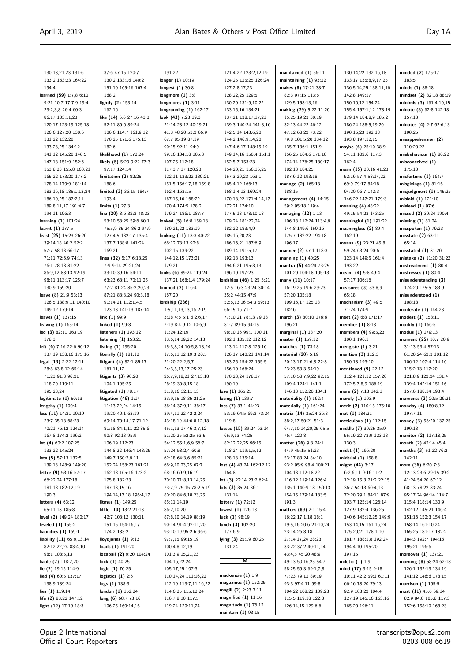| 130:13,21,23 131:6                      | 37:6 47:15 120:7                                | 191:22                                      | 121:4,22 123:2,12,19                   | maintained $(1)$ 56:11                        | 130:14,22 132:16,18            | minded (2) 175:17                             |
|-----------------------------------------|-------------------------------------------------|---------------------------------------------|----------------------------------------|-----------------------------------------------|--------------------------------|-----------------------------------------------|
| 133:2 163:23 164:22                     | 130:2 133:16 140:2                              | longer (1) 10:19                            | 124:25 125:25 126:24                   | maintaining $(1)$ 93:22                       | 133:17 135:8,9,17,25           | 183:5                                         |
| 194:4                                   | 151:10 165:16 167:4                             | longest $(1)$ 36:8                          | 127:2,8,17,23                          | makes (8) 17:21 38:7                          | 136:5,14,25 138:11,16          | minds $(1) 88:18$                             |
| earned (59) 1:7,8 6:10                  | 168:2                                           | longmore $(1)$ 3:8                          | 128:22,25 129:5                        | 82:3 97:15 113:6                              | 142:8 149:17                   | mindset (2) 82:18 88:19                       |
| 9:21 10:7 17:7,9 19:4                   | lightly (2) 153:14                              | longmores $(1)$ 3:11                        | 130:20 131:9,10,22                     | 129:5 158:13.16                               | 150:10,12 154:24               | minimis (3) 161:4,10,15                       |
| 23:2,3,8 26:4 60:3                      | 162:16                                          | longrunning $(1)$ 162:17                    | 133:15,16 134:21                       | making (29) 5:22 11:20                        | 155:4 157:1,12 178:19          | minute (3) 62:8 142:18                        |
| 86:17 103:11,23                         | like (14) 6:6 27:16 43:3                        | look (43) 7:23 19:3                         | 137:21 138:17,17,21                    | 15:25 19:23 30:19                             | 179:14 184:8,9 185:2           | 157:13                                        |
| 120:17 123:19 125:18                    | 52:11 86:6 89:24                                | 21:14 28:12 40:19,21                        | 139:3 140:24 141:8,16                  | 32:13 44:22 46:12                             | 186:24 188:5,19,20             | minutes (4) 2:7 62:6,13                       |
| 126:6 127:20 130:6                      | 106:6 114:7 161:9,12                            | 41:3 48:20 53:2 66:9                        | 142:5,14 143:6,20                      | 47:12 68:22 73:22                             | 190:16,23 192:18               | 190:25                                        |
| 131:22 132:20                           | 170:25 171:6 175:13                             | 67:7 85:19 87:19                            | 144:2 146:9,14,20                      | 79:8 101:5,20 134:12                          | 193:8 197:12,15                | misapprehension (2)                           |
| 133:23,25 134:12                        | 182:6                                           | 90:15 92:11 94:9                            | 147:4,6,17 148:15,19                   | 135:7 136:1 151:9                             | maybe (6) 25:10 38:9           | 110:20,22                                     |
| 141:12 145:20 146:5                     | likelihood $(1)$ 172:24                         | 99:16 104:18 105:3                          | 149:14,16 150:4 151:1                  | 156:25 164:6 171:18                           | 54:11 102:6 117:3              | misbehaviour (1) 80:22                        |
| 147:18 151:9 152:6                      | likely (5) 5:20 9:22 77:3                       | 107:25 112:18                               | 152:5,7 153:23                         | 174:14 176:25 180:17                          | 162:4                          | misconceived (1)                              |
| 153:8,23 155:8 160:21                   | 97:17 124:14                                    | 117:3,7,17 120:23                           | 154:20,21 156:16,25                    | 182:13 184:25                                 | mean (15) 20:16 41:23          | 175:10                                        |
| 165:22 173:20 177:2                     | limitation $(2)$ 82:25                          | 122:11 133:22 139:21                        | 157:3,20,23 163:1                      | 187:6,12 193:18                               | 52:16 57:4 58:14,22            | misfortune $(1)$ 164:7                        |
| 178:14 179:9 181:14                     | 188:6                                           | 151:5 156:17,18 159:8                       | 165:4,12 166:13                        | manage (2) 165:13                             | 69:9 79:17 84:18               | misgivings $(1)$ 81:16                        |
| 183:16,18 185:1,13,24                   | limited (3) 36:15 184:7                         | 162:4 163:15                                | 168:1,4,13 169:24                      | 188:15                                        | 94:20 96:7 142:3               | misjudgment $(1)$ 145:25                      |
| 186:10,25 187:2,11                      | 193:4                                           | 167:15,16 168:22                            | 170:18,22 171:4,14,17                  | management $(4)$ 14:15                        | 146:22 147:21 179:3            | mislaid (1) 121:10                            |
| 189:8,11,17 191:4,7                     | limits $(1)$ 27:3                               | 170:4 174:5 178:2                           | 172:21 174:10                          | 59:2 95:18 119:4                              | meaning $(4)$ 48:22            | mislead (1) 97:6                              |
| 194:11 196:3                            | line (20) 8:6 32:2 48:23                        | 179:24 186:1 187:7                          | 177:5,13 178:10,18                     | managing $(12)$ 1:13<br>106:18 112:24 113:4,9 | 49:15 54:23 143:25             | missed (2) 30:24 190:4                        |
| learning (1) 101:24<br>learnt (1) 177:5 | 53:10 58:25 59:6 60:1<br>75:5,9 85:24 86:2 94:9 | looked (5) 16:8 159:13<br>180:21,22 183:19  | 179:24 181:22,24<br>182:22 183:4,9     |                                               | meaningful $(1)$ 191:22        | missing $(1)$ 81:24                           |
| least (25) 15:23 26:20                  |                                                 |                                             |                                        | 144:8 149:6 159:16                            | meaningless (2) 89:4<br>162:19 | misspoken (1) 79:23                           |
| 39:14,18 40:2 52:2                      | 127:4,5 132:17 135:4<br>137:7 138:8 141:24      | looking (11) 13:3 40:22<br>66:12 73:13 92:8 | 185:16,20,23<br>186:16,21 187:6,9      | 175:7 182:22 194:18<br>196:17                 | means (9) 23:21 45:8           | misstate (2) 63:11<br>65:14                   |
| 57:7 58:13 66:17                        | 169:21                                          | 102:15 139:22                               | 189:14 191:5,17                        | manner (2) 47:1 118:3                         | 59:24 63:24 90:6               | misstated $(1)$ 31:20                         |
| 71:11 72:6,9 74:13                      | lines (32) 5:17 6:18,25                         | 144:12,15 173:21                            | 192:18 193:13                          | manning $(1)$ 40:25                           | 123:14 149:5 161:4             | mistake (2) 11:20 31:22                       |
| 76:1 78:18 81:22                        | 7:9 9:14 29:21.24                               | 179:21                                      | 194:6,21 195:3,13                      | mantra (5) 44:24 73:25                        | 193:22                         | mistreatment $(1)$ 80:4                       |
| 86:9,12 88:13 92:19                     | 33:10 39:16 54:11                               | looks (6) 89:24 119:24                      | 196:10 197:23                          | 101:20 104:18 105:13                          | meant (4) 5:8 49:4             | mistresses $(1)$ 80:4                         |
| 98:11 113:17 125:7                      | 63:23 68:11 70:11,25                            | 137:21 168:1,4 179:24                       | lordships (46) 1:25 3:21               | many (11) 10:17                               | 57:17 106:16                   | misunderstanding (3)                          |
| 130:9 159:20                            | 77:2 81:24 85:2,20,23                           | loomed (2) 116:4                            | 12:5 16:3 23:24 30:14                  | 16:19,25 19:6 29:23                           | measures (3) 33:8,9            | 174:20 175:5 183:9                            |
| eave (8) 21:9 53:13                     | 87:21 88:3,24 90:3,18                           | 167:20                                      | 35:2 44:15 47:9                        | 57:20 105:18                                  | 65:18                          | misunderstood (1)                             |
| 126:5 138:9,11 140:10                   | 91:14,21 112:1,4,5                              | lordship (286)                              | 52:6,13,16 54:3 59:13                  | 109:16,17 125:18                              | mechanism $(3)$ 49:5           | 108:18                                        |
| 149:12 179:14                           | 123:13 141:13 187:14                            | 1:5,11,13,13,16 2:19                        | 66:15,16 71:7                          | 182:6                                         | 71:24 174:9                    | moderate (1) 144:23                           |
| leaves (1) 137:15                       | link $(1)$ 99:9                                 | 3:18 4:6 5:1 6:2,6,17                       | 77:10,21 78:13 79:13                   | march (3) 80:10 176:6                         | meet (2) 6:8 171:17            | modest (1) 158:11                             |
| leaving (1) 165:14                      | linked (1) 99:8                                 | 7:19 8:4 9:12 10:6,9                        | 81:7 89:15 94:15                       | 196:21                                        | member $(1)$ 8:18              | modify (1) 166:5                              |
| led (3) 82:11 163:19                    | listeners (1) 193:12                            | 11:24 12:19                                 | 98:10,16 99:1 100:11                   | marginal (1) 187:20                           | members (4) 99:5,23            | modus (1) 179:13                              |
| 178:3                                   | listening $(1)$ 153:21                          | 13:6,14,19,22 14:13                         | 102:1 105:12 112:12                    | master (1) 159:12                             | 100:1 196:1                    | moment (25) 10:7 20:9                         |
| left (6) 7:16 22:6 90:12                | listing (1) 195:20                              | 15:3,8,24 16:5,8,18,24                      | 113:14 117:8 125:16                    | matches (1) 73:18                             | mengiste $(1)$ 3:21            | 31:13 53:4 57:13                              |
| 137:19 138:16 175:16                    | literally $(1)$ 181:12                          | 17:6,11,12 19:3 20:5                        | 126:17 140:21 141:14                   | material $(20)$ 5:19                          | mention $(3)$ 112:3            | 61:20,24 62:3 101:12                          |
| legal (13) 2:22 12:11                   | litigant (4) 82:1 85:17                         | 21:20 22:2,5,7                              | 153:25 154:22 155:5                    | 20:13,17 21:6,8 22:8                          | 150:18 193:10                  | 106:12 107:4 114:16                           |
| 28:8 63:8,12 65:14                      | 161:11,12                                       | 24:3,5,13,17 25:23                          | 156:10 166:24                          | 23:23 53:3 54:19                              | mentioned $(9)$ 22:12          | 115:2,13 117:20                               |
| 71:23 91:3 96:21                        | litigants $(3)$ 90:20                           | 26:7,9,18,21 27:13,18                       | 170:23,24 178:17                       | 57:10 58:7,9,22 92:15                         | 112:4 121:12 157:20            | 121:8,9 122:24 131:4                          |
| 118:20 119:11                           | 104:1 195:25                                    | 28:19 30:8,15,18                            | 190:19                                 | 109:4 124:1 141:1                             | 172:5,7,8,9 186:19             | 139:4 142:14 151:16                           |
| 195:23,24                               | litigated $(1)$ 78:17                           | 31:8,16 32:11,13                            | lose (1) 165:25                        | 146:13 152:20 184:1                           | mere (2) 7:13 142:1            | 157:6 188:14 193:4                            |
| legitimate $(1)$ 50:13                  | litigation $(46)$ 1:14                          | 33:9,15,18 35:21,25                         | losing (1) 139:7                       | materiality $(1)$ 162:4                       | merely (1) 103:9               | moments (2) 20:5 26:21                        |
| lengthy (1) 100:4                       | 11:13,22,24 14:15                               | 36:14 37:9,11 38:17                         | loss (7) 33:1 44:23                    | materially $(1)$ 161:24                       | merit (2) 110:15 175:10        | monday (4) 180:8,12                           |
| less (11) 14:21 19:19                   | 19:20 40:1 63:19                                | 39:4,11,22 42:2,24                          | 53:19 64:5 69:2 73:24                  | matrix (14) 35:24 36:3                        | met $(1)$ 184:21               | 197:7,11                                      |
| 23:7 35:18 68:23                        | 69:14 70:14,17 71:12                            | 43:18,19 44:6,8,12,18                       | 119:8                                  | 38:2,17 50:21 51:3                            | meticulous $(1)$ 112:15        | money (3) 53:20 137:25                        |
| 70:21 76:12 124:14                      | 81:18 84:1,11,22 85:6                           | 45:1,13,17 46:3,7,12                        | losses (15) 39:24 63:14                | 64:7,10,14,20,25 65:5                         | middle (7) 30:25 35:9          | 190:13                                        |
| 167:8 174:2 196:2                       | 90:8 92:13 95:9                                 | 51:20,25 52:25 53:5                         | 65:9,13 74:25                          | 76:4 120:8                                    | 55:19,22 73:9 123:13           | monitor (2) 117:18,25                         |
| let (4) 60:2 107:25<br>133:22 145:24    | 106:19 112:23<br>144:8,22 146:4 148:25          | 54:12 55:1,6,9 56:7<br>57:24 58:2,4 60:8    | 82:12,22,25 96:15<br>118:24 119:1,5,12 | matter (26) 9:3 24:1<br>44:9 45:15 51:23      | 130:3<br>midst (1) 196:20      | month (2) 42:14 45:4<br>months (3) 51:22 76:2 |
| lets (5) 57:13 132:5                    | 149:7 150:2,9,11                                | 62:18 64:3,6 65:21                          | 128:13 135:14                          | 53:17 83:24 84:10                             | midtrial (1) 158:8             | 142:11                                        |
| 139:13 148:9 149:20                     | 152:24 158:23 161:21                            | 66:9,10,23,25 67:7                          | lost (4) 43:24 162:12,12               | 93:2 95:9 98:4 100:21                         | might (44) 3:17                | more (36) 6:20 7:3                            |
| letter (9) 53:16 57:17                  | 162:18 165:16 173:2                             | 68:16 69:9,16,19                            | 164:8                                  | 104:13 112:18,22                              | 6:2,6,11 9:16 11:2             | 12:13 23:6 29:15 39:2                         |
| 66:22,24 177:18                         | 175:8 182:23                                    | 70:10 71:8,13,14,25                         | lot (3) 22:14 23:2 62:4                | 116:12 119:14 126:4                           | 12:19 15:3 21:2 22:15          | 41:24 54:20 67:12                             |
| 181:18 182:12,19                        | 187:13,15,16                                    | 73:7,9 75:15 78:2,5,19                      | lots (3) 35:24 36:1                    | 135:1 140:9,18 150:13                         | 36:7 54:13 60:4,13             | 68:13 78:22 83:24                             |
| 190:3                                   | 194:14,17,18 196:4,17                           | 80:20 84:6,18,23,25                         | 131:14                                 | 154:15 179:14 183:5                           | 72:20 79:1 84:11 87:9          | 95:17,24 96:14 114:7                          |
| letters (4) 63:12                       | litmus (1) 149:25                               | 85:11,14,19                                 | <b>lottery (1) 72:12</b>               | 191:3                                         | 103:7 125:14 126:14            | 115:4 118:14 130:9                            |
| 65:11,13 185:8                          | little (10) 13:2 21:13                          | 86:2,10,20                                  | lowest (1) 126:18                      | matters (89) 2:1 15:4                         | 127:9 132:4 136:25             | 142:12 145:21 146:4                           |
| level (2) 149:24 180:17                 | 42:7 108:12 130:11                              | 87:8,10,14,19 88:19                         | luck (1) 98:19                         | 16:22 17:1,18 18:1                            | 140:6 145:12,25 149:9          | 151:16 152:3 154:17                           |
| leveled (1) 155:2                       | 151:15 154:16,17                                | 90:14 91:4 92:11,20                         | lunch (3) 102:20                       | 19:5,16 20:6 21:10,24                         | 153:14,15 161:16,24            | 158:14 161:10,24                              |
| liabilities (1) 169:1                   | 174:2 183:2                                     | 93:10,19 95:2,6 96:6                        | 177:6,9                                | 23:14 26:8,18                                 | 175:20,21 178:1,10             | 165:25 181:17 182:2                           |
| liability (11) 65:9,13,14               | Iloydjones $(1)$ 9:13                           | 97:7,15 99:15,19                            | lying (3) 25:19 60:25                  | 27:14,17,24 28:23                             | 181:7 188:1,8 192:24           | 184:3 192:7 194:16                            |
| 82:12,22,24 83:4,10                     | loads (1) 191:20                                | 100:4,8,12,19                               | 131:24                                 | 33:22 37:2 40:11,14                           | 194:4,10 195:20                | 195:21 196:6                                  |
| 98:1 108:5,13                           | locabail (2) 9:20 104:24                        | 101:3,9,15,21,23                            |                                        | 43:4,5 45:20 48:9                             | 197:15                         | moreover (1) 137:21                           |
| liable (2) 118:2,20                     | lock $(1)$ 40:25                                | 104:16,22,24                                | м                                      | 49:13 50:16,25 54:7                           | miletic (1) 1:9                | morning (8) 58:24 62:18                       |
| lie (2) 19:15 114:9                     | logic (1) 76:25                                 | 105:17,25 107:3                             |                                        | 58:25 59:3 69:1,7,8                           | mind (17) 3:15 9:18            | 126:1 132:13 134:19                           |
| lied (4) 60:5 137:17                    | logistics $(1)$ 2:6                             | 110:14,24 111:16,22                         | mackenzie (1) 1:9                      | 77:23 79:12 89:19                             | 10:11 42:2 59:1 61:11          | 141:12 146:6 178:15                           |
| 138:9 189:24                            | $logs(1)$ 138:3                                 | 112:19 113:7,11,16,22                       | magazines (1) 152:25                   | 93:3 97:4,11 99:8                             | 66:16 78:20 79:13              | morrison (1) 195:5                            |
| lies (1) 119:14                         | london (1) 152:24                               | 114:6,25 115:12,24                          | magill (2) 2:23 7:11                   | 104:22 108:22 109:23                          | 92:9 103:22 104:4              | most (11) 45:6 69:14                          |
| life (2) 83:22 147:12                   | long (6) 68:7 73:16                             | 116:7,8,10 117:5                            | magnified $(1)$ $11:16$                | 115:5 119:18 122:8                            | 127:19 145:16 163:16           | 82:9 84:8 105:8 117:3                         |
| light (12) 17:19 18:3                   | 106:25 160:14,16                                | 119:24 120:11,24                            | magnitude $(1)$ 76:12                  | 126:14,15 129:6,6                             | 165:20 196:11                  | 152:6 158:10 168:23                           |
|                                         |                                                 |                                             | maintain (1) 93:15                     |                                               |                                |                                               |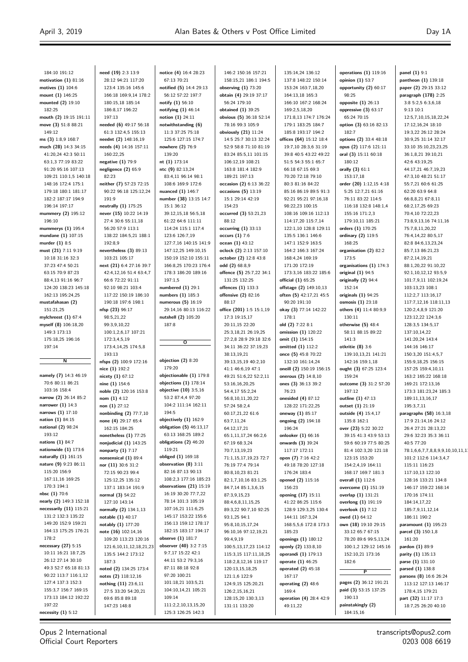184:10 191:12 **motivation (1)** 81:16 **motives (1)** 104:6 **mount (1)** 146:25 **mounted (2)** 19:10 182:25 **mouth (2)** 19:15 191:11 **move (3)** 51:8 88:21 149:12 **ms (3)** 1:8,9 168:7 **much (28)** 14:3 34:15 41:20,24 42:3 50:11 63:1,3 77:19 83:22 91:20 95:16 107:13 109:21 110:1,5 140:18 148:16 172:4 175:1 179:18 180:1 181:17 182:2 187:17 194:9 196:14 197:17 **mummery (2)** 195:12 196:10 **mummerys (1)** 195:4 **mundane (1)** 107:15 **murder (1)** 8:5 **must (21)** 7:11 9:19 10:18 31:16 32:3 37:23 47:4 50:21 63:15 70:9 87:23 88:4,13 91:16 96:7 124:20 138:23 145:18 162:13 195:24,25 **mustafahasan (2)** 151:21,25 **mylchreest (1)** 67:4 **myself (8)** 106:18,20 149:3 173:13 175:18,25 196:16 197:14 **N namely (7)** 14:3 46:19 70:6 80:11 86:21 103:16 158:4 **narrow (2)** 26:14 85:2 **narrower (1)** 14:3 **narrows (1)** 17:10 **nation (1)** 84:15 **national (2)** 98:24 193:12 **nations (1)** 84:7 **nationwide (1)** 173:6 **naturally (1)** 161:15 **nature (9)** 9:23 86:11 115:20 156:9 167:11,16 169:25 170:3 194:1 **nbsc (1)** 70:6 **nearly (2)** 149:3 152:18 **necessarily (11)** 115:21 131:2 132:3 135:22 149:20 152:9 159:21 164:13 175:25 176:21 178:2 **necessary (27)** 5:15 10:11 16:21 18:7,25 26:12 27:14 30:10 49:3 52:7 65:18 81:13 90:22 113:7 116:1,12 127:4 137:3 152:3 155:3,7 156:7 169:15 173:13 184:12 192:22 197:22

**need (19)** 2:3 13:9 28:12 94:21 117:20 123:4 135:16 145:6 166:18 169:9,14 178:2 180:15,18 185:14 186:8,17 196:22 197:13 **needed (6)** 49:17 56:18 61:3 132:4,5 155:13 **neednt (2)** 148:16,19 **needs (4)** 14:16 157:11 160:22,25 **negative (1)** 79:9 **negligence (2)** 65:9 82:23 **neither (7)** 57:23 72:15 90:22 96:18 125:12,24 191:9 **neutrally (1)** 175:25 **never (15)** 10:22 14:19 27:4 30:6 55:11,18 56:20 57:9 113:1 138:22 184:5,21 188:1 192:8,9 **nevertheless (3)** 89:13 103:21 105:17 **next (21)** 6:4 27:16 39:7 42:4,12,16 51:4 63:4,7 66:6 72:22 91:11 92:10 98:21 103:4 117:22 150:19 186:10 190:18 197:6 198:1 **nfsp (23)** 96:17 08:5, 21, 22 99:3,9,10,22 100:1,2,6,17 107:21 172:3,4,5,19 173:4,14,25 174:5,8 193:13 **nfsps (2)** 100:9 172:16 **nice (1)** 192:2 **nicety (1)** 67:12 **nine (1)** 154:6 **noble (2)** 120:16 153:8 **nom (1)** 4:12 **non (1)** 27:12 **nonbinding (2)** 77:7,10 **none (4)** 29:17 65:4 162:15 184:25 **nonetheless (1)** 77:25 **nonjudicial (1)** 143:25 **nonparty (1)** 7:17 **nonsensical (1)** 89:4 **nor (11)** 30:6 31:2 72:15 90:23 99:4 125:12,25 135:12 137:1 183:14 191:9 **normal (3)** 54:22 127:10 143:14 **normally (2)** 134:1,13 **notable (1)** 40:17 **notably (1)** 177:20 **note (16)** 102:14,16 109:20 113:23 120:16 121:6,10,11,12,18,21,23 135:5 144:2 173:12 187:3 **noted (2)** 134:25 173:4 **notes (2)** 118:12,16 **nothing (11)** 23:6,11 27:5 33:20 54:20,21 69:6 85:8 89:18 147:23 148:8

67:13 70:21 **notified (5)** 14:4 29:13 56:12 57:22 197:7 **notify (1)** 56:10 **notifying (1)** 46:14 **notion (1)** 24:11 **notwithstanding (6)** 11:3 37:25 75:18 125:6 127:15 174:7 **nowhere (2)** 76:9 139:20 **nt (1)** 173:14 **ntc (9)** 82:13,24 83:4,11 96:14 98:1 108:6 169:9 172:6 **nuanced (1)** 146:7 **number (38)** 13:15 14:7 15:1 36:12 39:12,15,18 56:5,18 61:22 64:6 111:11 114:24 115:1 117:4 123:6 126:7,19 127:7,16 140:15 141:9 147:12,25 149:10,15 150:19 152:10 155:11 166:8,25 170:23 176:4 178:3 186:20 189:16 197:1,5 **numbered (1)** 29:1 **numbers (1)** 185:3 **numerous (5)** 16:19 29:14,16 80:13 116:22 **nutshell (2)** 105:20 187:8 **O objection (2)** 8:20 179:20 **objectionable (1)** 179:8 **objections (1)** 178:14 **objective (10)** 3:5,16 53:2 87:4,4 97:20 104:2 111:14 162:11 194:5 **objectively (1)** 162:9 **obligation (5)** 46:13,17 63:13 168:25 189:2 **obligations (2)** 46:20 119:21 **obliged (1)** 169:18 **observation (8)** 3:11 82:16 87:13 90:13 108:2,3 177:16 185:23 **observations (21)** 15:19 16:19 30:20 77:7,22 78:14 101:3 105:19 107:16,21 111:6,25 145:17 153:22 155:6 156:13 159:12 178:17 182:15 183:17 194:17 **observe (1)** 181:7 **observer (40)** 3:2 7:15 9:7,17 15:22 42:1 44:11 53:2 79:3,16 87:11 88:18 92:8 97:20 100:21 101:18,21 103:5,21 104:10,14,21 105:21 109:14 111:2,2,10,13,15,20 125:3 126:25 142:3

**notice (4)** 16:4 28:23

146:2 150:16 157:21 158:15,21 186:1 194:5 **observing (1)** 73:20 **obtain (4)** 29:19 37:17 56:24 179:10 **obtained (1)** 39:25 **obvious (5)** 36:18 52:14 78:16 99:3 105:9 **obviously (21)** 11:24 14:5 25:7 30:13 32:24 52:9 58:8 71:10 81:19 83:24 85:5,11 101:15 106:12,19 108:21 163:8 181:4 182:9 189:21 197:13 **occasion (2)** 6:13 36:22 **occasions (5)** 13:19 15:1 29:14 42:19 154:23 **occurred (3)** 53:21,23 88:12 **occurring (1)** 33:13 **occurs (1)** 7:6 **ocean (1)** 43:12 **oclock (2)** 2:13 157:10 **october (2)** 12:8 43:8 **odd (2)** 68:8,9 **offence (5)** 25:7,22 34:1 131:25 132:25 **offences (1)** 133:3 **offensive (2)** 82:16 88:17 **office (201)** 1:5 15:1,19 17:3 19:15,17 20:11,15 22:20 25:3,18,21 26:19,25 27:2,8 28:9 29:18 32:6 34:11 36:22 37:19,23 38:13,19,21 39:13,15,19 40:2,10 41:1 46:6,19 47:1 49:21 51:6,22 52:2,11 53:16,16,20,25 54:4,17 55:2,24 56:8,10,11,20,22 57:24 58:2,4 60:17,21,22 61:6 63:7,11,24 64:12,17,21 65:1,11,17,24 66:2,6 67:19 68:3,24 70:7,13,19,23 71:1,15,17,19,23 72:7 76:19 77:4 79:14 80:8,10,23 81:21 82:1,7,10,16 83:1,25 84:7,14 85:1,3,6,15 87:3,9,15,23 88:4,6,8,11,15,25 89:3,22 90:7,10 92:25 93:1,25 94:1 95:8,10,15,17,24 96:10,16 97:12,19,21 99:4,9,19 100:5,13,17,23 114:12 115:3,15 117:11,18,25 118:2,8,12,16 119:17 120:13,15,18,25 121:1,6 122:9 124:9,15 125:20,21 126:2,15,16,21 128:15,20 130:3,13 131:11 133:20

135:14,24 136:12 137:8 148:22 150:14 153:24 163:7,18,20 164:13,18 165:3 166:10 167:2 168:24 169:2,5,18,20 171:8,13 174:7 176:24 179:1 183:25 184:7 185:8 193:17 194:2 **offices (64)** 15:12 18:4 19:7,10 28:3,6 31:19 39:8 40:5 43:22 49:22 51:5 54:3 55:1 65:7 66:18 67:15 69:3 70:20 72:18 79:10 80:3 81:16 84:22 85:16 86:19 89:5 91:3 92:21 95:21 97:16,18 98:22,23 100:15 108:16 109:16 112:13 114:17,20 115:7,14 122:1,10 128:8 129:11 135:5 136:1 146:6 147:1 152:9 163:5 164:2 166:3 167:24 168:4,24 169:19 171:20 172:19 173:3,16 183:22 185:6 **official (1)** 65:25 **offstage (2)** 149:10,13 **often (5)** 42:17,21 45:5 90:20 191:10 **okay (3)** 77:14 142:22 178:1 **old (2)** 7:22 8:1 **omission (1)** 120:22 **omit (1)** 154:15 **omitted (1)** 112:2 **once (5)** 45:8 70:22 132:10 161:14,24 **oneill (2)** 150:19 156:15 **onerous (2)** 14:8,10 **ones (3)** 36:13 39:2 76:23 **onesided (4)** 87:12 128:22 171:22,25 **oneway (1)** 85:17 **ongoing (2)** 194:18 196:24 **onlooker (1)** 66:16 **onwards (3)** 39:24 117:17 172:11 **open (7)** 7:16 42:2 49:18 78:20 127:18 176:24 183:4 **opened (2)** 115:16 156:23 **opening (17)** 15:11 41:22 86:25 115:6 128:9 129:3,25 130:4 144:11 167:3,24 168:5,5,6 172:8 173:3 185:23 **openings (1)** 180:12 **openly (2)** 133:8,10 **operandi (1)** 179:13 **operate (1)** 46:25 **operated (2)** 45:18 167:17 **operating (2)** 48:6 169:4 **operation (4)** 28:4 42:9 49:11,22

**operations (1)** 119:16 **opinion (1)** 53:7 **opportunity (2)** 60:17 98:25 **opposite (1)** 26:13 **oppressive (3)** 63:17 65:24 70:15 **option (3)** 63:16 82:13 182:7 **options (2)** 33:4 48:18 **opus (2)** 117:6 121:11 **oral (3)** 15:11 60:18 180:12 **orally (3)** 61:1 153:17,18 **order (20)** 1:12,15 4:18 5:25 12:7,21 61:16 76:11 83:22 114:5 116:18 132:8 148:1,4 155:16 171:2,3 179:10,11 185:21 **orders (1)** 170:25 **ordinary (2)** 119:5 168:25 **organisation (2)** 82:2 173:5 **organisations (1)** 174:3 **original (1)** 94:5 **originally (2)** 94:4 152:14 **originals (1)** 94:25 **osmosis (1)** 23:18 **others (4)** 11:4 80:9,9 130:11 **otherwise (5)** 48:4 58:11 88:15 89:22 141:3 **otkritie (8)** 3:6 139:10,13,21 141:21 142:16 159:1,18 **ought (3)** 67:25 123:4 159:24 **outcome (3)** 31:2 57:20 197:12 **outline (1)** 47:13 **outset (1)** 21:19 **outside (4)** 15:4,17 135:8 162:1 **over (23)** 5:22 30:22 39:15 41:3 43:9 53:13 59:6 60:19 77:5 80:25 81:4 102:3,20 121:18 123:15 153:20 154:2,4,19 164:11 168:17 169:7 181:3 **overall (1)** 112:6 **overcome (1)** 151:19 **overlap (1)** 131:21 **overlong (1)** 191:19 **overlook (1)** 7:12 **owed (1)** 64:12 **own (18)** 19:10 29:15 33:12 65:7 67:15 78:20 89:6 99:5,13,24 100:1,2 129:12 145:16 152:10,21 173:16 182:6 **P pages (2)** 36:12 191:21 **paid (3)** 53:15 137:25 190:13 **painstakingly (2)** 184:15,16

**panel (1)** 9:1 **pantheon (1)** 139:18 **paper (2)** 29:15 33:12 **paragraph (178)** 2:25 3:8 5:2,5 6:3,6,18 9:13 10:1 12:5,7,10,15,18,22,24 17:12,16,24 18:10 19:3,22 26:12 28:24 30:9,25 31:14 32:17 33:10 35:10,23,23,25 36:1,8,21 39:10,21 42:6 43:19,25 44:17,21 46:7,19,23 47:3,10 48:21 51:17 55:7,21 60:6 61:25 62:20 63:9 64:8 66:8,8,21 67:8,11 68:2,17,25 69:23 70:4,10 72:22,23 73:8,9,13,16 74:11,16 75:7,8,11,20,22 76:4,14,22 80:5,17 82:8 84:6,13,23,24 85:7,13 86:21,23 87:2,14,10,21 88:1,20,22 91:10,22 92:1,10,12,12 93:5,9 101:7,9,11 102:19,24 103:13,23 108:1 112:2,7 113:16,17 117:7,12,16 118:11,13 120:2,4,8,9 121:20  $123 \cdot 1222$  124:36 128:3,5 134:5,17 137:10,14,22 141:20,24 143:4 144:16 146:17 150:3,20 151:4,5,7 155:9,18,25 156:15 157:25 159:4,10,11 163:2 165:22 168:18 169:21 172:13,16 173:3 181:23,24 185:3 189:11,13,16,17 195:3,7,11 **paragraphs (58)** 16:3,18 17:9 21:14,16 24:12 26:4 27:21 28:13,22 29:6 32:23 35:3 36:11 40:5 77:20 78:1,6,6,7,7,8,8,9,9,10,10,11,1 101:2 112:6 114:3,4,7 115:11 116:23 117:10,13 122:10 128:16 133:21 134:8 146:17 159:22 168:14 170:16 174:11 184:14,17,22 185:7,9,11,12,14 186:11 190:2 **paramount (1)** 195:23 **parcel (3)** 150:1,8 161:20 **pardon (1)** 89:9 **parity (1)** 135:13 **parse (1)** 131:10 **parsed (1)** 138:8 **parsons (8)** 16:6 26:24 113:12 127:13 146:17 178:4,15 179:21 **part (32)** 11:17 17:3 18:7,25 26:20 40:10

Opus 2 International Official Court Reporters

**necessity (1)** 5:12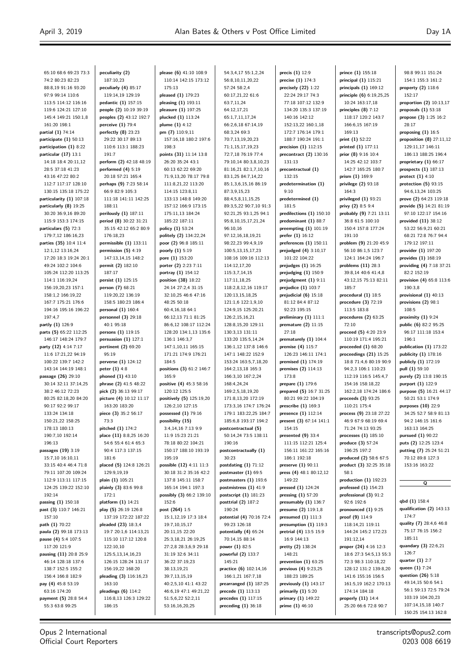98:8 99:11 151:24 154:1 155:3 161:2

65:10 68:6 69:23 73:3 74:2 80:23 82:23 88:8,19 91:16 93:20 97:9 99:14 110:6 113:5 114:12 116:16 119:6 124:21 127:10 145:4 149:21 150:1,8 161:20 198:1 **partial (1)** 74:14 **participate (1)** 50:13 **participation (1)** 8:22 **particular (17)** 13:1 14:18 18:4 20:11,12 28:5 37:18 41:23 43:16 47:22 80:2 112:7 117:17 128:10 130:15 135:18 175:22 **particularity (1)** 107:18 **particularly (8)** 19:25 30:20 36:9,16 89:20 115:9 153:3 174:15 **particulars (5)** 72:3 179:7,12 186:16,23 **parties (35)** 10:4 11:4 12:1,12 13:16,24 17:20 18:3 19:24 20:1 49:24 102:2 104:6 105:24 112:20 113:25 114:1 116:19,24 156:19,20,23 157:1 158:1,2 166:10,22 167:7 175:21 176:6 194:16 195:16 196:22 197:4,7 **partly (1)** 126:9 **parts (5)** 65:22 112:25 146:17 148:24 179:7 **party (12)** 4:14 7:17 11:6 17:21,22 94:19 100:22 139:7 142:2 143:14 144:19 148:1 **passage (26)** 29:10 30:14 32:11 37:14,25 38:2 46:12 72:23 80:25 82:18,20 84:20 90:17 92:2 99:17 133:24 134:18 150:21,22 158:25 178:13 180:13 190:7,10 192:14 196:13 **passages (19)** 3:19 15:7,10 16:10,11 33:15 40:4 46:4 71:8 79:11 107:20 109:24 112:9 113:11 117:15 124:25 139:22 152:10 192:14 **passing (1)** 150:18 **past (3)** 110:7 146:21 157:10 **path (1)** 70:22 **paula (2)** 99:18 173:13 **pause (4)** 5:4 107:5 117:20 121:9 **pausing (11)** 20:8 25:9 46:14 128:18 137:6 138:7 152:5 155:2 156:4 166:8 182:9 **pay (4)** 45:8 53:19 63:16 174:20 **payment (5)** 28:8 54:4 55:3 63:8 99:25

**peculiarity (2)** 187:10,23 **peculiarly (4)** 85:17 119:14,19 129:19 **pedantic (1)** 157:15 **people (2)** 10:19 39:19 **peoples (2)** 43:12 192:7 **perceive (1)** 79:4 **perfectly (8)** 23:23 29:22 30:17 89:13 110:6 113:1 188:23 191:7 **perform (2)** 42:18 48:19 **performed (4)** 5:19 20:18 57:21 165:4 **perhaps (9)** 7:23 58:14 66:9 82:9 105:3 111:18 141:11 142:25 188:11 **perilously (1)** 187:11 **period (8)** 30:22 31:21 35:15 42:12 65:2 80:9 176:18,23 **permissible (1)** 133:11 **permission (5)** 4:19 147:13,14,15 148:2 **permit (2)** 182:10 187:17 **persist (1)** 125:15 **person (7)** 68:21 119:20,22 136:19 158:5 180:23 186:4 **personal (1)** 160:4 **personnel (3)** 29:18 40:1 95:18 **persons (1)** 119:15 **persuasion (1)** 127:1 **pertinent (2)** 69:20 95:19 **perverse (1)** 124:12 **peter (1)** 4:8 **phoned (1)** 43:10 **phrase (2)** 41:5 48:22 **pick (2)** 36:13 99:17 **picture (4)** 10:12 11:17 163:20 183:20 **piece (3)** 35:2 56:17 73:3 **pitched (1)** 174:2 **place (11)** 8:8,25 16:20 54:6 55:4 61:4 65:3 90:4 117:3 137:15 181:6 **placed (5)** 124:8 126:21 129:9,19,19 **plain (1)** 105:21 **plainly (3)** 83:6 99:8 172:1 **platform (1)** 14:21 **play (5)** 26:19 126:8 137:19 172:22 187:22 **pleaded (23)** 18:3,4 19:7 20:1,6 114:13,21 115:10 117:12 120:8 122:10,10 125:5,13,14,16,23 126:15 128:24 131:17 156:19,22 168:20 **pleading (3)** 116:16,23 163:10 **pleadings (6)** 114:2 116:8,13 126:3 129:22 186:15

**please (6)** 41:10 108:9 110:14 142:15 173:12 175:13 **pleased (1)** 179:23 **pleasing (1)** 193:11 **pleasure (1)** 197:25 **plucked (1)** 113:24 **plume (1)** 4:12 **pm (7)** 110:9,11 157:16,18 180:2 197:6 198:3 **points (31)** 11:14 13:8 26:20 35:24 43:1 60:13 62:22 69:20 71:9,13,20 78:17 79:8 111:8,21,22 113:20 114:15 123:8,11 133:13 148:8 149:20 157:12 166:9 173:15 175:11,13 184:24 185:22 187:11 **policy (1)** 53:24 **politely (2)** 134:22,24 **poor (2)** 96:8 185:11 **poorly (1)** 5:19 **pore (1)** 153:20 **porter (2)** 2:23 7:11 **portray (1)** 154:12 **position (38)** 18:22 24:14 27:2,4 31:15 32:10,25 46:6 47:16 48:25 50:18 60:4,16,18 64:1 66:12,13 71:1 81:25 86:6,12 108:17 112:24 128:20 134:1,13 135:6 136:1 146:3,7 147:1,10,11 165:15 171:21 174:9 176:21 184:5 **positions (3)** 61:2 146:7 165:9 **positive (4)** 45:3 58:16 120:12 125:5 **positively (5)** 125:19,20 126:2,10 127:15 **possessed (1)** 79:16 **possibility (15)** 3:4,14,16 7:13 9:9 11:9 15:23 21:21 78:18 80:22 104:21 150:17 188:10 193:19 195:19 **possible (12)** 4:11 11:3 30:18 31:2 35:16 42:2 137:8 145:11 158:7 165:14 194:1 197:3 **possibly (3)** 66:2 139:10 152:6 **post (264)** 1:5 15:1,12,19 17:3 18:4 19:7,10,15,17 20:11,15 22:20 25:3,18,21 26:19,25 27:2,8 28:3,6,9 29:18 31:19 32:6 34:11 36:22 37:19,23 38:13,19,21 39:7,13,15,19 40:2,5,10 41:1 43:22 46:6,19 47:1 49:21,22 51:5,6,22 52:2,11

53:16,16,20,25

54:3,4,17 55:1,2,24 56:8,10,11,20,22 57:24 58:2,4 60:17,21,22 61:6 63:7,11,24 64:12,17,21 65:1,7,11,17,24 66:2,6,18 67:14,19 68:3,24 69:3 70:7,13,19,20,23 71:1,15,17,19,23 72:7,18 76:19 77:4 79:10,14 80:3,8,10,23 81:16,21 82:1,7,10,16 83:1,25 84:7,14,22 85:1,3,6,15,16 86:19 87:3,9,15,23 88:4,5,8,11,15,25 89:3,5,22 90:7,10 91:3 92:21,25 93:1,25 94:1 95:8,10,15,17,21,24 96:10,16 97:12,16,18,19,21 98:22,23 99:4,9,19 100:5,13,15,17,23 108:16 109:16 112:13 114:12,17,20 115:3,7,14,15 117:11,18,25 118:2,8,12,16 119:17 120:13,15,18,25 121:1,6 122:1,9,10 124:9,15 125:20,21 126:2,15,16,21 128:8,15,20 129:11 130:3,13 131:11 133:20 135:5,14,24 136:1,12 137:8 146:6 147:1 148:22 152:9 153:24 163:5,7,18,20 164:2,13,18 165:3 166:3,10 167:2,24 168:4,24,24 169:2,5,18,19,20 171:8,13,20 172:19 173:3,16 174:7 176:24 179:1 183:22,25 184:7 185:6,8 193:17 194:2 **postcontractual (5)** 50:14,24 73:5 138:11 190:16 **postcontractually (1)** 30:23 **postdating (1)** 71:12 **postmaster (1)** 69:5 **postmasters (1)** 193:6 **postmistress (1)** 41:9 **postscript (1)** 181:23 **posttrial (2)** 187:2 190:24 **potential (4)** 70:16 72:4 99:23 126:18 **potentially (4)** 65:24 70:14,15 88:14 **power (1)** 82:5 **powerful (2)** 133:7 145:21 **practice (6)** 102:14,16 166:1,21 167:7,18 **prearranged (1)** 187:25 **precede (1)** 113:13 **precedes (1)** 117:15 **preceding (1)** 36:18

**precis (1)** 12:9 **precise (1)** 174:3 **precisely (22)** 1:22 22:24 29:17 74:3 77:18 107:12 132:9 134:20 135:3 137:19 140:16 142:12 152:13,22 160:1,18 172:7 176:14 179:1 188:7 190:24 191:1 **precision (1)** 112:15 **precontract (2)** 130:16 131:13 **precontractual (1)** 132:15 **predetermination (1)** 9:10 **predetermined (1)** 181:5 **predilections (1)** 150:10 **predominant (1)** 88:7 **preempting (1)** 101:19 **prefer (1)** 16:12 **preferences (1)** 150:11 **prejudged (4)** 3:10,17 101:22 104:22 **prejudges (1)** 16:25 **prejudging (1)** 150:9 **prejudgment (1)** 9:11 **prejudice (1)** 103:7 **prejudicial (6)** 15:18 81:12 84:4 87:12 92:23 195:15 **preliminary (1)** 111:1 **premature (2)** 11:15 27:18 **prematurely (1)** 104:4 **premise (4)** 115:7 126:23 146:11 174:1 **premised (1)** 174:19 **premises (2)** 114:13 173:8 **prepare (1)** 179:6 **prepared (5)** 16:7 31:25 80:21 99:22 104:19 **prescribe (1)** 169:3 **presence (1)** 112:14 **present (3)** 67:14 141:1 154:15 **presented (9)** 33:4 111:15 112:21 125:4 156:11 161:22 165:16 186:1 192:18 **preserve (1)** 90:11 **press (4)** 48:1 80:12,12 149:22 **pressed (1)** 124:24 **pressing (1)** 57:20 **presumably (1)** 136:7 **presume (2)** 119:1,8 **presumed (1)** 111:3 **presumption (1)** 119:3 **pretrial (4)** 13:5 15:9 16:9 144:13 **pretty (2)** 138:24 148:21 **prevention (1)** 63:25 **previous (4)** 9:23,25 188:23 189:25 **previously (1)** 143:17 **primarily (1)** 5:20 **primary (1)** 149:22 **prime (1)** 46:10

**prince (1)** 155:18 **principal (1)** 115:21 **principals (1)** 169:12 **principle (6)** 6:19,25,25 10:24 163:17,18 **principles (8)** 7:12 118:17 120:2 143:7 166:6,15 167:19 169:13 **print (1)** 52:22 **printed (1)** 177:11 **prior (8)** 9:16 10:4 14:25 42:12 103:7 142:7 165:25 180:7 **prism (1)** 169:9 **privilege (2)** 93:18 164:3 **privileged (1)** 93:21 **privy (2)** 8:5 9:4 **probably (9)** 7:21 13:11 36:8 61:5 100:10 150:4 157:8 177:24 191:10 **problem (9)** 21:20 45:9 56:10 86:1,5 123:7 124:1 164:24 196:7 **problems (11)** 28:3 39:8,14 40:6 41:4,8 43:12,15 75:13 82:11 185:7 **procedural (1)** 18:5 **procedure (3)** 72:19 113:5 183:8 **procedures (2)** 63:25 72:10 **proceed (5)** 4:20 23:9 110:19 171:4 195:21 **proceeded (1)** 68:20 **proceedings (21)** 15:25 18:8 71:4,6 80:19 90:9 94:2,3 106:1 110:23 112:19 116:5 145:4,7 154:16 158:18,22 162:2,18 174:24 186:6 **proceeds (3)** 93:25 110:21 175:4 **process (9)** 23:18 27:22 46:9 67:9 68:19 69:4 71:24 74:13 93:25 **processes (1)** 185:10 **produce (3)** 57:24 196:25 197:2 **produced (2)** 58:6 67:5 **product (3)** 32:25 35:18 58:1 **production (1)** 192:23 **professed (1)** 154:23 **professional (3)** 91:2 92:6 192:6 **pronounced (1)** 9:25 **proof (9)** 114:9 118:14,21 119:11 144:24 145:2 172:23 191:12,14 **proper (24)** 4:16 12:3 18:6 27:3 54:5,13 55:3 72:3 98:3 110:18,22 128:12 131:2 139:8,20 141:6 155:16 156:5 161:5,19 162:2 170:13 174:14 184:18 **properly (11)** 14:4 25:20 66:6 72:8 90:7

**property (2)** 118:6 152:17 **proportion (2)** 10:13,17 **proposals (1)** 53:18 **propose (3)** 1:25 16:2 28:17 **proposing (1)** 16:5 **proposition (8)** 27:11,12 129:11,17 146:11 186:13 188:25 196:4 **proprietary (1)** 66:17 **prospects (1)** 187:13 **protect (1)** 4:10 **protection (5)** 93:15 94:6,13,24 103:25 **prove (2)** 64:23 119:18 **provide (5)** 14:21 81:19 97:10 122:17 154:16 **provided (11)** 38:12 53:22 56:9,21 60:21 68:21 72:8 76:7 94:4 179:12 197:11 **provider (1)** 197:20 **provides (1)** 168:19 **providing (4)** 7:18 37:21 82:2 152:19 **provision (4)** 65:8 113:6 190:3,8 **provisional (1)** 40:13 **provisions (2)** 98:1 108:5 **proximity (1)** 9:24 **public (6)** 82:2 95:25 96:17 111:18 153:4 196:1 **publication (1)** 173:22 **publicity (1)** 178:16 **publicly (1)** 172:19 **pull (1)** 59:10 **purely (2)** 13:8 190:15 **purport (1)** 122:9 **purpose (5)** 16:21 44:17 50:21 53:1 174:9 **purposes (10)** 22:9 34:25 52:7 58:9 81:13 94:2 146:15 161:6 163:13 164:25 **pursued (1)** 90:22 **puts (2)** 12:25 123:4 **putting (7)** 25:24 51:21 70:12 89:8 127:3 153:16 163:22 **Q qbd (1)** 158:4 **qualification (2)** 143:13 174:7 **quality (7)** 28:4,6 46:8 75:17 76:15 156:2 185:11 **quandary (3)** 22:6,21 126:7

**quarter (1)** 2:7 **queen (1)** 7:24 **question (26)** 5:18 49:14,15 50:6 54:1 56:1 59:13 72:5 79:24 103:19 104:20,23 107:14,15,18 140:7 150:25 154:13 162:8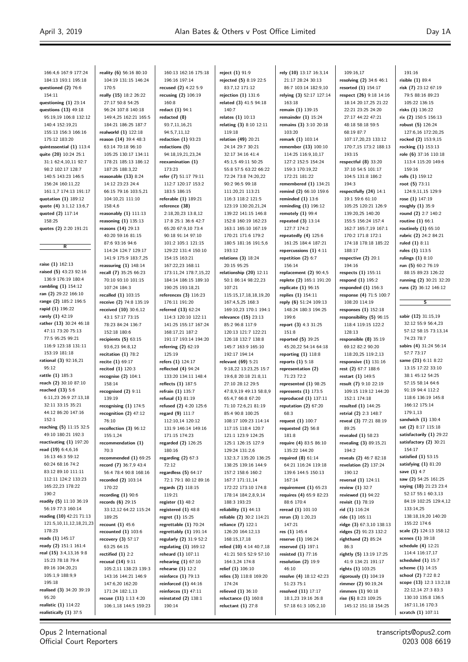166:4,6 167:9 177:24 184:13 193:1 195:18 **questioned (2)** 76:6 154:11 **questioning (1)** 23:14 **questions (13)** 49:18 95:19,19 106:8 132:12 140:4 152:19,21 155:13 156:3 166:16 175:12 183:20 **quintessential (1)** 113:4 **quite (20)** 10:24 25:1 31:1 62:4,10,11 92:7 98:2 102:17 128:7 140:5 143:23 146:5 156:24 160:11,22 161:1,7 174:13 191:17 **quotation (1)** 189:12 **quote (4)** 3:1,12 13:6,7 **quoted (2)** 117:14 158:25 **quotes (2)** 2:20 191:21 **R raise (1)** 162:13 **raised (5)** 43:23 92:16 136:9 176:19 180:4 **rambling (1)** 154:12 **ran (2)** 29:22 166:10 **range (2)** 185:2 196:5 **rapid (1)** 196:22 **rarely (1)** 42:19 **rather (13)** 30:24 46:18 47:11 73:20 75:13 77:5 95:25 99:21 116:9 123:18 131:11 153:19 181:18 **rational (3)** 92:16,21 95:12 **rattle (1)** 185:3 **reach (2)** 30:10 87:10 **reached (13)** 5:6 6:11,23 26:9 27:13,18 32:11 33:15 35:21 44:12 86:20 147:16 152:1 **reaching (5)** 11:15 32:5 49:10 180:21 192:3 **reactivating (1)** 197:20 **read (19)** 6:4,6,16 16:13 46:3 59:12 60:24 68:16 74:2 83:12 89:10 111:11 112:11 124:2 133:23 165:22,23 178:22 190:2 **readily (5)** 11:10 36:19 56:19 77:3 160:14 **reading (10)** 42:21 71:13 121:5,10,11,12,18,21,23 178:23 **reads (1)** 145:17 **ready (2)** 151:1 161:4 **real (15)** 3:4,13,16 9:8 15:23 78:18 79:4 89:16 104:20,21 105:1,9 188:9,9 195:18 **realised (3)** 34:20 39:19  $05:20$ **realistic (1)** 114:22 **realistically (1)** 37:5 **reality (6)** 56:16 80:10 104:19 131:15 146:24 170:5 **really (15)** 18:2 26:22 27:17 50:8 54:25 96:24 107:8 140:18 149:4,25 162:21 165:5 184:21 186:25 187:7 **realworld (1)** 122:18 **reason (14)** 39:4 48:3 63:14 70:18 96:10 105:25 130:17 134:11 178:21 185:13 186:12 187:25 188:3,22 **reasonable (13)** 8:24 14:12 23:23 24:4 66:15 79:16 103:5,21 104:10,21 111:10 158:4,6 **reasonably (1)** 111:13 **reasoning (1)** 135:13 **reasons (14)** 29:13 40:20 59:16 81:15 87:6 93:16 94:6 114:24 124:7 129:17 141:9 175:9 183:7,25 **reassuring (1)** 148:14 **recall (7)** 35:25 66:23 70:10 93:10 101:15 107:24 184:3 **recalled (1)** 103:15 **receive (2)** 74:8 135:19 **received (10)** 30:6,12 43:1 57:17 73:15 78:23 84:24 136:7 152:18 180:6 **recipients (5)** 63:15 93:6,23 94:8,12 **recitation (1)** 78:2 **recite (1)** 69:17 **recited (1)** 120:3 **recognise (2)** 104:1 158:14 **recognised (2)** 9:11 139:19 **recognising (1)** 174:5 **recognition (2)** 47:12 76:10 **recollection (3)** 96:12 155:1,24 **recommendation (1)** 70:3 **recommended (1)** 69:25 **record (7)** 36:7,9 43:4 56:4 78:4 90:8 168:16 **recorded (2)** 103:14 170:22 **recording (1)** 90:6 **records (6)** 29:15 33:12,12 64:22 115:24 189:25 **recount (1)** 45:6 **recounted (1)** 103:6 **recovery (3)** 57:17 63:25 64:15 **rectified (1)** 2:2 **recusal (14)** 9:11 105:2,11 138:23 139:3 143:16 144:21 146:9 147:6,20 162:20 171:24 182:1,13 **recuse (11)** 1:13 4:20 106:1,18 144:5 159:23

160:13 162:16 175:18 196:16 197:14 **recused (2)** 4:22 5:9 **recusing (2)** 106:19 160:8 **redact (1)** 94:1 **redacted (8)** 93:7,11,16,21 94:5,7,11,12 **redaction (1)** 93:23 **redactions (5)** 94:18,19,21,23,24 **reexamination (1)** 173:23 **refer (7)** 51:17 79:11 112:7 120:17 153:2 183:5 186:15 **referable (1)** 189:21 **reference (38)** 2:18,20,23 13:8,12 17:8 25:1 36:6 42:7 65:20 67:9,10 73:4 90:18 91:14 97:10 101:2 105:1 121:15 129:22 131:4 150:10 154:15 163:21 167:22,23 168:11 173:11,24 178:7,15,22 184:14 186:15 189:10 190:25 193:18,21 **references (3)** 116:23 176:11 191:20 **referred (13)** 62:24 114:3 120:10 122:11 141:25 155:17 167:24 168:17,21 187:2 191:17 193:14 194:20 **referring (2)** 62:19 125:19 **refers (1)** 124:17 **reflected (4)** 94:24 133:20 134:11 148:4 **reflects (1)** 187:5 **refrain (1)** 135:7 **refusal (1)** 81:19 **refused (2)** 4:20 125:6 **regard (9)** 111:7 112:10,14 120:12 131:9 146:14 149:16 171:15 174:23 **regarded (2)** 126:25 180:16 **regarding (2)** 67:3 72:12 **regardless (5)** 64:17 72:1 79:1 80:12 89:16 **regards (2)** 118:15 119:21 **register (1)** 48:2 **registered (1)** 48:8 **regret (1)** 15:25 **regrettable (1)** 70:24 **regrettably (1)** 191:14 **regularly (2)** 31:9 52:2 **regulating (1)** 169:12 **reheard (1)** 107:11 **rehearing (1)** 67:10 **rehearse (1)** 12:2 **reinforce (1)** 79:13 **reinforced (1)** 44:16 **reinforces (1)** 47:11 **reinstated (2)** 138:1 190:14

**reject (1)** 91:9 **rejected (5)** 8:19 22:5 83:7,12 171:12 **rejection (1)** 131:6 **related (3)** 41:5 94:18 140:7 **relates (1)** 10:13 **relating (3)** 8:10 12:11 119:18 **relation (49)** 20:21 24:14 29:7 30:21 32:17 34:16 41:4 45:1,5 49:11 50:25 55:8 57:5 63:22 66:22 72:24 73:8 74:20,22 90:2 96:5 99:18 111:20,21 113:21 116:3 118:2 121:5 123:19 130:20,21,24 139:22 141:15 146:8 152:8 160:19 162:23 163:1 165:10 167:19 170:21 171:6 179:2 180:5 181:16 191:5,6 193:12 **relations (3)** 18:24 20:15 95:25 **relationship (20)** 12:11 50:1 86:14 98:22,23 107:21 115:15,17,18,18,19,20 167:4,5,25 168:3 169:10,23 170:1 194:1 **relevance (15)** 23:13 85:2 96:8 117:9 120:13 121:7 122:21 126:18 132:7 138:8 145:7 163:9 165:10 192:17 194:14 **relevant (69)** 5:21 9:18,22 13:23,25 15:7 19:6,8 20:18 21:8,11 27:10 28:12 29:5 47:8,9,19 49:13 58:8,9 65:4,7 66:8 67:20 71:10 72:6,21 81:19 85:4 90:8 100:25 108:17 109:23 114:14 117:15 118:4 120:7 121:1 123:9 124:25 125:1 126:15 127:9 129:24 131:2,6 132:3,7 135:20 136:25 138:25 139:16 144:9 157:2 158:6 160:2 167:7 171:11,14 172:22 173:10 174:8 178:14 184:2,8,9,14 188:3 193:23 **reliability (1)** 44:13 **reliable (2)** 30:2 114:21 **reliance (7)** 122:1 126:20 164:12,13 168:15,17,18 **relied (10)** 4:14 40:7,18 41:21 50:5 52:9 57:10 164:3,24 174:8 **relief (1)** 106:10 **relies (3)** 118:8 169:20 174:24 **relieved (1)** 36:10 **reluctance (1)** 160:8 **reluctant (1)** 27:8

**rely (10)** 13:17 16:3,14 21:17 28:24 30:13 86:7 103:14 182:9,10 **relying (3)** 52:17 127:14 163:18 **remain (1)** 139:15 **remainder (1)** 15:24 **remains (3)** 3:10 20:18 103:20 **remark (1)** 103:14 **remember (13)** 100:10 114:25 116:9,10,17 127:2 152:5 154:24 159:3 170:19,22 172:21 181:22 **remembered (1)** 134:21 **remind (2)** 66:10 159:6 **reminded (1)** 13:6 **reminding (1)** 196:12 **remotely (1)** 99:4 **repeated (3)** 13:14 127:7 174:2 **repeatedly (4)** 125:6 161:25 184:4 187:21 **repercussions (1)** 4:11 **repetition (2)** 6:7 156:14 **replacement (2)** 90:4,5 **replete (2)** 165:1 191:20 **replicate (1)** 96:15 **replies (1)** 154:11 **reply (6)** 51:24 109:13 148:24 180:3 194:25 199:6 **report (3)** 4:3 31:25 151:8 **reported (5)** 39:25 45:20,22 54:14 64:18 **reporting (1)** 118:8 **reports (1)** 5:18 **representation (2)** 71:23 72:2 **represented (1)** 98:25 **represents (1)** 173:5 **reproduced (1)** 137:11 **reputation (2)** 67:20 68:3 **request (1)** 100:7 **requested (2)** 56:8 181:8 **require (4)** 83:5 86:10 135:22 144:20 **required (8)** 61:14 64:21 116:24 119:18 139:6 144:5 150:13 167:14 **requirement (1)** 65:23 **requires (4)** 65:9 82:23 88:6 170:4 **reread (1)** 101:10 **rerun (3)** 1:20,23 147:21 **res (1)** 145:4 **reserve (1)** 196:24 **reserved (1)** 197:1 **resisted (1)** 77:16 **resolution (2)** 19:9 46:10 **resolve (4)** 18:12 42:23 51:23 75:1 **resolved (11)** 17:17 18:1,23 19:16 26:8 57:18 61:3 105:2,10

109:16,17 **resolving (2)** 34:6 46:1 **resorted (1)** 154:17 **respect (26)** 9:18 14:16 18:14 20:17,25 21:22 22:21 23:25 24:20 27:17 44:22 47:21 48:18 58:18 59:5 68:19 87:7 107:17,20,23 133:12 170:7,15 173:2 188:13 193:15 **respectful (8)** 33:20 37:10 54:5 101:17 104:5 131:8 186:2 194:3 **respectfully (24)** 14:1 19:1 59:6 61:10 105:25 120:21 126:9 139:20,25 140:20 155:5 156:24 157:4 162:7 165:7,19 167:1 170:2 171:8 172:1 174:18 178:18 185:22 188:17 **respective (2)** 20:1 194:16 **respects (1)** 155:11 **respond (1)** 195:2 **responded (1)** 156:3 **response (4)** 71:5 100:7 108:20 114:19 **responses (1)** 152:18 **responsibility (5)** 96:15 118:4 119:15 122:2 128:13 **responsible (8)** 35:19 69:12 82:2 90:20 118:20,25 119:2,13 **responsive (1)** 131:16 **rest (2)** 67:7 188:6 **restart (1)** 149:5 **result (7)** 9:10 22:19 109:15 119:12 144:20 152:1 174:18 **resulted (1)** 144:25 **retrial (2)** 2:3 148:7 **reveal (3)** 77:21 88:19 89:25 **revealed (1)** 58:23 **revealing (3)** 89:15,21 194:2 **reveals (2)** 46:7 82:18 **revelation (2)** 137:24 190:12 **reversal (1)** 124:11 **review (1)** 32:7 **reviewed (1)** 94:22 **revisit (1)** 78:19 **rid (1)** 116:24 **ride (1)** 165:11 **ridge (3)** 67:3,10 138:13 **ridges (2)** 91:23 132:2 **righthand (2)** 85:24 86:3 **rightly (5)** 13:19 17:25 41:9 134:21 191:17 **rights (1)** 103:25 **rigorously (1)** 104:19 **rimmer (2)** 90:19,24 **rimmers (1)** 90:18 **rise (6)** 8:23 109:25 145:12 151:18 154:25

191:16 **risible (1)** 89:4 **risk (7)** 23:12 67:19 79:5 88:16 89:23 105:22 136:15 **risks (1)** 136:22 **rix (2)** 150:5 156:13 **robust (5)** 126:24 127:6,16 172:20,25 **rocked (2)** 153:9,15 **rocking (1)** 153:13 **role (6)** 37:16 110:18 113:4 115:20 149:6 159:16 **rolls (1)** 159:12 **root (5)** 73:11 124:9,11,15 129:9 **rose (1)** 147:19 **roughly (1)** 35:9 **round (2)** 2:7 140:2 **routine (1)** 66:1 **routinely (1)** 65:10 **rubric (2)** 24:2 84:21 **ruled (1)** 8:11 **rules (1)** 113:5 **rulings (1)** 8:10 **run (5)** 60:2 76:19 88:15 89:23 126:22 **running (2)** 30:21 32:20 **runs (2)** 36:12 146:12

```
S
```
**sabir (12)** 31:15,19 32:12 55:9 56:4,23 57:12 58:15 73:13,14 74:23 78:7 **sabirs (4)** 31:24 56:14 57:7 73:17 **same (21)** 6:11 8:22 13:15 17:22 33:10 38:1 45:12 54:25 57:15 58:14 64:6 91:19 94:4 112:2 118:6 136:19 145:8 166:12 175:14 179:1,13 **sandwich (1)** 130:4 **sat (2)** 8:17 115:18 **satisfactorily (1)** 29:22 **satisfactory (2)** 30:21 154:17 **satisfied (1)** 53:15 **satisfying (1)** 81:20 **save (1)** 4:7 **saw (2)** 54:25 161:25 **saying (18)** 21:23 23:4 52:17 55:1 60:3,13 84:19 102:25 129:4,12 133:14,25 138:18,19,20 140:20 155:22 174:6 **scale (2)** 124:13 158:12 **scenes (1)** 39:18 **schedule (4)** 12:21 114:4 116:17,17 **scheduled (1)** 15:7 **scheme (1)** 14:15 **school (2)** 7:22 8:2 **scope (13)** 12:3 13:2,18 22:12,14 27:3 83:3 130:10 135:8 136:5 167:11,16 170:3 **scratch (1)** 107:11

Opus 2 International Official Court Reporters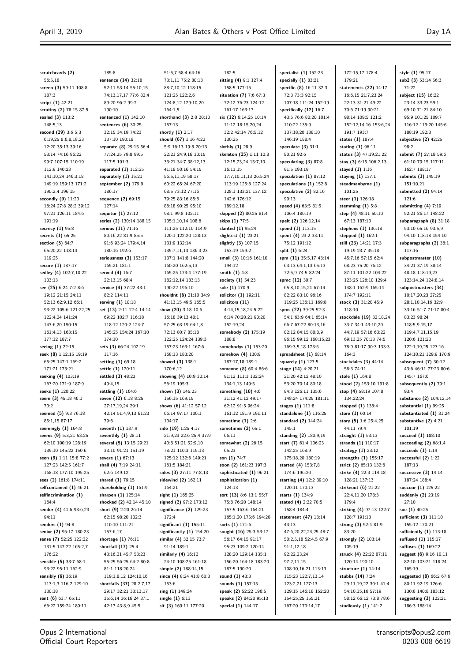**scratchcards (2)** 56:5,18 **screen (3)** 59:11 108:8 187:3 **script (1)** 42:21 **scrutiny (2)** 78:15 87:5 **sealed (3)** 113:2 148:5,13 **second (29)** 3:6 5:3 6:19,25 8:6,8,18,23 12:20 35:13 39:16 53:14 74:16 96:22 99:7 107:15 110:19 112:9 140:23 141:10,24 146:3,18 149:19 159:13 171:2 190:2,4 196:15 **secondly (9)** 11:20 16:24 27:8 28:2 39:12 97:21 126:11 184:6 191:19 **secrecy (1)** 95:8 **secrets (1)** 65:25 **section (5)** 64:7 65:20,22 118:13 119:25 **secure (1)** 187:17 **sedley (4)** 102:7,10,22 103:13 **see (25)** 6:24 7:2 8:6 19:12 21:15 24:11 52:13 62:9,12 66:1 93:22 105:6 121:22,25 122:4,24 141:24 143:6,20 150:15 161:4,13 163:15 177:12 187:7 **seeing (1)** 22:15 **seek (8)** 1:12,15 19:19 65:25 147:1 169:2 171:21 175:21 **seeking (4)** 103:19 163:20 171:9 187:9 **seeks (1)** 120:22 **seem (3)** 45:18 46:1 70:2 **seemed (5)** 9:3 76:18 85:1,15 87:17 **seemingly (1)** 164:8 **seems (9)** 5:3,21 53:25 62:10 100:19 128:19 139:10 145:22 150:6 **seen (9)** 1:11 15:8 77:2 127:23 142:5 161:7 168:18 177:10 195:25 **sees (2)** 161:8 174:11 **selfcontained (1)** 46:21 **selfincrimination (1)** 164:4 **sender (4)** 41:6 93:6,23 94:11 **senders (1)** 94:8 **senior (2)** 95:17 180:23 **sense (7)** 52:25 122:22 131:5 147:22 165:2,7 176:22 **sensible (5)** 33:7 68:1 93:22 95:11 162:9 **sensibly (6)** 36:19 113:1,3 116:2 129:10 130:18 **sent (6)** 63:7 65:11 66:22 159:24 180:11

185:8 **sentence (14)** 32:18 52:11 53:14 55:10,15 74:13,17,17 77:6 82:4 89:20 96:2 99:7 190:10 **sentenced (1)** 142:10 **sentences (6)** 30:25 32:15 34:19 74:23 137:10 190:18 **separate (8)** 29:15 56:4 77:24,25 79:8 99:5 117:5 191:3 **separated (1)** 112:25 **separately (1)** 15:21 **september (2)** 179:9 186:17 **sequence (2)** 69:15 127:14 **sequitur (1)** 27:12 **series (2)** 130:14 188:15 **serious (11)** 71:16 80:16,22 81:9 85:5 91:6 93:24 179:4,14 180:16 192:6 **seriousness (3)** 153:17 165:21 181:1 **served (4)** 16:7 22:13,15 68:4 **service (4)** 37:22 43:1 82:2 114:11 **serving (1)** 10:18 **set (13)** 2:11 12:4 14:14 69:22 102:7 116:18 118:12 120:2 124:7 145:25 154:24 167:10 174:10 **sets (3)** 66:24 102:19 117:16 **setting (1)** 69:18 **settle (1)** 170:11 **settled (3)** 48:23 49:4,15 **settling (1)** 164:6 **seven (12)** 6:18 8:25 27:17,19,24 29:1 42:14 51:4,9,13 61:23 79:6 **seventh (1)** 137:9 **seventhly (1)** 28:11 **several (5)** 13:15 29:21 33:10 91:21 151:19 **severe (1)** 67:13 **shall (4)** 7:19 24:11 62:6 149:12 **shared (1)** 79:15 **shareholding (1)** 161:9 **sharpen (1)** 125:14 **shocked (2)** 42:14 45:10 **short (9)** 2:20 26:14 62:15 98:20 102:3 110:10 111:21 157:6,17 **shortage (1)** 76:11 **shortfall (17)** 25:4 43:16,21 45:7 53:23 55:25 56:25 64:2 80:8 81:1 118:20,24 119:1,8,12 124:10,16 **shortfalls (37)** 28:2,7,17 29:17 32:21 33:13,17 35:6,14 36:16,24 37:1 42:17 43:8,9 45:5

51:5,7 58:4 64:16 73:1,11 75:2 80:13 88:7,10,12 118:15 121:25 122:2,6 124:8,12 129:10,20  $164.1,5$ **shorthand (3)** 2:8 20:10 157:13 **shortly (1)** 2:17 **should (67)** 1:16 4:22 5:9 16:13 19:8 20:13 22:21 24:9,16 30:15 33:21 34:7 38:12,13 41:18 50:16 54:15 56:5,11,19 58:17 60:22 65:24 67:20 68:5 73:12 77:16 79:25 83:16 85:8 86:18 90:25 95:10 98:1 99:8 102:11 105:1,10,14 108:6 111:25 112:10 114:9 120:1 122:20 128:13 131:9 132:14 135:7,11,13 136:3,23 137:1 141:8 144:20 160:20 162:5,13 165:25 173:4 177:19 182:12,14 183:13 190:22 196:10 **shouldnt (6)** 21:10 34:9 41:13,15 49:5 165:5 **show (20)** 3:18 10:6 16:18 39:13 40:1 57:25 63:19 64:1,8 72:13 80:7 85:18 122:25 124:24 139:3 157:23 163:1 167:6 168:13 183:20 **showed (3)** 138:1 170:6,12 **showing (4)** 10:9 30:14 56:19 195:3 **shown (3)** 145:23 156:15 169:15 **shows (6)** 41:12 57:12 66:14 97:17 100:1 104:17 **side (19)** 1:25 4:17 21:9,23 22:6 25:4 37:9 40:8 51:21 52:9,10 78:21 110:3 115:13 125:12 132:6 149:21 161:5 184:21 **sides (3)** 27:11 77:8,13 **sidewind (2)** 162:11 164:21 **sight (1)** 165:25 **signed (2)** 97:2 173:12 **significance (2)** 129:23 172:4 **significant (1)** 155:11 **significantly (1)** 154:20 **similar (4)** 32:15 73:7 91:14 189:1 **similarly (4)** 16:12 24:10 108:25 161:18 **simple (2)** 188:14,15 **since (4)** 8:24 41:8 60:3 153:6 **sing (1)** 149:24 **single (1)** 6:13 **sit (3)** 169:11 177:20

182:5 **sitting (4)** 9:1 127:4 158:5 177:15 **situation (7)** 7:6 67:3 72:12 76:23 124:12 161:17 163:17 **six (12)** 6:14,25 10:14 11:12 18:15,20,24 32:2 42:14 76:5,12 130:25 **sixthly (1)** 28:9 **skeleton (25)** 1:11 10:8 12:15,23,24 15:7,10 16:13,15 17:7,10,11,13 26:5,24 113:19 125:8 127:24 128:1 133:21 137:12 142:6 176:12 189:12,18 **skipped (2)** 80:25 81:4 **skips (1)** 77:5 **slanted (1)** 95:24 **slightest (1)** 23:21 **slightly (3)** 107:15 153:19 159:2 **small (3)** 10:16 161:10 194:12 **smith (1)** 4:8 **society (1)** 54:23 **sole (1)** 170:9 **solicitor (1)** 192:11 **solicitors (11)** 4:14,15,18,24 5:22 6:14 70:20,21 90:20 152:19,24 **somebody (2)** 175:19 188:8 **somebodys (1)** 153:20 **somehow (4)** 130:9 187:17,18 189:1 **someone (8)** 60:4 86:6 91:12 111:3 132:24 134:1,13 149:5 **something (10)** 4:6 31:12 41:12 49:17 62:12 91:5 96:24 161:12 181:9 191:11 **sometime (1)** 2:6 **sometimes (2)** 65:1 66:11 **somewhat (2)** 26:15 65:23 **son (1)** 74:7 **soon (2)** 161:23 197:3 **sophisticated (1)** 96:21 **sophistication (1)** 124:13 **sort (13)** 8:6 13:1 55:7 75:8 76:20 148:14 157:5 163:6 164:21 165:1,20 175:6 194:20 **sorts (1)** 171:6 **sought (16)** 25:3 53:17 56:17 64:15 91:17 95:23 109:2 120:14 128:20 129:14 135:1 156:20 164:18 183:20 187:5 190:20 **sound (1)** 43:3 **sounds (1)** 157:15 **speak (2)** 52:22 196:5 **speaks (2)** 84:20 95:13 **special (1)** 144:17

**specialist (1)** 152:23 **specially (1)** 83:21 **specific (8)** 16:11 32:3 72:3 73:3 92:15 107:18 111:24 152:19 **specifically (12)** 16:7 43:5 76:6 80:20 101:4 110:22 135:9 137:18,20 138:10 146:19 188:4 **speculate (3)** 31:1 80:21 92:6 **speculating (3)** 87:8 91:5 193:19 **speculation (1)** 87:12 **speculations (1)** 152:8 **speculative (2)** 82:16 90:13 **speed (4)** 63:5 81:5 106:4 180:19 **spelt (2)** 126:12,14 **spend (1)** 113:15 **spent (4)** 23:2 33:11 75:12 191:12 **split (1)** 6:24 **spm (11)** 35:5,17 43:14 63:13 64:1,13 65:13 72:5,9 74:5 82:24 **spmc (12)** 30:7 65:8,10,15,21 67:14 82:22 83:10 96:16 119:25 136:11 169:8 **spms (22)** 39:25 52:3 54:1 63:9 64:1 65:14 66:7 67:22 80:13,16 82:12 84:15 88:8,9 96:15 99:12 168:15,23 169:3,5,18 173:5 **spreadsheet (1)** 68:14 **squarely (1)** 123:5 **stage (14)** 4:20,21 21:20 42:12 48:10 53:20 70:14 80:18 84:3 126:11 135:6 148:24 174:25 181:11 **stages (1)** 111:8 **standalone (1)** 116:25 **standard (2)** 144:24 145:1 **standing (2)** 180:9,19 **start (7)** 61:4 106:23 142:25 168:9 175:18,20 180:19 **started (4)** 153:7,8 174:6 196:20 **starting (4)** 12:2 39:10 120:11 170:13 **starts (1)** 134:9 **stated (4)** 2:22 70:5 158:4 184:4 **statement (47)** 13:14 43:13 47:6,20,22,24,25 48:7 50:2,5,18 52:4,5 67:9 91:1,12,18 92:22,23,24 97:2,11,15 108:10,16,21 113:13 115:23 122:7,13,14 123:2,21 127:13 129:15 146:18 152:20 154:25,25 155:21 167:20 170:14,17

172:15,17 178:4 179:21 **statements (22)** 14:17 16:6,15 21:7,23,24 22:13 31:21 49:22 70:6 71:19 90:21 98:14 109:5 121:2 152:12,14,16 153:6,24 191:7 193:7 **states (1)** 187:4 **stating (1)** 96:11 **status (3)** 47:19,21,22 **stay (3)** 6:15 106:2,13 **stayed (1)** 1:16 **staying (1)** 137:1 **steadmanbyrne (1)** 101:25 **steer (1)** 126:18 **stemming (1)** 5:8 **step (4)** 48:11 50:10 67:13 187:10 **stephens (1)** 136:18 **stepped (1)** 162:1 **still (23)** 14:21 17:3 19:19 23:7 35:18 45:7,16 57:15 62:4 68:23 75:20 76:12 87:11 101:22 104:22 123:25 126:10 129:4 148:1 162:9 165:14 174:7 192:11 **stock (3)** 31:20 45:9 118:10 **stockdale (19)** 32:18,24 33:7 34:1 43:10,20 44:7,19 57:16 63:22 69:13,25 70:13 74:5 78:9 81:17 90:3 133:3 164:3 **stockdales (3)** 44:14 58:3 74:11 **stole (1)** 164:8 **stood (2)** 153:10 191:8 **stop (4)** 58:19 107:8 134:22,24 **stopped (1)** 138:4 **store (1)** 60:14 **story (5)** 1:6 25:4,25 44:11 79:4 **straight (1)** 53:13 **strands (1)** 110:17 **strategy (1)** 23:12 **strengths (1)** 155:17 **strict (2)** 65:13 132:6 **strike (4)** 22:3 114:18 128:21 137:13 **strikeout (6)** 21:22 22:4,11,20 178:3 179:4 **striking (4)** 97:13 122:7 128:7 191:13 **strong (3)** 52:4 81:9 83:20 **strongly (2)** 103:14 105:19 **struck (4)** 22:22 87:11 120:14 190:10 **structure (1)** 14:14 **stubbs (14)** 7:24 29:11,19,22 30:1 41:4 54:10,15,16 57:19 58:12 66:12 73:8 78:6 **studiously (1)** 141:2

**style (1)** 95:17 **sub2 (3)** 53:14 56:3 71:22 **subject (15)** 16:22 23:14 33:23 59:1 69:10 71:21 84:10 95:9 101:25 109:7 116:12 119:20 145:6 188:19 192:3 **subjective (2)** 42:25  $08.2$ **submit (7)** 27:18 59:6 61:10 79:15 117:11 162:7 188:17 **submits (3)** 145:19 151:10,21 **submitted (2)** 94:14 121:6 **submitting (4)** 7:19 52:21 86:17 148:22 **subparagraph (8)** 31:18 53:10 65:16 93:5,9 94:10 118:18 154:10 **subparagraphs (2)** 36:1 117:16 **subpostmaster (10)** 34:21 37:19 38:14 48:18 118:19,23 123:14,24 124:8,14 **subpostmasters (34)** 10:17,20,23 27:25 28:1,10,14,16 32:9 33:16 51:7 71:17 80:4 83:23 98:24 118:5,9,15,17 119:4,7,11,15,19 120:6 121:23 122:1,19,25 123:16 124:10,21 129:9 170:9 **subsequent (7)** 30:12 43:6 46:11 77:23 80:6 145:7 167:6 **subsequently (2)** 79:1  $93.4$ **substance (2)** 104:12,14 **substantial (1)** 99:25 **substantiated (1)** 31:24 **substantive (2)** 4:21 101:19 **succeed (1)** 188:10 **succeeding (2)** 68:1,4 **succeeds (1)** 1:19 **successful (2)** 1:22 187:13 **successive (3)** 14:14 187:24 188:4 **succour (1)** 125:22 **suddenly (2)** 23:19 27:10 **sue (1)** 40:25 **sufficient (3)** 111:10 155:12 170:21 **sufficiently (1)** 113:18 **suffused (1)** 115:17 **suffuses (1)** 169:22 **suggest (6)** 9:16 10:11 82:10 103:21 118:24 165:19 **suggested (8)** 66:2 67:6 80:11 92:19 126:6 130:8 140:8 183:12 **suggesting (3)** 122:21 186:3 188:14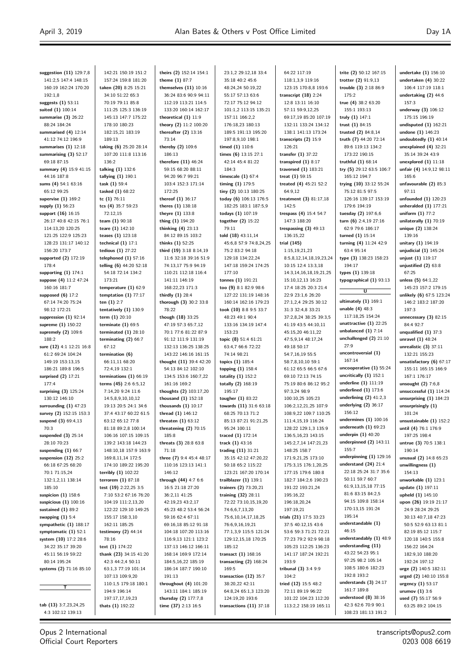**undertake (1)** 156:10

| suggestion (11) 129:7,8                       | 142:21 150:19 151:2                              | theirs (2) 152:14 15                           |
|-----------------------------------------------|--------------------------------------------------|------------------------------------------------|
| 141:2,5 147:4 148:15                          | 157:24 159:8 181:20                              | theme $(1)$ 87:7                               |
| 160:19 162:24 170:20                          | taken (20) 8:25 15:21                            | themselves $(11)$ 10:                          |
| 192:1,8                                       | 34:10 51:22 65:3                                 | 36:24 83:6 90:9 94                             |
| suggests (1) 53:11                            | 70:19 79:11 85:8                                 | 112:19 113:21 114                              |
| suited (1) 100:14                             | 111:25 125:3 136:19                              | 133:20 160:14 162                              |
| summarise (3) 26:22<br>88:24 184:24           | 145:13 147:7 175:22<br>178:10 180:23             | theoretical $(1)$ 11:9<br>theory (2) 11:2 100: |
| summarised (4) 12:14                          | 182:15,21 183:19                                 | thereafter $(2)$ 13:16                         |
| 41:12 74:12 196:9                             | 189:13                                           | 73:14                                          |
| summarises (1) 12:18                          | taking (6) 25:20 28:14                           | thereby (2) 109:6                              |
| summarising $(3)$ 52:17                       | 107:20 111:8 113:16                              | 186:13                                         |
| 69:18 87:15                                   | 136:2                                            | therefore (11) 46:24                           |
| summary (4) 15:9 41:15                        | talking (1) 132:6                                | 59:15 68:20 88:11                              |
| 44:16 187:8                                   | tallying (1) 190:1                               | 94:20 96:7 99:21                               |
| sums (4) 54:1 63:16                           | task (1) 59:4                                    | 103:4 152:3 171:1                              |
| 65:12 99:25                                   | tasked (1) 68:22                                 | 172:25                                         |
| supervise (1) 169:2<br>supply (1) 56:23       | tc $(1)$ 76:11<br>tcs (4) 35:7 59:23             | thereof (1) 36:17<br>theres (1) 138:18         |
| support (16) 16:15                            | 72:12,15                                         | theyre (1) 133:8                               |
| 26:17 40:8 42:15 76:1                         | team (1) 90:18                                   | thing (1) 194:20                               |
| 114:13,20 120:25                              | teare (1) 142:10                                 | thinking $(4)$ 23:13                           |
| 121:25 122:9 125:23                           | teases (1) 123:18                                | 84:12 89:15 103:2                              |
| 128:23 131:17 140:12                          | technical $(1)$ 17:1                             | thinks (1) 52:25                               |
| 156:20 173:7                                  | tedious (1) 27:22                                | third (19) 3:18 8:14                           |
| supported (2) 172:19                          | telephoned $(1)$ 57:16                           | 11:6 32:18 39:16 5                             |
| 178:4                                         | telling (6) 44:20 52:18                          | 74:13,17 75:9 94:1                             |
| supporting $(1)$ 174:1                        | 54:18 72:14 134:2                                | 110:21 112:18 116                              |
| suppose (4) 11:2 47:24                        | 173:21                                           | 141:11 146:19                                  |
| 160:16 181:7                                  | temperature $(1)$ 62:9<br>temptation $(1)$ 77:17 | 168:22,23 171:3                                |
| supposed (6) 17:2<br>67:14 74:20 75:24        | ten (1) 2:7                                      | thirdly (1) 28:4<br>thorough $(3)$ 30:2 3      |
| 98:12 172:21                                  | tentatively (1) 130:9                            | 78:22                                          |
| suppression (1) 92:14                         | term (1) 20:10                                   | though (18) 33:25                              |
| supreme (1) 150:22                            | terminate (1) 69:5                               | 47:19 57:3 65:7,12                             |
| supremely (2) 109:6                           | terminated $(1)$ 28:10                           | 70:1 77:6 81:22 87                             |
| 188:2                                         | terminating (2) 66:7                             | 91:12 111:9 131:1                              |
| sure (12) 4:1 12:21 16:8                      | 67:12                                            | 132:13 136:25 138                              |
| 61:2 69:24 104:24                             | termination (6)                                  | 143:22 146:16 161                              |
| 149:19 153:13,15                              | 66:11,11 68:20                                   | thought (11) 39:4 4                            |
| 186:21 189:8 196:5<br>surprised (2) 17:21     | 72:4,19 132:1<br>terminations $(1)$ 66:19        | 54:13 84:12 102:1<br>134:5 153:6 160:7         |
| 177:4                                         | terms (45) 2:6 6:5,12                            | 161:16 169:2                                   |
| surprising (3) 125:24                         | 7:14,20 9:24 11:6                                | thoughts (2) 103:17                            |
| 130:12 146:10                                 | 14:5,8,9,10,10,12                                | thousand $(1)$ 152:18                          |
| surrounding (1) 47:23                         | 19:13 20:5 24:1 34:6                             | thousands $(1)$ 10:17                          |
| survey (2) 152:15 153:3                       | 37:4 43:17 60:22 61:5                            | thread (1) 146:12                              |
| suspend (3) 69:4,13                           | 63:12 65:12 77:8                                 | threaten (1) 63:12                             |
| 70:3                                          | 81:18 89:2,8 100:14                              | threatening (2) 70:1                           |
| suspended (3) 25:14                           | 106:16 107:15 109:15                             | 185:8                                          |
| 28:10 70:23                                   | 139:2 143:18 144:23                              | threats (3) 28:8 63:                           |
| suspending (1) 66:7<br>suspension $(12)$ 25:2 | 148:10,18 157:9 163:9<br>169:8,11,14 172:5       | 71:18<br>three (7) 9:4 45:4 4                  |
| 66:18 67:25 68:20                             | 174:10 189:22 195:20                             | 110:16 123:13 141                              |
| 70:1 71:15,24                                 | terribly (1) 102:22                              | 146:12                                         |
| 132:1,2,11 138:14                             | terrorem (1) 87:18                               | through (44) 4:7 6:6                           |
| 185:10                                        | test (19) 2:22,25 3:5                            | 16:5 21:18 27:20                               |
| suspicion (1) 158:6                           | 7:10 53:2 67:16 76:20                            | 36:2,11 41:25                                  |
| suspicious (1) 100:16                         | 104:19 111:2,13,20                               | 42:19.23 43:2.17                               |
| sustained (1) 89:2                            | 122:22 129:10 149:25                             | 45:23 48:2 53:4 56                             |
| swapping $(1)$ 5:4                            | 155:17 158:3,10                                  | 59:16 62:4 67:11                               |
| sympathetic (1) 188:17                        | 162:11 185:25                                    | 69:16,18 85:12 91                              |
| symptomatic (1) 52:1                          | testimony (2) 44:14                              | 104:18 107:20 113                              |
| system (10) 17:2 28:6                         | 78:16                                            | 116:9,13 121:1 12                              |
| 34:22 35:17 39:20                             | text (1) 174:22                                  | 137:13 146:12 166                              |
|                                               |                                                  |                                                |
| 45:11 56:19 59:22                             | thank (23) 34:15 41:20                           | 168:14 169:9 172:                              |
| 80:14 195:24                                  | 42:3 44:2,4 50:11                                | 184:5,16,22 185:1                              |
|                                               | 63:1,3 77:19 101:14                              | 186:14 187:7 190:                              |
|                                               | 107:13 109:9,20<br>110:1,5 179:18 180:1          | 191:13<br>throughout (4) 101:                  |
| systems (2) 71:16 85:10<br>т                  | 194:9 196:14                                     | 143:11 184:1 185:                              |
|                                               | 197:17,17,19,23                                  | thursday (2) 177:7,8                           |

**theirs (2)** 152:14 154:1 **themselve** 10:16 0:9 94:11 114.5 14 162:17  $11:9$ 2 100:20 **thereafter (2)** 13:16 **thereby (2)** 109:6 **therefore (11)** 46:24 88:11  $9:21$ 171:14 there is 12<br> **there t**-18 **theyre (1)** 133:8 **zo 3:13**  $103:2$ **thinks (1)** 52:25 **third (19)** 3:18 8:14,19  $9:16.51:9$  $0.94 \cdot 19$ 18 116:4 141:11 146:19  $71:3$ **thorough (3)** 30:2 33:8 8.25  $5:7.12$  $:2287:9$ 131:19 25 138:25 161:15 **thought (11)** 39:4 42:20  $102:10$ 160.7.22 **thoughts (2)** 103:17,20 **thousand (1)** 152:18 **10:17**  $5:12$  $3.12$ **threatening (2)** 70:15 **threats (3)** 28:8 63:8 **three (7)** 9:4 45:4 48:17 13 141:1 **through (44)** 4:7 6:6  $20:20$ 36:2,11 41:25  $2.17$ 3:4 56:24  $57:11$ 12 91:18 20 113:16 1:1 123:2 12 166:11  $172:14$  $185.19$ 190:10 **throughout (4)** 101:20 185:19 **thursday (2)** 177:7,8

23:1,2 29:12,18 33:4 35:18 40:2 45:6 48:24,24,50:19,22 55:17 57:13 63:6 72:17 75:12 94:12 101:1,2 113:15 135:21 157:11 166:2,2 176:18,23 180:13 189:5 191:13 195:20 197:8,9,10 198:1 **timed (1)** 110:6 **times (6)** 13:15 27:1 42:14 45:4 81:22 184:3 **timescale (1)** 67:4 **timing (1)** 179:5 **tiny (2)** 10:13 180:25 **today (6)** 106:13 176:5 182:25 183:1 187:5,9 **todays (1)** 107:19 **together (2)** 15:22 79:11 **told (18)** 43:11,14 45:6,8 57:9 74:8,24,25 75:2 83:2 94:18 129:18 134:22,24 147:18 159:24 174:25 177:10 **tonnes (1)** 191:21 **too (9)** 8:1 82:9 98:6 127:22 131:19 148:16 160:14 162:16 179:23 **took (10)** 8:8 9:5 33:7 48:23 49:1 90:4 133:16 134:19 147:4 153:23 **topic (8)** 51:4 61:21 63:4,7 66:6 72:22 74:14 98:21 **topics (1)** 185:4 **topping (1)** 158:4 **totality (1)** 152:2 **totally (2)** 168:19 195:17 **tougher (1)** 83:22 **towards (11)** 31:6 63:18 68:25 70:13 71:2 85:13 87:21 91:21,25 95:24 100:11 **traced (1)** 172:14 **track (1)** 43:16 **trading (11)** 31:21 35:15 42:12 47:20,22 50:18 65:2 115:22 123:21 167:20 170:14 **trailblazer (1)** 139:1 **trainers (2)** 73:20,21 **training (32)** 28:11 72:22 73:10,15,19,20 74:6,6,7,13,20 75:6,10,14,17,18,25 76:6,9,16,19,21 77:1,3,9 115:5 121:24 129:12,15,18 170:25 185:12 **transact (1)** 168:16 **transacting (2)** 168:24 169:5 **transaction (12)** 35:7 38:20,22 42:11 64:8,24 65:1,3 123:20 124:19,20 193:6 **transactions (11)** 37:18

64:22 117:19 118:1,3,9 119:16 123:15 170:8,8 193:6 **transcript (18)** 2:24 12:8 13:11 16:10 57:11 59:9,12,25 69:17,19 85:20 107:19 132:11 133:24 134:12 138:1 141:13 173:24 **transcripts (2)** 15:9 126:21 **transfer (1)** 37:22 **transpired (1)** 8:17 **traversed (1)** 183:21 **treat (1)** 59:15 **treated (4)** 45:21 52:2 64:9,12 **treatment (3)** 81:17,18 142:5 **trespass (4)** 15:4 54:7 147:3 188:20 **trespassing (3)** 49:13 136:15,22 **trial (145)** 1:15,19,21,23 8:5,8,12,14,18,19,23,24 10:15 12:4 13:3,18 14:3,14,16,18,19,21,25 15:10,12,13 16:23 17:4 18:25 20:3 21:4 22:9 23:1,6 26:20 27:1,2,4 29:25 30:12 31:3 32:4,8 33:21 37:2,8,24 38:25 39:3,5 41:19 43:5 44:10,11 45:15,20 46:11,22 47:5,9,14 48:17,24 49:18 50:17 54:7,16,19 55:5 58:7,8,10,10 59:1 61:12 65:5 66:5 67:6 69:10 72:13 74:15 75:19 80:6 86:12 95:2 97:3,24 98:9 100:10,25 105:23 106:2,12,21,25 107:9 108:9,22 109:7 110:25 111:4,15,19 116:24 128:22 129:1,3 135:9 136:5,16,23 143:15 145:2,7,14 147:21,23 148:25 158:7 171:9,21,25 173:10 175:3,15 176:1,20,25 177:15 179:6 180:8 182:7 184:2,6 190:23 191:22 193:21,24 195:16,22 196:18,20,24 197:19,21 **trials (21)** 17:5 33:23 37:5 40:12,15 43:6 53:6 59:3 71:21 72:21 77:23 79:2 92:9 98:18 105:23 112:25 136:23 141:17 187:24 192:21 193:9 **tribunal (3)** 3:4 9:9  $104.2$ **tried (12)** 15:5 48:2 72:11 89:19 96:22 101:22 104:23 112:20 113:2,2 158:19 165:11

**trite (2)** 50:12 167:15 **trotter (2)** 91:9,13 **trouble (3)** 2:18 86:9 175:2 **true (4)** 38:2 63:20 155:1 193:13 **truly (1)** 147:1 **trust (1)** 84:15 **trusted (2)** 84:8,14 **truth (7)** 44:20 72:14 89:6 119:13 134:2 173:22 190:15 **truthful (1)** 68:14 **try (5)** 29:12 63:5 106:7 165:12 194:7 **trying (10)** 33:12 55:24 75:12 81:5 97:5 126:16 139:17 153:19 179:6 194:19 **tuesday (2)** 197:6,6 **turn (6)** 2:4,19 27:16 62:9 79:6 186:17 **turned (1)** 15:14 **turning (4)** 11:24 42:9 63:4 95:14 **type (3)** 138:23 158:23 194:17 **types (1)** 139:18 **typographical (1)** 93:13 **U ultimately (1)** 169:1 **unable (4)** 48:3 117:18,25 154:24 **unattractive (1)** 22:25 **unbalanced (1)** 7:14 **unchallenged (2)** 21:10  $27.0$ **uncontroversial (1)** 167:14 **uncooperative (1)** 55:24 **uncritically (1)** 152:1 **underline (1)** 111:19 **underlined (1)** 173:6 **underlining (2)** 41:2,3 **underlying (2)** 36:17 156:12 **undermines (1)** 100:16 **underneath (1)** 69:23 **underpin (1)** 40:20 **underpinned (2)** 143:11 155:7 **underpinning (1)** 129:16 **understand (24)** 21:4 22:18 25:24 31:7 35:6 50:11 59:7 60:7 61:9,13,15,18 77:15 81:6 83:15 84:2,5 94:15 109:8 158:14 170:13,15 191:24 195:14 **understandable (1)** 46:15 **understandably (1)** 48:9 **understanding (11)** 43:22 54:23 95:1 97:25 98:2 105:14 108:5 180:6 182:23 192:8 193:2 **understands (3)** 24:17 161:7 189:8 **understood (8)** 38:16 42:3 62:6 70:9 90:1

**undertaken (4)** 30:22 106:4 117:19 118:1 **undertaking (2)** 44:6 157:3 **underway (3)** 106:12 175:15 196:19 **undisputed (1)** 162:21 **undone (1)** 146:23 **undoubtedly (1)** 40:14 **unexplained (4)** 32:21 35:14 39:24 43:9 **unexplored (1)** 11:18 **unfair (4)** 14:9,12 98:11 165:6 **unfavourable (2)** 85:3 97:11 **unfounded (1)** 120:23 **unheralded (1)** 177:21 **uniform (1)** 77:2 **unilaterally (1)** 70:19 **unique (2)** 138:24 139:16 **unitary (1)** 194:19 **unjudicial (1)** 145:24 **unjust (1)** 119:17 **unjustified (2)** 63:8 67:25 **unless (5)** 64:1,22 145:23 157:2 179:15 **unlikely (6)** 67:5 123:24 146:2 183:2 187:20 197:3 **unnecessary (3)** 82:15 84:4 92:7 **unqualified (1)** 37:3 **unravel (1)** 48:24 **unrealistic (3)** 37:11 132:21 155:23 **unsatisfactory (6)** 67:17 155:11 165:15 166:9 167:1 176:17 **unsought (2)** 7:6,8 **unsuccessful (1)** 114:24 **unsurprising (1)** 184:23 **unsurprisingly (1)** 101:24 **unsustainable (1)** 152:2 **until (4)** 76:1 176:9 197:25 198:4 **untrue (3)** 70:5 138:1 190:14 **unusual (2)** 14:8 65:23 **unwillingness (1)** 154:13 **unworkable (1)** 123:1 **update (1)** 197:11 **upheld (1)** 145:10 **upon (26)** 19:19 21:17 24:9 28:24 29:25 30:13 40:7,18 47:23 50:5 52:9 63:13 81:1 82:19 85:12 115:7 120:18 140:5 155:8 156:22 164:24 182:9,10 188:20 192:24 197:12 **urge (2)** 140:5 182:11 **urged (2)** 140:10 155:8 **urgency (1)** 53:17 **urumov (1)** 3:6 **used (7)** 55:17 56:9 63:25 89:2 104:15

4:3 102:12 139:13

108:23 181:13 191:2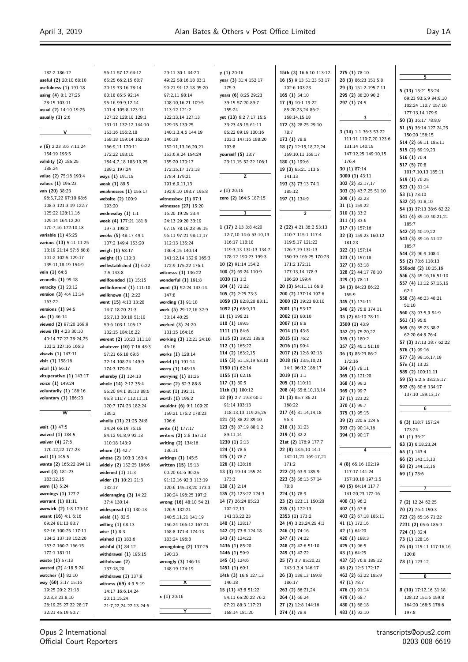| 182:2 186:12                                   | 56:11 57:12 64:12                             | 29:11 30:1 44:20                              | y(1)20:16                                   | 15th (3) 16:6,10 113:12                      | 275 (1) 78:10                         |                                            |
|------------------------------------------------|-----------------------------------------------|-----------------------------------------------|---------------------------------------------|----------------------------------------------|---------------------------------------|--------------------------------------------|
| useful (2) 20:10 68:10                         | 65:25 66:2,15 68:7                            | 49:22 58:16,18 83:1                           | year (3) 31:4 152:17                        | 16 (5) 9:13 51:23 53:17                      | 28 (3) 86:23 151:5,8                  | 5                                          |
| usefulness $(1)$ 191:18                        | 70:19 73:16 78:14                             | 90:21 91:12,18 95:20                          | 175:3                                       | 102:6 103:23                                 | 29 (3) 151:2 195:7,11                 | 5 (13) 13:21 53:24                         |
| using (4) 8:1 27:25                            | 80:18 85:5 92:14                              | 97:2,11 98:14                                 | years (6) 8:25 29:23                        | 165 (1) 54:10                                | 295 (2) 88:20 90:2                    | 69:23 93:5,9 94:9,10                       |
| 28:15 103:11                                   | 95:16 99:9,12,14                              | 108:10,16,21 109:5                            | 39:15 57:20 89:7                            | 17 (9) 10:1 19:22                            | 297 (1) 74:5                          | 102:24 110:7 157:10                        |
| usual (2) 14:10 19:25                          | 101:4 105:8 123:11                            | 113:12 121:2                                  | 155:24                                      | 85:20,23,24 86:2                             |                                       | 177:13,14 179:9                            |
| usually $(1)$ 2:6                              | 127:12 128:10 129:1                           | 122:13,14 127:13                              | yet (13) 6:2 7:17 15:5                      | 168:14,15,18                                 | $\overline{\mathbf{3}}$               | 50 (3) 36:17 78:8,9                        |
|                                                | 131:11 132:12 144:10                          | 129:15 139:25                                 | 33:23 45:15 61:11                           | 172 (3) 28:25 29:10                          | 3 (14) 1:1 36:3 53:22                 | 51 (5) 36:14 127:24,25                     |
| $\overline{\mathsf{v}}$                        | 153:16 156:2,18<br>158:18 159:14 162:10       | 140:1,3,4,6 144:19<br>146:18                  | 85:22 89:19 100:16<br>103:3 147:16 188:20   | 78:7<br>173 (1) 78:8                         | 111:11 119:7,20 123:6                 | 150:20 156:15                              |
| $\mathbf{v}$ (6) 2:23 3:6 7:11,24              | 166:9,11 170:11                               | 152:11,13,16,20,21                            | 193:8                                       | 18 (7) 12:15,18,22,24                        | 131:14 140:15                         | 514 (2) 69:11 185:11                       |
| 154:19 195:5                                   | 172:22 183:10                                 | 153:6,9,24 154:24                             | yourself (5) 13:7                           | 159:10,11 168:17                             | 147:12,25 149:10,15                   | 515 (2) 69:19,23                           |
| validity (2) 185:25                            | 184:4,7,18 185:19,25                          | 155:20 170:17                                 | 23:11,15 52:22 106:1                        | 180 (1) 199:6                                | 176:4                                 | 516 (1) 70:4                               |
| 188:24                                         | 189:2 197:24                                  | 172:15,17 173:18                              |                                             | 19 (3) 65:21 113:5                           | 30 (1) 87:14                          | 517 (5) 70:8                               |
| value (2) 75:16 193:4                          | ways (1) 191:15                               | 178:4 179:21                                  | z                                           | 141:13                                       | 3000 (1) 43:11                        | 101:7,10,13 185:11<br>519 (1) 70:25        |
| values (1) 195:23                              | weak (1) 89:5                                 | 191:6,9,11,13                                 |                                             | 193 (3) 73:13 74:1                           | 302 (2) 32:17,17                      | 523 (1) 81:14                              |
| van (20) 38:23                                 | weaknesses $(1)$ 155:17                       | 192:9,10 193:7 195:8                          | $z(1)$ 20:16                                | 185:12                                       | 303 (3) 43:7,25 51:10                 | 53 (1) 78:10                               |
| 96:5,7,22 97:10 98:6                           | website (2) 100:9                             | witnessbox $(1)$ 97:1                         | zero (2) 164:5 187:15                       | 197 (1) 134:9                                | 309 (1) 32:23                         | 532 (2) 91:8,10                            |
| 108:3 121:3,19 122:7                           | 193:20                                        | witnesses (27) 15:20                          |                                             |                                              | 31 (1) 159:22                         | 54 (3) 37:13 38:6 62:22                    |
| 125:22 128:11,16<br>129:14 164:12,20           | wednesday $(1)$ 1:1                           | 16:20 19:25 23:4                              | $\mathbf{1}$                                | $\overline{2}$                               | 310 $(1)$ 33:2                        | 541 (4) 39:10 40:21,21                     |
| 170:7,16 172:10,18                             | week (4) 177:21 181:8<br>197:3 198:2          | 24:13 29:20 33:19<br>67:15 78:16,23 95:15     | $1(17)$ 2:13 3:8 4:20                       | 2 (22) 4:21 36:2 53:13                       | 311 (1) 33:6<br>317 (1) 157:16        | 185:7                                      |
| variable $(1)$ 45:25                           | weeks (5) 48:17 49:1                          | 96:11 97:21 98:11,17                          | 12:7,10 14:6 53:10,13                       | 110:7 115:1 117:4                            | 32 (3) 159:23 160:12                  | 542 (2) 40:19,22                           |
| various (13) 5:11 11:25                        | 107:2 149:4 153:20                            | 112:13 135:24                                 | 116:17 118:18                               | 119:5,17 121:22                              | 181:23                                | 543 (3) 39:16 41:12                        |
| 13:19 21:14 57:6 68:8                          | weigh (1) 58:17                               | 136:4,15 140:14                               | 119:3,13 131:13 134:7                       | 126:7,19 131:13                              | 322 (1) 157:14                        | 185:7                                      |
| 101:2 102:5 129:17                             | weight (1) 110:3                              | 141:12,14 152:9 165:3                         | 178:12 190:23 199:3                         | 150:19 166:25 170:23                         | 323 (1) 157:18                        | 544 (2) 96:9 108:1<br>55 (2) 78:6 118:13   |
| 135:11,18,19 154:9                             | wellestablished $(3)$ 6:22                    | 172:9 175:22 176:1                            | 10 (2) 91:14 154:2                          | 171:2 172:11                                 | 327 (1) 63:18                         | 550odd (2) 10:15,16                        |
| vein $(1)$ 64:6                                | 7:5 143:8                                     | witnesss (1) 136:22                           | 100 (2) 69:24 110:9                         | 177:13,14 178:3                              | 328 (2) 44:17 78:10                   | 556 (3) 45:16,16 51:10                     |
| vennells $(1)$ 99:18                           | wellfounded $(1)$ 15:15                       | wonderful $(1)$ 191:8                         | 1030 $(1)$ 1:2                              | 186:20 199:4                                 | 329 (1) 78:11                         | 557 (4) 11:12 57:15,15                     |
| veracity $(1)$ 20:12                           | wellinformed $(1)$ 111:10                     | wont (3) 52:24 143:14                         | 104 (1) 72:22                               | 20 (3) 54:11,11 66:8                         | 34 (3) 84:23 86:22                    | 62:1                                       |
| version (3) 4:4 13:14<br>163:22                | wellknown $(1)$ 2:22                          | 147:8                                         | 105 (2) 2:25 73:3<br>1059 (3) 82:8,20 83:11 | 200 (2) 137:14 197:6<br>2000 (2) 39:23 80:10 | 155:9                                 | 558 (3) 46:23 48:21                        |
| versions $(1)$ 94:5                            | went (15) 4:13 13:20<br>14:7 18:20 21:3       | wording $(1)$ 91:18<br>work (5) 29:12,16 32:9 | 1092 (2) 68:9,13                            | 2001 (1) 53:17                               | 345 (1) 174:11<br>346 (2) 75:8 174:11 | 51:10                                      |
| via $(1)$ 46:14                                | 25:7,13 30:10 51:10                           | 33:14 40:25                                   | 11 (1) 196:21                               | 2002 (1) 80:10                               | 35 (2) 64:10 78:11                    | 560 (3) 93:5,9 94:9                        |
| viewed (2) 97:20 169:9                         | 59:6 103:1 105:17                             | worked (3) 24:20                              | 110 (1) 199:5                               | 2007 (1) 8:8                                 | 3500 (1) 43:9                         | 561 (1) 95:6                               |
| views $(9)$ 4:23 30:10                         | 132:15 184:16,22                              | 131:15 164:16                                 | 1111 (1) 84:6                               | 2014 (1) 43:8                                | 352 (2) 75:20,22                      | 569 (5) 35:23 38:2                         |
| 40:14 77:22 78:24,25                           | werent (2) 10:23 111:18                       | working (3) 12:21 24:10                       | 1115 (2) 39:21 185:8                        | 2015 (1) 76:2                                | 355 (1) 180:2                         | 62:20 64:8 76:4<br>57 (3) 37:13 38:7 62:22 |
| 103:2 127:16 166:3                             | whatever (10) 7:16 48:3                       | 46:16                                         | 112 (1) 165:22                              | 2016 (1) 90:4                                | 357 (2) 45:1 51:10                    | 576 (1) 99:16                              |
| visavis (1) 147:11                             | 57:21 65:18 69:6                              | works (1) 128:14                              | 114 (2) 163:2,15                            | 2017 (2) 12:8 92:13                          | 36 (3) 85:23 86:2                     | 577 (3) 99:16,17,19                        |
| visit $(1)$ 158:16                             | 72:14 108:24 149:9                            | world (1) 191:14                              | 115 (3) 51:18,19 53:10                      | 2018 (6) 13:5,10,21                          | 172:16                                | 57e (1) 13:22                              |
| vital (1) 56:17                                | 174:3 179:24                                  | worry (1) 148:16                              | 1150 (1) 62:14                              | 14:1 96:12 186:17                            | 364 (1) 78:11                         | 589 (2) 100:11,11                          |
| vituperative $(1)$ 143:17                      | whereby $(1)$ 124:13                          | worrying $(1)$ 81:25                          | 1155 (1) 62:16<br>117 (1) 80:5              | 2019(1)1:1<br>205 (1) 110:11                 | 365 (1) 121:20<br>368 (1) 99:2        | 59 (5) 5:2,5 38:2,5,17                     |
| voice $(1)$ 149:24<br>voluntarily $(1)$ 186:16 | whole (14) 2:12 35:4<br>55:20 84:1 85:13 88:5 | worse (2) 82:3 88:8<br>worst $(1)$ 192:11     | 11th (1) 180:12                             | 208 (4) 55:6,10,13,14                        | 369 (1) 99:7                          | 592 (5) 60:6 134:17                        |
| voluntary (1) 186:23                           | 95:8 111:7 112:11,11                          | worth (1) 196:2                               | 12 (9) 2:7 19:3 60:1                        | 21 (3) 85:7 86:21                            | 37 (1) 123:22                         | 137:10 189:13,17                           |
|                                                | 120:7 174:23 182:24                           | wouldnt (6) 9:1 109:20                        | 91:14 103:13                                | 168:22                                       | 370 (1) 99:7                          |                                            |
| $\overline{w}$                                 | 185:2                                         | 159:21 176:2 178:23                           | 118:13,13 119:25,25                         | 217 (4) 31:14,14,18                          | 375 (1) 95:15                         | 6                                          |
|                                                | wholly (11) 21:25 24:8                        | 196:6                                         | 121 (2) 88:22 89:10                         | 56:3                                         | 39 (2) 120:5 124:5                    | 6 (3) 118:7 157:24                         |
| wait (1) 47:5                                  | 34:24 66:19 76:18                             | write (1) 177:17                              | 123 (5) 87:19 88:1,2                        | 218 (1) 31:23                                | 393 (2) 90:14,16                      | 173:24                                     |
| waived (1) 184:5                               | 84:12 91:8,9 92:18                            | writers (2) 2:8 157:13                        | 89:11,14                                    | 219 (1) 32:2                                 | 394 (1) 90:17                         | 61(1)36:21                                 |
| waiver (4) 27:6                                | 110:18 143:9                                  | writing (2) 134:16                            | 1230 $(1)$ 2:13                             | 21st (2) 176:9 177:7                         |                                       | 63 (3) 6:18,23,24                          |
| 176:12,22 177:23                               | whom $(1)$ 42:7                               | 136:11                                        | 124 (1) 78:6                                | 22 (8) 13:5,10 14:1                          | $\overline{4}$                        | 65 (1) 143:4                               |
| wall (1) 145:5<br>wants (2) 165:22 194:11      | whose (2) 103:3 163:4                         | writings (1) 145:5                            | 125 (1) 78:7<br>126 (1) 128:16              | 142:11,21 169:17,21<br>171:2                 | 4 (8) 65:16 102:19                    | 66 (2) 143:13,13                           |
| ward (3) 181:23                                | widely (2) 152:25 196:6<br>widened $(1)$ 11:3 | written (15) 15:13<br>60:20 61:6 90:25        | 13 (3) 19:14 155:24                         | 222 (2) 63:9 185:9                           | 117:17 141:24                         | 68 (2) 144:12,16                           |
| 183:12,15                                      | wider $(3)$ 10:21 21:3                        | 91:12,16 92:3 113:19                          | 173:3                                       | 223 (3) 56:13 57:14                          | 157:10,10 197:1,5                     | 69 (1) 78:6                                |
| warn $(1)$ 5:24                                | 132:17                                        | 120:6 145:18,20 173:3                         | 130 $(1)$ 2:14                              | 78:8                                         | 40 (5) 64:14 117:7                    | 7                                          |
| warnings $(1)$ 127:2                           | wideranging $(3)$ 14:22                       | 190:24 196:25 197:2                           | 135 (2) 123:22 124:3                        | 224 (1) 78:9                                 | 141:20,23 172:16                      |                                            |
| warrant $(1)$ 81:11                            | 37:4 130:14                                   | wrong (16) 48:10 54:21                        | 14 (7) 26:24 85:23                          | 23 (2) 123:11 150:20                         | 400 (1) 96:2                          | 7 (2) 12:24 62:25                          |
| warwick (2) 1:8 179:10                         | widespread $(1)$ 130:13                       | 126:5 132:21                                  | 102:12,13                                   | 235 (1) 172:13                               | 402 (1) 67:8                          | 70 (2) 76:4 150:3                          |
| wasnt (16) 4:1 6:16                            | wield $(1)$ 82:5                              | 140:5,11,21 141:19                            | 141:13,22,23                                | 2353 (1) 173:2                               | 403 (2) 67:18 185:11                  | 723 (2) 65:16 71:22                        |
| 69:24 81:13 83:7                               | willing (1) 68:13                             | 156:24 166:12 167:21                          | 140 (1) 128:17                              | 24 (4) 3:23,24,25 4:3                        | 41 (1) 172:16                         | 7231 (2) 65:6 185:9                        |
| 92:16 100:25 117:11                            | wise $(1)$ 8:3                                | 168:8 171:4 174:13                            | 142 (2) 73:8 124:18                         | 246 (1) 74:16                                | 42 (1) 64:20                          | 724 (1) 82:4                               |
| 134:2 137:18 152:20<br>153:2 160:2 166:15      | wished $(1)$ 183:6                            | 183:24 196:8                                  | 143 (1) 124:22<br>1436 (1) 85:20            | 247 (1) 74:22<br>248 (2) 42:6 51:10          | 420 (1) 198:3<br>425 (1) 96:5         | 73 (1) 128:16                              |
| 172:1 181:11                                   | wishful (1) 84:12                             | wrongdoing $(2)$ 137:25<br>190:13             | 1446 (1) 59:9                               | 249 (1) 42:22                                | 43 (1) 64:25                          | 76 (4) 115:11 117:16,16                    |
| waste $(1)$ 57:13                              | withdrawal $(1)$ 195:15<br>withdrawn (2)      | wrongly (3) 146:14                            | 145 (1) 124:6                               | 25 (7) 3:7 85:20,23                          | 437 (2) 76:8 185:12                   | 120:8<br>78 (1) 123:12                     |
| wasted (2) 4:18 5:24                           | 137:18,20                                     | 148:19 174:19                                 | 1451 (1) 60:1                               | 143:1,3,4 146:17                             | 45 (2) 12:5 172:17                    |                                            |
| watcher (1) 82:10                              | withdraws $(1)$ 137:9                         |                                               | 14th (3) 16:6 127:13                        | 26 (3) 139:13 159:8                          | 462 (2) 63:22 185:9                   | 8                                          |
| way (60) 3:17 15:16                            | witness (69) 4:9 5:19                         | $\overline{\mathbf{x}}$                       | 146:18                                      | 186:17                                       | 47 (1) 78:7                           |                                            |
| 19:25 20:2 21:18                               | 14:17 16:6,14,24                              |                                               | 15 (11) 43:8 51:22                          | 263 (2) 66:21,24                             | 476 (1) 91:14                         | 8 (10) 17:12,16 31:18                      |
| 22:3,3 23:8,10                                 | 20:13,15,24                                   | $x(1)$ 20:16                                  | 54:11 65:20,22 76:2                         | 264 (1) 66:24                                | 479 (1) 68:7                          | 128:12 151:6 159:8                         |
| 26:19,25 27:22 28:17                           | 21:7,22,24 22:13 24:6                         |                                               | 87:21 88:3 117:21                           | 27 (2) 12:8 144:16                           | 480 (1) 68:18                         | 164:20 168:5 176:6                         |
| 32:21 45:19 50:7                               |                                               | Y                                             | 168:14 181:20                               | 274 (1) 78:9                                 | 483 (1) 92:10                         | 197:8                                      |

Opus 2 International Official Court Reporters